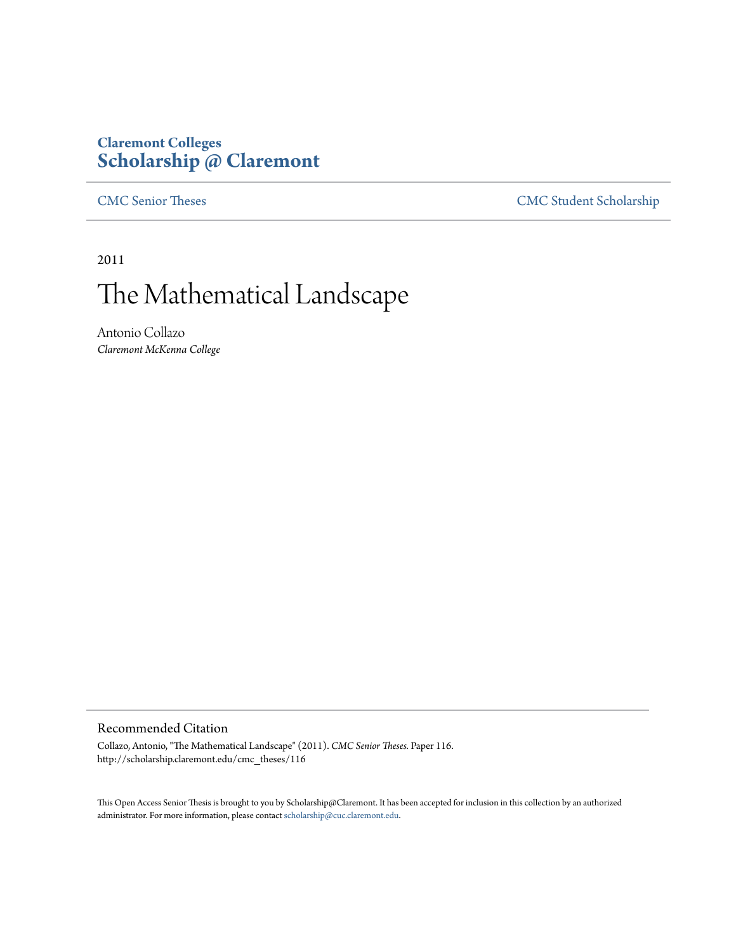# **Claremont Colleges [Scholarship @ Claremont](http://scholarship.claremont.edu)**

[CMC Senior Theses](http://scholarship.claremont.edu/cmc_theses) [CMC Student Scholarship](http://scholarship.claremont.edu/cmc_student)

2011

# The Mathematical Landscape

Antonio Collazo *Claremont McKenna College*

#### Recommended Citation

Collazo, Antonio, "The Mathematical Landscape" (2011). *CMC Senior Theses.* Paper 116. http://scholarship.claremont.edu/cmc\_theses/116

This Open Access Senior Thesis is brought to you by Scholarship@Claremont. It has been accepted for inclusion in this collection by an authorized administrator. For more information, please contact [scholarship@cuc.claremont.edu.](mailto:scholarship@cuc.claremont.edu)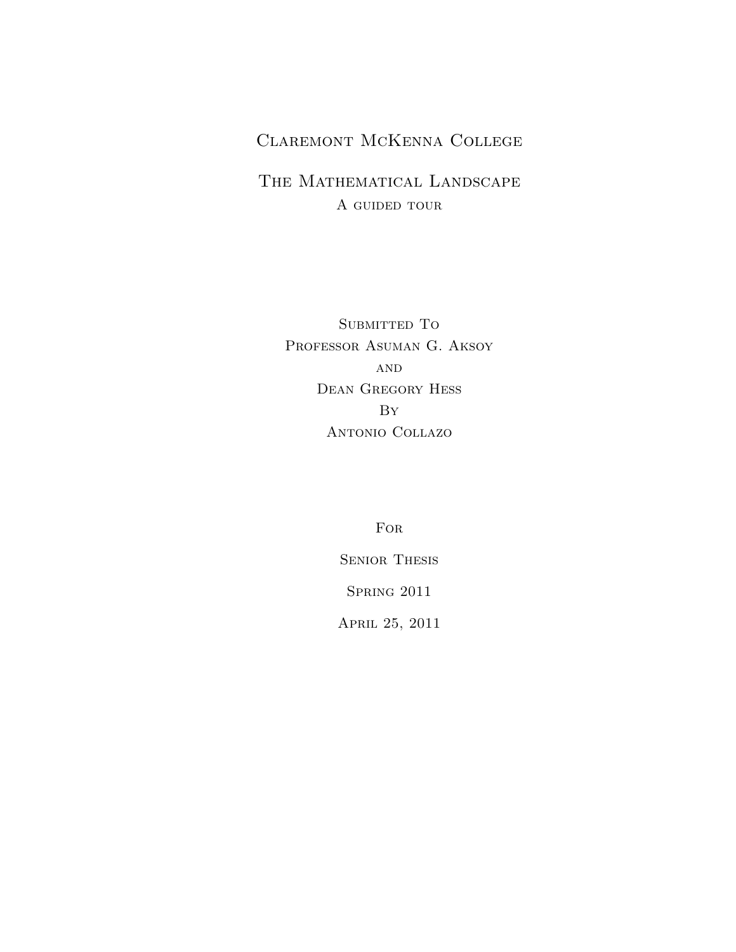# Claremont McKenna College

# THE MATHEMATICAL LANDSCAPE A GUIDED TOUR

SUBMITTED TO Professor Asuman G. Aksoy AND Dean Gregory Hess By Antonio Collazo

For

Senior Thesis

Spring 2011

April 25, 2011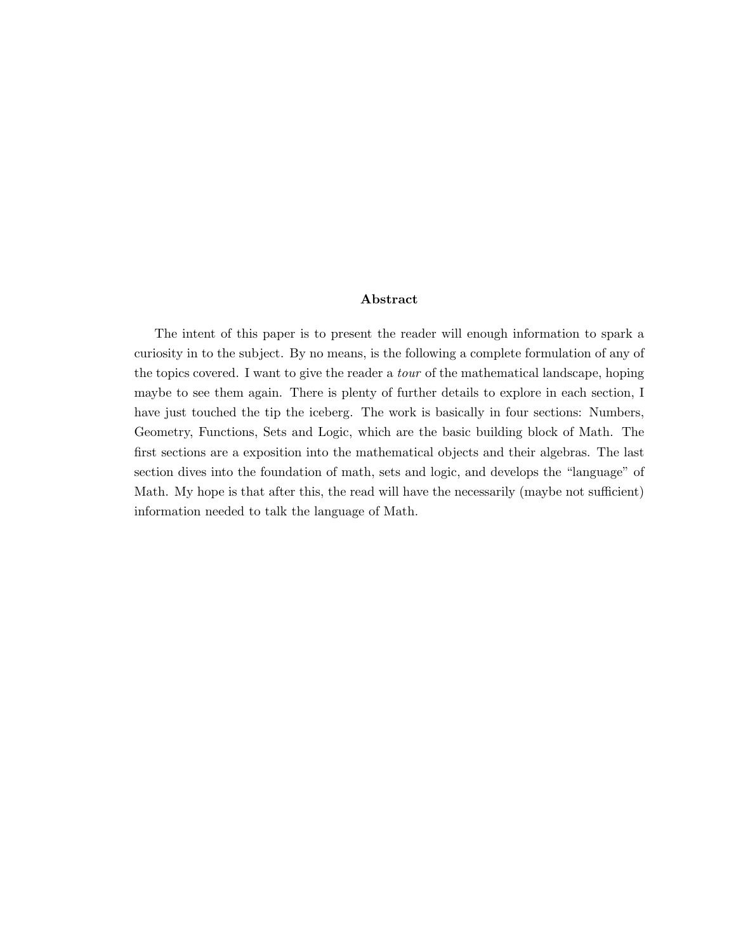#### Abstract

The intent of this paper is to present the reader will enough information to spark a curiosity in to the subject. By no means, is the following a complete formulation of any of the topics covered. I want to give the reader a tour of the mathematical landscape, hoping maybe to see them again. There is plenty of further details to explore in each section, I have just touched the tip the iceberg. The work is basically in four sections: Numbers, Geometry, Functions, Sets and Logic, which are the basic building block of Math. The first sections are a exposition into the mathematical objects and their algebras. The last section dives into the foundation of math, sets and logic, and develops the "language" of Math. My hope is that after this, the read will have the necessarily (maybe not sufficient) information needed to talk the language of Math.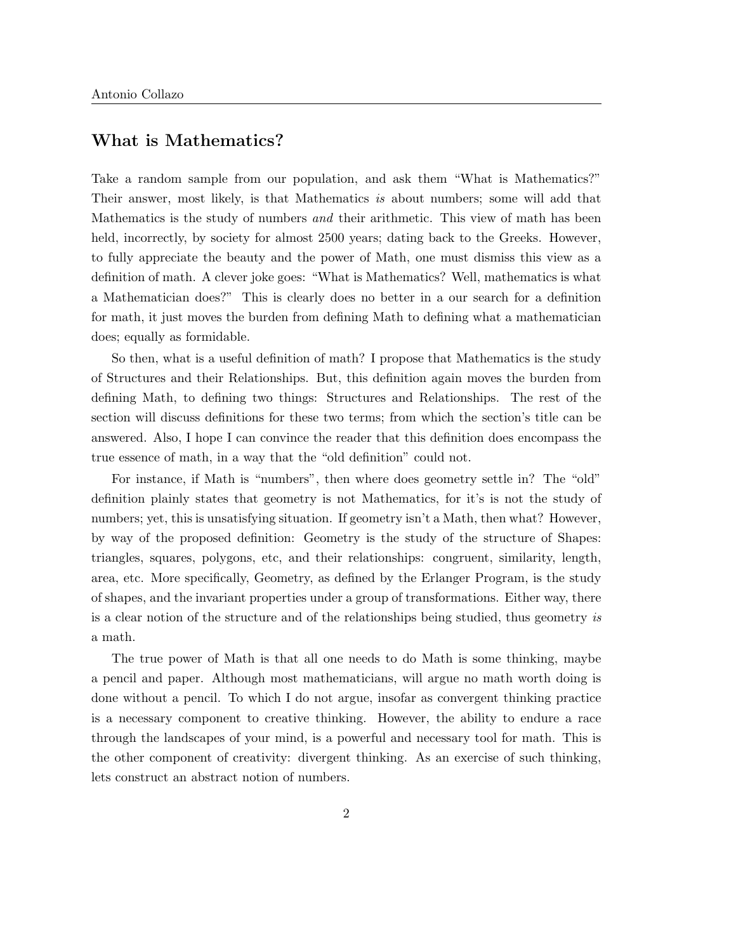# What is Mathematics?

Take a random sample from our population, and ask them "What is Mathematics?" Their answer, most likely, is that Mathematics is about numbers; some will add that Mathematics is the study of numbers and their arithmetic. This view of math has been held, incorrectly, by society for almost 2500 years; dating back to the Greeks. However, to fully appreciate the beauty and the power of Math, one must dismiss this view as a definition of math. A clever joke goes: "What is Mathematics? Well, mathematics is what a Mathematician does?" This is clearly does no better in a our search for a definition for math, it just moves the burden from defining Math to defining what a mathematician does; equally as formidable.

So then, what is a useful definition of math? I propose that Mathematics is the study of Structures and their Relationships. But, this definition again moves the burden from defining Math, to defining two things: Structures and Relationships. The rest of the section will discuss definitions for these two terms; from which the section's title can be answered. Also, I hope I can convince the reader that this definition does encompass the true essence of math, in a way that the "old definition" could not.

For instance, if Math is "numbers", then where does geometry settle in? The "old" definition plainly states that geometry is not Mathematics, for it's is not the study of numbers; yet, this is unsatisfying situation. If geometry isn't a Math, then what? However, by way of the proposed definition: Geometry is the study of the structure of Shapes: triangles, squares, polygons, etc, and their relationships: congruent, similarity, length, area, etc. More specifically, Geometry, as defined by the Erlanger Program, is the study of shapes, and the invariant properties under a group of transformations. Either way, there is a clear notion of the structure and of the relationships being studied, thus geometry is a math.

The true power of Math is that all one needs to do Math is some thinking, maybe a pencil and paper. Although most mathematicians, will argue no math worth doing is done without a pencil. To which I do not argue, insofar as convergent thinking practice is a necessary component to creative thinking. However, the ability to endure a race through the landscapes of your mind, is a powerful and necessary tool for math. This is the other component of creativity: divergent thinking. As an exercise of such thinking, lets construct an abstract notion of numbers.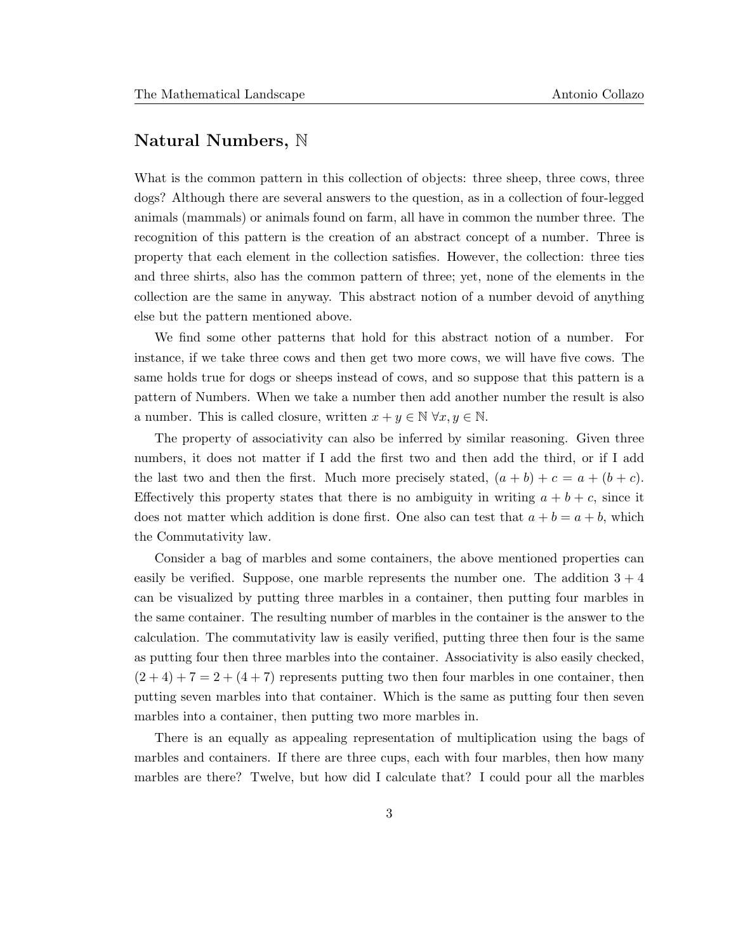## Natural Numbers, N

What is the common pattern in this collection of objects: three sheep, three cows, three dogs? Although there are several answers to the question, as in a collection of four-legged animals (mammals) or animals found on farm, all have in common the number three. The recognition of this pattern is the creation of an abstract concept of a number. Three is property that each element in the collection satisfies. However, the collection: three ties and three shirts, also has the common pattern of three; yet, none of the elements in the collection are the same in anyway. This abstract notion of a number devoid of anything else but the pattern mentioned above.

We find some other patterns that hold for this abstract notion of a number. For instance, if we take three cows and then get two more cows, we will have five cows. The same holds true for dogs or sheeps instead of cows, and so suppose that this pattern is a pattern of Numbers. When we take a number then add another number the result is also a number. This is called closure, written  $x + y \in \mathbb{N} \,\forall x, y \in \mathbb{N}$ .

The property of associativity can also be inferred by similar reasoning. Given three numbers, it does not matter if I add the first two and then add the third, or if I add the last two and then the first. Much more precisely stated,  $(a + b) + c = a + (b + c)$ . Effectively this property states that there is no ambiguity in writing  $a + b + c$ , since it does not matter which addition is done first. One also can test that  $a + b = a + b$ , which the Commutativity law.

Consider a bag of marbles and some containers, the above mentioned properties can easily be verified. Suppose, one marble represents the number one. The addition  $3 + 4$ can be visualized by putting three marbles in a container, then putting four marbles in the same container. The resulting number of marbles in the container is the answer to the calculation. The commutativity law is easily verified, putting three then four is the same as putting four then three marbles into the container. Associativity is also easily checked,  $(2 + 4) + 7 = 2 + (4 + 7)$  represents putting two then four marbles in one container, then putting seven marbles into that container. Which is the same as putting four then seven marbles into a container, then putting two more marbles in.

There is an equally as appealing representation of multiplication using the bags of marbles and containers. If there are three cups, each with four marbles, then how many marbles are there? Twelve, but how did I calculate that? I could pour all the marbles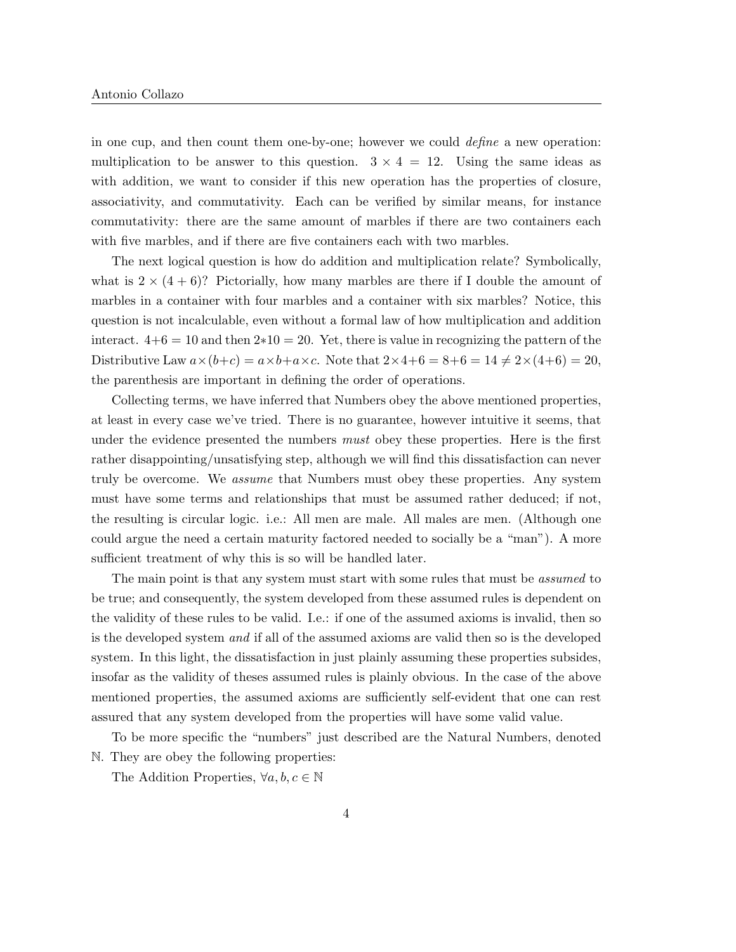in one cup, and then count them one-by-one; however we could define a new operation: multiplication to be answer to this question.  $3 \times 4 = 12$ . Using the same ideas as with addition, we want to consider if this new operation has the properties of closure, associativity, and commutativity. Each can be verified by similar means, for instance commutativity: there are the same amount of marbles if there are two containers each with five marbles, and if there are five containers each with two marbles.

The next logical question is how do addition and multiplication relate? Symbolically, what is  $2 \times (4+6)$ ? Pictorially, how many marbles are there if I double the amount of marbles in a container with four marbles and a container with six marbles? Notice, this question is not incalculable, even without a formal law of how multiplication and addition interact.  $4+6 = 10$  and then  $2*10 = 20$ . Yet, there is value in recognizing the pattern of the Distributive Law  $a \times (b+c) = a \times b + a \times c$ . Note that  $2 \times 4+6 = 8+6 = 14 \neq 2 \times (4+6) = 20$ , the parenthesis are important in defining the order of operations.

Collecting terms, we have inferred that Numbers obey the above mentioned properties, at least in every case we've tried. There is no guarantee, however intuitive it seems, that under the evidence presented the numbers *must* obey these properties. Here is the first rather disappointing/unsatisfying step, although we will find this dissatisfaction can never truly be overcome. We assume that Numbers must obey these properties. Any system must have some terms and relationships that must be assumed rather deduced; if not, the resulting is circular logic. i.e.: All men are male. All males are men. (Although one could argue the need a certain maturity factored needed to socially be a "man"). A more sufficient treatment of why this is so will be handled later.

The main point is that any system must start with some rules that must be *assumed* to be true; and consequently, the system developed from these assumed rules is dependent on the validity of these rules to be valid. I.e.: if one of the assumed axioms is invalid, then so is the developed system and if all of the assumed axioms are valid then so is the developed system. In this light, the dissatisfaction in just plainly assuming these properties subsides, insofar as the validity of theses assumed rules is plainly obvious. In the case of the above mentioned properties, the assumed axioms are sufficiently self-evident that one can rest assured that any system developed from the properties will have some valid value.

To be more specific the "numbers" just described are the Natural Numbers, denoted N. They are obey the following properties:

The Addition Properties,  $\forall a, b, c \in \mathbb{N}$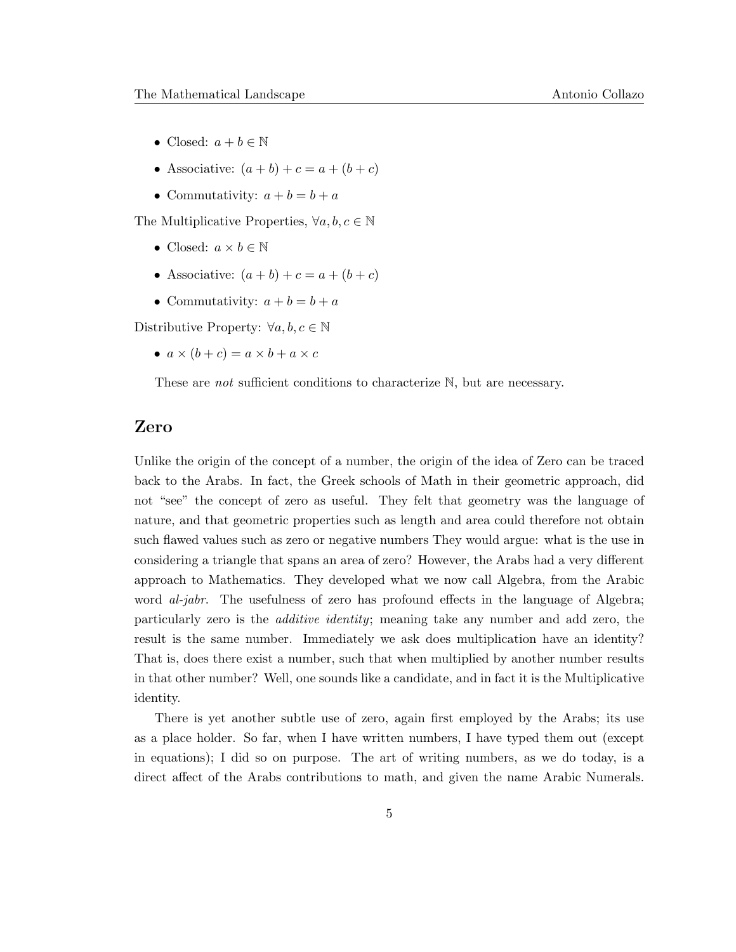- Closed:  $a + b \in \mathbb{N}$
- Associative:  $(a + b) + c = a + (b + c)$
- Commutativity:  $a + b = b + a$

The Multiplicative Properties,  $\forall a, b, c \in \mathbb{N}$ 

- Closed:  $a \times b \in \mathbb{N}$
- Associative:  $(a + b) + c = a + (b + c)$
- Commutativity:  $a + b = b + a$

Distributive Property:  $\forall a, b, c \in \mathbb{N}$ 

•  $a \times (b + c) = a \times b + a \times c$ 

These are *not* sufficient conditions to characterize N, but are necessary.

#### Zero

Unlike the origin of the concept of a number, the origin of the idea of Zero can be traced back to the Arabs. In fact, the Greek schools of Math in their geometric approach, did not "see" the concept of zero as useful. They felt that geometry was the language of nature, and that geometric properties such as length and area could therefore not obtain such flawed values such as zero or negative numbers They would argue: what is the use in considering a triangle that spans an area of zero? However, the Arabs had a very different approach to Mathematics. They developed what we now call Algebra, from the Arabic word *al-jabr*. The usefulness of zero has profound effects in the language of Algebra; particularly zero is the additive identity; meaning take any number and add zero, the result is the same number. Immediately we ask does multiplication have an identity? That is, does there exist a number, such that when multiplied by another number results in that other number? Well, one sounds like a candidate, and in fact it is the Multiplicative identity.

There is yet another subtle use of zero, again first employed by the Arabs; its use as a place holder. So far, when I have written numbers, I have typed them out (except in equations); I did so on purpose. The art of writing numbers, as we do today, is a direct affect of the Arabs contributions to math, and given the name Arabic Numerals.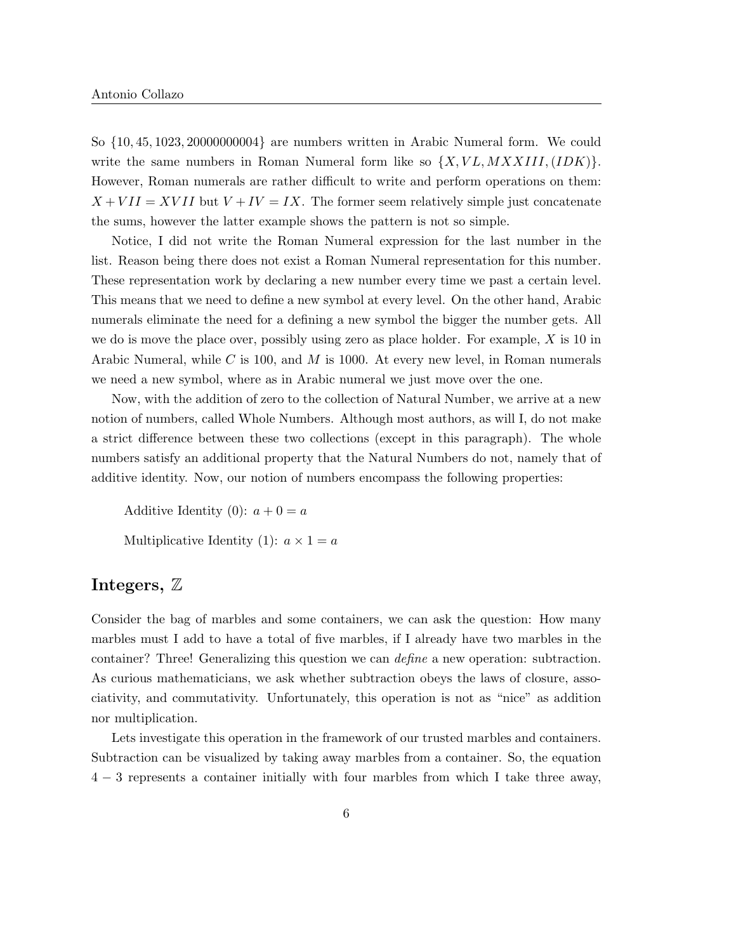So {10, 45, 1023, 20000000004} are numbers written in Arabic Numeral form. We could write the same numbers in Roman Numeral form like so  $\{X, VL, MXXIII, (IDK)\}.$ However, Roman numerals are rather difficult to write and perform operations on them:  $X + VII = XVII$  but  $V + IV = IX$ . The former seem relatively simple just concatenate the sums, however the latter example shows the pattern is not so simple.

Notice, I did not write the Roman Numeral expression for the last number in the list. Reason being there does not exist a Roman Numeral representation for this number. These representation work by declaring a new number every time we past a certain level. This means that we need to define a new symbol at every level. On the other hand, Arabic numerals eliminate the need for a defining a new symbol the bigger the number gets. All we do is move the place over, possibly using zero as place holder. For example,  $X$  is 10 in Arabic Numeral, while C is 100, and M is 1000. At every new level, in Roman numerals we need a new symbol, where as in Arabic numeral we just move over the one.

Now, with the addition of zero to the collection of Natural Number, we arrive at a new notion of numbers, called Whole Numbers. Although most authors, as will I, do not make a strict difference between these two collections (except in this paragraph). The whole numbers satisfy an additional property that the Natural Numbers do not, namely that of additive identity. Now, our notion of numbers encompass the following properties:

Additive Identity (0):  $a + 0 = a$ 

Multiplicative Identity (1):  $a \times 1 = a$ 

#### Integers, Z

Consider the bag of marbles and some containers, we can ask the question: How many marbles must I add to have a total of five marbles, if I already have two marbles in the container? Three! Generalizing this question we can define a new operation: subtraction. As curious mathematicians, we ask whether subtraction obeys the laws of closure, associativity, and commutativity. Unfortunately, this operation is not as "nice" as addition nor multiplication.

Lets investigate this operation in the framework of our trusted marbles and containers. Subtraction can be visualized by taking away marbles from a container. So, the equation 4 − 3 represents a container initially with four marbles from which I take three away,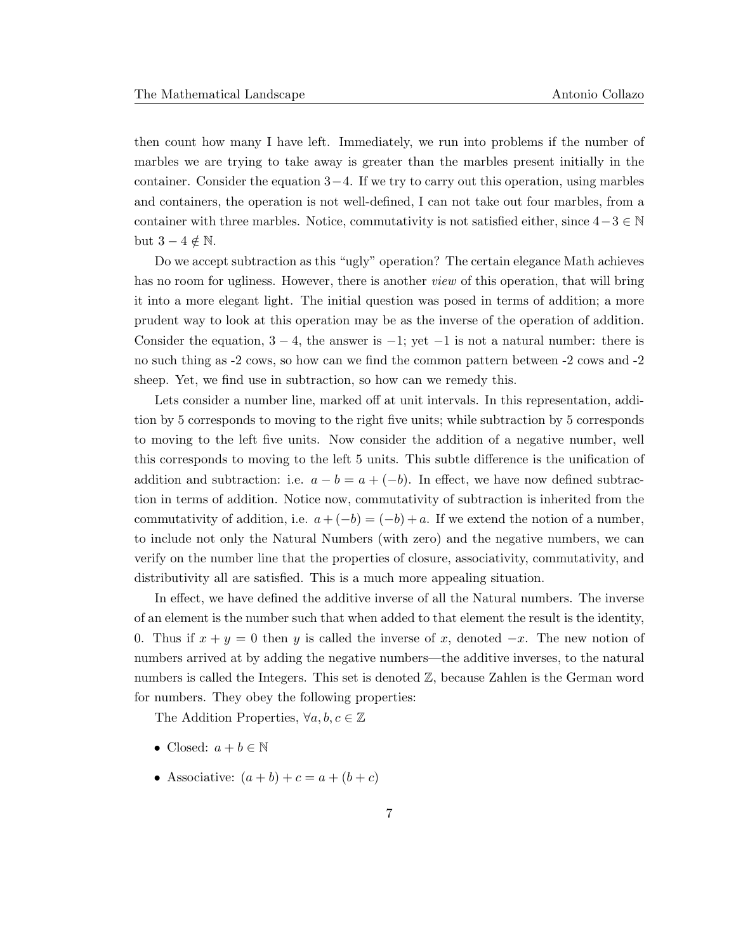then count how many I have left. Immediately, we run into problems if the number of marbles we are trying to take away is greater than the marbles present initially in the container. Consider the equation  $3-4$ . If we try to carry out this operation, using marbles and containers, the operation is not well-defined, I can not take out four marbles, from a container with three marbles. Notice, commutativity is not satisfied either, since  $4-3 \in \mathbb{N}$ but  $3 - 4 \notin \mathbb{N}$ .

Do we accept subtraction as this "ugly" operation? The certain elegance Math achieves has no room for ugliness. However, there is another *view* of this operation, that will bring it into a more elegant light. The initial question was posed in terms of addition; a more prudent way to look at this operation may be as the inverse of the operation of addition. Consider the equation,  $3 - 4$ , the answer is  $-1$ ; yet  $-1$  is not a natural number: there is no such thing as -2 cows, so how can we find the common pattern between -2 cows and -2 sheep. Yet, we find use in subtraction, so how can we remedy this.

Lets consider a number line, marked off at unit intervals. In this representation, addition by 5 corresponds to moving to the right five units; while subtraction by 5 corresponds to moving to the left five units. Now consider the addition of a negative number, well this corresponds to moving to the left 5 units. This subtle difference is the unification of addition and subtraction: i.e.  $a - b = a + (-b)$ . In effect, we have now defined subtraction in terms of addition. Notice now, commutativity of subtraction is inherited from the commutativity of addition, i.e.  $a + (-b) = (-b) + a$ . If we extend the notion of a number, to include not only the Natural Numbers (with zero) and the negative numbers, we can verify on the number line that the properties of closure, associativity, commutativity, and distributivity all are satisfied. This is a much more appealing situation.

In effect, we have defined the additive inverse of all the Natural numbers. The inverse of an element is the number such that when added to that element the result is the identity, 0. Thus if  $x + y = 0$  then y is called the inverse of x, denoted  $-x$ . The new notion of numbers arrived at by adding the negative numbers—the additive inverses, to the natural numbers is called the Integers. This set is denoted Z, because Zahlen is the German word for numbers. They obey the following properties:

The Addition Properties,  $\forall a, b, c \in \mathbb{Z}$ 

- Closed:  $a + b \in \mathbb{N}$
- Associative:  $(a + b) + c = a + (b + c)$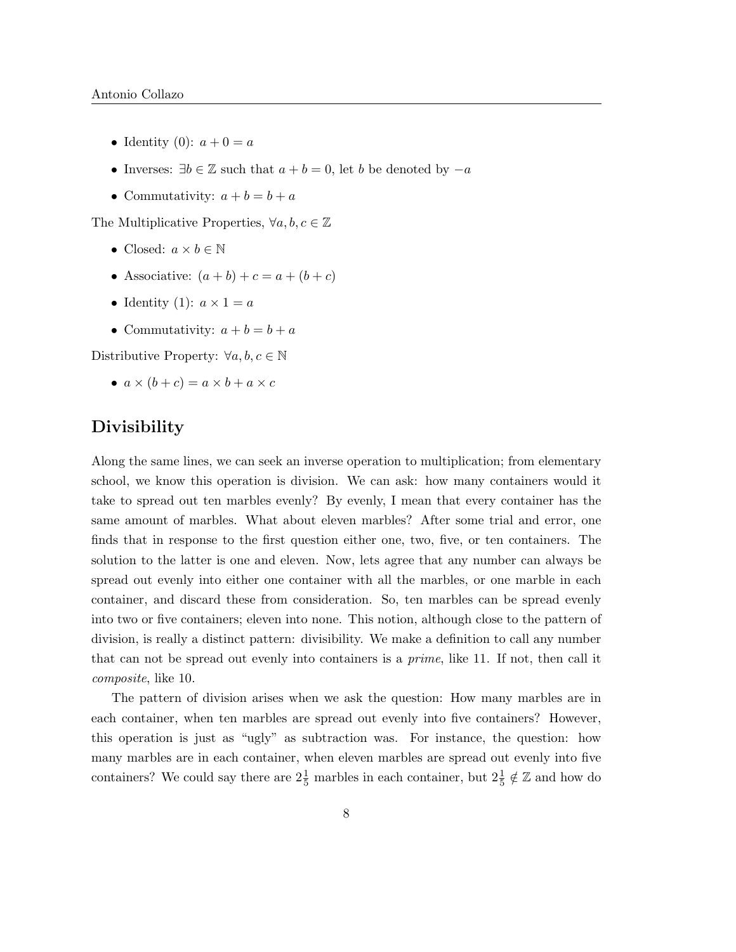- Identity (0):  $a + 0 = a$
- Inverses:  $\exists b \in \mathbb{Z}$  such that  $a + b = 0$ , let b be denoted by  $-a$
- Commutativity:  $a + b = b + a$

The Multiplicative Properties,  $\forall a, b, c \in \mathbb{Z}$ 

- Closed:  $a \times b \in \mathbb{N}$
- Associative:  $(a + b) + c = a + (b + c)$
- Identity (1):  $a \times 1 = a$
- Commutativity:  $a + b = b + a$

Distributive Property:  $\forall a, b, c \in \mathbb{N}$ 

•  $a \times (b + c) = a \times b + a \times c$ 

### **Divisibility**

Along the same lines, we can seek an inverse operation to multiplication; from elementary school, we know this operation is division. We can ask: how many containers would it take to spread out ten marbles evenly? By evenly, I mean that every container has the same amount of marbles. What about eleven marbles? After some trial and error, one finds that in response to the first question either one, two, five, or ten containers. The solution to the latter is one and eleven. Now, lets agree that any number can always be spread out evenly into either one container with all the marbles, or one marble in each container, and discard these from consideration. So, ten marbles can be spread evenly into two or five containers; eleven into none. This notion, although close to the pattern of division, is really a distinct pattern: divisibility. We make a definition to call any number that can not be spread out evenly into containers is a prime, like 11. If not, then call it composite, like 10.

The pattern of division arises when we ask the question: How many marbles are in each container, when ten marbles are spread out evenly into five containers? However, this operation is just as "ugly" as subtraction was. For instance, the question: how many marbles are in each container, when eleven marbles are spread out evenly into five containers? We could say there are  $2\frac{1}{5}$  marbles in each container, but  $2\frac{1}{5} \notin \mathbb{Z}$  and how do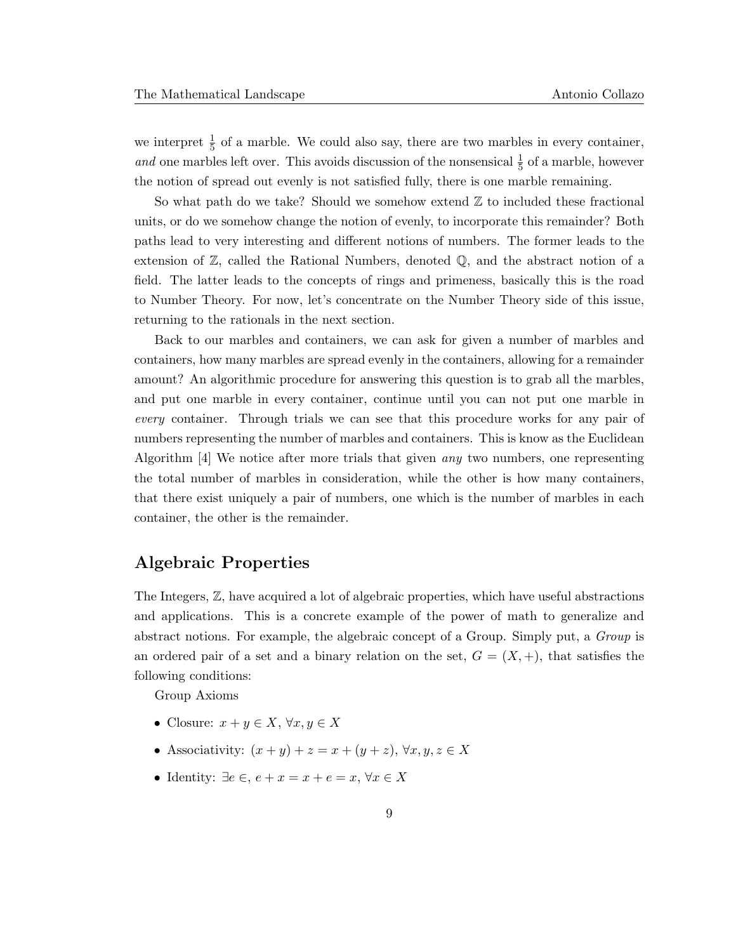we interpret  $\frac{1}{5}$  of a marble. We could also say, there are two marbles in every container, and one marbles left over. This avoids discussion of the nonsensical  $\frac{1}{5}$  of a marble, however the notion of spread out evenly is not satisfied fully, there is one marble remaining.

So what path do we take? Should we somehow extend  $\mathbb Z$  to included these fractional units, or do we somehow change the notion of evenly, to incorporate this remainder? Both paths lead to very interesting and different notions of numbers. The former leads to the extension of  $\mathbb{Z}$ , called the Rational Numbers, denoted  $\mathbb{Q}$ , and the abstract notion of a field. The latter leads to the concepts of rings and primeness, basically this is the road to Number Theory. For now, let's concentrate on the Number Theory side of this issue, returning to the rationals in the next section.

Back to our marbles and containers, we can ask for given a number of marbles and containers, how many marbles are spread evenly in the containers, allowing for a remainder amount? An algorithmic procedure for answering this question is to grab all the marbles, and put one marble in every container, continue until you can not put one marble in every container. Through trials we can see that this procedure works for any pair of numbers representing the number of marbles and containers. This is know as the Euclidean Algorithm [4] We notice after more trials that given any two numbers, one representing the total number of marbles in consideration, while the other is how many containers, that there exist uniquely a pair of numbers, one which is the number of marbles in each container, the other is the remainder.

#### Algebraic Properties

The Integers, Z, have acquired a lot of algebraic properties, which have useful abstractions and applications. This is a concrete example of the power of math to generalize and abstract notions. For example, the algebraic concept of a Group. Simply put, a Group is an ordered pair of a set and a binary relation on the set,  $G = (X, +)$ , that satisfies the following conditions:

Group Axioms

- Closure:  $x + y \in X$ ,  $\forall x, y \in X$
- Associativity:  $(x + y) + z = x + (y + z)$ ,  $\forall x, y, z \in X$
- Identity:  $\exists e \in e, e + x = x + e = x, \forall x \in X$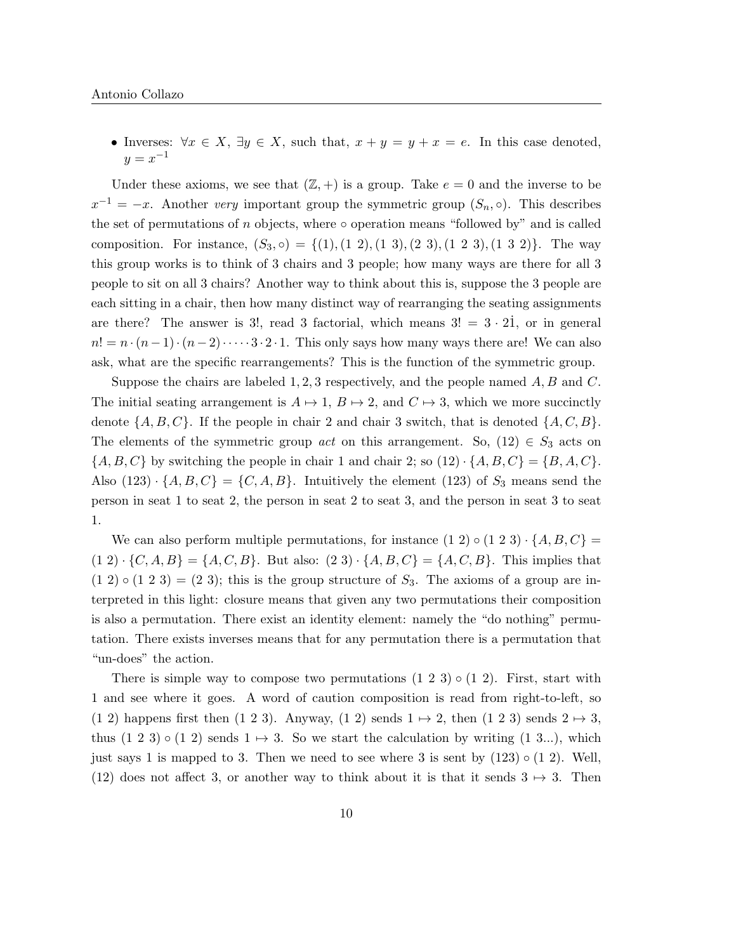• Inverses:  $\forall x \in X, \exists y \in X$ , such that,  $x + y = y + x = e$ . In this case denoted,  $y = x^{-1}$ 

Under these axioms, we see that  $(\mathbb{Z}, +)$  is a group. Take  $e = 0$  and the inverse to be  $x^{-1} = -x$ . Another very important group the symmetric group  $(S_n, \circ)$ . This describes the set of permutations of  $n$  objects, where  $\circ$  operation means "followed by" and is called composition. For instance,  $(S_3, \circ) = \{(1), (1, 2), (1, 3), (2, 3), (1, 2, 3), (1, 3, 2)\}.$  The way this group works is to think of 3 chairs and 3 people; how many ways are there for all 3 people to sit on all 3 chairs? Another way to think about this is, suppose the 3 people are each sitting in a chair, then how many distinct way of rearranging the seating assignments are there? The answer is 3!, read 3 factorial, which means  $3! = 3 \cdot 21$ , or in general  $n! = n \cdot (n-1) \cdot (n-2) \cdot \cdots \cdot 3 \cdot 2 \cdot 1$ . This only says how many ways there are! We can also ask, what are the specific rearrangements? This is the function of the symmetric group.

Suppose the chairs are labeled  $1, 2, 3$  respectively, and the people named  $A, B$  and  $C$ . The initial seating arrangement is  $A \mapsto 1$ ,  $B \mapsto 2$ , and  $C \mapsto 3$ , which we more succinctly denote  $\{A, B, C\}$ . If the people in chair 2 and chair 3 switch, that is denoted  $\{A, C, B\}$ . The elements of the symmetric group *act* on this arrangement. So,  $(12) \in S_3$  acts on  $\{A, B, C\}$  by switching the people in chair 1 and chair 2; so  $(12) \cdot \{A, B, C\} = \{B, A, C\}.$ Also  $(123) \cdot \{A, B, C\} = \{C, A, B\}$ . Intuitively the element  $(123)$  of  $S_3$  means send the person in seat 1 to seat 2, the person in seat 2 to seat 3, and the person in seat 3 to seat 1.

We can also perform multiple permutations, for instance  $(1\ 2) \circ (1\ 2\ 3) \cdot \{A, B, C\} =$  $(1\ 2) \cdot \{C, A, B\} = \{A, C, B\}.$  But also:  $(2\ 3) \cdot \{A, B, C\} = \{A, C, B\}.$  This implies that  $(1 2) \circ (1 2 3) = (2 3)$ ; this is the group structure of  $S_3$ . The axioms of a group are interpreted in this light: closure means that given any two permutations their composition is also a permutation. There exist an identity element: namely the "do nothing" permutation. There exists inverses means that for any permutation there is a permutation that "un-does" the action.

There is simple way to compose two permutations  $(1\ 2\ 3) \circ (1\ 2)$ . First, start with 1 and see where it goes. A word of caution composition is read from right-to-left, so (1 2) happens first then (1 2 3). Anyway, (1 2) sends  $1 \mapsto 2$ , then (1 2 3) sends  $2 \mapsto 3$ , thus  $(1\ 2\ 3) \circ (1\ 2)$  sends  $1 \mapsto 3$ . So we start the calculation by writing  $(1\ 3...)$ , which just says 1 is mapped to 3. Then we need to see where 3 is sent by  $(123) \circ (12)$ . Well, (12) does not affect 3, or another way to think about it is that it sends  $3 \rightarrow 3$ . Then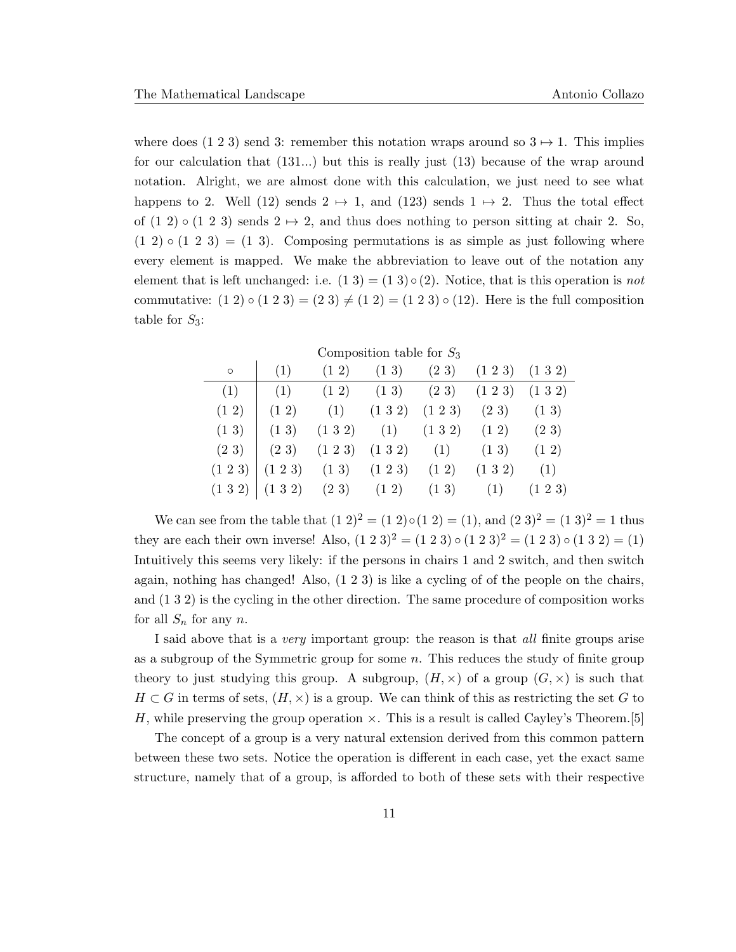where does (1 2 3) send 3: remember this notation wraps around so  $3 \mapsto 1$ . This implies for our calculation that (131...) but this is really just (13) because of the wrap around notation. Alright, we are almost done with this calculation, we just need to see what happens to 2. Well (12) sends  $2 \mapsto 1$ , and (123) sends  $1 \mapsto 2$ . Thus the total effect of  $(1\ 2) \circ (1\ 2\ 3)$  sends  $2 \mapsto 2$ , and thus does nothing to person sitting at chair 2. So,  $(1\ 2) \circ (1\ 2\ 3) = (1\ 3)$ . Composing permutations is as simple as just following where every element is mapped. We make the abbreviation to leave out of the notation any element that is left unchanged: i.e.  $(1\ 3) = (1\ 3) \circ (2)$ . Notice, that is this operation is not commutative:  $(1\ 2) \circ (1\ 2\ 3) = (2\ 3) \neq (1\ 2) = (1\ 2\ 3) \circ (12)$ . Here is the full composition table for  $S_3$ :

Composition table for  $S_3$  $\circ$  (1) (12) (13) (23) (123) (132)  $(1)$   $(1)$   $(1 2)$   $(1 3)$   $(2 3)$   $(1 2 3)$   $(1 3 2)$  $(1\ 2)$   $(1\ 2)$   $(1)$   $(1\ 3\ 2)$   $(1\ 2\ 3)$   $(2\ 3)$   $(1\ 3)$  $(1\ 3)$   $(1\ 3)$   $(1\ 3\ 2)$   $(1)$   $(1\ 3\ 2)$   $(1\ 2)$   $(2\ 3)$  $(2\ 3)$   $(2\ 3)$   $(1\ 2\ 3)$   $(1\ 3\ 2)$   $(1)$   $(1\ 3)$   $(1\ 2)$  $(1\ 2\ 3) | (1\ 2\ 3) (1\ 3) (1\ 2\ 3) (1\ 2) (1\ 3\ 2) (1)$  $(1\ 3\ 2)$   $(1\ 3\ 2)$   $(2\ 3)$   $(1\ 2)$   $(1\ 3)$   $(1)$   $(1\ 2\ 3)$ 

We can see from the table that  $(1\ 2)^2 = (1\ 2) \circ (1\ 2) = (1)$ , and  $(2\ 3)^2 = (1\ 3)^2 = 1$  thus they are each their own inverse! Also,  $(1\ 2\ 3)^2 = (1\ 2\ 3) \circ (1\ 2\ 3)^2 = (1\ 2\ 3) \circ (1\ 3\ 2) = (1)$ Intuitively this seems very likely: if the persons in chairs 1 and 2 switch, and then switch again, nothing has changed! Also, (1 2 3) is like a cycling of of the people on the chairs, and (1 3 2) is the cycling in the other direction. The same procedure of composition works for all  $S_n$  for any n.

I said above that is a *very* important group: the reason is that *all* finite groups arise as a subgroup of the Symmetric group for some  $n$ . This reduces the study of finite group theory to just studying this group. A subgroup,  $(H, \times)$  of a group  $(G, \times)$  is such that  $H \subset G$  in terms of sets,  $(H, \times)$  is a group. We can think of this as restricting the set G to H, while preserving the group operation  $\times$ . This is a result is called Cayley's Theorem.[5]

The concept of a group is a very natural extension derived from this common pattern between these two sets. Notice the operation is different in each case, yet the exact same structure, namely that of a group, is afforded to both of these sets with their respective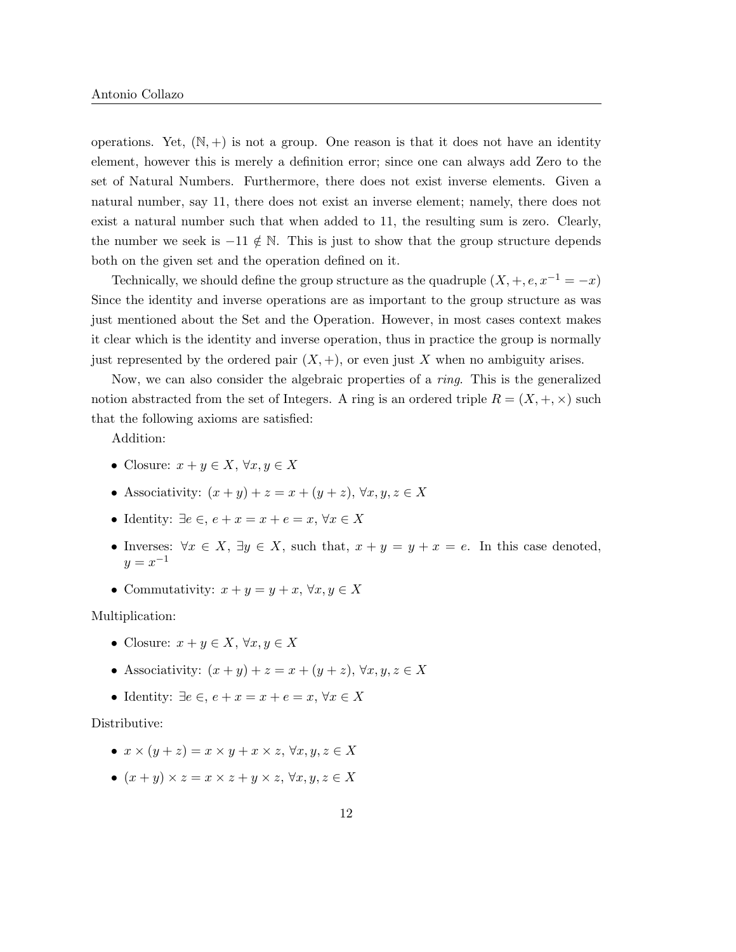operations. Yet,  $(N, +)$  is not a group. One reason is that it does not have an identity element, however this is merely a definition error; since one can always add Zero to the set of Natural Numbers. Furthermore, there does not exist inverse elements. Given a natural number, say 11, there does not exist an inverse element; namely, there does not exist a natural number such that when added to 11, the resulting sum is zero. Clearly, the number we seek is  $-11 \notin \mathbb{N}$ . This is just to show that the group structure depends both on the given set and the operation defined on it.

Technically, we should define the group structure as the quadruple  $(X, +, e, x^{-1} = -x)$ Since the identity and inverse operations are as important to the group structure as was just mentioned about the Set and the Operation. However, in most cases context makes it clear which is the identity and inverse operation, thus in practice the group is normally just represented by the ordered pair  $(X, +)$ , or even just X when no ambiguity arises.

Now, we can also consider the algebraic properties of a ring. This is the generalized notion abstracted from the set of Integers. A ring is an ordered triple  $R = (X, +, \times)$  such that the following axioms are satisfied:

Addition:

- Closure:  $x + y \in X$ ,  $\forall x, y \in X$
- Associativity:  $(x + y) + z = x + (y + z)$ ,  $\forall x, y, z \in X$
- Identity:  $\exists e \in e, e + x = x + e = x, \forall x \in X$
- Inverses:  $\forall x \in X, \exists y \in X$ , such that,  $x + y = y + x = e$ . In this case denoted,  $y = x^{-1}$
- Commutativity:  $x + y = y + x, \forall x, y \in X$

Multiplication:

- Closure:  $x + y \in X$ ,  $\forall x, y \in X$
- Associativity:  $(x + y) + z = x + (y + z)$ ,  $\forall x, y, z \in X$
- Identity:  $\exists e \in e, e + x = x + e = x, \forall x \in X$

#### Distributive:

- $x \times (y + z) = x \times y + x \times z$ ,  $\forall x, y, z \in X$
- $(x + y) \times z = x \times z + y \times z$ ,  $\forall x, y, z \in X$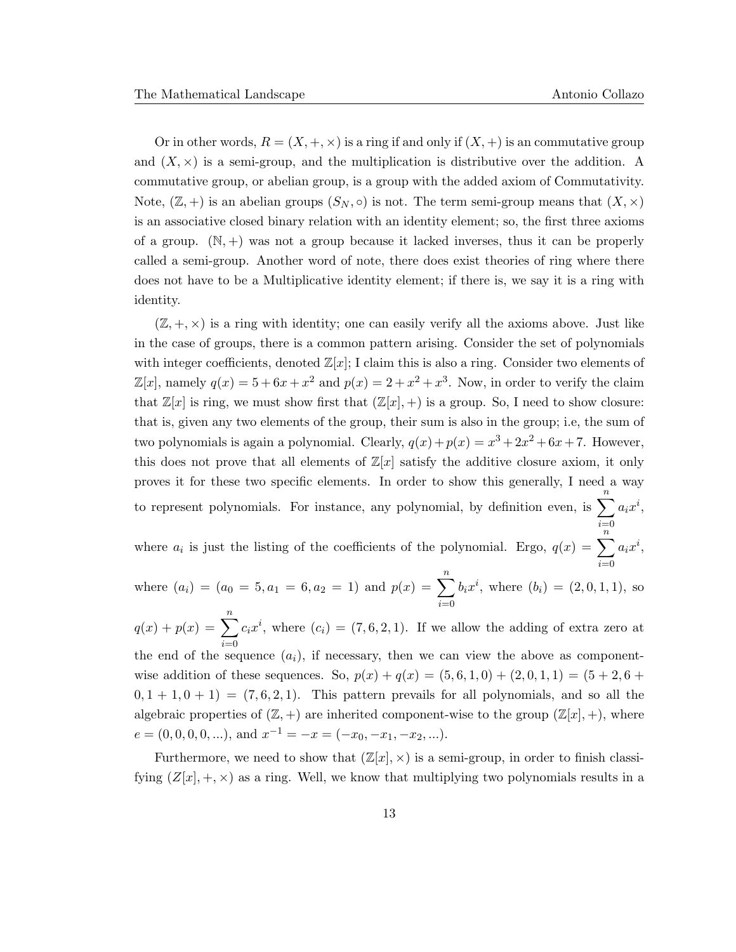Or in other words,  $R = (X, +, \times)$  is a ring if and only if  $(X, +)$  is an commutative group and  $(X, \times)$  is a semi-group, and the multiplication is distributive over the addition. A commutative group, or abelian group, is a group with the added axiom of Commutativity. Note,  $(\mathbb{Z}, +)$  is an abelian groups  $(S_N, \circ)$  is not. The term semi-group means that  $(X, \times)$ is an associative closed binary relation with an identity element; so, the first three axioms of a group.  $(N, +)$  was not a group because it lacked inverses, thus it can be properly called a semi-group. Another word of note, there does exist theories of ring where there does not have to be a Multiplicative identity element; if there is, we say it is a ring with identity.

 $(\mathbb{Z}, +, \times)$  is a ring with identity; one can easily verify all the axioms above. Just like in the case of groups, there is a common pattern arising. Consider the set of polynomials with integer coefficients, denoted  $\mathbb{Z}[x]$ ; I claim this is also a ring. Consider two elements of  $\mathbb{Z}[x]$ , namely  $q(x) = 5 + 6x + x^2$  and  $p(x) = 2 + x^2 + x^3$ . Now, in order to verify the claim that  $\mathbb{Z}[x]$  is ring, we must show first that  $(\mathbb{Z}[x], +)$  is a group. So, I need to show closure: that is, given any two elements of the group, their sum is also in the group; i.e, the sum of two polynomials is again a polynomial. Clearly,  $q(x) + p(x) = x^3 + 2x^2 + 6x + 7$ . However, this does not prove that all elements of  $\mathbb{Z}[x]$  satisfy the additive closure axiom, it only proves it for these two specific elements. In order to show this generally, I need a way to represent polynomials. For instance, any polynomial, by definition even, is  $\sum_{n=1}^{\infty}$  $i=0$  $a_ix^i,$ 

where  $a_i$  is just the listing of the coefficients of the polynomial. Ergo,  $q(x) = \sum_{i=1}^{n} a_i x^i$ ,

where  $(a_i) = (a_0 = 5, a_1 = 6, a_2 = 1)$  and  $p(x) = \sum_{i=0}^{n} b_i x^i$ , where  $(b_i) = (2, 0, 1, 1)$  $i=0$  $b_i x^i$ , where  $(b_i) = (2, 0, 1, 1)$ , so

 $q(x) + p(x) = \sum_{n=0}^{\infty}$  $i=0$  $c_i x^i$ , where  $(c_i) = (7, 6, 2, 1)$ . If we allow the adding of extra zero at the end of the sequence  $(a_i)$ , if necessary, then we can view the above as componentwise addition of these sequences. So,  $p(x) + q(x) = (5, 6, 1, 0) + (2, 0, 1, 1) = (5 + 2, 6 + 1)$  $0, 1 + 1, 0 + 1$  =  $(7, 6, 2, 1)$ . This pattern prevails for all polynomials, and so all the algebraic properties of  $(\mathbb{Z}, +)$  are inherited component-wise to the group  $(\mathbb{Z}[x], +)$ , where  $e = (0, 0, 0, 0, \ldots), \text{ and } x^{-1} = -x = (-x_0, -x_1, -x_2, \ldots).$ 

Furthermore, we need to show that  $(\mathbb{Z}[x], \times)$  is a semi-group, in order to finish classifying  $(Z[x], +, \times)$  as a ring. Well, we know that multiplying two polynomials results in a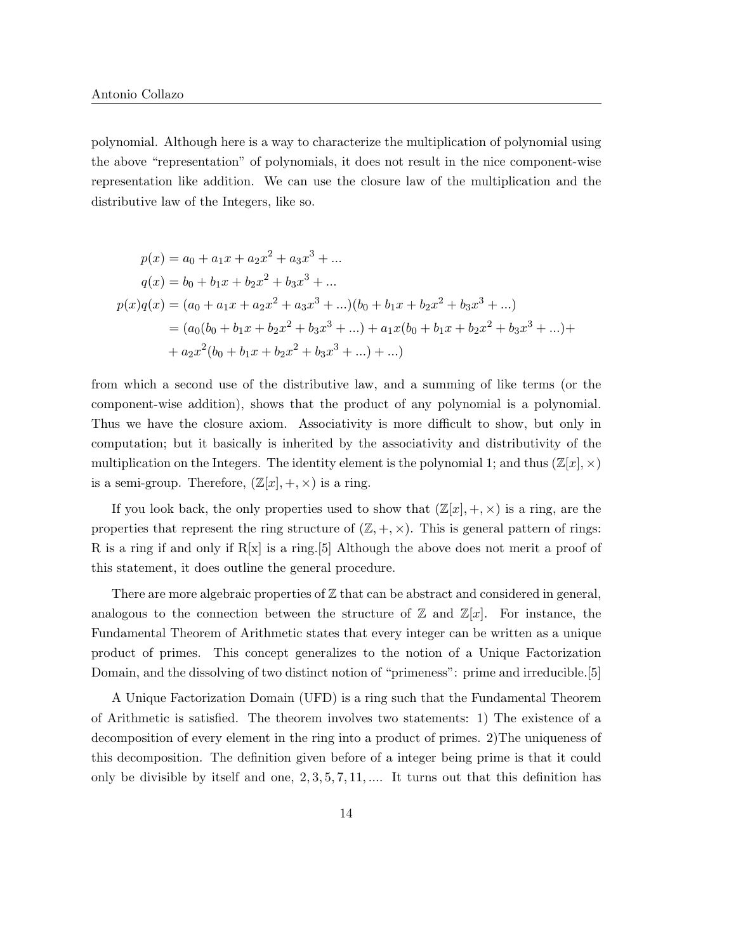polynomial. Although here is a way to characterize the multiplication of polynomial using the above "representation" of polynomials, it does not result in the nice component-wise representation like addition. We can use the closure law of the multiplication and the distributive law of the Integers, like so.

$$
p(x) = a_0 + a_1x + a_2x^2 + a_3x^3 + \dots
$$
  
\n
$$
q(x) = b_0 + b_1x + b_2x^2 + b_3x^3 + \dots
$$
  
\n
$$
p(x)q(x) = (a_0 + a_1x + a_2x^2 + a_3x^3 + \dots)(b_0 + b_1x + b_2x^2 + b_3x^3 + \dots)
$$
  
\n
$$
= (a_0(b_0 + b_1x + b_2x^2 + b_3x^3 + \dots) + a_1x(b_0 + b_1x + b_2x^2 + b_3x^3 + \dots) +
$$
  
\n
$$
+ a_2x^2(b_0 + b_1x + b_2x^2 + b_3x^3 + \dots) + \dots)
$$

from which a second use of the distributive law, and a summing of like terms (or the component-wise addition), shows that the product of any polynomial is a polynomial. Thus we have the closure axiom. Associativity is more difficult to show, but only in computation; but it basically is inherited by the associativity and distributivity of the multiplication on the Integers. The identity element is the polynomial 1; and thus  $(\mathbb{Z}[x], \times)$ is a semi-group. Therefore,  $(\mathbb{Z}[x], +, \times)$  is a ring.

If you look back, the only properties used to show that  $(\mathbb{Z}[x], +, \times)$  is a ring, are the properties that represent the ring structure of  $(\mathbb{Z}, +, \times)$ . This is general pattern of rings: R is a ring if and only if  $R[x]$  is a ring.<sup>[5]</sup> Although the above does not merit a proof of this statement, it does outline the general procedure.

There are more algebraic properties of  $\mathbb Z$  that can be abstract and considered in general, analogous to the connection between the structure of  $\mathbb Z$  and  $\mathbb Z[x]$ . For instance, the Fundamental Theorem of Arithmetic states that every integer can be written as a unique product of primes. This concept generalizes to the notion of a Unique Factorization Domain, and the dissolving of two distinct notion of "primeness": prime and irreducible.[5]

A Unique Factorization Domain (UFD) is a ring such that the Fundamental Theorem of Arithmetic is satisfied. The theorem involves two statements: 1) The existence of a decomposition of every element in the ring into a product of primes. 2)The uniqueness of this decomposition. The definition given before of a integer being prime is that it could only be divisible by itself and one, 2, 3, 5, 7, 11, .... It turns out that this definition has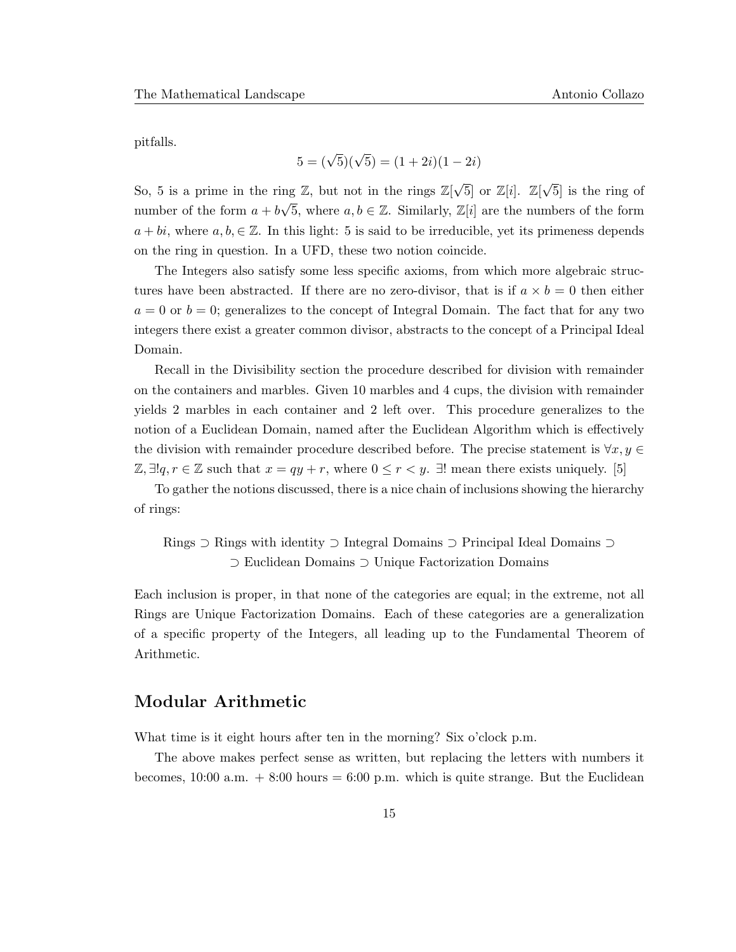pitfalls.

$$
5 = (\sqrt{5})(\sqrt{5}) = (1 + 2i)(1 - 2i)
$$

So, 5 is a prime in the ring Z, but not in the rings  $\mathbb{Z}[\sqrt{5}]$  or  $\mathbb{Z}[i]$ .  $\mathbb{Z}[\sqrt{5}]$ 5] is the ring of number of the form  $a + b$  $\sqrt{5}$ , where  $a, b \in \mathbb{Z}$ . Similarly,  $\mathbb{Z}[i]$  are the numbers of the form  $a + bi$ , where  $a, b \in \mathbb{Z}$ . In this light: 5 is said to be irreducible, yet its primeness depends on the ring in question. In a UFD, these two notion coincide.

The Integers also satisfy some less specific axioms, from which more algebraic structures have been abstracted. If there are no zero-divisor, that is if  $a \times b = 0$  then either  $a = 0$  or  $b = 0$ ; generalizes to the concept of Integral Domain. The fact that for any two integers there exist a greater common divisor, abstracts to the concept of a Principal Ideal Domain.

Recall in the Divisibility section the procedure described for division with remainder on the containers and marbles. Given 10 marbles and 4 cups, the division with remainder yields 2 marbles in each container and 2 left over. This procedure generalizes to the notion of a Euclidean Domain, named after the Euclidean Algorithm which is effectively the division with remainder procedure described before. The precise statement is  $\forall x, y \in$  $\mathbb{Z}, \exists !q, r \in \mathbb{Z}$  such that  $x = qy + r$ , where  $0 \leq r < y$ .  $\exists !$  mean there exists uniquely. [5]

To gather the notions discussed, there is a nice chain of inclusions showing the hierarchy of rings:

Rings ⊃ Rings with identity ⊃ Integral Domains ⊃ Principal Ideal Domains ⊃ ⊃ Euclidean Domains ⊃ Unique Factorization Domains

Each inclusion is proper, in that none of the categories are equal; in the extreme, not all Rings are Unique Factorization Domains. Each of these categories are a generalization of a specific property of the Integers, all leading up to the Fundamental Theorem of Arithmetic.

### Modular Arithmetic

What time is it eight hours after ten in the morning? Six o'clock p.m.

The above makes perfect sense as written, but replacing the letters with numbers it becomes,  $10:00$  a.m.  $+8:00$  hours  $= 6:00$  p.m. which is quite strange. But the Euclidean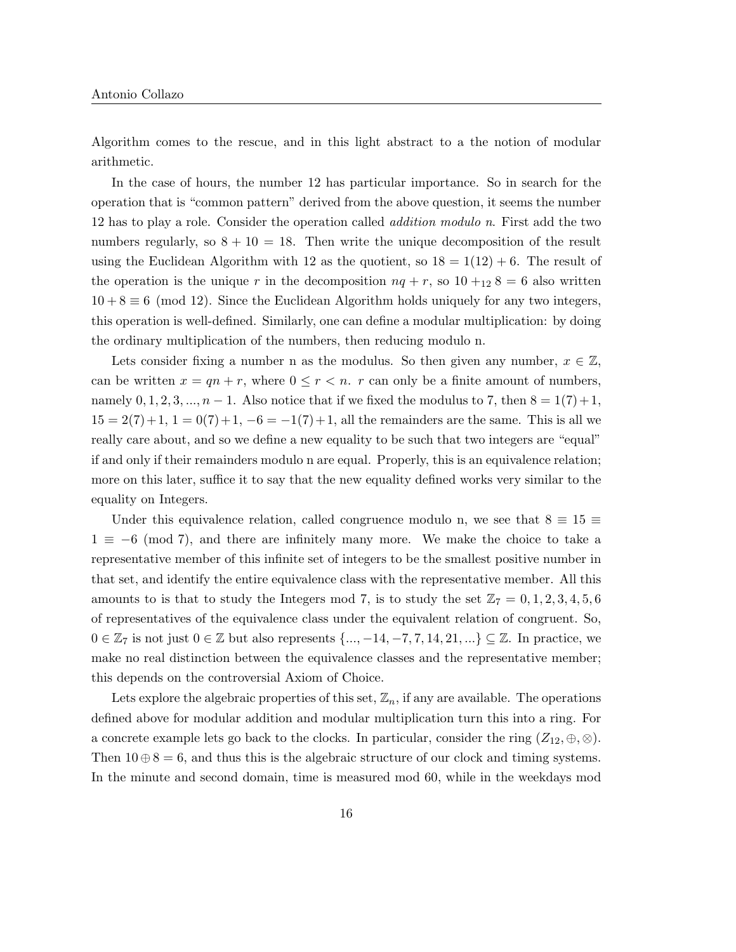Algorithm comes to the rescue, and in this light abstract to a the notion of modular arithmetic.

In the case of hours, the number 12 has particular importance. So in search for the operation that is "common pattern" derived from the above question, it seems the number 12 has to play a role. Consider the operation called addition modulo n. First add the two numbers regularly, so  $8 + 10 = 18$ . Then write the unique decomposition of the result using the Euclidean Algorithm with 12 as the quotient, so  $18 = 1(12) + 6$ . The result of the operation is the unique r in the decomposition  $nq + r$ , so  $10 +_{12} 8 = 6$  also written  $10 + 8 \equiv 6 \pmod{12}$ . Since the Euclidean Algorithm holds uniquely for any two integers, this operation is well-defined. Similarly, one can define a modular multiplication: by doing the ordinary multiplication of the numbers, then reducing modulo n.

Lets consider fixing a number n as the modulus. So then given any number,  $x \in \mathbb{Z}$ , can be written  $x = qn + r$ , where  $0 \le r < n$ . r can only be a finite amount of numbers, namely  $0, 1, 2, 3, ..., n - 1$ . Also notice that if we fixed the modulus to 7, then  $8 = 1(7) + 1$ ,  $15 = 2(7) + 1$ ,  $1 = 0(7) + 1$ ,  $-6 = -1(7) + 1$ , all the remainders are the same. This is all we really care about, and so we define a new equality to be such that two integers are "equal" if and only if their remainders modulo n are equal. Properly, this is an equivalence relation; more on this later, suffice it to say that the new equality defined works very similar to the equality on Integers.

Under this equivalence relation, called congruence modulo n, we see that  $8 \equiv 15 \equiv$  $1 \equiv -6 \pmod{7}$ , and there are infinitely many more. We make the choice to take a representative member of this infinite set of integers to be the smallest positive number in that set, and identify the entire equivalence class with the representative member. All this amounts to is that to study the Integers mod 7, is to study the set  $\mathbb{Z}_7 = 0, 1, 2, 3, 4, 5, 6$ of representatives of the equivalence class under the equivalent relation of congruent. So,  $0 \in \mathbb{Z}_7$  is not just  $0 \in \mathbb{Z}$  but also represents  $\{\ldots, -14, -7, 7, 14, 21, \ldots\} \subseteq \mathbb{Z}$ . In practice, we make no real distinction between the equivalence classes and the representative member; this depends on the controversial Axiom of Choice.

Lets explore the algebraic properties of this set,  $\mathbb{Z}_n$ , if any are available. The operations defined above for modular addition and modular multiplication turn this into a ring. For a concrete example lets go back to the clocks. In particular, consider the ring  $(Z_{12}, \oplus, \otimes)$ . Then  $10 \oplus 8 = 6$ , and thus this is the algebraic structure of our clock and timing systems. In the minute and second domain, time is measured mod 60, while in the weekdays mod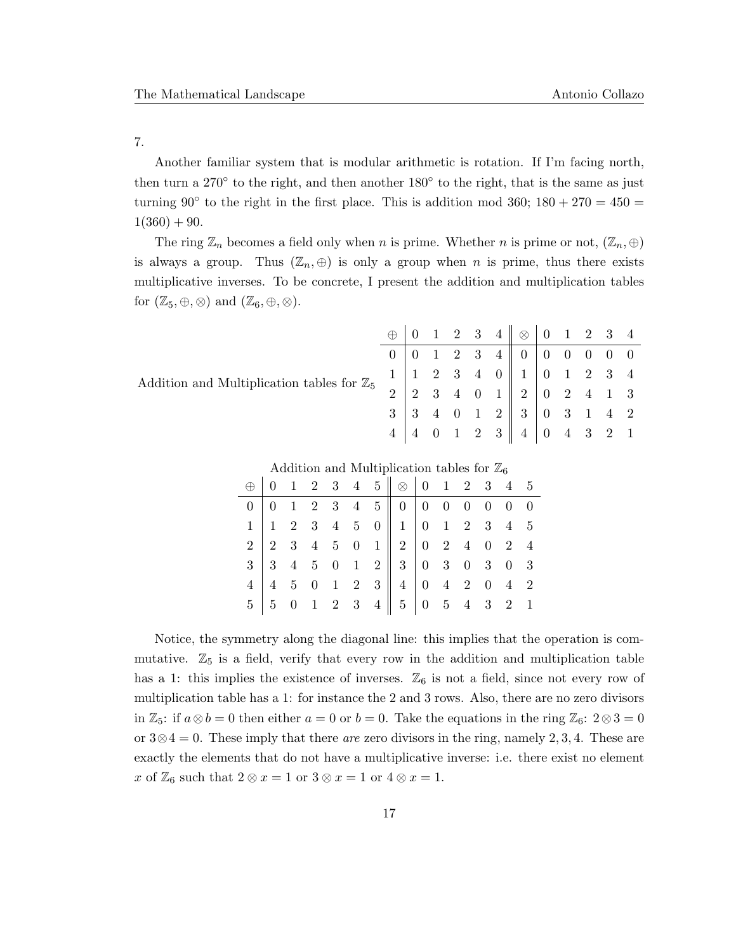7.

Another familiar system that is modular arithmetic is rotation. If I'm facing north, then turn a 270° to the right, and then another 180° to the right, that is the same as just turning 90 $\degree$  to the right in the first place. This is addition mod 360; 180 + 270 = 450 =  $1(360) + 90.$ 

The ring  $\mathbb{Z}_n$  becomes a field only when n is prime. Whether n is prime or not,  $(\mathbb{Z}_n, \oplus)$ is always a group. Thus  $(\mathbb{Z}_n, \oplus)$  is only a group when n is prime, thus there exists multiplicative inverses. To be concrete, I present the addition and multiplication tables for  $(\mathbb{Z}_5, \oplus, \otimes)$  and  $(\mathbb{Z}_6, \oplus, \otimes)$ .

|                                                       |                |  |  |                                                 | $0 \begin{array}{ccccccc} 0 & 0 & 1 & 2 & 3 & 4 & 0 & 0 & 0 & 0 & 0 & 0 \end{array}$ |  |  |  |
|-------------------------------------------------------|----------------|--|--|-------------------------------------------------|--------------------------------------------------------------------------------------|--|--|--|
| Addition and Multiplication tables for $\mathbb{Z}_5$ |                |  |  |                                                 |                                                                                      |  |  |  |
|                                                       | 2 <sup>1</sup> |  |  |                                                 | 2 3 4 0 1 2 0 2 4 1 3                                                                |  |  |  |
|                                                       |                |  |  |                                                 | $3 \ 3 \ 4 \ 0 \ 1 \ 2 \ 3 \ 0 \ 3 \ 1 \ 4 \ 2$                                      |  |  |  |
|                                                       |                |  |  | $\begin{array}{cccc} 0 & 1 & 2 & 3 \end{array}$ | $4 \mid 0 \quad 4 \quad 3 \quad 2 \quad 1$                                           |  |  |  |

|  |  |  | $\bigoplus$ 0 1 2 3 4 5 $\bigotimes$ 0 1 2 3 4 5                                                                                                                                                                                                                                                                          |  |  |  |
|--|--|--|---------------------------------------------------------------------------------------------------------------------------------------------------------------------------------------------------------------------------------------------------------------------------------------------------------------------------|--|--|--|
|  |  |  |                                                                                                                                                                                                                                                                                                                           |  |  |  |
|  |  |  |                                                                                                                                                                                                                                                                                                                           |  |  |  |
|  |  |  |                                                                                                                                                                                                                                                                                                                           |  |  |  |
|  |  |  |                                                                                                                                                                                                                                                                                                                           |  |  |  |
|  |  |  |                                                                                                                                                                                                                                                                                                                           |  |  |  |
|  |  |  | $\begin{array}{c cccc} 0 & 1 & 2 & 0 & 4 & 0 \\ 1 & 1 & 2 & 3 & 4 & 5 & 0 \\ 2 & 2 & 3 & 4 & 5 & 0 & 1 \\ 3 & 3 & 4 & 5 & 0 & 1 & 2 \\ 4 & 4 & 5 & 0 & 1 & 2 & 3 \\ 5 & 5 & 0 & 1 & 2 & 3 & 4 \\ 7 & 6 & 1 & 2 & 3 & 4 & 5 \\ 8 & 1 & 2 & 3 & 4 & 5 & 0 \\ 9 & 1 & 2 & 3 & 4 & 5 & 0 \\ 10 & 1 & 2 & 3 & 4 & 5 & 0 \\ 11$ |  |  |  |

Notice, the symmetry along the diagonal line: this implies that the operation is commutative.  $\mathbb{Z}_5$  is a field, verify that every row in the addition and multiplication table has a 1: this implies the existence of inverses.  $\mathbb{Z}_6$  is not a field, since not every row of multiplication table has a 1: for instance the 2 and 3 rows. Also, there are no zero divisors in  $\mathbb{Z}_5$ : if  $a \otimes b = 0$  then either  $a = 0$  or  $b = 0$ . Take the equations in the ring  $\mathbb{Z}_6$ :  $2 \otimes 3 = 0$ or  $3 \otimes 4 = 0$ . These imply that there are zero divisors in the ring, namely 2, 3, 4. These are exactly the elements that do not have a multiplicative inverse: i.e. there exist no element x of  $\mathbb{Z}_6$  such that  $2 \otimes x = 1$  or  $3 \otimes x = 1$  or  $4 \otimes x = 1$ .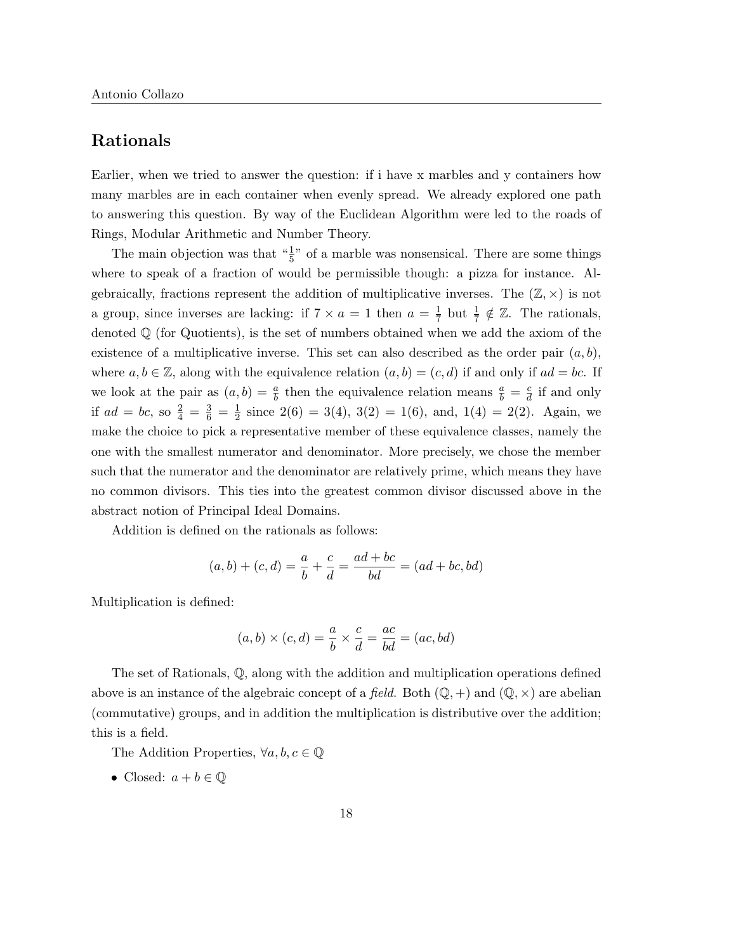# Rationals

Earlier, when we tried to answer the question: if i have x marbles and y containers how many marbles are in each container when evenly spread. We already explored one path to answering this question. By way of the Euclidean Algorithm were led to the roads of Rings, Modular Arithmetic and Number Theory.

The main objection was that  $\frac{1}{5}$ " of a marble was nonsensical. There are some things where to speak of a fraction of would be permissible though: a pizza for instance. Algebraically, fractions represent the addition of multiplicative inverses. The  $(\mathbb{Z}, \times)$  is not a group, since inverses are lacking: if  $7 \times a = 1$  then  $a = \frac{1}{7}$  $\frac{1}{7}$  but  $\frac{1}{7} \notin \mathbb{Z}$ . The rationals, denoted  $\mathbb Q$  (for Quotients), is the set of numbers obtained when we add the axiom of the existence of a multiplicative inverse. This set can also described as the order pair  $(a, b)$ , where  $a, b \in \mathbb{Z}$ , along with the equivalence relation  $(a, b) = (c, d)$  if and only if  $ad = bc$ . If we look at the pair as  $(a, b) = \frac{a}{b}$  then the equivalence relation means  $\frac{a}{b} = \frac{c}{d}$  $\frac{c}{d}$  if and only if  $ad = bc$ , so  $\frac{2}{4} = \frac{3}{6} = \frac{1}{2}$  $\frac{1}{2}$  since 2(6) = 3(4), 3(2) = 1(6), and, 1(4) = 2(2). Again, we make the choice to pick a representative member of these equivalence classes, namely the one with the smallest numerator and denominator. More precisely, we chose the member such that the numerator and the denominator are relatively prime, which means they have no common divisors. This ties into the greatest common divisor discussed above in the abstract notion of Principal Ideal Domains.

Addition is defined on the rationals as follows:

$$
(a, b) + (c, d) = \frac{a}{b} + \frac{c}{d} = \frac{ad + bc}{bd} = (ad + bc, bd)
$$

Multiplication is defined:

$$
(a, b) \times (c, d) = \frac{a}{b} \times \frac{c}{d} = \frac{ac}{bd} = (ac, bd)
$$

The set of Rationals, Q, along with the addition and multiplication operations defined above is an instance of the algebraic concept of a field. Both  $(\mathbb{Q}, +)$  and  $(\mathbb{Q}, \times)$  are abelian (commutative) groups, and in addition the multiplication is distributive over the addition; this is a field.

The Addition Properties,  $\forall a, b, c \in \mathbb{Q}$ 

• Closed:  $a + b \in \mathbb{Q}$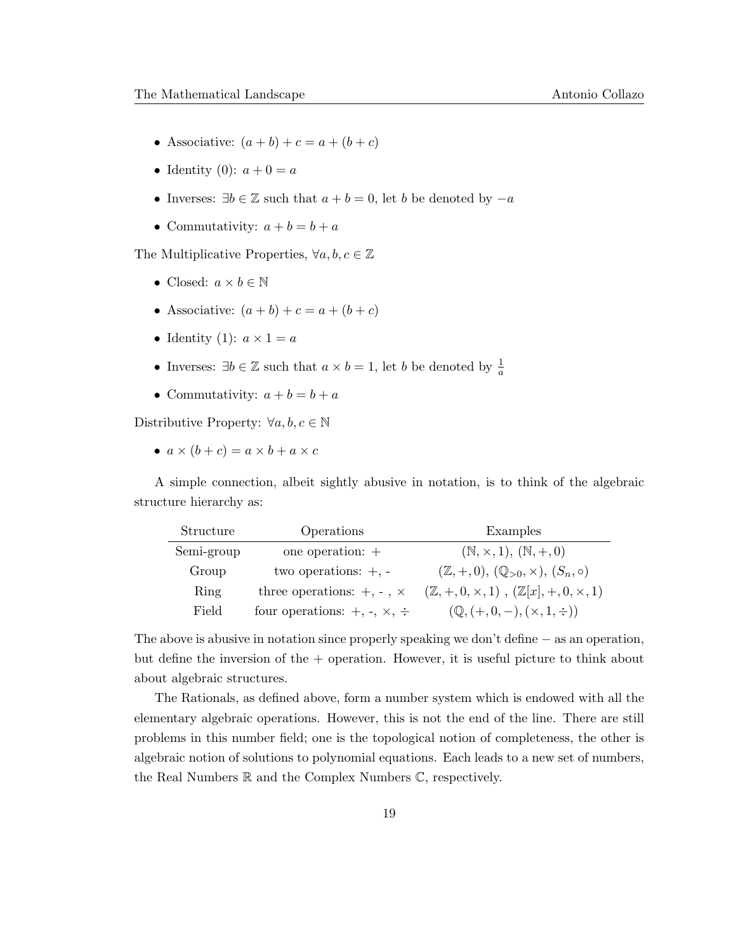- Associative:  $(a + b) + c = a + (b + c)$
- Identity (0):  $a + 0 = a$
- Inverses:  $\exists b \in \mathbb{Z}$  such that  $a + b = 0$ , let b be denoted by  $-a$
- Commutativity:  $a + b = b + a$

The Multiplicative Properties,  $\forall a, b, c \in \mathbb{Z}$ 

- Closed:  $a \times b \in \mathbb{N}$
- Associative:  $(a + b) + c = a + (b + c)$
- Identity (1):  $a \times 1 = a$
- Inverses:  $\exists b \in \mathbb{Z}$  such that  $a \times b = 1$ , let b be denoted by  $\frac{1}{a}$
- Commutativity:  $a + b = b + a$

Distributive Property:  $\forall a, b, c \in \mathbb{N}$ 

•  $a \times (b + c) = a \times b + a \times c$ 

A simple connection, albeit sightly abusive in notation, is to think of the algebraic structure hierarchy as:

| Structure  | Operations                                | Examples                                                          |
|------------|-------------------------------------------|-------------------------------------------------------------------|
| Semi-group | one operation: $+$                        | $(N, \times, 1), (N, +, 0)$                                       |
| Group      | two operations: $+$ , $-$                 | $(\mathbb{Z}, +, 0), (\mathbb{Q}_{>0}, \times), (S_n, \circ)$     |
| Ring       | three operations: $+, -$ , $\times$       | $(\mathbb{Z}, +, 0, \times, 1), (\mathbb{Z}[x], +, 0, \times, 1)$ |
| Field      | four operations: $+, \cdot, \times, \div$ | $(\mathbb{Q}, (+, 0, -), (\times, 1, \div))$                      |

The above is abusive in notation since properly speaking we don't define − as an operation, but define the inversion of the  $+$  operation. However, it is useful picture to think about about algebraic structures.

The Rationals, as defined above, form a number system which is endowed with all the elementary algebraic operations. However, this is not the end of the line. There are still problems in this number field; one is the topological notion of completeness, the other is algebraic notion of solutions to polynomial equations. Each leads to a new set of numbers, the Real Numbers R and the Complex Numbers C, respectively.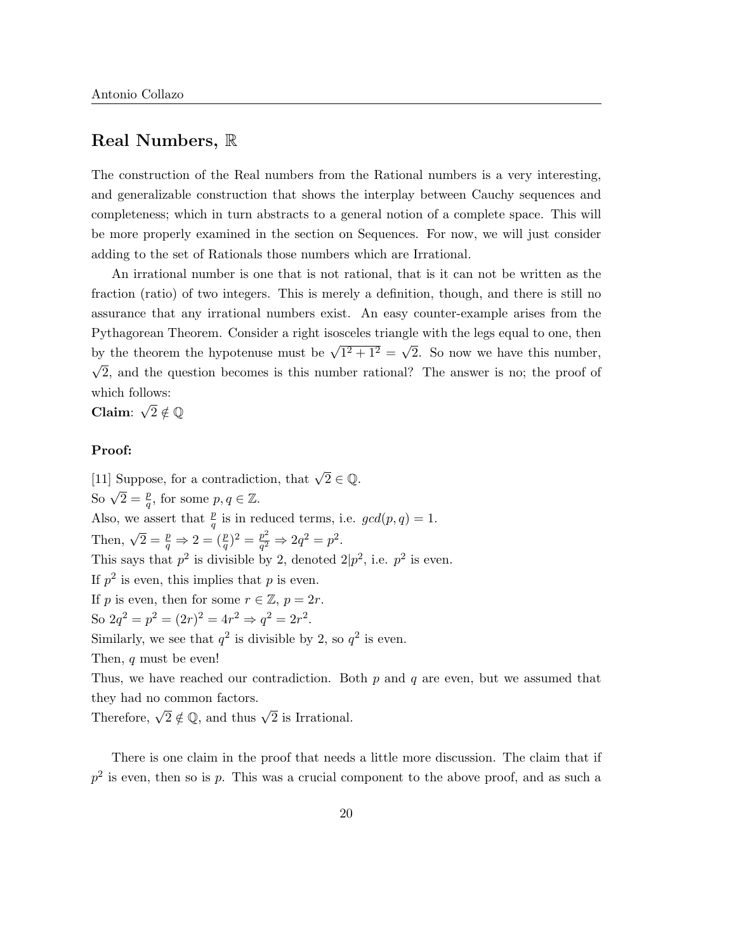# Real Numbers, R

The construction of the Real numbers from the Rational numbers is a very interesting, and generalizable construction that shows the interplay between Cauchy sequences and completeness; which in turn abstracts to a general notion of a complete space. This will be more properly examined in the section on Sequences. For now, we will just consider adding to the set of Rationals those numbers which are Irrational.

An irrational number is one that is not rational, that is it can not be written as the fraction (ratio) of two integers. This is merely a definition, though, and there is still no assurance that any irrational numbers exist. An easy counter-example arises from the Pythagorean Theorem. Consider a right isosceles triangle with the legs equal to one, then by the theorem the hypotenuse must be  $\sqrt{1^2 + 1^2} =$ 'ە' 2. So now we have this number, √ 2, and the question becomes is this number rational? The answer is no; the proof of which follows:

Claim:  $\sqrt{2} \notin \mathbb{Q}$ 

#### Proof:

[11] Suppose, for a contradiction, that  $\sqrt{2} \in \mathbb{Q}$ . So  $\sqrt{2} = \frac{p}{q}$ , for some  $p, q \in \mathbb{Z}$ . Also, we assert that  $\frac{p}{q}$  is in reduced terms, i.e.  $gcd(p, q) = 1$ . Then,  $\sqrt{2} = \frac{p}{q} \Rightarrow 2 = (\frac{p}{q})^2 = \frac{p^2}{q^2}$  $\frac{p^2}{q^2} \Rightarrow 2q^2 = p^2.$ This says that  $p^2$  is divisible by 2, denoted  $2|p^2$ , i.e.  $p^2$  is even. If  $p^2$  is even, this implies that p is even. If p is even, then for some  $r \in \mathbb{Z}$ ,  $p = 2r$ . So  $2q^2 = p^2 = (2r)^2 = 4r^2 \Rightarrow q^2 = 2r^2$ . Similarly, we see that  $q^2$  is divisible by 2, so  $q^2$  is even. Then, q must be even! Thus, we have reached our contradiction. Both  $p$  and  $q$  are even, but we assumed that they had no common factors.

Therefore,  $\sqrt{2} \notin \mathbb{Q}$ , and thus  $\sqrt{2}$  is Irrational.

There is one claim in the proof that needs a little more discussion. The claim that if  $p<sup>2</sup>$  is even, then so is p. This was a crucial component to the above proof, and as such a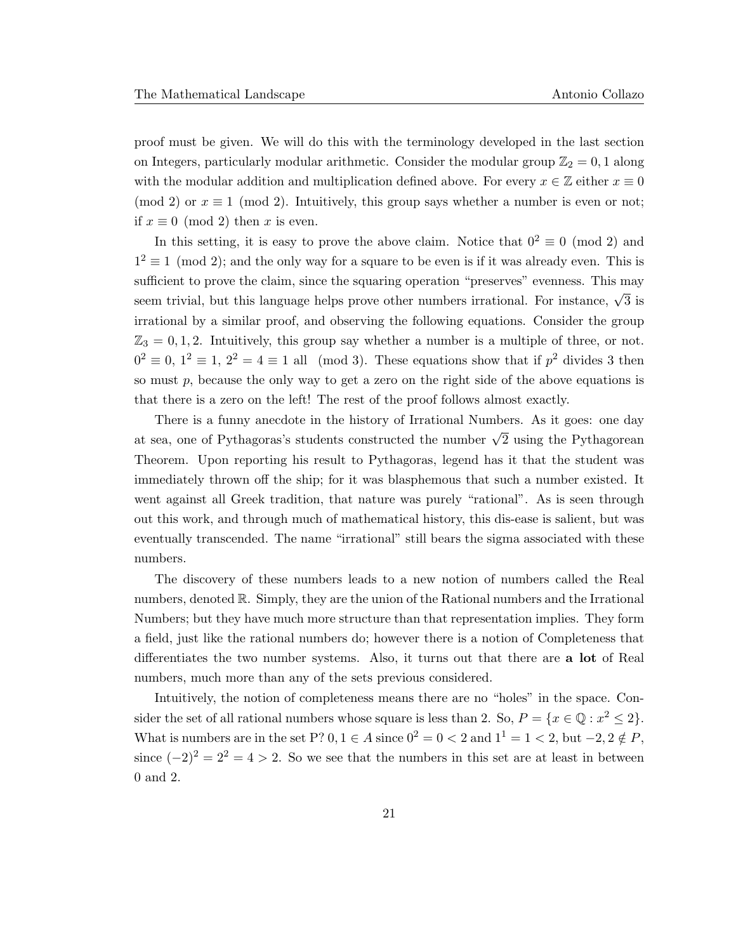proof must be given. We will do this with the terminology developed in the last section on Integers, particularly modular arithmetic. Consider the modular group  $\mathbb{Z}_2 = 0, 1$  along with the modular addition and multiplication defined above. For every  $x \in \mathbb{Z}$  either  $x \equiv 0$ (mod 2) or  $x \equiv 1 \pmod{2}$ . Intuitively, this group says whether a number is even or not; if  $x \equiv 0 \pmod{2}$  then x is even.

In this setting, it is easy to prove the above claim. Notice that  $0^2 \equiv 0 \pmod{2}$  and  $1<sup>2</sup> \equiv 1 \pmod{2}$ ; and the only way for a square to be even is if it was already even. This is sufficient to prove the claim, since the squaring operation "preserves" evenness. This may seem trivial, but this language helps prove other numbers irrational. For instance,  $\sqrt{3}$  is irrational by a similar proof, and observing the following equations. Consider the group  $\mathbb{Z}_3 = 0, 1, 2$ . Intuitively, this group say whether a number is a multiple of three, or not.  $0^2 \equiv 0$ ,  $1^2 \equiv 1$ ,  $2^2 = 4 \equiv 1$  all (mod 3). These equations show that if  $p^2$  divides 3 then so must  $p$ , because the only way to get a zero on the right side of the above equations is that there is a zero on the left! The rest of the proof follows almost exactly.

There is a funny anecdote in the history of Irrational Numbers. As it goes: one day at sea, one of Pythagoras's students constructed the number  $\sqrt{2}$  using the Pythagorean Theorem. Upon reporting his result to Pythagoras, legend has it that the student was immediately thrown off the ship; for it was blasphemous that such a number existed. It went against all Greek tradition, that nature was purely "rational". As is seen through out this work, and through much of mathematical history, this dis-ease is salient, but was eventually transcended. The name "irrational" still bears the sigma associated with these numbers.

The discovery of these numbers leads to a new notion of numbers called the Real numbers, denoted R. Simply, they are the union of the Rational numbers and the Irrational Numbers; but they have much more structure than that representation implies. They form a field, just like the rational numbers do; however there is a notion of Completeness that differentiates the two number systems. Also, it turns out that there are a lot of Real numbers, much more than any of the sets previous considered.

Intuitively, the notion of completeness means there are no "holes" in the space. Consider the set of all rational numbers whose square is less than 2. So,  $P = \{x \in \mathbb{Q} : x^2 \le 2\}.$ What is numbers are in the set P?  $0, 1 \in A$  since  $0^2 = 0 < 2$  and  $1^1 = 1 < 2$ , but  $-2, 2 \notin P$ , since  $(-2)^2 = 2^2 = 4 > 2$ . So we see that the numbers in this set are at least in between 0 and 2.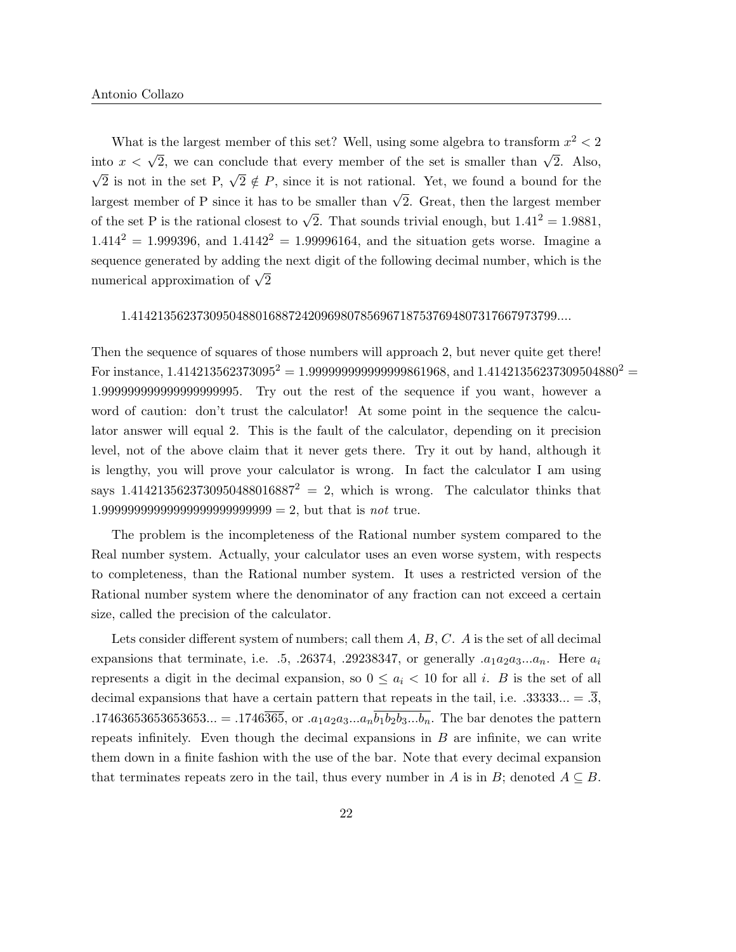What is the largest member of this set? Well, using some algebra to transform  $x^2 < 2$ into  $x < \sqrt{2}$ , we can conclude that every member of the set is smaller than  $\sqrt{2}$ . Also,  $\sqrt{2}$  is not in the set P,  $\sqrt{2} \notin P$ , since it is not rational. Yet, we found a bound for the largest member of P since it has to be smaller than  $\sqrt{2}$ . Great, then the largest member of the set P is the rational closest to  $\sqrt{2}$ . That sounds trivial enough, but  $1.41^2 = 1.9881$ ,  $1.414^{2} = 1.999396$ , and  $1.4142^{2} = 1.99996164$ , and the situation gets worse. Imagine a sequence generated by adding the next digit of the following decimal number, which is the numerical approximation of  $\sqrt{2}$ 

#### 1.41421356237309504880168872420969807856967187537694807317667973799....

Then the sequence of squares of those numbers will approach 2, but never quite get there! For instance,  $1.414213562373095^2 = 1.999999999999999861968$ , and  $1.41421356237309504880^2 =$ 1.999999999999999999995. Try out the rest of the sequence if you want, however a word of caution: don't trust the calculator! At some point in the sequence the calculator answer will equal 2. This is the fault of the calculator, depending on it precision level, not of the above claim that it never gets there. Try it out by hand, although it is lengthy, you will prove your calculator is wrong. In fact the calculator I am using says 1.4142135623730950488016887<sup>2</sup> = 2, which is wrong. The calculator thinks that 1.99999999999999999999999999 = 2, but that is not true.

The problem is the incompleteness of the Rational number system compared to the Real number system. Actually, your calculator uses an even worse system, with respects to completeness, than the Rational number system. It uses a restricted version of the Rational number system where the denominator of any fraction can not exceed a certain size, called the precision of the calculator.

Lets consider different system of numbers; call them  $A, B, C, A$  is the set of all decimal expansions that terminate, i.e.  $.5, .26374, .29238347,$  or generally  $.a_1a_2a_3...a_n$ . Here  $a_i$ represents a digit in the decimal expansion, so  $0 \le a_i < 10$  for all i. B is the set of all decimal expansions that have a certain pattern that repeats in the tail, i.e.  $.33333... = .\overline{3}$ , .17463653653653653... = .1746 $\overline{365}$ , or . $a_1a_2a_3...a_n\overline{b_1b_2b_3...b_n}$ . The bar denotes the pattern repeats infinitely. Even though the decimal expansions in  $B$  are infinite, we can write them down in a finite fashion with the use of the bar. Note that every decimal expansion that terminates repeats zero in the tail, thus every number in A is in B; denoted  $A \subseteq B$ .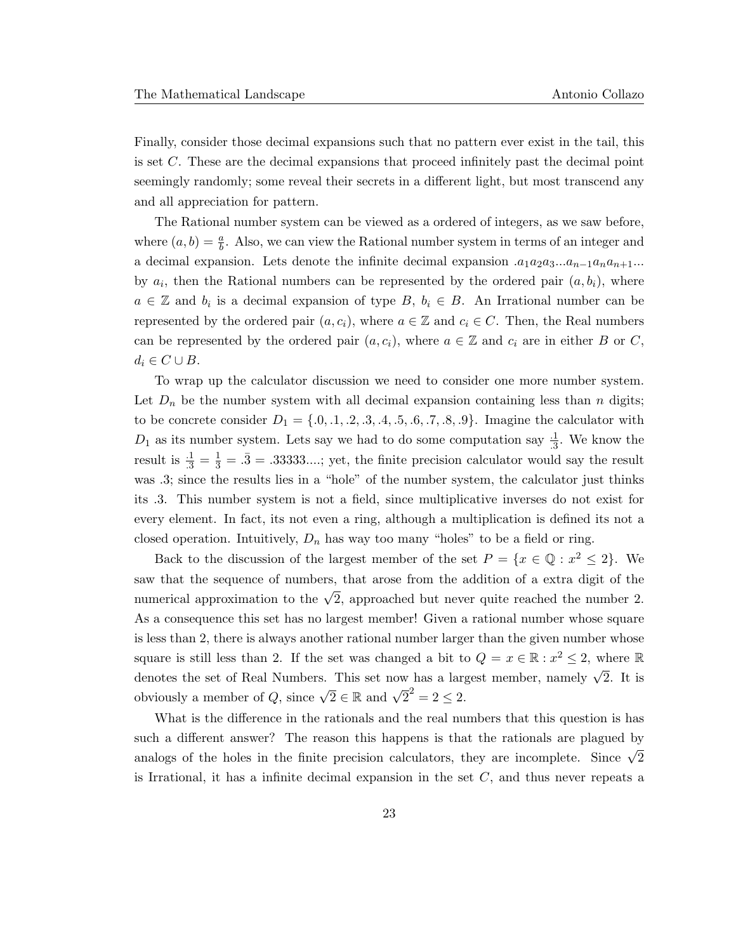Finally, consider those decimal expansions such that no pattern ever exist in the tail, this is set C. These are the decimal expansions that proceed infinitely past the decimal point seemingly randomly; some reveal their secrets in a different light, but most transcend any and all appreciation for pattern.

The Rational number system can be viewed as a ordered of integers, as we saw before, where  $(a, b) = \frac{a}{b}$ . Also, we can view the Rational number system in terms of an integer and a decimal expansion. Lets denote the infinite decimal expansion  $a_1a_2a_3...a_{n-1}a_na_{n+1}...$ by  $a_i$ , then the Rational numbers can be represented by the ordered pair  $(a, b_i)$ , where  $a \in \mathbb{Z}$  and  $b_i$  is a decimal expansion of type B,  $b_i \in B$ . An Irrational number can be represented by the ordered pair  $(a, c_i)$ , where  $a \in \mathbb{Z}$  and  $c_i \in C$ . Then, the Real numbers can be represented by the ordered pair  $(a, c_i)$ , where  $a \in \mathbb{Z}$  and  $c_i$  are in either B or C,  $d_i \in C \cup B$ .

To wrap up the calculator discussion we need to consider one more number system. Let  $D_n$  be the number system with all decimal expansion containing less than n digits; to be concrete consider  $D_1 = \{0, 1, 2, 3, 4, 5, 6, 7, 8, 9\}$ . Imagine the calculator with  $D_1$  as its number system. Lets say we had to do some computation say  $\frac{1}{3}$ . We know the result is  $\frac{1}{.3} = \frac{1}{.3} = .33333...$ ; yet, the finite precision calculator would say the result was .3; since the results lies in a "hole" of the number system, the calculator just thinks its .3. This number system is not a field, since multiplicative inverses do not exist for every element. In fact, its not even a ring, although a multiplication is defined its not a closed operation. Intuitively,  $D_n$  has way too many "holes" to be a field or ring.

Back to the discussion of the largest member of the set  $P = \{x \in \mathbb{Q} : x^2 \leq 2\}$ . We saw that the sequence of numbers, that arose from the addition of a extra digit of the numerical approximation to the  $\sqrt{2}$ , approached but never quite reached the number 2. As a consequence this set has no largest member! Given a rational number whose square is less than 2, there is always another rational number larger than the given number whose square is still less than 2. If the set was changed a bit to  $Q = x \in \mathbb{R} : x^2 \leq 2$ , where R denotes the set of Real Numbers. This set now has a largest member, namely  $\sqrt{2}$ . It is obviously a member of Q, since  $\sqrt{2} \in \mathbb{R}$  and  $\sqrt{2}^2 = 2 \le 2$ .

What is the difference in the rationals and the real numbers that this question is has such a different answer? The reason this happens is that the rationals are plagued by analogs of the holes in the finite precision calculators, they are incomplete. Since  $\sqrt{2}$ is Irrational, it has a infinite decimal expansion in the set  $C$ , and thus never repeats a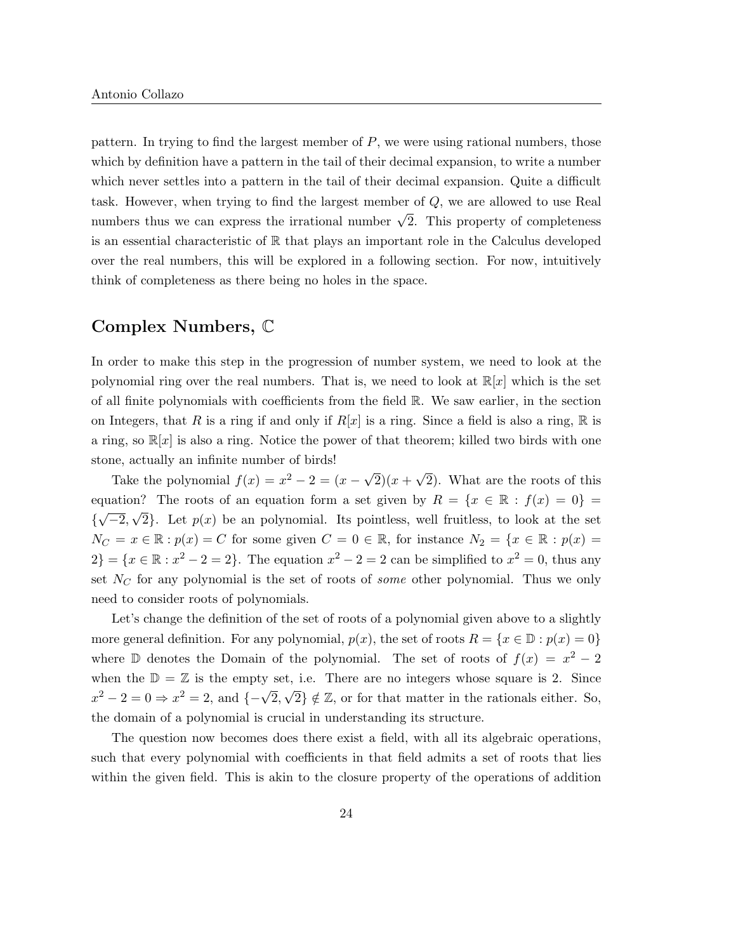pattern. In trying to find the largest member of  $P$ , we were using rational numbers, those which by definition have a pattern in the tail of their decimal expansion, to write a number which never settles into a pattern in the tail of their decimal expansion. Quite a difficult task. However, when trying to find the largest member of Q, we are allowed to use Real numbers thus we can express the irrational number  $\sqrt{2}$ . This property of completeness is an essential characteristic of  $\mathbb R$  that plays an important role in the Calculus developed over the real numbers, this will be explored in a following section. For now, intuitively think of completeness as there being no holes in the space.

# Complex Numbers, C

In order to make this step in the progression of number system, we need to look at the polynomial ring over the real numbers. That is, we need to look at  $\mathbb{R}[x]$  which is the set of all finite polynomials with coefficients from the field R. We saw earlier, in the section on Integers, that R is a ring if and only if  $R[x]$  is a ring. Since a field is also a ring, R is a ring, so  $\mathbb{R}[x]$  is also a ring. Notice the power of that theorem; killed two birds with one stone, actually an infinite number of birds! √

Take the polynomial  $f(x) = x^2 - 2 = (x - \sqrt{2})^2$  $2(x +$ 2). What are the roots of this equation? The roots of an equation form a set given by  $R = \{x \in \mathbb{R} : f(x) = 0\}$ {  $\mathcal{L}$ <sup> $\mathcal{L}$ </sup>  $\overline{-2}$ ,  $\sqrt{2}$ . Let  $p(x)$  be an polynomial. Its pointless, well fruitless, to look at the set  $N_C = x \in \mathbb{R} : p(x) = C$  for some given  $C = 0 \in \mathbb{R}$ , for instance  $N_2 = \{x \in \mathbb{R} : p(x) = 0\}$  $2$ } = { $x \in \mathbb{R} : x^2 - 2 = 2$ }. The equation  $x^2 - 2 = 2$  can be simplified to  $x^2 = 0$ , thus any set  $N_C$  for any polynomial is the set of roots of *some* other polynomial. Thus we only need to consider roots of polynomials.

Let's change the definition of the set of roots of a polynomial given above to a slightly more general definition. For any polynomial,  $p(x)$ , the set of roots  $R = \{x \in \mathbb{D} : p(x) = 0\}$ where  $\mathbb D$  denotes the Domain of the polynomial. The set of roots of  $f(x) = x^2 - 2$ when the  $\mathbb{D} = \mathbb{Z}$  is the empty set, i.e. There are no integers whose square is 2. Since when the  $\omega = \omega$  is the empty is<br>  $x^2 - 2 = 0 \Rightarrow x^2 = 2$ , and  $\{-\sqrt{2},$  $\sqrt{2}$   $\notin \mathbb{Z}$ , or for that matter in the rationals either. So, the domain of a polynomial is crucial in understanding its structure.

The question now becomes does there exist a field, with all its algebraic operations, such that every polynomial with coefficients in that field admits a set of roots that lies within the given field. This is akin to the closure property of the operations of addition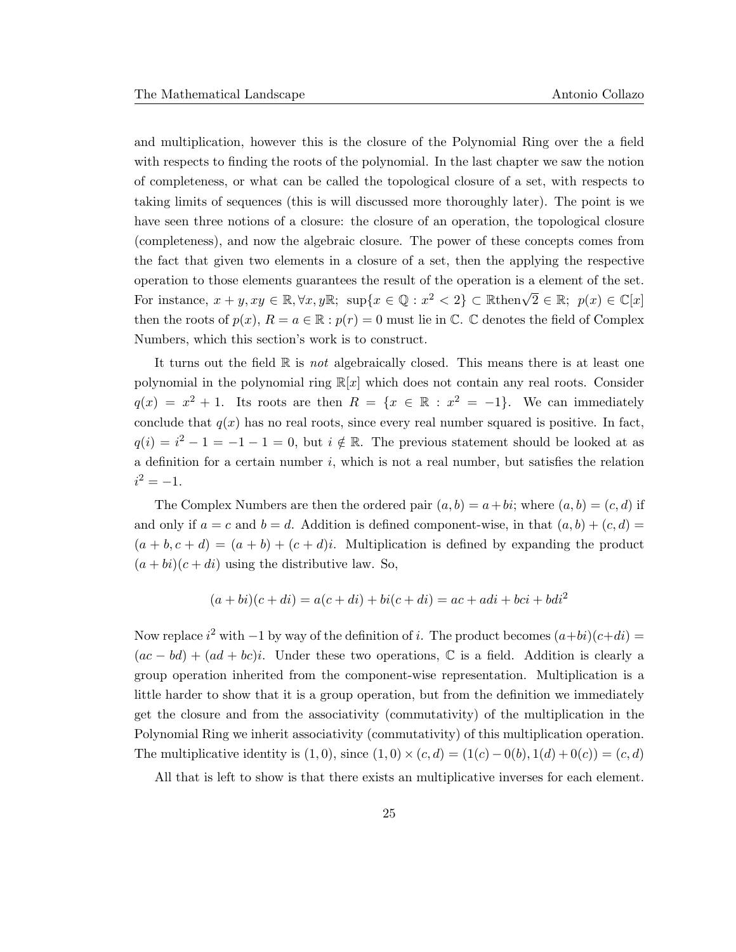and multiplication, however this is the closure of the Polynomial Ring over the a field with respects to finding the roots of the polynomial. In the last chapter we saw the notion of completeness, or what can be called the topological closure of a set, with respects to taking limits of sequences (this is will discussed more thoroughly later). The point is we have seen three notions of a closure: the closure of an operation, the topological closure (completeness), and now the algebraic closure. The power of these concepts comes from the fact that given two elements in a closure of a set, then the applying the respective operation to those elements guarantees the result of the operation is a element of the set. For instance,  $x + y, xy \in \mathbb{R}, \forall x, y\mathbb{R}; \text{ sup}\{x \in \mathbb{Q} : x^2 < 2\} \subset \mathbb{R}$ then $\sqrt{2} \in \mathbb{R}; p(x) \in \mathbb{C}[x]$ then the roots of  $p(x)$ ,  $R = a \in \mathbb{R} : p(r) = 0$  must lie in  $\mathbb{C}$ .  $\mathbb{C}$  denotes the field of Complex Numbers, which this section's work is to construct.

It turns out the field  $\mathbb R$  is not algebraically closed. This means there is at least one polynomial in the polynomial ring  $\mathbb{R}[x]$  which does not contain any real roots. Consider  $q(x) = x^2 + 1$ . Its roots are then  $R = \{x \in \mathbb{R} : x^2 = -1\}$ . We can immediately conclude that  $q(x)$  has no real roots, since every real number squared is positive. In fact,  $q(i) = i^2 - 1 = -1 - 1 = 0$ , but  $i \notin \mathbb{R}$ . The previous statement should be looked at as a definition for a certain number  $i$ , which is not a real number, but satisfies the relation  $i^2 = -1.$ 

The Complex Numbers are then the ordered pair  $(a, b) = a + bi$ ; where  $(a, b) = (c, d)$  if and only if  $a = c$  and  $b = d$ . Addition is defined component-wise, in that  $(a, b) + (c, d) =$  $(a + b, c + d) = (a + b) + (c + d)i$ . Multiplication is defined by expanding the product  $(a + bi)(c + di)$  using the distributive law. So,

$$
(a+bi)(c+di) = a(c+di) + bi(c+di) = ac + adi + bci + bdi2
$$

Now replace  $i^2$  with  $-1$  by way of the definition of i. The product becomes  $(a+bi)(c+di)$  $(ac - bd) + (ad + bc)i$ . Under these two operations, C is a field. Addition is clearly a group operation inherited from the component-wise representation. Multiplication is a little harder to show that it is a group operation, but from the definition we immediately get the closure and from the associativity (commutativity) of the multiplication in the Polynomial Ring we inherit associativity (commutativity) of this multiplication operation. The multiplicative identity is  $(1, 0)$ , since  $(1, 0) \times (c, d) = (1(c) - 0(b), 1(d) + 0(c)) = (c, d)$ 

All that is left to show is that there exists an multiplicative inverses for each element.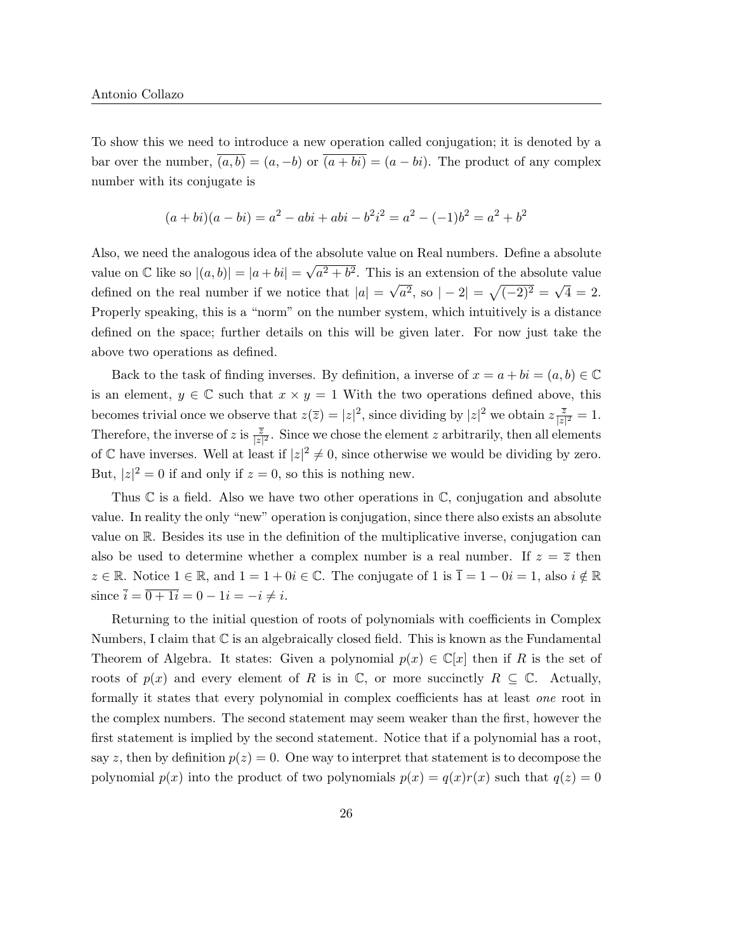To show this we need to introduce a new operation called conjugation; it is denoted by a bar over the number,  $\overline{(a, b)} = (a, -b)$  or  $\overline{(a + bi)} = (a - bi)$ . The product of any complex number with its conjugate is

$$
(a+bi)(a-bi) = a2 - abi + abi - b2i2 = a2 - (-1)b2 = a2 + b2
$$

Also, we need the analogous idea of the absolute value on Real numbers. Define a absolute value on  $\mathbb C$  like so  $|(a, b)| = |a + bi| = \sqrt{a^2 + b^2}$  $a^2 + b^2$ . This is an extension of the absolute value defined on the real number if we notice that  $|a| =$ √  $\sqrt{a^2}$ , so  $|-2| = \sqrt{(-2)^2} =$ √  $4 = 2.$ Properly speaking, this is a "norm" on the number system, which intuitively is a distance defined on the space; further details on this will be given later. For now just take the above two operations as defined.

Back to the task of finding inverses. By definition, a inverse of  $x = a + bi = (a, b) \in \mathbb{C}$ is an element,  $y \in \mathbb{C}$  such that  $x \times y = 1$  With the two operations defined above, this becomes trivial once we observe that  $z(\overline{z}) = |z|^2$ , since dividing by  $|z|^2$  we obtain  $z = \frac{\overline{z}}{|z|}$  $\frac{z}{|z|^2}=1.$ Therefore, the inverse of z is  $\frac{\overline{z}}{|z|^2}$ . Since we chose the element z arbitrarily, then all elements of C have inverses. Well at least if  $|z|^2 \neq 0$ , since otherwise we would be dividing by zero. But,  $|z|^2 = 0$  if and only if  $z = 0$ , so this is nothing new.

Thus  $\mathbb C$  is a field. Also we have two other operations in  $\mathbb C$ , conjugation and absolute value. In reality the only "new" operation is conjugation, since there also exists an absolute value on R. Besides its use in the definition of the multiplicative inverse, conjugation can also be used to determine whether a complex number is a real number. If  $z = \overline{z}$  then  $z \in \mathbb{R}$ . Notice  $1 \in \mathbb{R}$ , and  $1 = 1 + 0i \in \mathbb{C}$ . The conjugate of 1 is  $\overline{1} = 1 - 0i = 1$ , also  $i \notin \mathbb{R}$ since  $\bar{i} = \overline{0 + 1i} = 0 - 1i = -i \neq i$ .

Returning to the initial question of roots of polynomials with coefficients in Complex Numbers, I claim that C is an algebraically closed field. This is known as the Fundamental Theorem of Algebra. It states: Given a polynomial  $p(x) \in \mathbb{C}[x]$  then if R is the set of roots of  $p(x)$  and every element of R is in C, or more succinctly  $R \subseteq \mathbb{C}$ . Actually, formally it states that every polynomial in complex coefficients has at least one root in the complex numbers. The second statement may seem weaker than the first, however the first statement is implied by the second statement. Notice that if a polynomial has a root, say z, then by definition  $p(z) = 0$ . One way to interpret that statement is to decompose the polynomial  $p(x)$  into the product of two polynomials  $p(x) = q(x)r(x)$  such that  $q(z) = 0$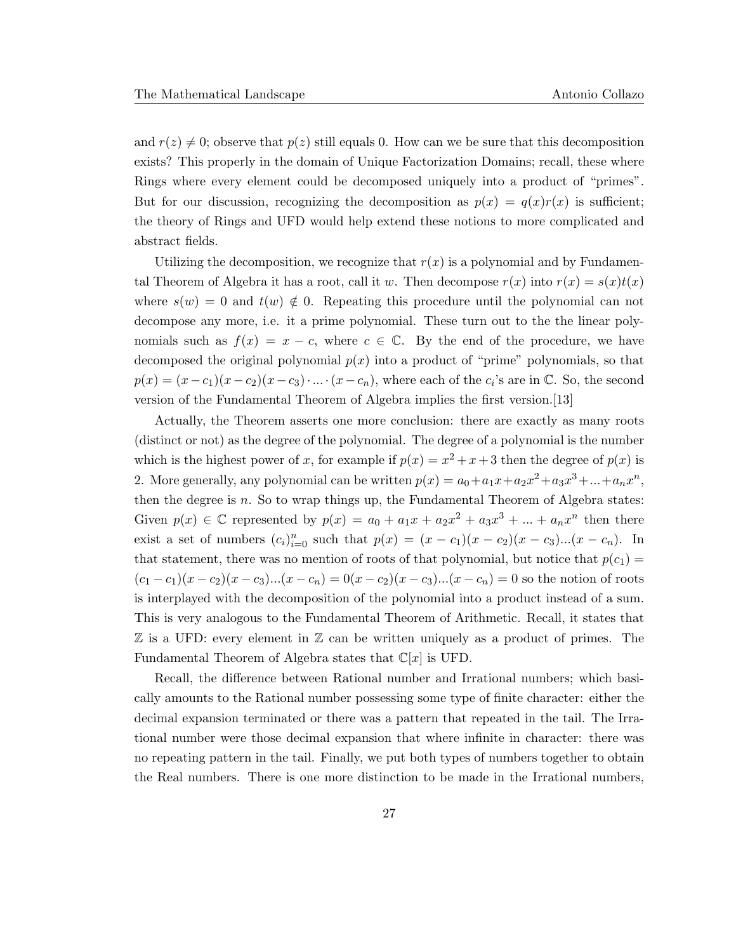and  $r(z) \neq 0$ ; observe that  $p(z)$  still equals 0. How can we be sure that this decomposition exists? This properly in the domain of Unique Factorization Domains; recall, these where Rings where every element could be decomposed uniquely into a product of "primes". But for our discussion, recognizing the decomposition as  $p(x) = q(x)r(x)$  is sufficient; the theory of Rings and UFD would help extend these notions to more complicated and abstract fields.

Utilizing the decomposition, we recognize that  $r(x)$  is a polynomial and by Fundamental Theorem of Algebra it has a root, call it w. Then decompose  $r(x)$  into  $r(x) = s(x)t(x)$ where  $s(w) = 0$  and  $t(w) \notin 0$ . Repeating this procedure until the polynomial can not decompose any more, i.e. it a prime polynomial. These turn out to the the linear polynomials such as  $f(x) = x - c$ , where  $c \in \mathbb{C}$ . By the end of the procedure, we have decomposed the original polynomial  $p(x)$  into a product of "prime" polynomials, so that  $p(x) = (x - c_1)(x - c_2)(x - c_3) \cdot ... \cdot (x - c_n)$ , where each of the  $c_i$ 's are in  $\mathbb{C}$ . So, the second version of the Fundamental Theorem of Algebra implies the first version.[13]

Actually, the Theorem asserts one more conclusion: there are exactly as many roots (distinct or not) as the degree of the polynomial. The degree of a polynomial is the number which is the highest power of x, for example if  $p(x) = x^2 + x + 3$  then the degree of  $p(x)$  is 2. More generally, any polynomial can be written  $p(x) = a_0 + a_1x + a_2x^2 + a_3x^3 + ... + a_nx^n$ , then the degree is  $n$ . So to wrap things up, the Fundamental Theorem of Algebra states: Given  $p(x) \in \mathbb{C}$  represented by  $p(x) = a_0 + a_1x + a_2x^2 + a_3x^3 + ... + a_nx^n$  then there exist a set of numbers  $(c_i)_{i=0}^n$  such that  $p(x) = (x - c_1)(x - c_2)(x - c_3)...(x - c_n)$ . In that statement, there was no mention of roots of that polynomial, but notice that  $p(c_1)$  $(c_1 - c_1)(x - c_2)(x - c_3)...(x - c_n) = 0(x - c_2)(x - c_3)...(x - c_n) = 0$  so the notion of roots is interplayed with the decomposition of the polynomial into a product instead of a sum. This is very analogous to the Fundamental Theorem of Arithmetic. Recall, it states that Z is a UFD: every element in Z can be written uniquely as a product of primes. The Fundamental Theorem of Algebra states that  $\mathbb{C}[x]$  is UFD.

Recall, the difference between Rational number and Irrational numbers; which basically amounts to the Rational number possessing some type of finite character: either the decimal expansion terminated or there was a pattern that repeated in the tail. The Irrational number were those decimal expansion that where infinite in character: there was no repeating pattern in the tail. Finally, we put both types of numbers together to obtain the Real numbers. There is one more distinction to be made in the Irrational numbers,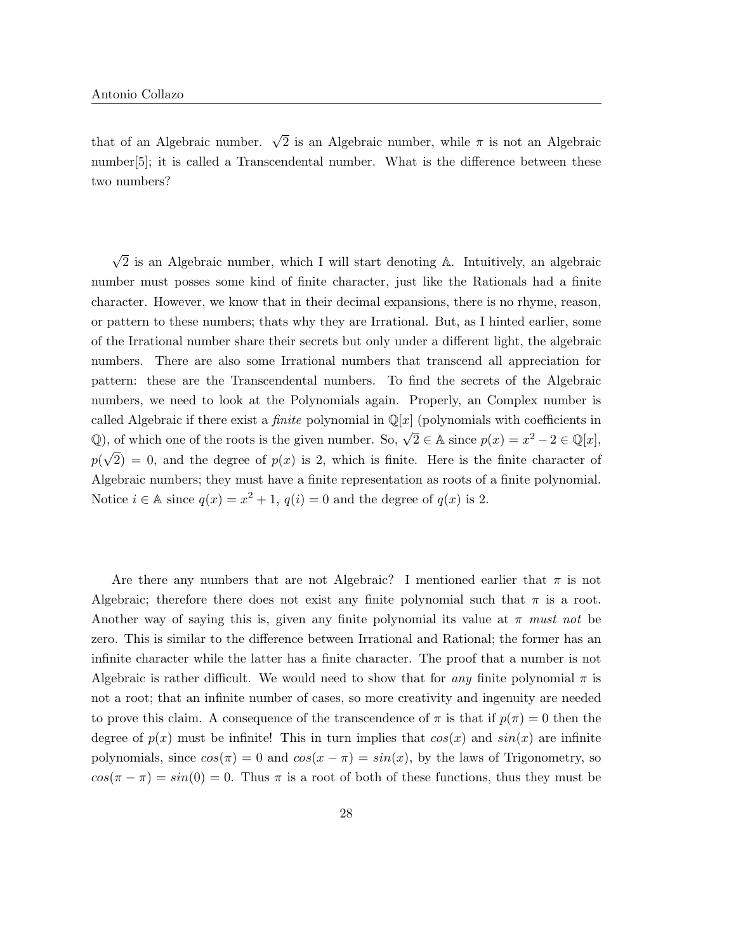that of an Algebraic number.  $\sqrt{2}$  is an Algebraic number, while  $\pi$  is not an Algebraic number[5]; it is called a Transcendental number. What is the difference between these two numbers?

 $\sqrt{2}$  is an Algebraic number, which I will start denoting A. Intuitively, an algebraic number must posses some kind of finite character, just like the Rationals had a finite character. However, we know that in their decimal expansions, there is no rhyme, reason, or pattern to these numbers; thats why they are Irrational. But, as I hinted earlier, some of the Irrational number share their secrets but only under a different light, the algebraic numbers. There are also some Irrational numbers that transcend all appreciation for pattern: these are the Transcendental numbers. To find the secrets of the Algebraic numbers, we need to look at the Polynomials again. Properly, an Complex number is called Algebraic if there exist a *finite* polynomial in  $\mathbb{Q}[x]$  (polynomials with coefficients in Q), of which one of the roots is the given number. So,  $\sqrt{2} \in \mathbb{A}$  since  $p(x) = x^2 - 2 \in \mathbb{Q}[x]$ , p( √  $2) = 0$ , and the degree of  $p(x)$  is 2, which is finite. Here is the finite character of Algebraic numbers; they must have a finite representation as roots of a finite polynomial. Notice  $i \in \mathbb{A}$  since  $q(x) = x^2 + 1$ ,  $q(i) = 0$  and the degree of  $q(x)$  is 2.

Are there any numbers that are not Algebraic? I mentioned earlier that  $\pi$  is not Algebraic; therefore there does not exist any finite polynomial such that  $\pi$  is a root. Another way of saying this is, given any finite polynomial its value at  $\pi$  must not be zero. This is similar to the difference between Irrational and Rational; the former has an infinite character while the latter has a finite character. The proof that a number is not Algebraic is rather difficult. We would need to show that for any finite polynomial  $\pi$  is not a root; that an infinite number of cases, so more creativity and ingenuity are needed to prove this claim. A consequence of the transcendence of  $\pi$  is that if  $p(\pi) = 0$  then the degree of  $p(x)$  must be infinite! This in turn implies that  $cos(x)$  and  $sin(x)$  are infinite polynomials, since  $cos(\pi) = 0$  and  $cos(x - \pi) = sin(x)$ , by the laws of Trigonometry, so  $cos(\pi - \pi) = sin(0) = 0$ . Thus  $\pi$  is a root of both of these functions, thus they must be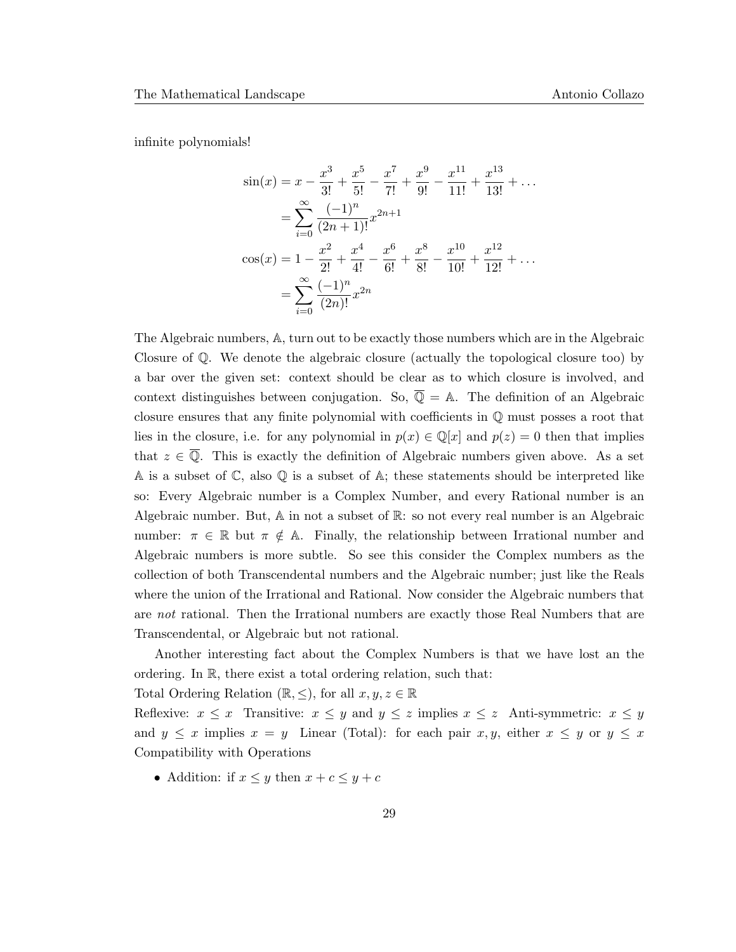infinite polynomials!

$$
\sin(x) = x - \frac{x^3}{3!} + \frac{x^5}{5!} - \frac{x^7}{7!} + \frac{x^9}{9!} - \frac{x^{11}}{11!} + \frac{x^{13}}{13!} + \dots
$$

$$
= \sum_{i=0}^{\infty} \frac{(-1)^n}{(2n+1)!} x^{2n+1}
$$

$$
\cos(x) = 1 - \frac{x^2}{2!} + \frac{x^4}{4!} - \frac{x^6}{6!} + \frac{x^8}{8!} - \frac{x^{10}}{10!} + \frac{x^{12}}{12!} + \dots
$$

$$
= \sum_{i=0}^{\infty} \frac{(-1)^n}{(2n)!} x^{2n}
$$

The Algebraic numbers, A, turn out to be exactly those numbers which are in the Algebraic Closure of Q. We denote the algebraic closure (actually the topological closure too) by a bar over the given set: context should be clear as to which closure is involved, and context distinguishes between conjugation. So,  $\overline{Q} = A$ . The definition of an Algebraic closure ensures that any finite polynomial with coefficients in Q must posses a root that lies in the closure, i.e. for any polynomial in  $p(x) \in \mathbb{Q}[x]$  and  $p(z) = 0$  then that implies that  $z \in \overline{Q}$ . This is exactly the definition of Algebraic numbers given above. As a set A is a subset of  $\mathbb C$ , also  $\mathbb Q$  is a subset of A; these statements should be interpreted like so: Every Algebraic number is a Complex Number, and every Rational number is an Algebraic number. But, A in not a subset of R: so not every real number is an Algebraic number:  $\pi \in \mathbb{R}$  but  $\pi \notin \mathbb{A}$ . Finally, the relationship between Irrational number and Algebraic numbers is more subtle. So see this consider the Complex numbers as the collection of both Transcendental numbers and the Algebraic number; just like the Reals where the union of the Irrational and Rational. Now consider the Algebraic numbers that are not rational. Then the Irrational numbers are exactly those Real Numbers that are Transcendental, or Algebraic but not rational.

Another interesting fact about the Complex Numbers is that we have lost an the ordering. In R, there exist a total ordering relation, such that:

Total Ordering Relation ( $\mathbb{R}, \leq$ ), for all  $x, y, z \in \mathbb{R}$ 

Reflexive:  $x \leq x$  Transitive:  $x \leq y$  and  $y \leq z$  implies  $x \leq z$  Anti-symmetric:  $x \leq y$ and  $y \leq x$  implies  $x = y$  Linear (Total): for each pair  $x, y$ , either  $x \leq y$  or  $y \leq x$ Compatibility with Operations

• Addition: if  $x \leq y$  then  $x + c \leq y + c$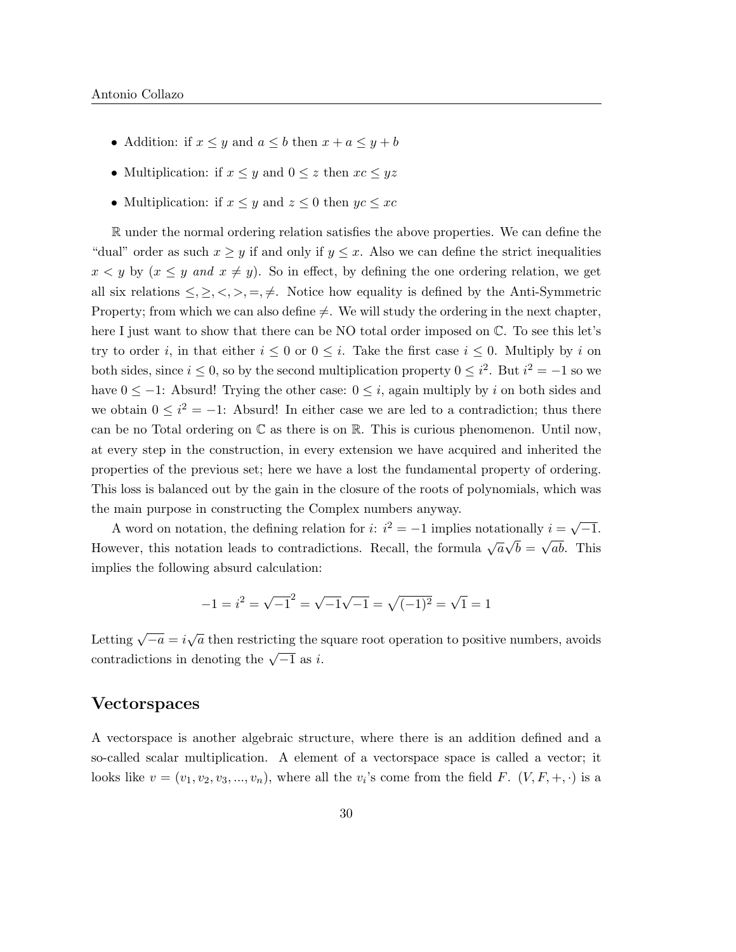- Addition: if  $x \leq y$  and  $a \leq b$  then  $x + a \leq y + b$
- Multiplication: if  $x \leq y$  and  $0 \leq z$  then  $xc \leq yz$
- Multiplication: if  $x \leq y$  and  $z \leq 0$  then  $yc \leq xc$

R under the normal ordering relation satisfies the above properties. We can define the "dual" order as such  $x \geq y$  if and only if  $y \leq x$ . Also we can define the strict inequalities  $x < y$  by  $(x \leq y$  and  $x \neq y)$ . So in effect, by defining the one ordering relation, we get all six relations  $\leq, \geq, \leq, \geq, \neq$ . Notice how equality is defined by the Anti-Symmetric Property; from which we can also define  $\neq$ . We will study the ordering in the next chapter, here I just want to show that there can be NO total order imposed on  $\mathbb{C}$ . To see this let's try to order i, in that either  $i \leq 0$  or  $0 \leq i$ . Take the first case  $i \leq 0$ . Multiply by i on both sides, since  $i \leq 0$ , so by the second multiplication property  $0 \leq i^2$ . But  $i^2 = -1$  so we have  $0 \le -1$ : Absurd! Trying the other case:  $0 \le i$ , again multiply by i on both sides and we obtain  $0 \leq i^2 = -1$ : Absurd! In either case we are led to a contradiction; thus there can be no Total ordering on  $\mathbb C$  as there is on  $\mathbb R$ . This is curious phenomenon. Until now, at every step in the construction, in every extension we have acquired and inherited the properties of the previous set; here we have a lost the fundamental property of ordering. This loss is balanced out by the gain in the closure of the roots of polynomials, which was the main purpose in constructing the Complex numbers anyway.

A word on notation, the defining relation for *i*:  $i^2 = -1$  implies notationally  $i = \sqrt{}$  $-1.$ However, this notation leads to contradictions. Recall, the formula  $\sqrt{a}$ √  $b =$ √ ab. This implies the following absurd calculation:

$$
-1 = i^2 = \sqrt{-1}^2 = \sqrt{-1}\sqrt{-1} = \sqrt{(-1)^2} = \sqrt{1} = 1
$$

Letting  $\sqrt{-a} = i\sqrt{a}$  then restricting the square root operation to positive numbers, avoids contradictions in denoting the  $\sqrt{-1}$  as i.

#### Vectorspaces

A vectorspace is another algebraic structure, where there is an addition defined and a so-called scalar multiplication. A element of a vectorspace space is called a vector; it looks like  $v = (v_1, v_2, v_3, ..., v_n)$ , where all the  $v_i$ 's come from the field F.  $(V, F, +, \cdot)$  is a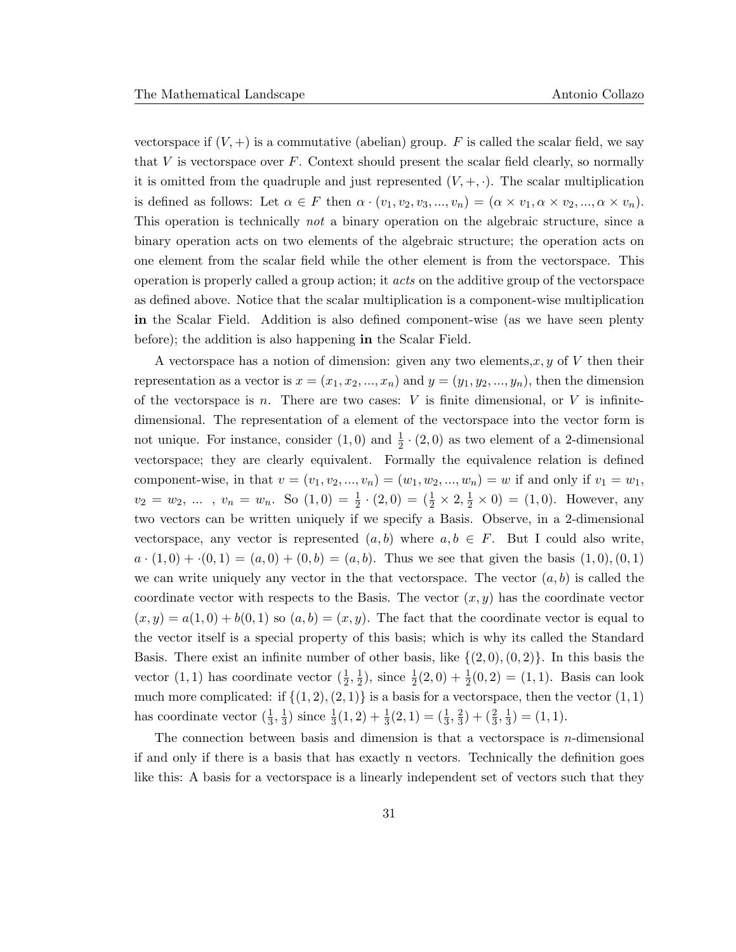vectorspace if  $(V,+)$  is a commutative (abelian) group. F is called the scalar field, we say that  $V$  is vectorspace over  $F$ . Context should present the scalar field clearly, so normally it is omitted from the quadruple and just represented  $(V, +, \cdot)$ . The scalar multiplication is defined as follows: Let  $\alpha \in F$  then  $\alpha \cdot (v_1, v_2, v_3, ..., v_n) = (\alpha \times v_1, \alpha \times v_2, ..., \alpha \times v_n)$ . This operation is technically *not* a binary operation on the algebraic structure, since a binary operation acts on two elements of the algebraic structure; the operation acts on one element from the scalar field while the other element is from the vectorspace. This operation is properly called a group action; it acts on the additive group of the vectorspace as defined above. Notice that the scalar multiplication is a component-wise multiplication in the Scalar Field. Addition is also defined component-wise (as we have seen plenty before); the addition is also happening in the Scalar Field.

A vectorspace has a notion of dimension: given any two elements,  $x, y$  of V then their representation as a vector is  $x = (x_1, x_2, ..., x_n)$  and  $y = (y_1, y_2, ..., y_n)$ , then the dimension of the vectorspace is n. There are two cases:  $V$  is finite dimensional, or  $V$  is infinitedimensional. The representation of a element of the vectorspace into the vector form is not unique. For instance, consider  $(1,0)$  and  $\frac{1}{2} \cdot (2,0)$  as two element of a 2-dimensional vectorspace; they are clearly equivalent. Formally the equivalence relation is defined component-wise, in that  $v = (v_1, v_2, ..., v_n) = (w_1, w_2, ..., w_n) = w$  if and only if  $v_1 = w_1$ ,  $v_2 = w_2, \ldots$ ,  $v_n = w_n$ . So  $(1,0) = \frac{1}{2} \cdot (2,0) = (\frac{1}{2} \times 2, \frac{1}{2} \times 0) = (1,0)$ . However, any two vectors can be written uniquely if we specify a Basis. Observe, in a 2-dimensional vectorspace, any vector is represented  $(a, b)$  where  $a, b \in F$ . But I could also write,  $a \cdot (1,0) + (0,1) = (a,0) + (0,b) = (a,b)$ . Thus we see that given the basis  $(1,0), (0,1)$ we can write uniquely any vector in the that vectorspace. The vector  $(a, b)$  is called the coordinate vector with respects to the Basis. The vector  $(x, y)$  has the coordinate vector  $(x, y) = a(1, 0) + b(0, 1)$  so  $(a, b) = (x, y)$ . The fact that the coordinate vector is equal to the vector itself is a special property of this basis; which is why its called the Standard Basis. There exist an infinite number of other basis, like  $\{(2,0), (0, 2)\}\$ . In this basis the vector  $(1,1)$  has coordinate vector  $(\frac{1}{2},\frac{1}{2})$  $\frac{1}{2}$ , since  $\frac{1}{2}(2,0) + \frac{1}{2}(0,2) = (1,1)$ . Basis can look much more complicated: if  $\{(1, 2), (2, 1)\}$  is a basis for a vectorspace, then the vector  $(1, 1)$ has coordinate vector  $(\frac{1}{3}, \frac{1}{3})$  $\frac{1}{3}$ ) since  $\frac{1}{3}(1,2) + \frac{1}{3}(2,1) = (\frac{1}{3}, \frac{2}{3})$  $(\frac{2}{3}, \frac{1}{3})$  $\frac{1}{3}) = (1, 1).$ 

The connection between basis and dimension is that a vector space is  $n$ -dimensional if and only if there is a basis that has exactly n vectors. Technically the definition goes like this: A basis for a vectorspace is a linearly independent set of vectors such that they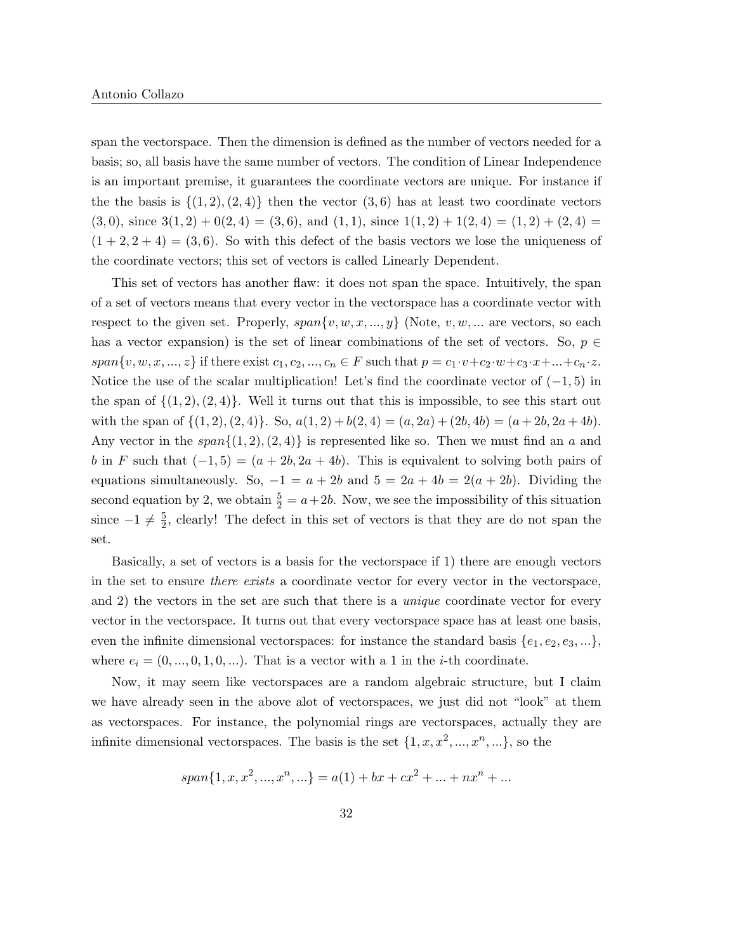span the vectorspace. Then the dimension is defined as the number of vectors needed for a basis; so, all basis have the same number of vectors. The condition of Linear Independence is an important premise, it guarantees the coordinate vectors are unique. For instance if the the basis is  $\{(1, 2), (2, 4)\}\$  then the vector  $(3, 6)$  has at least two coordinate vectors  $(3,0)$ , since  $3(1,2) + 0(2,4) = (3,6)$ , and  $(1,1)$ , since  $1(1,2) + 1(2,4) = (1,2) + (2,4) =$  $(1 + 2, 2 + 4) = (3, 6)$ . So with this defect of the basis vectors we lose the uniqueness of the coordinate vectors; this set of vectors is called Linearly Dependent.

This set of vectors has another flaw: it does not span the space. Intuitively, the span of a set of vectors means that every vector in the vectorspace has a coordinate vector with respect to the given set. Properly,  $span\{v, w, x, ..., y\}$  (Note,  $v, w, ...$  are vectors, so each has a vector expansion) is the set of linear combinations of the set of vectors. So,  $p \in$  $span\{v, w, x, ..., z\}$  if there exist  $c_1, c_2, ..., c_n \in F$  such that  $p = c_1 \cdot v + c_2 \cdot w + c_3 \cdot x + ... + c_n \cdot z$ . Notice the use of the scalar multiplication! Let's find the coordinate vector of  $(-1, 5)$  in the span of  $\{(1, 2), (2, 4)\}$ . Well it turns out that this is impossible, to see this start out with the span of  $\{(1, 2), (2, 4)\}.$  So,  $a(1, 2) + b(2, 4) = (a, 2a) + (2b, 4b) = (a + 2b, 2a + 4b).$ Any vector in the  $span{(1, 2), (2, 4)}$  is represented like so. Then we must find an a and b in F such that  $(-1, 5) = (a + 2b, 2a + 4b)$ . This is equivalent to solving both pairs of equations simultaneously. So,  $-1 = a + 2b$  and  $5 = 2a + 4b = 2(a + 2b)$ . Dividing the second equation by 2, we obtain  $\frac{5}{2} = a + 2b$ . Now, we see the impossibility of this situation since  $-1 \neq \frac{5}{2}$  $\frac{5}{2}$ , clearly! The defect in this set of vectors is that they are do not span the set.

Basically, a set of vectors is a basis for the vectorspace if 1) there are enough vectors in the set to ensure there exists a coordinate vector for every vector in the vectorspace, and 2) the vectors in the set are such that there is a unique coordinate vector for every vector in the vectorspace. It turns out that every vectorspace space has at least one basis, even the infinite dimensional vectorspaces: for instance the standard basis  $\{e_1, e_2, e_3, ...\}$ , where  $e_i = (0, ..., 0, 1, 0, ...)$ . That is a vector with a 1 in the *i*-th coordinate.

Now, it may seem like vectorspaces are a random algebraic structure, but I claim we have already seen in the above alot of vectorspaces, we just did not "look" at them as vectorspaces. For instance, the polynomial rings are vectorspaces, actually they are infinite dimensional vectorspaces. The basis is the set  $\{1, x, x^2, ..., x^n, ...\}$ , so the

$$
span\{1, x, x^2, ..., x^n, ...\} = a(1) + bx + cx^2 + ... + nx^n + ...
$$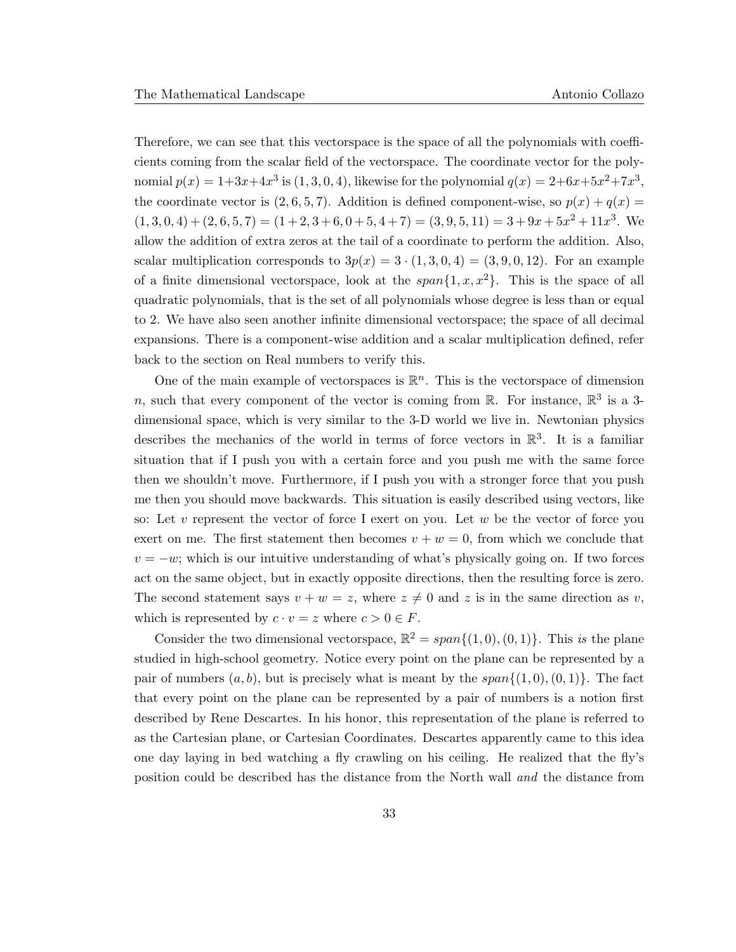Therefore, we can see that this vectorspace is the space of all the polynomials with coefficients coming from the scalar field of the vectorspace. The coordinate vector for the polynomial  $p(x) = 1+3x+4x^3$  is  $(1, 3, 0, 4)$ , likewise for the polynomial  $q(x) = 2+6x+5x^2+7x^3$ , the coordinate vector is  $(2, 6, 5, 7)$ . Addition is defined component-wise, so  $p(x) + q(x) =$  $(1, 3, 0, 4) + (2, 6, 5, 7) = (1 + 2, 3 + 6, 0 + 5, 4 + 7) = (3, 9, 5, 11) = 3 + 9x + 5x^2 + 11x^3$ . We allow the addition of extra zeros at the tail of a coordinate to perform the addition. Also, scalar multiplication corresponds to  $3p(x) = 3 \cdot (1, 3, 0, 4) = (3, 9, 0, 12)$ . For an example of a finite dimensional vectorspace, look at the  $span\{1, x, x^2\}$ . This is the space of all quadratic polynomials, that is the set of all polynomials whose degree is less than or equal to 2. We have also seen another infinite dimensional vectorspace; the space of all decimal expansions. There is a component-wise addition and a scalar multiplication defined, refer back to the section on Real numbers to verify this.

One of the main example of vectorspaces is  $\mathbb{R}^n$ . This is the vectorspace of dimension n, such that every component of the vector is coming from  $\mathbb{R}$ . For instance,  $\mathbb{R}^3$  is a 3dimensional space, which is very similar to the 3-D world we live in. Newtonian physics describes the mechanics of the world in terms of force vectors in  $\mathbb{R}^3$ . It is a familiar situation that if I push you with a certain force and you push me with the same force then we shouldn't move. Furthermore, if I push you with a stronger force that you push me then you should move backwards. This situation is easily described using vectors, like so: Let v represent the vector of force I exert on you. Let w be the vector of force you exert on me. The first statement then becomes  $v + w = 0$ , from which we conclude that  $v = -w$ ; which is our intuitive understanding of what's physically going on. If two forces act on the same object, but in exactly opposite directions, then the resulting force is zero. The second statement says  $v + w = z$ , where  $z \neq 0$  and z is in the same direction as v, which is represented by  $c \cdot v = z$  where  $c > 0 \in F$ .

Consider the two dimensional vectorspace,  $\mathbb{R}^2 = span{(1,0), (0,1)}$ . This is the plane studied in high-school geometry. Notice every point on the plane can be represented by a pair of numbers  $(a, b)$ , but is precisely what is meant by the span $\{(1, 0), (0, 1)\}\$ . The fact that every point on the plane can be represented by a pair of numbers is a notion first described by Rene Descartes. In his honor, this representation of the plane is referred to as the Cartesian plane, or Cartesian Coordinates. Descartes apparently came to this idea one day laying in bed watching a fly crawling on his ceiling. He realized that the fly's position could be described has the distance from the North wall and the distance from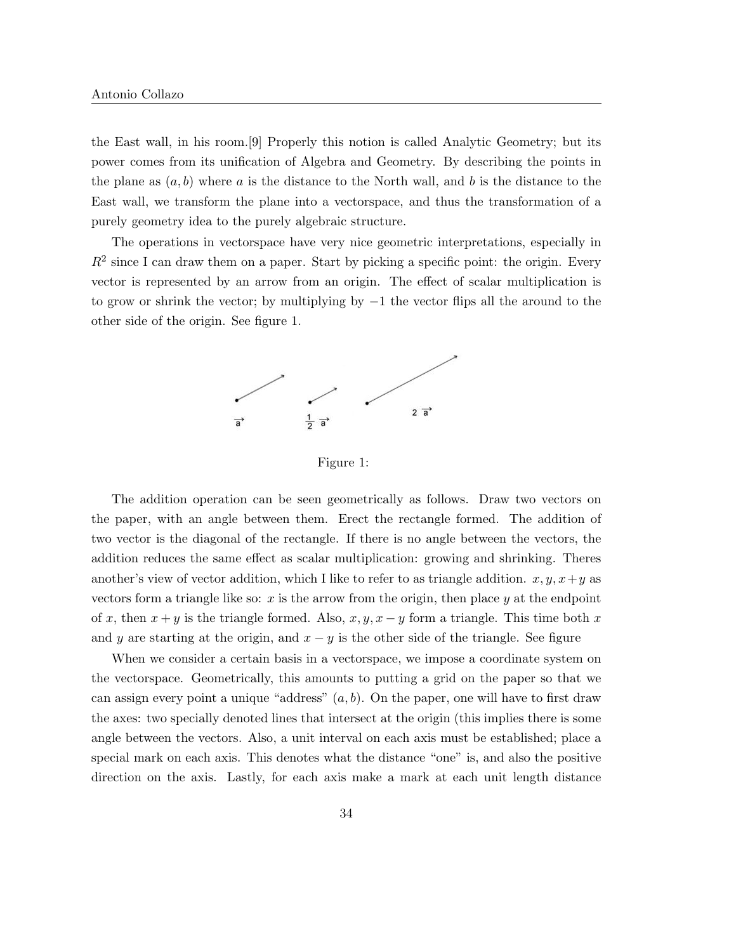the East wall, in his room.[9] Properly this notion is called Analytic Geometry; but its power comes from its unification of Algebra and Geometry. By describing the points in the plane as  $(a, b)$  where a is the distance to the North wall, and b is the distance to the East wall, we transform the plane into a vectorspace, and thus the transformation of a purely geometry idea to the purely algebraic structure.

The operations in vectorspace have very nice geometric interpretations, especially in  $R^2$  since I can draw them on a paper. Start by picking a specific point: the origin. Every vector is represented by an arrow from an origin. The effect of scalar multiplication is to grow or shrink the vector; by multiplying by −1 the vector flips all the around to the other side of the origin. See figure 1.



Figure 1:

The addition operation can be seen geometrically as follows. Draw two vectors on the paper, with an angle between them. Erect the rectangle formed. The addition of two vector is the diagonal of the rectangle. If there is no angle between the vectors, the addition reduces the same effect as scalar multiplication: growing and shrinking. Theres another's view of vector addition, which I like to refer to as triangle addition.  $x, y, x+y$  as vectors form a triangle like so:  $x$  is the arrow from the origin, then place  $y$  at the endpoint of x, then  $x + y$  is the triangle formed. Also,  $x, y, x - y$  form a triangle. This time both x and y are starting at the origin, and  $x - y$  is the other side of the triangle. See figure

When we consider a certain basis in a vectorspace, we impose a coordinate system on the vectorspace. Geometrically, this amounts to putting a grid on the paper so that we can assign every point a unique "address"  $(a, b)$ . On the paper, one will have to first draw the axes: two specially denoted lines that intersect at the origin (this implies there is some angle between the vectors. Also, a unit interval on each axis must be established; place a special mark on each axis. This denotes what the distance "one" is, and also the positive direction on the axis. Lastly, for each axis make a mark at each unit length distance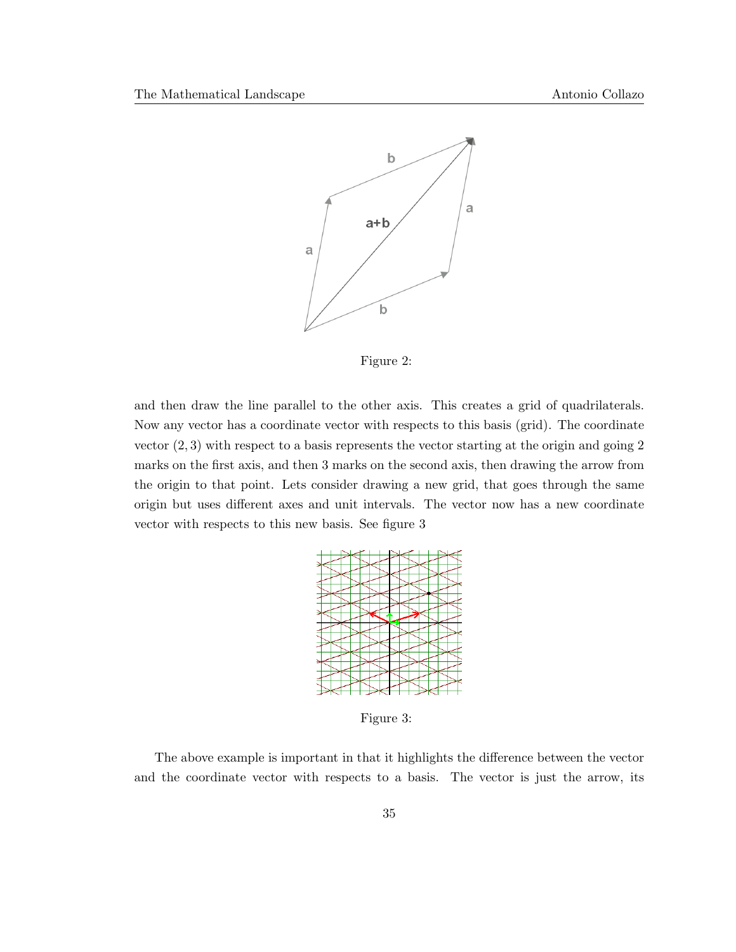

Figure 2:

and then draw the line parallel to the other axis. This creates a grid of quadrilaterals. Now any vector has a coordinate vector with respects to this basis (grid). The coordinate vector  $(2, 3)$  with respect to a basis represents the vector starting at the origin and going 2 marks on the first axis, and then 3 marks on the second axis, then drawing the arrow from the origin to that point. Lets consider drawing a new grid, that goes through the same origin but uses different axes and unit intervals. The vector now has a new coordinate vector with respects to this new basis. See figure 3



Figure 3:

The above example is important in that it highlights the difference between the vector and the coordinate vector with respects to a basis. The vector is just the arrow, its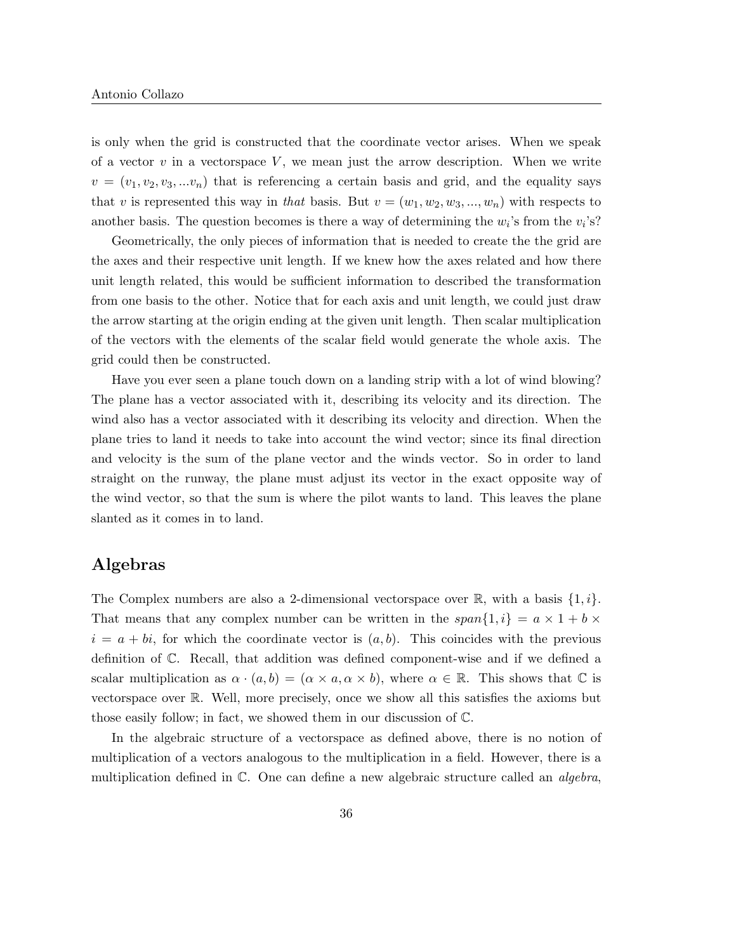is only when the grid is constructed that the coordinate vector arises. When we speak of a vector  $v$  in a vectorspace  $V$ , we mean just the arrow description. When we write  $v = (v_1, v_2, v_3, ... v_n)$  that is referencing a certain basis and grid, and the equality says that v is represented this way in that basis. But  $v = (w_1, w_2, w_3, ..., w_n)$  with respects to another basis. The question becomes is there a way of determining the  $w_i$ 's from the  $v_i$ 's?

Geometrically, the only pieces of information that is needed to create the the grid are the axes and their respective unit length. If we knew how the axes related and how there unit length related, this would be sufficient information to described the transformation from one basis to the other. Notice that for each axis and unit length, we could just draw the arrow starting at the origin ending at the given unit length. Then scalar multiplication of the vectors with the elements of the scalar field would generate the whole axis. The grid could then be constructed.

Have you ever seen a plane touch down on a landing strip with a lot of wind blowing? The plane has a vector associated with it, describing its velocity and its direction. The wind also has a vector associated with it describing its velocity and direction. When the plane tries to land it needs to take into account the wind vector; since its final direction and velocity is the sum of the plane vector and the winds vector. So in order to land straight on the runway, the plane must adjust its vector in the exact opposite way of the wind vector, so that the sum is where the pilot wants to land. This leaves the plane slanted as it comes in to land.

## Algebras

The Complex numbers are also a 2-dimensional vectorspace over  $\mathbb{R}$ , with a basis  $\{1, i\}$ . That means that any complex number can be written in the  $span\{1,i\} = a \times 1 + b \times$  $i = a + bi$ , for which the coordinate vector is  $(a, b)$ . This coincides with the previous definition of C. Recall, that addition was defined component-wise and if we defined a scalar multiplication as  $\alpha \cdot (a, b) = (\alpha \times a, \alpha \times b)$ , where  $\alpha \in \mathbb{R}$ . This shows that  $\mathbb{C}$  is vectorspace over R. Well, more precisely, once we show all this satisfies the axioms but those easily follow; in fact, we showed them in our discussion of C.

In the algebraic structure of a vectorspace as defined above, there is no notion of multiplication of a vectors analogous to the multiplication in a field. However, there is a multiplication defined in  $\mathbb{C}$ . One can define a new algebraic structure called an *algebra*,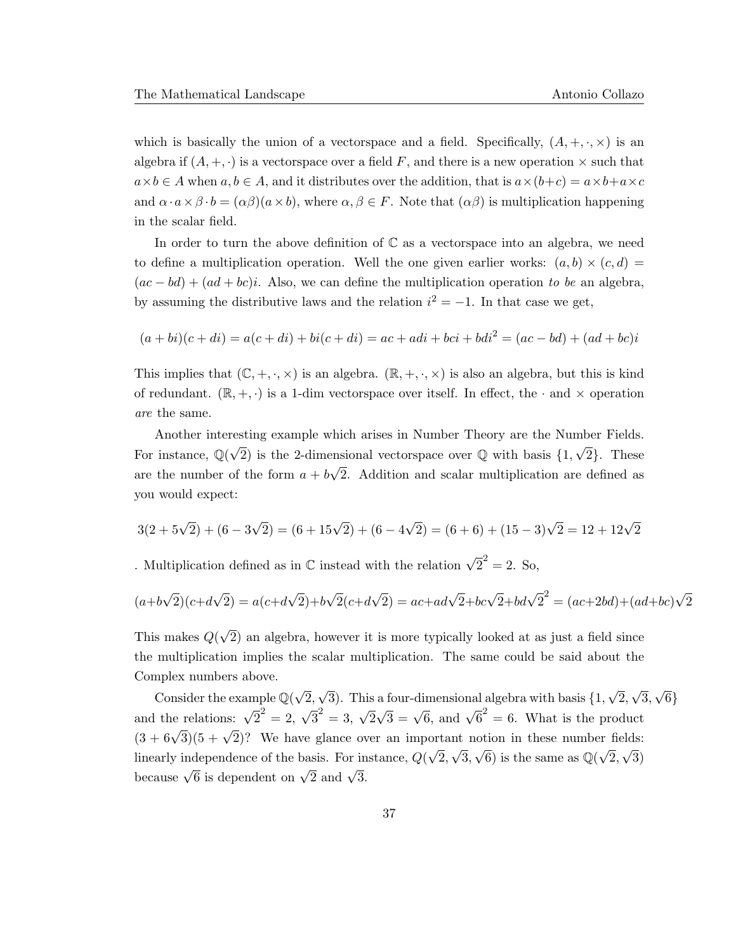which is basically the union of a vectorspace and a field. Specifically,  $(A, +, \cdot, \times)$  is an algebra if  $(A, +, \cdot)$  is a vectorspace over a field F, and there is a new operation  $\times$  such that  $a \times b \in A$  when  $a, b \in A$ , and it distributes over the addition, that is  $a \times (b+c) = a \times b+a \times c$ and  $\alpha \cdot a \times \beta \cdot b = (\alpha \beta)(a \times b)$ , where  $\alpha, \beta \in F$ . Note that  $(\alpha \beta)$  is multiplication happening in the scalar field.

In order to turn the above definition of  $\mathbb C$  as a vector space into an algebra, we need to define a multiplication operation. Well the one given earlier works:  $(a, b) \times (c, d) =$  $(ac - bd) + (ad + bc)i$ . Also, we can define the multiplication operation to be an algebra, by assuming the distributive laws and the relation  $i^2 = -1$ . In that case we get,

$$
(a+bi)(c+di) = a(c+di) + bi(c+di) = ac + adi + bci + bdi2 = (ac – bd) + (ad + bc)i
$$

This implies that  $(\mathbb{C}, +, \cdot, \times)$  is an algebra.  $(\mathbb{R}, +, \cdot, \times)$  is also an algebra, but this is kind of redundant.  $(\mathbb{R}, +, \cdot)$  is a 1-dim vectorspace over itself. In effect, the  $\cdot$  and  $\times$  operation are the same.

Another interesting example which arises in Number Theory are the Number Fields. For instance,  $\mathbb{Q}(\sqrt{2})$  is the 2-dimensional vectorspace over  $\mathbb{Q}$  with basis  $\{1, \sqrt{2}\}$ . These are the number of the form  $a + b$ √ 2. Addition and scalar multiplication are defined as you would expect:

$$
3(2+5\sqrt{2}) + (6-3\sqrt{2}) = (6+15\sqrt{2}) + (6-4\sqrt{2}) = (6+6) + (15-3)\sqrt{2} = 12+12\sqrt{2}
$$

. Multiplication defined as in  $\mathbb C$  instead with the relation  $\sqrt{2}^2 = 2$ . So,

$$
(a+b\sqrt{2})(c+d\sqrt{2}) = a(c+d\sqrt{2})+b\sqrt{2}(c+d\sqrt{2}) = ac + ad\sqrt{2}+bc\sqrt{2}+bd\sqrt{2}^2 = (ac+2bd)+(ad+bc)\sqrt{2}
$$

This makes Q( √ 2) an algebra, however it is more typically looked at as just a field since the multiplication implies the scalar multiplication. The same could be said about the Complex numbers above.

Consider the example  $\mathbb{Q}(\sqrt{2})$ 2, √ 3). This a four-dimensional algebra with basis {1, √ 2, √ 3, √ 6} and the relations:  $\sqrt{2}^2 = 2$ ,  $\sqrt{3}^2 = 3$ ,  $\sqrt{2}$  $\sqrt{3} = \sqrt{6}$ , and  $\sqrt{6}^2 = 6$ . What is the product  $(3 + 6\sqrt{3})(5 + \sqrt{2})$ ? We have glance over an important notion in these number fields: linearly independence of the basis. For instance, Q( √ 2, √ 3,  $\sqrt{6}$ ) is the same as  $\mathbb{Q}(\sqrt{6})$ 2, √ 3) because  $\sqrt{6}$  is dependent on  $\sqrt{2}$  and  $\sqrt{3}$ .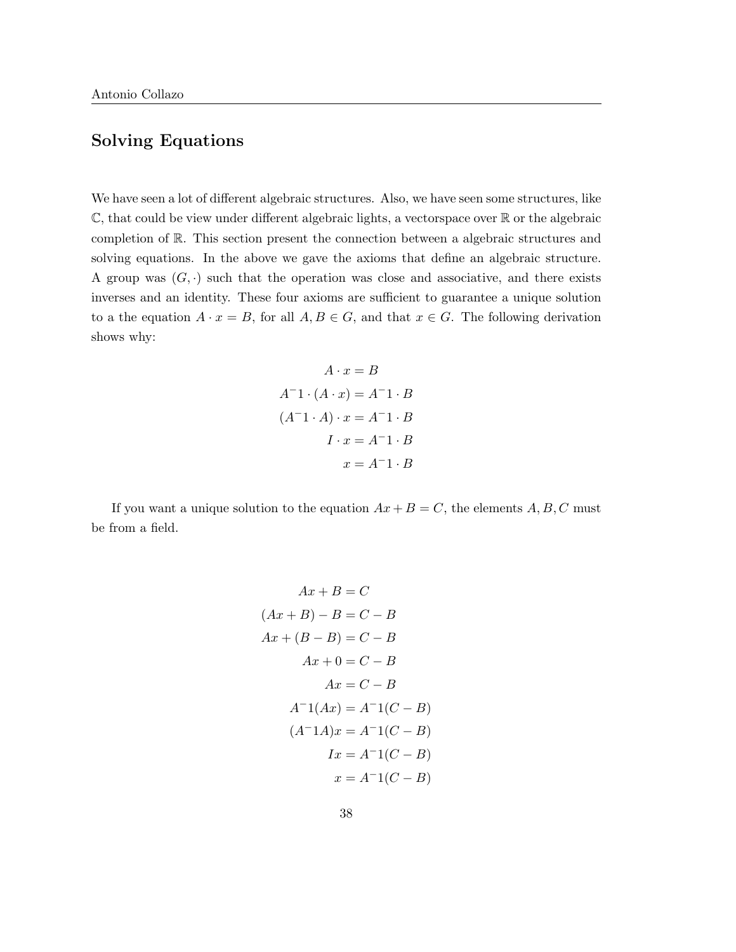# Solving Equations

We have seen a lot of different algebraic structures. Also, we have seen some structures, like  $\mathbb{C}$ , that could be view under different algebraic lights, a vectorspace over  $\mathbb{R}$  or the algebraic completion of R. This section present the connection between a algebraic structures and solving equations. In the above we gave the axioms that define an algebraic structure. A group was  $(G, \cdot)$  such that the operation was close and associative, and there exists inverses and an identity. These four axioms are sufficient to guarantee a unique solution to a the equation  $A \cdot x = B$ , for all  $A, B \in G$ , and that  $x \in G$ . The following derivation shows why:

$$
A \cdot x = B
$$
  
\n
$$
A^{-1} \cdot (A \cdot x) = A^{-1} \cdot B
$$
  
\n
$$
(A^{-1} \cdot A) \cdot x = A^{-1} \cdot B
$$
  
\n
$$
I \cdot x = A^{-1} \cdot B
$$
  
\n
$$
x = A^{-1} \cdot B
$$

If you want a unique solution to the equation  $Ax + B = C$ , the elements  $A, B, C$  must be from a field.

$$
Ax + B = C
$$
  
\n
$$
(Ax + B) - B = C - B
$$
  
\n
$$
Ax + (B - B) = C - B
$$
  
\n
$$
Ax + 0 = C - B
$$
  
\n
$$
Ax = C - B
$$
  
\n
$$
A^{-1}(Ax) = A^{-1}(C - B)
$$
  
\n
$$
(A^{-1}A)x = A^{-1}(C - B)
$$
  
\n
$$
Ix = A^{-1}(C - B)
$$
  
\n
$$
x = A^{-1}(C - B)
$$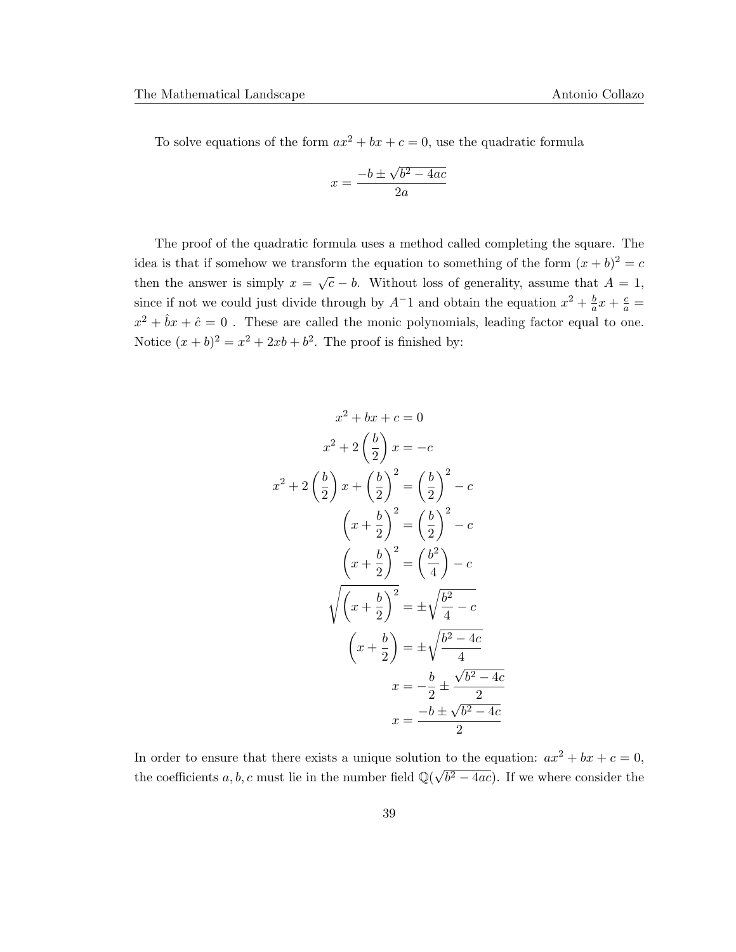To solve equations of the form  $ax^2 + bx + c = 0$ , use the quadratic formula

$$
x = \frac{-b \pm \sqrt{b^2 - 4ac}}{2a}
$$

The proof of the quadratic formula uses a method called completing the square. The idea is that if somehow we transform the equation to something of the form  $(x + b)^2 = c$ then the answer is simply  $x = \sqrt{c} - b$ . Without loss of generality, assume that  $A = 1$ , since if not we could just divide through by  $A^{-1}$  and obtain the equation  $x^2 + \frac{b}{a}$  $rac{b}{a}x + \frac{c}{a} =$  $x^2 + \hat{b}x + \hat{c} = 0$ . These are called the monic polynomials, leading factor equal to one. Notice  $(x + b)^2 = x^2 + 2xb + b^2$ . The proof is finished by:

$$
x^{2} + bx + c = 0
$$
  
\n
$$
x^{2} + 2\left(\frac{b}{2}\right)x = -c
$$
  
\n
$$
x^{2} + 2\left(\frac{b}{2}\right)x + \left(\frac{b}{2}\right)^{2} = \left(\frac{b}{2}\right)^{2} - c
$$
  
\n
$$
\left(x + \frac{b}{2}\right)^{2} = \left(\frac{b}{2}\right)^{2} - c
$$
  
\n
$$
\left(x + \frac{b}{2}\right)^{2} = \left(\frac{b^{2}}{4}\right) - c
$$
  
\n
$$
\sqrt{\left(x + \frac{b}{2}\right)^{2}} = \pm \sqrt{\frac{b^{2} - 4c}{4}}
$$
  
\n
$$
\left(x + \frac{b}{2}\right) = \pm \sqrt{\frac{b^{2} - 4c}{4}}
$$
  
\n
$$
x = -\frac{b}{2} \pm \frac{\sqrt{b^{2} - 4c}}{2}
$$
  
\n
$$
x = \frac{-b \pm \sqrt{b^{2} - 4c}}{2}
$$

In order to ensure that there exists a unique solution to the equation:  $ax^2 + bx + c = 0$ , the coefficients a, b, c must lie in the number field  $\mathbb{Q}(\sqrt{n})$  $\overline{b^2 - 4ac}$ . If we where consider the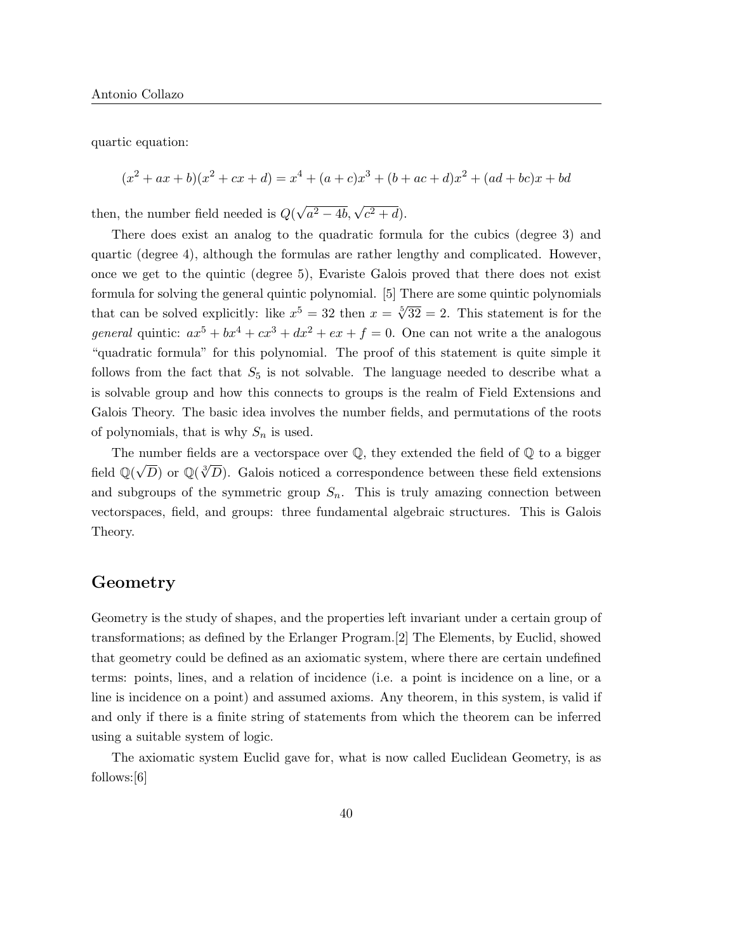quartic equation:

 $(x^{2} + ax + b)(x^{2} + cx + d) = x^{4} + (a + c)x^{3} + (b + ac + d)x^{2} + (ad + bc)x + bd$ 

then, the number field needed is  $Q($ √  $a^2 - 4b, \sqrt{c^2 + d}.$ 

There does exist an analog to the quadratic formula for the cubics (degree 3) and quartic (degree 4), although the formulas are rather lengthy and complicated. However, once we get to the quintic (degree 5), Evariste Galois proved that there does not exist formula for solving the general quintic polynomial. [5] There are some quintic polynomials that can be solved explicitly: like  $x^5 = 32$  then  $x = \sqrt[5]{32} = 2$ . This statement is for the general quintic:  $ax^5 + bx^4 + cx^3 + dx^2 + ex + f = 0$ . One can not write a the analogous "quadratic formula" for this polynomial. The proof of this statement is quite simple it follows from the fact that  $S_5$  is not solvable. The language needed to describe what a is solvable group and how this connects to groups is the realm of Field Extensions and Galois Theory. The basic idea involves the number fields, and permutations of the roots of polynomials, that is why  $S_n$  is used.

The number fields are a vectorspace over  $\mathbb{Q}$ , they extended the field of  $\mathbb{Q}$  to a bigger field  $\mathbb{Q}(\sqrt{D})$  or  $\mathbb{Q}(\sqrt[3]{D})$ . Galois noticed a correspondence between these field extensions and subgroups of the symmetric group  $S_n$ . This is truly amazing connection between vectorspaces, field, and groups: three fundamental algebraic structures. This is Galois Theory.

## Geometry

Geometry is the study of shapes, and the properties left invariant under a certain group of transformations; as defined by the Erlanger Program.[2] The Elements, by Euclid, showed that geometry could be defined as an axiomatic system, where there are certain undefined terms: points, lines, and a relation of incidence (i.e. a point is incidence on a line, or a line is incidence on a point) and assumed axioms. Any theorem, in this system, is valid if and only if there is a finite string of statements from which the theorem can be inferred using a suitable system of logic.

The axiomatic system Euclid gave for, what is now called Euclidean Geometry, is as follows:[6]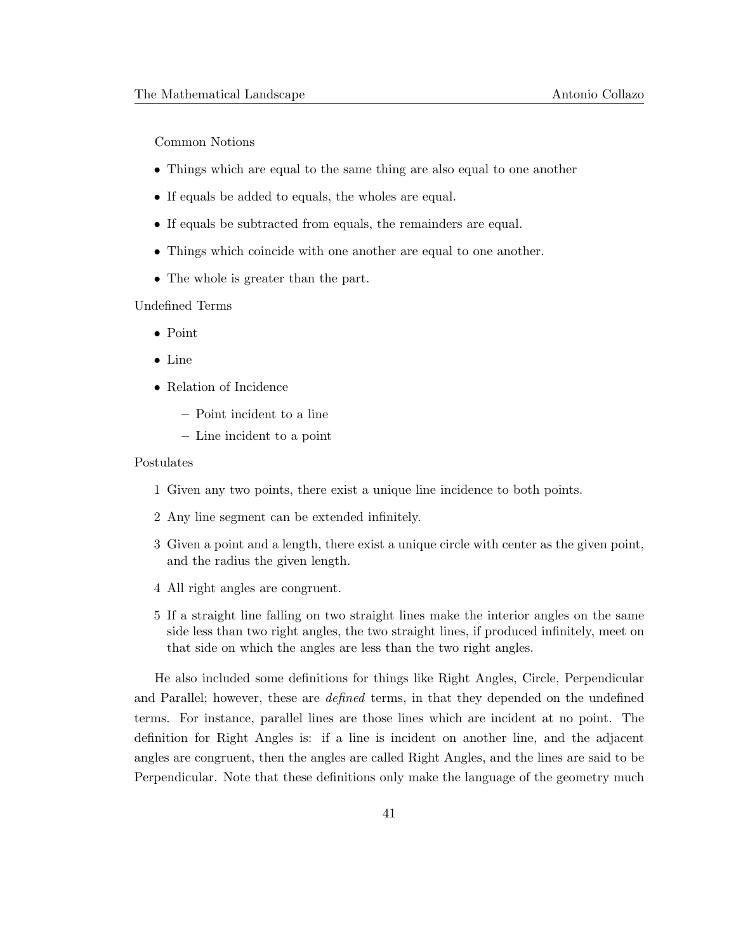Common Notions

- Things which are equal to the same thing are also equal to one another
- If equals be added to equals, the wholes are equal.
- If equals be subtracted from equals, the remainders are equal.
- Things which coincide with one another are equal to one another.
- The whole is greater than the part.

Undefined Terms

- Point
- Line
- Relation of Incidence
	- Point incident to a line
	- Line incident to a point

#### Postulates

- 1 Given any two points, there exist a unique line incidence to both points.
- 2 Any line segment can be extended infinitely.
- 3 Given a point and a length, there exist a unique circle with center as the given point, and the radius the given length.
- 4 All right angles are congruent.
- 5 If a straight line falling on two straight lines make the interior angles on the same side less than two right angles, the two straight lines, if produced infinitely, meet on that side on which the angles are less than the two right angles.

He also included some definitions for things like Right Angles, Circle, Perpendicular and Parallel; however, these are *defined* terms, in that they depended on the undefined terms. For instance, parallel lines are those lines which are incident at no point. The definition for Right Angles is: if a line is incident on another line, and the adjacent angles are congruent, then the angles are called Right Angles, and the lines are said to be Perpendicular. Note that these definitions only make the language of the geometry much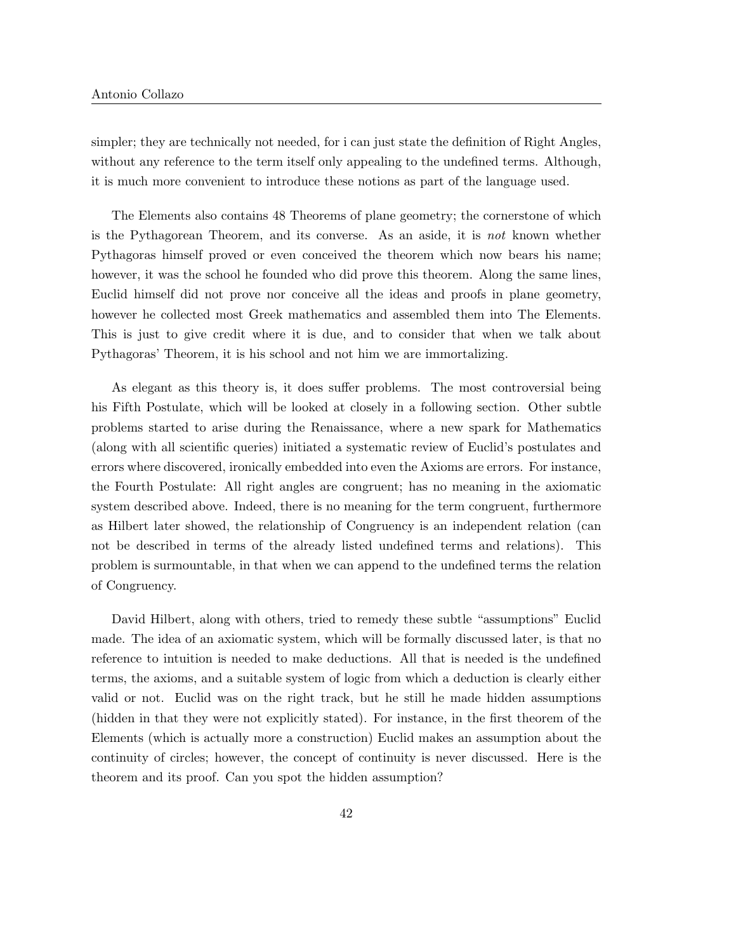simpler; they are technically not needed, for i can just state the definition of Right Angles, without any reference to the term itself only appealing to the undefined terms. Although, it is much more convenient to introduce these notions as part of the language used.

The Elements also contains 48 Theorems of plane geometry; the cornerstone of which is the Pythagorean Theorem, and its converse. As an aside, it is not known whether Pythagoras himself proved or even conceived the theorem which now bears his name; however, it was the school he founded who did prove this theorem. Along the same lines, Euclid himself did not prove nor conceive all the ideas and proofs in plane geometry, however he collected most Greek mathematics and assembled them into The Elements. This is just to give credit where it is due, and to consider that when we talk about Pythagoras' Theorem, it is his school and not him we are immortalizing.

As elegant as this theory is, it does suffer problems. The most controversial being his Fifth Postulate, which will be looked at closely in a following section. Other subtle problems started to arise during the Renaissance, where a new spark for Mathematics (along with all scientific queries) initiated a systematic review of Euclid's postulates and errors where discovered, ironically embedded into even the Axioms are errors. For instance, the Fourth Postulate: All right angles are congruent; has no meaning in the axiomatic system described above. Indeed, there is no meaning for the term congruent, furthermore as Hilbert later showed, the relationship of Congruency is an independent relation (can not be described in terms of the already listed undefined terms and relations). This problem is surmountable, in that when we can append to the undefined terms the relation of Congruency.

David Hilbert, along with others, tried to remedy these subtle "assumptions" Euclid made. The idea of an axiomatic system, which will be formally discussed later, is that no reference to intuition is needed to make deductions. All that is needed is the undefined terms, the axioms, and a suitable system of logic from which a deduction is clearly either valid or not. Euclid was on the right track, but he still he made hidden assumptions (hidden in that they were not explicitly stated). For instance, in the first theorem of the Elements (which is actually more a construction) Euclid makes an assumption about the continuity of circles; however, the concept of continuity is never discussed. Here is the theorem and its proof. Can you spot the hidden assumption?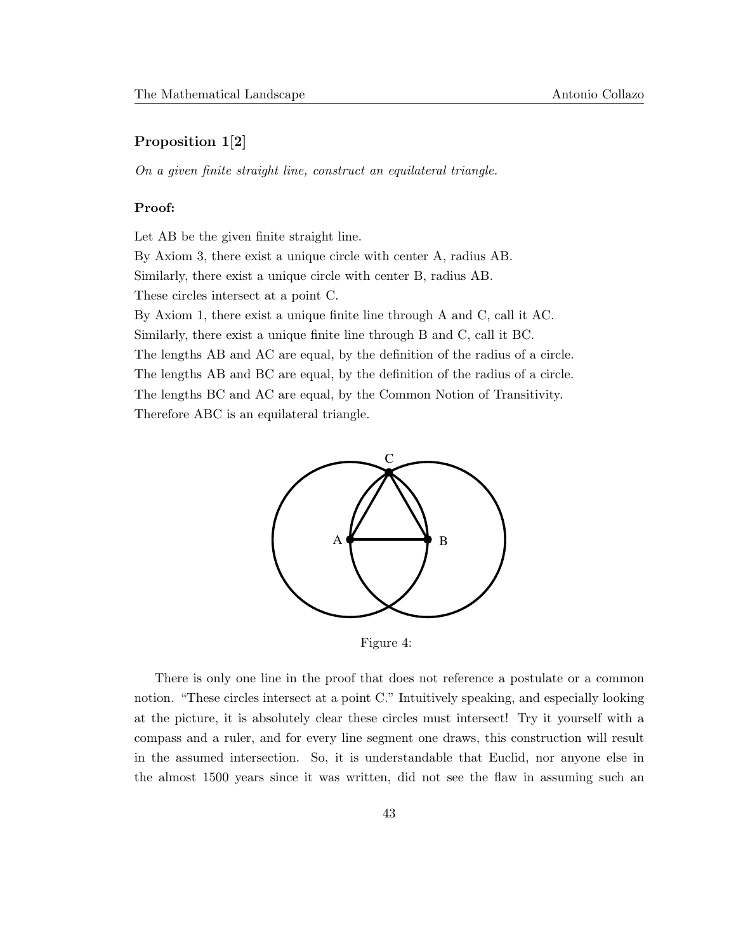### Proposition 1[2]

On a given finite straight line, construct an equilateral triangle.

#### Proof:

Let AB be the given finite straight line.

By Axiom 3, there exist a unique circle with center A, radius AB.

Similarly, there exist a unique circle with center B, radius AB.

These circles intersect at a point C.

By Axiom 1, there exist a unique finite line through A and C, call it AC. Similarly, there exist a unique finite line through B and C, call it BC.

The lengths AB and AC are equal, by the definition of the radius of a circle. The lengths AB and BC are equal, by the definition of the radius of a circle. The lengths BC and AC are equal, by the Common Notion of Transitivity. Therefore ABC is an equilateral triangle.



Figure 4:

There is only one line in the proof that does not reference a postulate or a common notion. "These circles intersect at a point C." Intuitively speaking, and especially looking at the picture, it is absolutely clear these circles must intersect! Try it yourself with a compass and a ruler, and for every line segment one draws, this construction will result in the assumed intersection. So, it is understandable that Euclid, nor anyone else in the almost 1500 years since it was written, did not see the flaw in assuming such an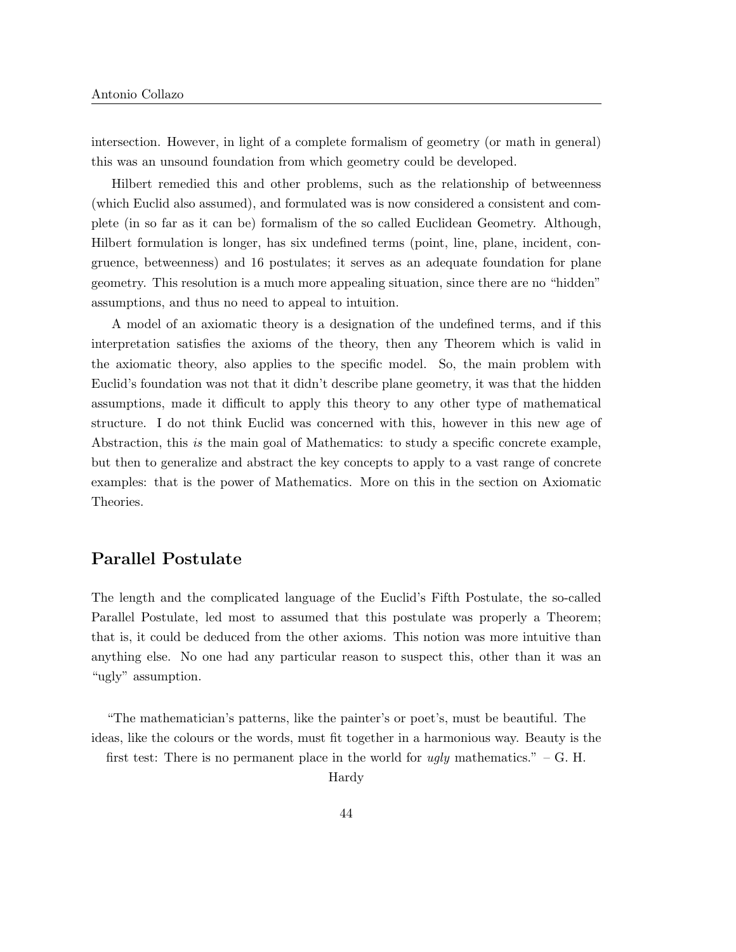intersection. However, in light of a complete formalism of geometry (or math in general) this was an unsound foundation from which geometry could be developed.

Hilbert remedied this and other problems, such as the relationship of betweenness (which Euclid also assumed), and formulated was is now considered a consistent and complete (in so far as it can be) formalism of the so called Euclidean Geometry. Although, Hilbert formulation is longer, has six undefined terms (point, line, plane, incident, congruence, betweenness) and 16 postulates; it serves as an adequate foundation for plane geometry. This resolution is a much more appealing situation, since there are no "hidden" assumptions, and thus no need to appeal to intuition.

A model of an axiomatic theory is a designation of the undefined terms, and if this interpretation satisfies the axioms of the theory, then any Theorem which is valid in the axiomatic theory, also applies to the specific model. So, the main problem with Euclid's foundation was not that it didn't describe plane geometry, it was that the hidden assumptions, made it difficult to apply this theory to any other type of mathematical structure. I do not think Euclid was concerned with this, however in this new age of Abstraction, this is the main goal of Mathematics: to study a specific concrete example, but then to generalize and abstract the key concepts to apply to a vast range of concrete examples: that is the power of Mathematics. More on this in the section on Axiomatic Theories.

## Parallel Postulate

The length and the complicated language of the Euclid's Fifth Postulate, the so-called Parallel Postulate, led most to assumed that this postulate was properly a Theorem; that is, it could be deduced from the other axioms. This notion was more intuitive than anything else. No one had any particular reason to suspect this, other than it was an "ugly" assumption.

"The mathematician's patterns, like the painter's or poet's, must be beautiful. The ideas, like the colours or the words, must fit together in a harmonious way. Beauty is the first test: There is no permanent place in the world for ugly mathematics."  $-G$ . H. Hardy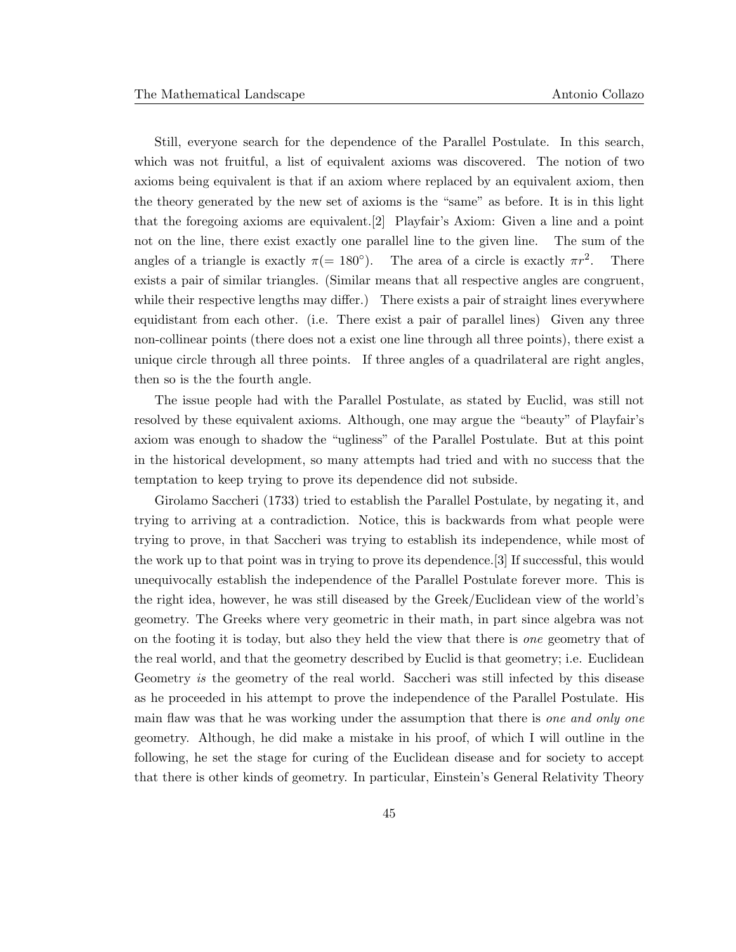Still, everyone search for the dependence of the Parallel Postulate. In this search, which was not fruitful, a list of equivalent axioms was discovered. The notion of two axioms being equivalent is that if an axiom where replaced by an equivalent axiom, then the theory generated by the new set of axioms is the "same" as before. It is in this light that the foregoing axioms are equivalent.[2] Playfair's Axiom: Given a line and a point not on the line, there exist exactly one parallel line to the given line. The sum of the angles of a triangle is exactly  $\pi$ (= 180<sup>°</sup>). The area of a circle is exactly  $\pi r^2$ . There exists a pair of similar triangles. (Similar means that all respective angles are congruent, while their respective lengths may differ.) There exists a pair of straight lines everywhere equidistant from each other. (i.e. There exist a pair of parallel lines) Given any three non-collinear points (there does not a exist one line through all three points), there exist a unique circle through all three points. If three angles of a quadrilateral are right angles, then so is the the fourth angle.

The issue people had with the Parallel Postulate, as stated by Euclid, was still not resolved by these equivalent axioms. Although, one may argue the "beauty" of Playfair's axiom was enough to shadow the "ugliness" of the Parallel Postulate. But at this point in the historical development, so many attempts had tried and with no success that the temptation to keep trying to prove its dependence did not subside.

Girolamo Saccheri (1733) tried to establish the Parallel Postulate, by negating it, and trying to arriving at a contradiction. Notice, this is backwards from what people were trying to prove, in that Saccheri was trying to establish its independence, while most of the work up to that point was in trying to prove its dependence.[3] If successful, this would unequivocally establish the independence of the Parallel Postulate forever more. This is the right idea, however, he was still diseased by the Greek/Euclidean view of the world's geometry. The Greeks where very geometric in their math, in part since algebra was not on the footing it is today, but also they held the view that there is one geometry that of the real world, and that the geometry described by Euclid is that geometry; i.e. Euclidean Geometry is the geometry of the real world. Saccheri was still infected by this disease as he proceeded in his attempt to prove the independence of the Parallel Postulate. His main flaw was that he was working under the assumption that there is one and only one geometry. Although, he did make a mistake in his proof, of which I will outline in the following, he set the stage for curing of the Euclidean disease and for society to accept that there is other kinds of geometry. In particular, Einstein's General Relativity Theory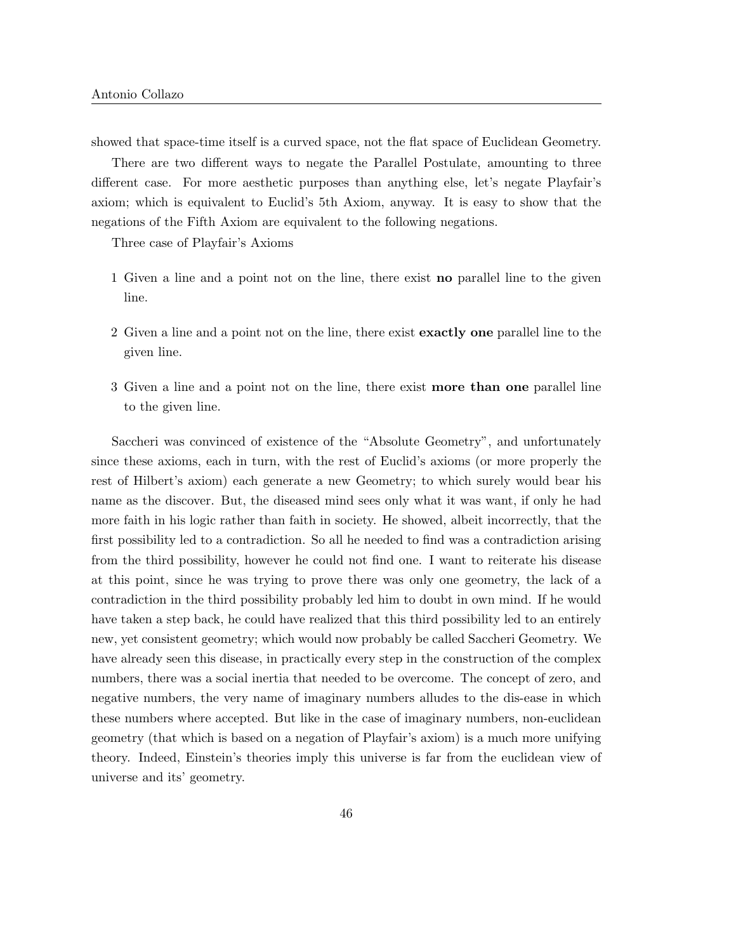showed that space-time itself is a curved space, not the flat space of Euclidean Geometry.

There are two different ways to negate the Parallel Postulate, amounting to three different case. For more aesthetic purposes than anything else, let's negate Playfair's axiom; which is equivalent to Euclid's 5th Axiom, anyway. It is easy to show that the negations of the Fifth Axiom are equivalent to the following negations.

Three case of Playfair's Axioms

- 1 Given a line and a point not on the line, there exist no parallel line to the given line.
- 2 Given a line and a point not on the line, there exist exactly one parallel line to the given line.
- 3 Given a line and a point not on the line, there exist more than one parallel line to the given line.

Saccheri was convinced of existence of the "Absolute Geometry", and unfortunately since these axioms, each in turn, with the rest of Euclid's axioms (or more properly the rest of Hilbert's axiom) each generate a new Geometry; to which surely would bear his name as the discover. But, the diseased mind sees only what it was want, if only he had more faith in his logic rather than faith in society. He showed, albeit incorrectly, that the first possibility led to a contradiction. So all he needed to find was a contradiction arising from the third possibility, however he could not find one. I want to reiterate his disease at this point, since he was trying to prove there was only one geometry, the lack of a contradiction in the third possibility probably led him to doubt in own mind. If he would have taken a step back, he could have realized that this third possibility led to an entirely new, yet consistent geometry; which would now probably be called Saccheri Geometry. We have already seen this disease, in practically every step in the construction of the complex numbers, there was a social inertia that needed to be overcome. The concept of zero, and negative numbers, the very name of imaginary numbers alludes to the dis-ease in which these numbers where accepted. But like in the case of imaginary numbers, non-euclidean geometry (that which is based on a negation of Playfair's axiom) is a much more unifying theory. Indeed, Einstein's theories imply this universe is far from the euclidean view of universe and its' geometry.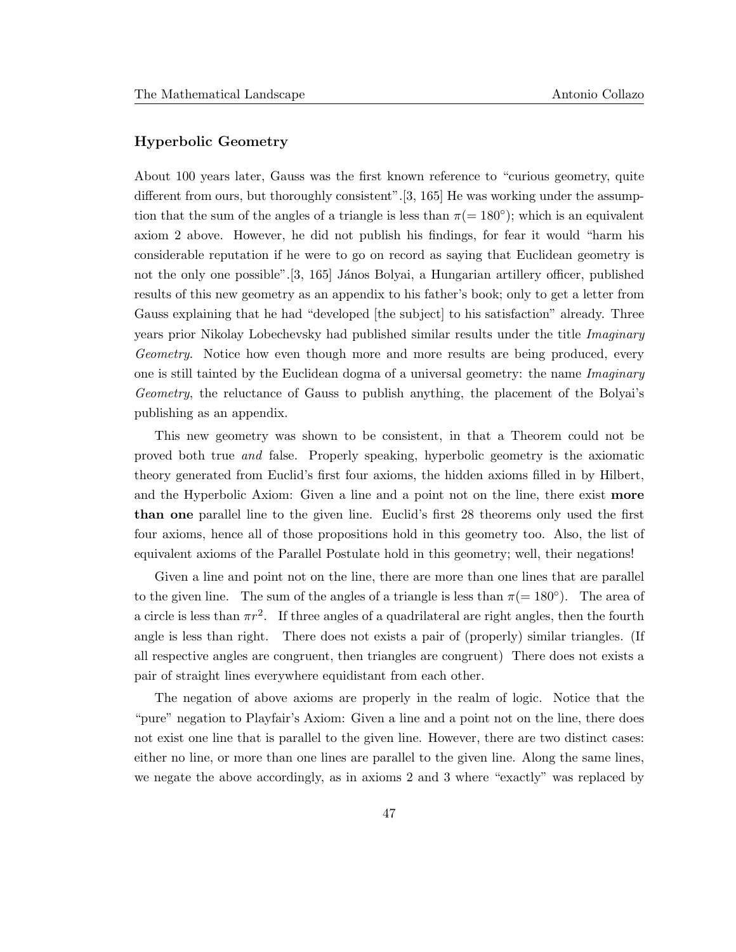### Hyperbolic Geometry

About 100 years later, Gauss was the first known reference to "curious geometry, quite different from ours, but thoroughly consistent".[3, 165] He was working under the assumption that the sum of the angles of a triangle is less than  $\pi$ (= 180<sup>°</sup>); which is an equivalent axiom 2 above. However, he did not publish his findings, for fear it would "harm his considerable reputation if he were to go on record as saying that Euclidean geometry is not the only one possible". [3, 165] János Bolyai, a Hungarian artillery officer, published results of this new geometry as an appendix to his father's book; only to get a letter from Gauss explaining that he had "developed [the subject] to his satisfaction" already. Three years prior Nikolay Lobechevsky had published similar results under the title Imaginary Geometry. Notice how even though more and more results are being produced, every one is still tainted by the Euclidean dogma of a universal geometry: the name *Imaginary* Geometry, the reluctance of Gauss to publish anything, the placement of the Bolyai's publishing as an appendix.

This new geometry was shown to be consistent, in that a Theorem could not be proved both true and false. Properly speaking, hyperbolic geometry is the axiomatic theory generated from Euclid's first four axioms, the hidden axioms filled in by Hilbert, and the Hyperbolic Axiom: Given a line and a point not on the line, there exist **more** than one parallel line to the given line. Euclid's first 28 theorems only used the first four axioms, hence all of those propositions hold in this geometry too. Also, the list of equivalent axioms of the Parallel Postulate hold in this geometry; well, their negations!

Given a line and point not on the line, there are more than one lines that are parallel to the given line. The sum of the angles of a triangle is less than  $\pi (= 180^{\circ})$ . The area of a circle is less than  $\pi r^2$ . If three angles of a quadrilateral are right angles, then the fourth angle is less than right. There does not exists a pair of (properly) similar triangles. (If all respective angles are congruent, then triangles are congruent) There does not exists a pair of straight lines everywhere equidistant from each other.

The negation of above axioms are properly in the realm of logic. Notice that the "pure" negation to Playfair's Axiom: Given a line and a point not on the line, there does not exist one line that is parallel to the given line. However, there are two distinct cases: either no line, or more than one lines are parallel to the given line. Along the same lines, we negate the above accordingly, as in axioms 2 and 3 where "exactly" was replaced by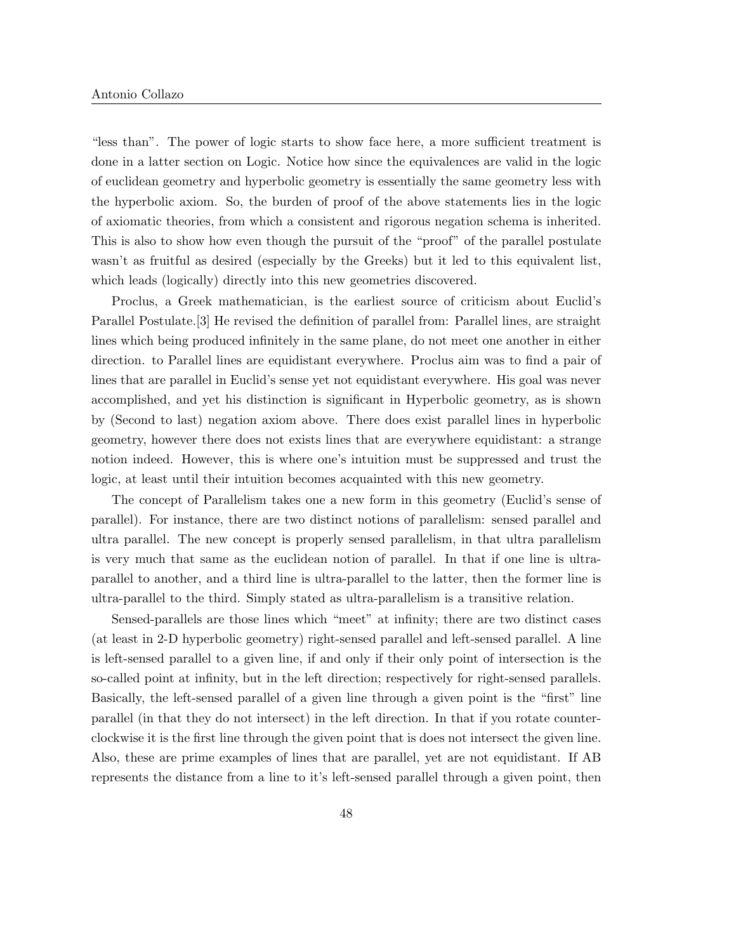"less than". The power of logic starts to show face here, a more sufficient treatment is done in a latter section on Logic. Notice how since the equivalences are valid in the logic of euclidean geometry and hyperbolic geometry is essentially the same geometry less with the hyperbolic axiom. So, the burden of proof of the above statements lies in the logic of axiomatic theories, from which a consistent and rigorous negation schema is inherited. This is also to show how even though the pursuit of the "proof" of the parallel postulate wasn't as fruitful as desired (especially by the Greeks) but it led to this equivalent list, which leads (logically) directly into this new geometries discovered.

Proclus, a Greek mathematician, is the earliest source of criticism about Euclid's Parallel Postulate.[3] He revised the definition of parallel from: Parallel lines, are straight lines which being produced infinitely in the same plane, do not meet one another in either direction. to Parallel lines are equidistant everywhere. Proclus aim was to find a pair of lines that are parallel in Euclid's sense yet not equidistant everywhere. His goal was never accomplished, and yet his distinction is significant in Hyperbolic geometry, as is shown by (Second to last) negation axiom above. There does exist parallel lines in hyperbolic geometry, however there does not exists lines that are everywhere equidistant: a strange notion indeed. However, this is where one's intuition must be suppressed and trust the logic, at least until their intuition becomes acquainted with this new geometry.

The concept of Parallelism takes one a new form in this geometry (Euclid's sense of parallel). For instance, there are two distinct notions of parallelism: sensed parallel and ultra parallel. The new concept is properly sensed parallelism, in that ultra parallelism is very much that same as the euclidean notion of parallel. In that if one line is ultraparallel to another, and a third line is ultra-parallel to the latter, then the former line is ultra-parallel to the third. Simply stated as ultra-parallelism is a transitive relation.

Sensed-parallels are those lines which "meet" at infinity; there are two distinct cases (at least in 2-D hyperbolic geometry) right-sensed parallel and left-sensed parallel. A line is left-sensed parallel to a given line, if and only if their only point of intersection is the so-called point at infinity, but in the left direction; respectively for right-sensed parallels. Basically, the left-sensed parallel of a given line through a given point is the "first" line parallel (in that they do not intersect) in the left direction. In that if you rotate counterclockwise it is the first line through the given point that is does not intersect the given line. Also, these are prime examples of lines that are parallel, yet are not equidistant. If AB represents the distance from a line to it's left-sensed parallel through a given point, then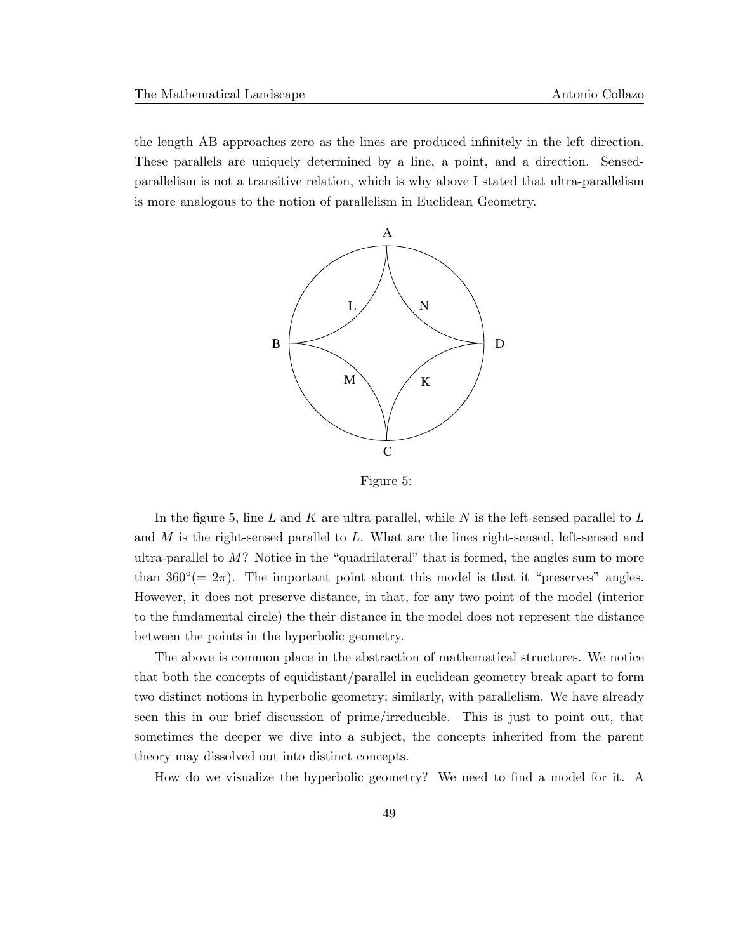the length AB approaches zero as the lines are produced infinitely in the left direction. These parallels are uniquely determined by a line, a point, and a direction. Sensedparallelism is not a transitive relation, which is why above I stated that ultra-parallelism is more analogous to the notion of parallelism in Euclidean Geometry.



Figure 5:

In the figure 5, line L and K are ultra-parallel, while N is the left-sensed parallel to  $L$ and  $M$  is the right-sensed parallel to  $L$ . What are the lines right-sensed, left-sensed and ultra-parallel to  $M$ ? Notice in the "quadrilateral" that is formed, the angles sum to more than  $360^{\circ} (= 2\pi)$ . The important point about this model is that it "preserves" angles. However, it does not preserve distance, in that, for any two point of the model (interior to the fundamental circle) the their distance in the model does not represent the distance between the points in the hyperbolic geometry.

The above is common place in the abstraction of mathematical structures. We notice that both the concepts of equidistant/parallel in euclidean geometry break apart to form two distinct notions in hyperbolic geometry; similarly, with parallelism. We have already seen this in our brief discussion of prime/irreducible. This is just to point out, that sometimes the deeper we dive into a subject, the concepts inherited from the parent theory may dissolved out into distinct concepts.

How do we visualize the hyperbolic geometry? We need to find a model for it. A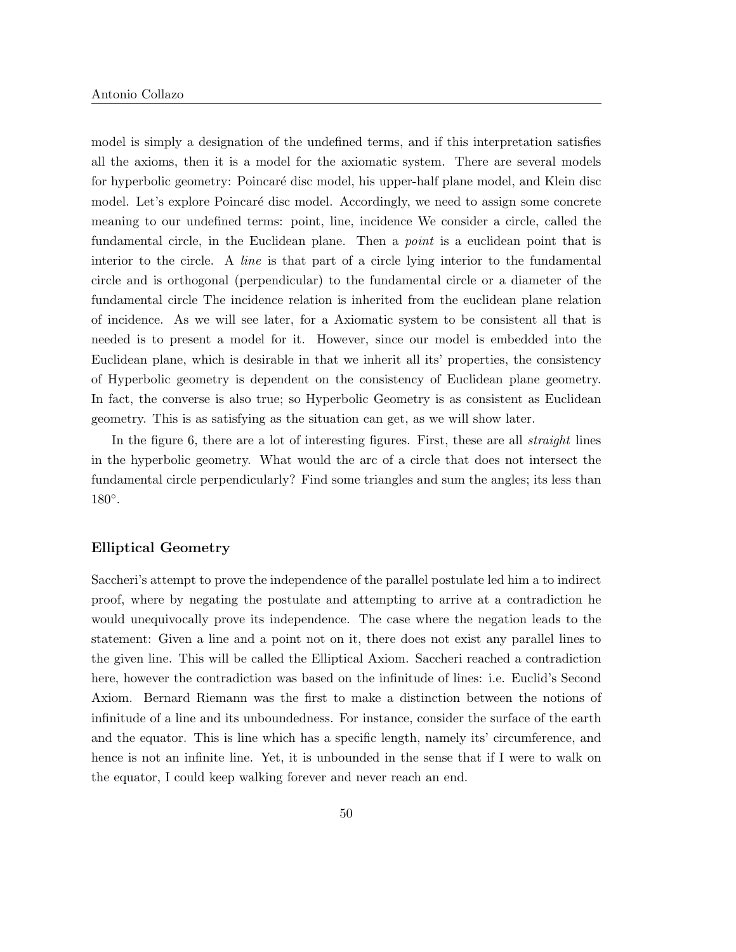model is simply a designation of the undefined terms, and if this interpretation satisfies all the axioms, then it is a model for the axiomatic system. There are several models for hyperbolic geometry: Poincaré disc model, his upper-half plane model, and Klein disc model. Let's explore Poincaré disc model. Accordingly, we need to assign some concrete meaning to our undefined terms: point, line, incidence We consider a circle, called the fundamental circle, in the Euclidean plane. Then a *point* is a euclidean point that is interior to the circle. A line is that part of a circle lying interior to the fundamental circle and is orthogonal (perpendicular) to the fundamental circle or a diameter of the fundamental circle The incidence relation is inherited from the euclidean plane relation of incidence. As we will see later, for a Axiomatic system to be consistent all that is needed is to present a model for it. However, since our model is embedded into the Euclidean plane, which is desirable in that we inherit all its' properties, the consistency of Hyperbolic geometry is dependent on the consistency of Euclidean plane geometry. In fact, the converse is also true; so Hyperbolic Geometry is as consistent as Euclidean geometry. This is as satisfying as the situation can get, as we will show later.

In the figure 6, there are a lot of interesting figures. First, these are all *straight* lines in the hyperbolic geometry. What would the arc of a circle that does not intersect the fundamental circle perpendicularly? Find some triangles and sum the angles; its less than 180◦ .

#### Elliptical Geometry

Saccheri's attempt to prove the independence of the parallel postulate led him a to indirect proof, where by negating the postulate and attempting to arrive at a contradiction he would unequivocally prove its independence. The case where the negation leads to the statement: Given a line and a point not on it, there does not exist any parallel lines to the given line. This will be called the Elliptical Axiom. Saccheri reached a contradiction here, however the contradiction was based on the infinitude of lines: i.e. Euclid's Second Axiom. Bernard Riemann was the first to make a distinction between the notions of infinitude of a line and its unboundedness. For instance, consider the surface of the earth and the equator. This is line which has a specific length, namely its' circumference, and hence is not an infinite line. Yet, it is unbounded in the sense that if I were to walk on the equator, I could keep walking forever and never reach an end.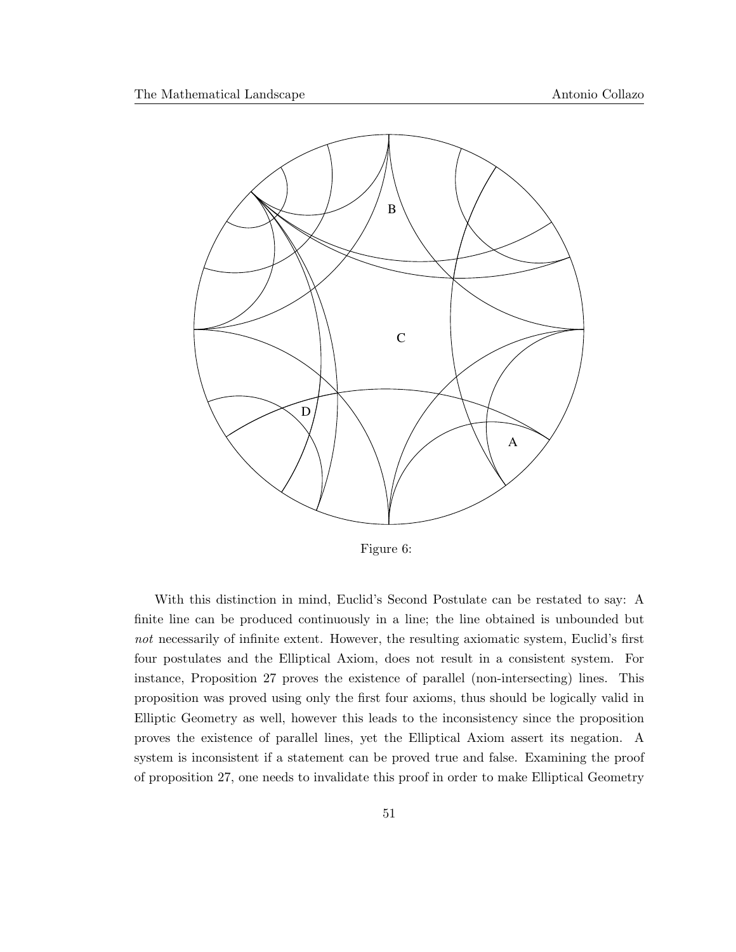

Figure 6:

With this distinction in mind, Euclid's Second Postulate can be restated to say: A finite line can be produced continuously in a line; the line obtained is unbounded but not necessarily of infinite extent. However, the resulting axiomatic system, Euclid's first four postulates and the Elliptical Axiom, does not result in a consistent system. For instance, Proposition 27 proves the existence of parallel (non-intersecting) lines. This proposition was proved using only the first four axioms, thus should be logically valid in Elliptic Geometry as well, however this leads to the inconsistency since the proposition proves the existence of parallel lines, yet the Elliptical Axiom assert its negation. A system is inconsistent if a statement can be proved true and false. Examining the proof of proposition 27, one needs to invalidate this proof in order to make Elliptical Geometry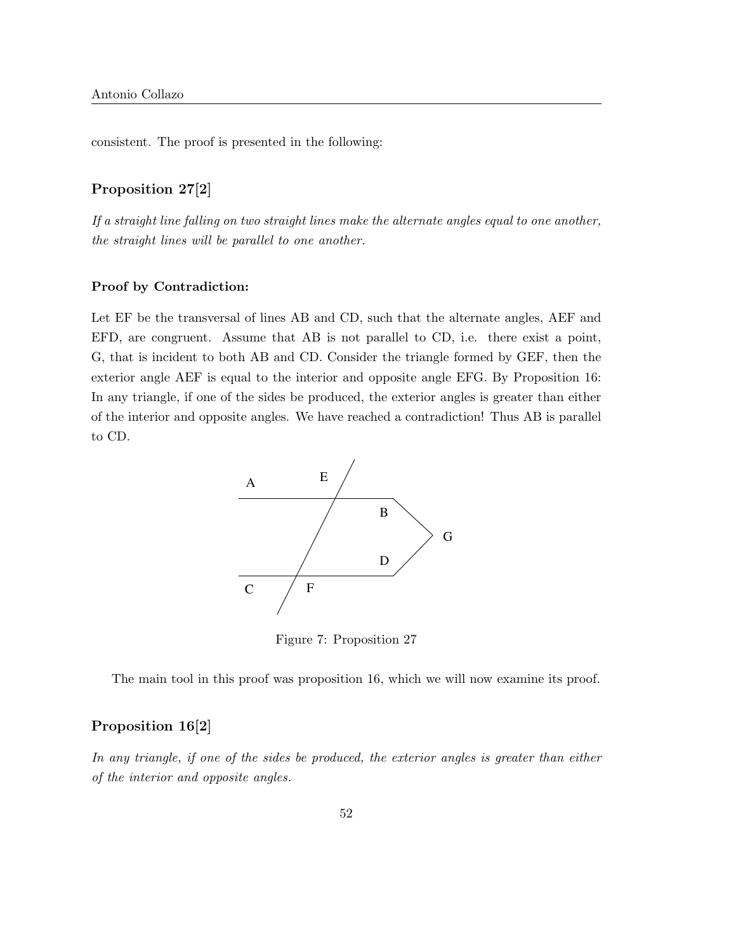consistent. The proof is presented in the following:

### Proposition 27[2]

If a straight line falling on two straight lines make the alternate angles equal to one another, the straight lines will be parallel to one another.

#### Proof by Contradiction:

Let EF be the transversal of lines AB and CD, such that the alternate angles, AEF and EFD, are congruent. Assume that AB is not parallel to CD, i.e. there exist a point, G, that is incident to both AB and CD. Consider the triangle formed by GEF, then the exterior angle AEF is equal to the interior and opposite angle EFG. By Proposition 16: In any triangle, if one of the sides be produced, the exterior angles is greater than either of the interior and opposite angles. We have reached a contradiction! Thus AB is parallel to CD.



Figure 7: Proposition 27

The main tool in this proof was proposition 16, which we will now examine its proof.

### Proposition 16[2]

In any triangle, if one of the sides be produced, the exterior angles is greater than either of the interior and opposite angles.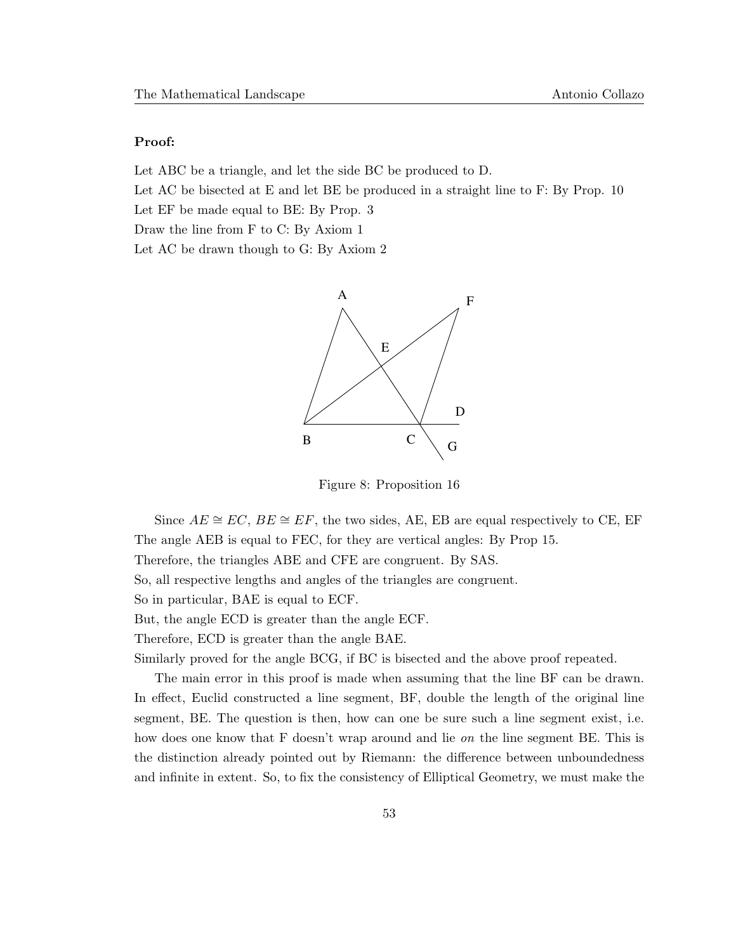#### Proof:

Let ABC be a triangle, and let the side BC be produced to D.

Let AC be bisected at E and let BE be produced in a straight line to F: By Prop. 10

Let EF be made equal to BE: By Prop. 3

Draw the line from F to C: By Axiom 1

Let AC be drawn though to G: By Axiom 2



Figure 8: Proposition 16

Since  $AE \cong EC$ ,  $BE \cong EF$ , the two sides, AE, EB are equal respectively to CE, EF The angle AEB is equal to FEC, for they are vertical angles: By Prop 15. Therefore, the triangles ABE and CFE are congruent. By SAS. So, all respective lengths and angles of the triangles are congruent. So in particular, BAE is equal to ECF. But, the angle ECD is greater than the angle ECF. Therefore, ECD is greater than the angle BAE.

Similarly proved for the angle BCG, if BC is bisected and the above proof repeated.

The main error in this proof is made when assuming that the line BF can be drawn. In effect, Euclid constructed a line segment, BF, double the length of the original line segment, BE. The question is then, how can one be sure such a line segment exist, i.e. how does one know that F doesn't wrap around and lie *on* the line segment BE. This is the distinction already pointed out by Riemann: the difference between unboundedness and infinite in extent. So, to fix the consistency of Elliptical Geometry, we must make the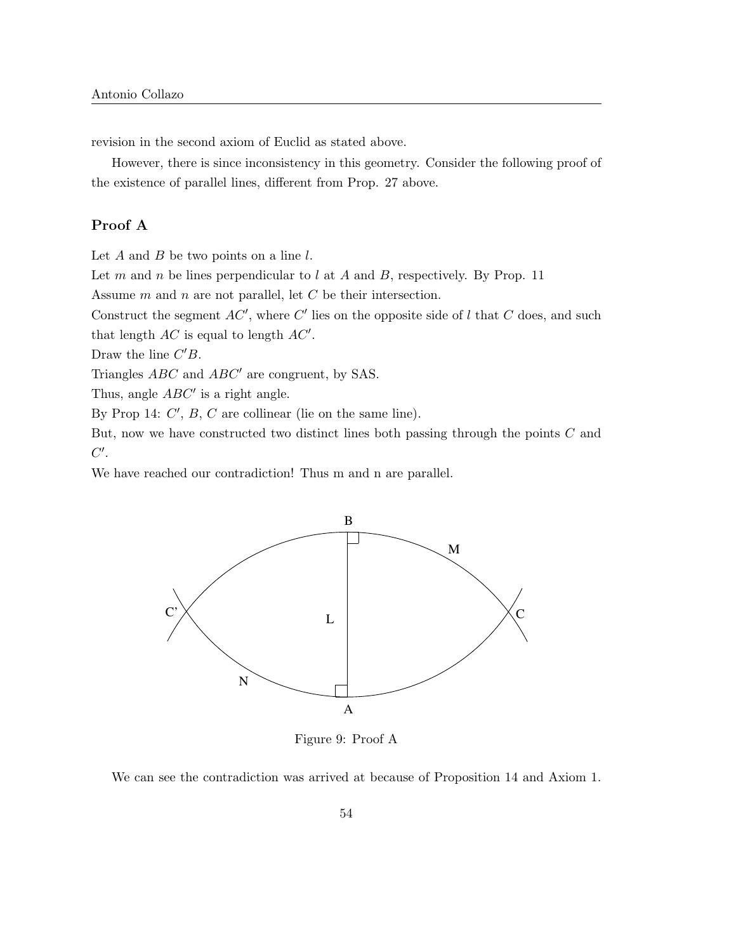revision in the second axiom of Euclid as stated above.

However, there is since inconsistency in this geometry. Consider the following proof of the existence of parallel lines, different from Prop. 27 above.

### Proof A

Let  $A$  and  $B$  be two points on a line  $l$ .

Let m and n be lines perpendicular to l at A and B, respectively. By Prop. 11

Assume m and n are not parallel, let C be their intersection.

Construct the segment  $AC'$ , where  $C'$  lies on the opposite side of l that C does, and such

that length  $AC$  is equal to length  $AC'$ .

Draw the line  $C'B$ .

Triangles  $ABC$  and  $ABC'$  are congruent, by SAS.

Thus, angle  $ABC'$  is a right angle.

By Prop 14:  $C'$ ,  $B$ ,  $C$  are collinear (lie on the same line).

But, now we have constructed two distinct lines both passing through the points C and  $C'.$ 

We have reached our contradiction! Thus m and n are parallel.



Figure 9: Proof A

We can see the contradiction was arrived at because of Proposition 14 and Axiom 1.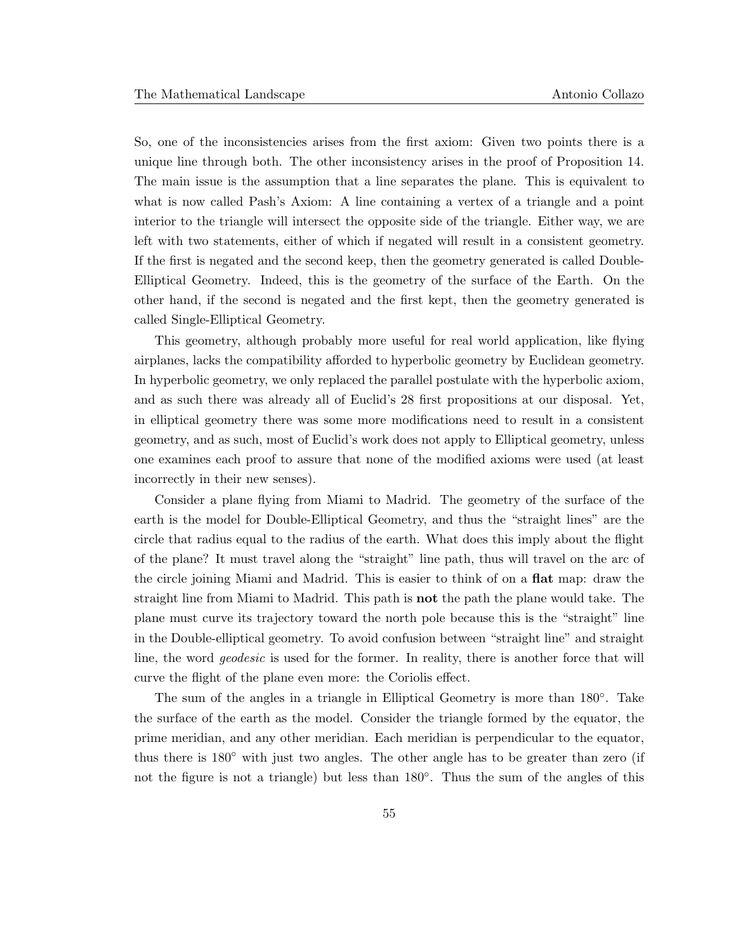So, one of the inconsistencies arises from the first axiom: Given two points there is a unique line through both. The other inconsistency arises in the proof of Proposition 14. The main issue is the assumption that a line separates the plane. This is equivalent to what is now called Pash's Axiom: A line containing a vertex of a triangle and a point interior to the triangle will intersect the opposite side of the triangle. Either way, we are left with two statements, either of which if negated will result in a consistent geometry. If the first is negated and the second keep, then the geometry generated is called Double-Elliptical Geometry. Indeed, this is the geometry of the surface of the Earth. On the other hand, if the second is negated and the first kept, then the geometry generated is called Single-Elliptical Geometry.

This geometry, although probably more useful for real world application, like flying airplanes, lacks the compatibility afforded to hyperbolic geometry by Euclidean geometry. In hyperbolic geometry, we only replaced the parallel postulate with the hyperbolic axiom, and as such there was already all of Euclid's 28 first propositions at our disposal. Yet, in elliptical geometry there was some more modifications need to result in a consistent geometry, and as such, most of Euclid's work does not apply to Elliptical geometry, unless one examines each proof to assure that none of the modified axioms were used (at least incorrectly in their new senses).

Consider a plane flying from Miami to Madrid. The geometry of the surface of the earth is the model for Double-Elliptical Geometry, and thus the "straight lines" are the circle that radius equal to the radius of the earth. What does this imply about the flight of the plane? It must travel along the "straight" line path, thus will travel on the arc of the circle joining Miami and Madrid. This is easier to think of on a flat map: draw the straight line from Miami to Madrid. This path is not the path the plane would take. The plane must curve its trajectory toward the north pole because this is the "straight" line in the Double-elliptical geometry. To avoid confusion between "straight line" and straight line, the word geodesic is used for the former. In reality, there is another force that will curve the flight of the plane even more: the Coriolis effect.

The sum of the angles in a triangle in Elliptical Geometry is more than  $180^\circ$ . Take the surface of the earth as the model. Consider the triangle formed by the equator, the prime meridian, and any other meridian. Each meridian is perpendicular to the equator, thus there is  $180^\circ$  with just two angles. The other angle has to be greater than zero (if not the figure is not a triangle) but less than 180◦ . Thus the sum of the angles of this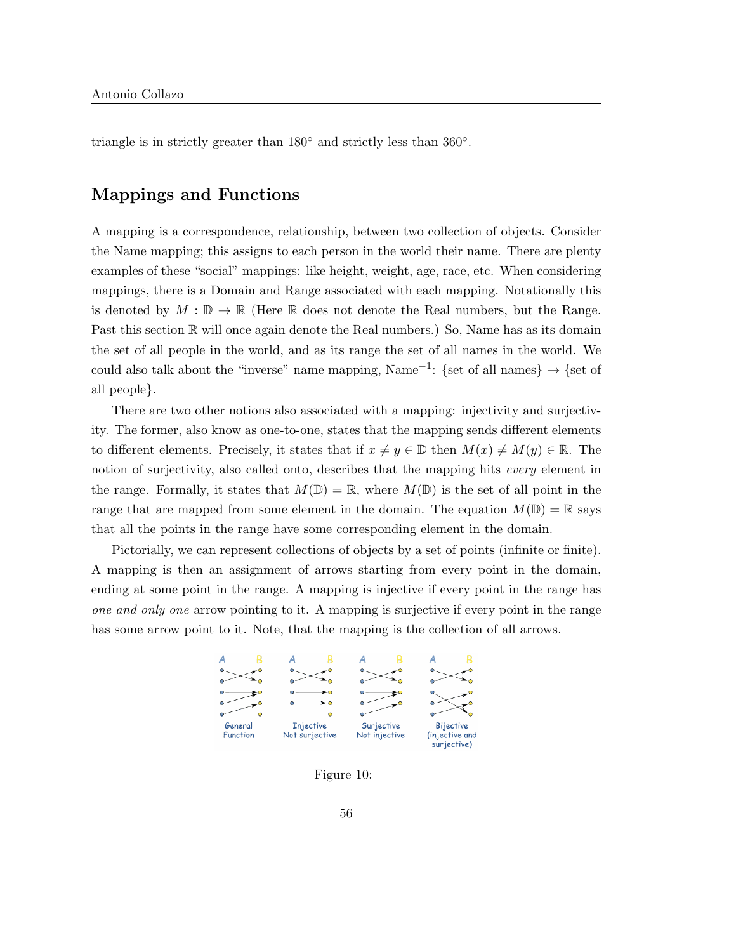triangle is in strictly greater than  $180^\circ$  and strictly less than  $360^\circ$ .

## Mappings and Functions

A mapping is a correspondence, relationship, between two collection of objects. Consider the Name mapping; this assigns to each person in the world their name. There are plenty examples of these "social" mappings: like height, weight, age, race, etc. When considering mappings, there is a Domain and Range associated with each mapping. Notationally this is denoted by  $M : \mathbb{D} \to \mathbb{R}$  (Here  $\mathbb R$  does not denote the Real numbers, but the Range. Past this section  $\mathbb R$  will once again denote the Real numbers.) So, Name has as its domain the set of all people in the world, and as its range the set of all names in the world. We could also talk about the "inverse" name mapping, Name<sup>-1</sup>: {set of all names}  $\rightarrow$  {set of all people}.

There are two other notions also associated with a mapping: injectivity and surjectivity. The former, also know as one-to-one, states that the mapping sends different elements to different elements. Precisely, it states that if  $x \neq y \in \mathbb{D}$  then  $M(x) \neq M(y) \in \mathbb{R}$ . The notion of surjectivity, also called onto, describes that the mapping hits every element in the range. Formally, it states that  $M(\mathbb{D}) = \mathbb{R}$ , where  $M(\mathbb{D})$  is the set of all point in the range that are mapped from some element in the domain. The equation  $M(\mathbb{D}) = \mathbb{R}$  says that all the points in the range have some corresponding element in the domain.

Pictorially, we can represent collections of objects by a set of points (infinite or finite). A mapping is then an assignment of arrows starting from every point in the domain, ending at some point in the range. A mapping is injective if every point in the range has one and only one arrow pointing to it. A mapping is surjective if every point in the range has some arrow point to it. Note, that the mapping is the collection of all arrows.



Figure 10: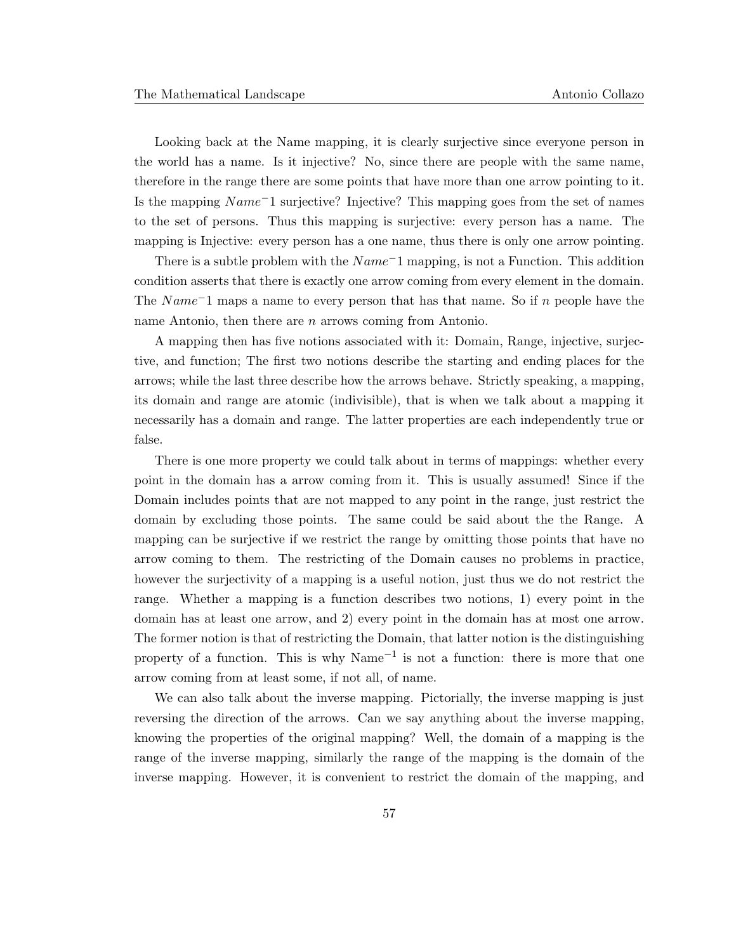Looking back at the Name mapping, it is clearly surjective since everyone person in the world has a name. Is it injective? No, since there are people with the same name, therefore in the range there are some points that have more than one arrow pointing to it. Is the mapping Name<sup>−</sup>1 surjective? Injective? This mapping goes from the set of names to the set of persons. Thus this mapping is surjective: every person has a name. The mapping is Injective: every person has a one name, thus there is only one arrow pointing.

There is a subtle problem with the  $Name^-1$  mapping, is not a Function. This addition condition asserts that there is exactly one arrow coming from every element in the domain. The Name<sup>−1</sup> maps a name to every person that has that name. So if n people have the name Antonio, then there are *n* arrows coming from Antonio.

A mapping then has five notions associated with it: Domain, Range, injective, surjective, and function; The first two notions describe the starting and ending places for the arrows; while the last three describe how the arrows behave. Strictly speaking, a mapping, its domain and range are atomic (indivisible), that is when we talk about a mapping it necessarily has a domain and range. The latter properties are each independently true or false.

There is one more property we could talk about in terms of mappings: whether every point in the domain has a arrow coming from it. This is usually assumed! Since if the Domain includes points that are not mapped to any point in the range, just restrict the domain by excluding those points. The same could be said about the the Range. A mapping can be surjective if we restrict the range by omitting those points that have no arrow coming to them. The restricting of the Domain causes no problems in practice, however the surjectivity of a mapping is a useful notion, just thus we do not restrict the range. Whether a mapping is a function describes two notions, 1) every point in the domain has at least one arrow, and 2) every point in the domain has at most one arrow. The former notion is that of restricting the Domain, that latter notion is the distinguishing property of a function. This is why  $Name^{-1}$  is not a function: there is more that one arrow coming from at least some, if not all, of name.

We can also talk about the inverse mapping. Pictorially, the inverse mapping is just reversing the direction of the arrows. Can we say anything about the inverse mapping, knowing the properties of the original mapping? Well, the domain of a mapping is the range of the inverse mapping, similarly the range of the mapping is the domain of the inverse mapping. However, it is convenient to restrict the domain of the mapping, and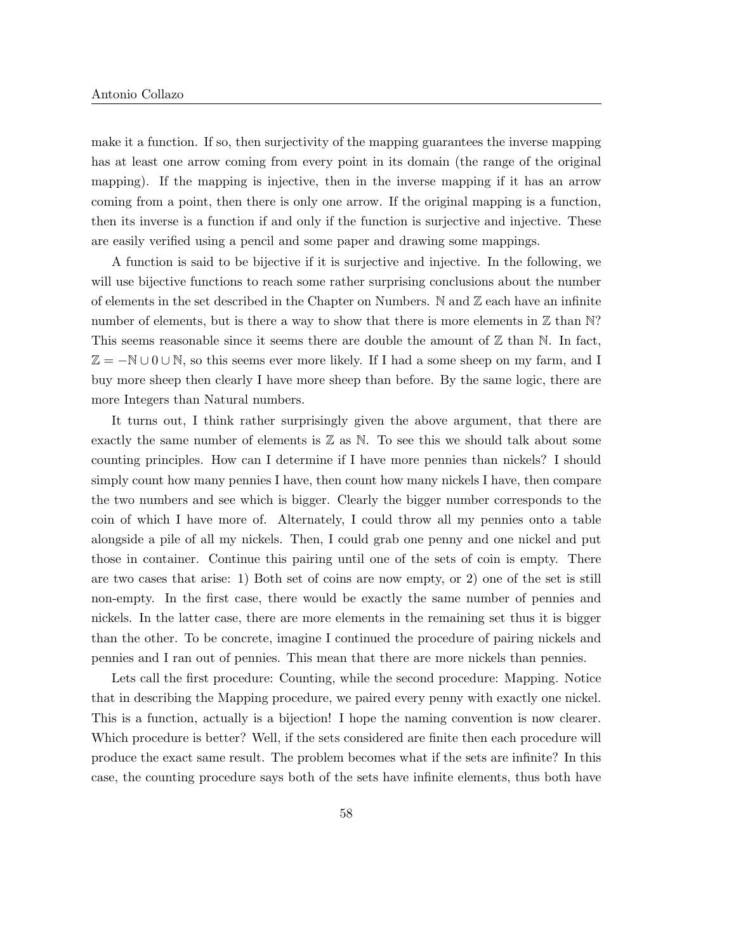make it a function. If so, then surjectivity of the mapping guarantees the inverse mapping has at least one arrow coming from every point in its domain (the range of the original mapping). If the mapping is injective, then in the inverse mapping if it has an arrow coming from a point, then there is only one arrow. If the original mapping is a function, then its inverse is a function if and only if the function is surjective and injective. These are easily verified using a pencil and some paper and drawing some mappings.

A function is said to be bijective if it is surjective and injective. In the following, we will use bijective functions to reach some rather surprising conclusions about the number of elements in the set described in the Chapter on Numbers. N and  $\mathbb Z$  each have an infinite number of elements, but is there a way to show that there is more elements in  $\mathbb Z$  than  $\mathbb N$ ? This seems reasonable since it seems there are double the amount of  $\mathbb Z$  than  $\mathbb N$ . In fact,  $\mathbb{Z} = -\mathbb{N} \cup \{0\}$ , so this seems ever more likely. If I had a some sheep on my farm, and I buy more sheep then clearly I have more sheep than before. By the same logic, there are more Integers than Natural numbers.

It turns out, I think rather surprisingly given the above argument, that there are exactly the same number of elements is  $\mathbb Z$  as  $\mathbb N$ . To see this we should talk about some counting principles. How can I determine if I have more pennies than nickels? I should simply count how many pennies I have, then count how many nickels I have, then compare the two numbers and see which is bigger. Clearly the bigger number corresponds to the coin of which I have more of. Alternately, I could throw all my pennies onto a table alongside a pile of all my nickels. Then, I could grab one penny and one nickel and put those in container. Continue this pairing until one of the sets of coin is empty. There are two cases that arise: 1) Both set of coins are now empty, or 2) one of the set is still non-empty. In the first case, there would be exactly the same number of pennies and nickels. In the latter case, there are more elements in the remaining set thus it is bigger than the other. To be concrete, imagine I continued the procedure of pairing nickels and pennies and I ran out of pennies. This mean that there are more nickels than pennies.

Lets call the first procedure: Counting, while the second procedure: Mapping. Notice that in describing the Mapping procedure, we paired every penny with exactly one nickel. This is a function, actually is a bijection! I hope the naming convention is now clearer. Which procedure is better? Well, if the sets considered are finite then each procedure will produce the exact same result. The problem becomes what if the sets are infinite? In this case, the counting procedure says both of the sets have infinite elements, thus both have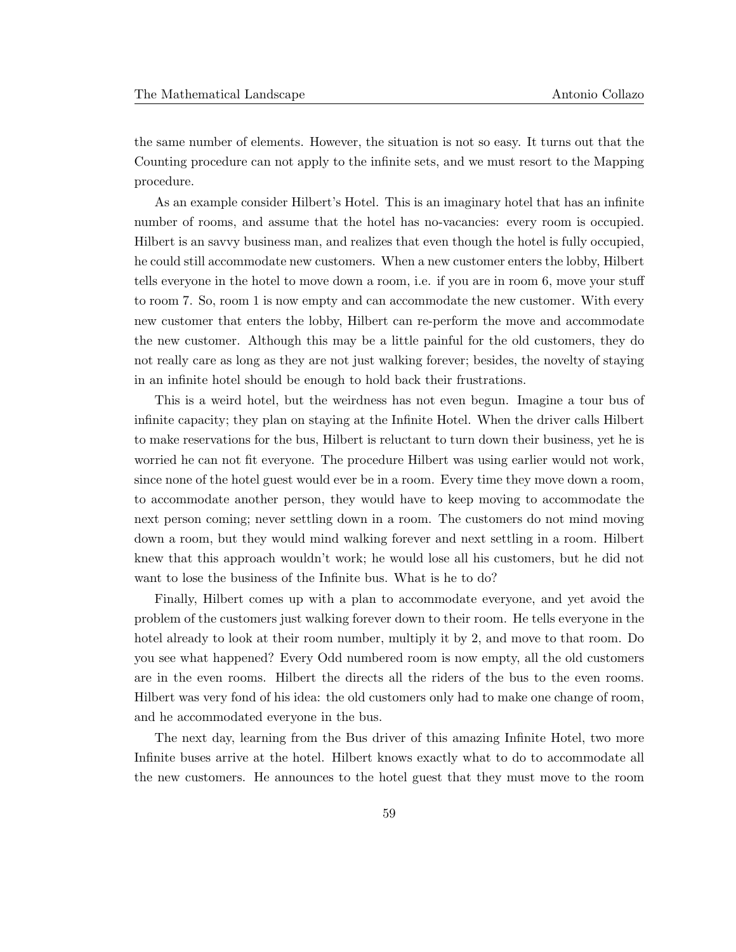the same number of elements. However, the situation is not so easy. It turns out that the Counting procedure can not apply to the infinite sets, and we must resort to the Mapping procedure.

As an example consider Hilbert's Hotel. This is an imaginary hotel that has an infinite number of rooms, and assume that the hotel has no-vacancies: every room is occupied. Hilbert is an savvy business man, and realizes that even though the hotel is fully occupied, he could still accommodate new customers. When a new customer enters the lobby, Hilbert tells everyone in the hotel to move down a room, i.e. if you are in room 6, move your stuff to room 7. So, room 1 is now empty and can accommodate the new customer. With every new customer that enters the lobby, Hilbert can re-perform the move and accommodate the new customer. Although this may be a little painful for the old customers, they do not really care as long as they are not just walking forever; besides, the novelty of staying in an infinite hotel should be enough to hold back their frustrations.

This is a weird hotel, but the weirdness has not even begun. Imagine a tour bus of infinite capacity; they plan on staying at the Infinite Hotel. When the driver calls Hilbert to make reservations for the bus, Hilbert is reluctant to turn down their business, yet he is worried he can not fit everyone. The procedure Hilbert was using earlier would not work, since none of the hotel guest would ever be in a room. Every time they move down a room, to accommodate another person, they would have to keep moving to accommodate the next person coming; never settling down in a room. The customers do not mind moving down a room, but they would mind walking forever and next settling in a room. Hilbert knew that this approach wouldn't work; he would lose all his customers, but he did not want to lose the business of the Infinite bus. What is he to do?

Finally, Hilbert comes up with a plan to accommodate everyone, and yet avoid the problem of the customers just walking forever down to their room. He tells everyone in the hotel already to look at their room number, multiply it by 2, and move to that room. Do you see what happened? Every Odd numbered room is now empty, all the old customers are in the even rooms. Hilbert the directs all the riders of the bus to the even rooms. Hilbert was very fond of his idea: the old customers only had to make one change of room, and he accommodated everyone in the bus.

The next day, learning from the Bus driver of this amazing Infinite Hotel, two more Infinite buses arrive at the hotel. Hilbert knows exactly what to do to accommodate all the new customers. He announces to the hotel guest that they must move to the room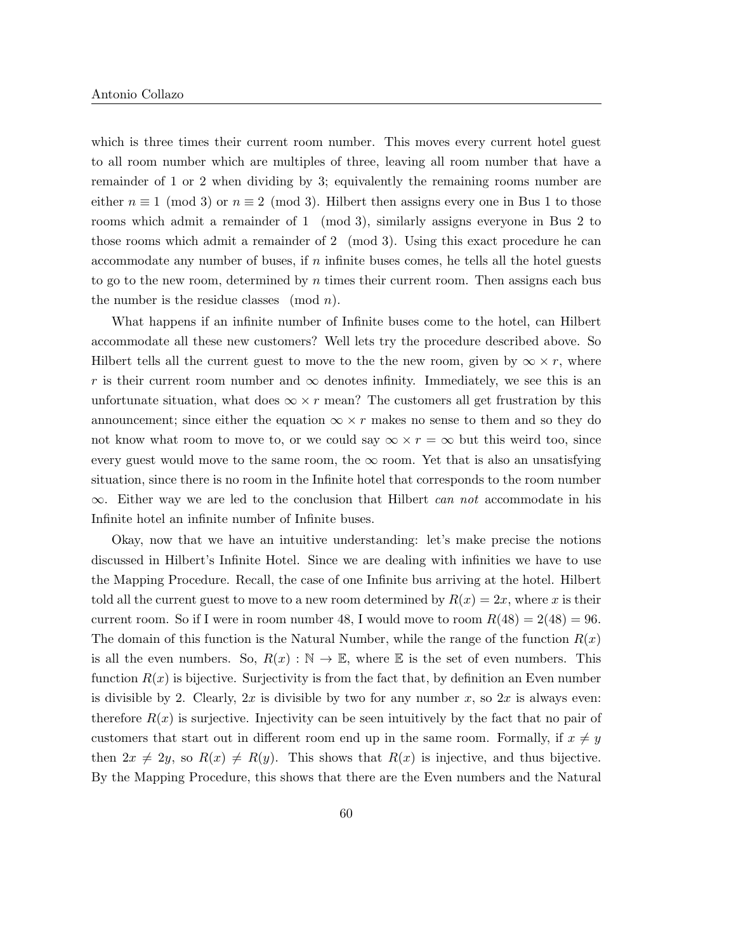which is three times their current room number. This moves every current hotel guest to all room number which are multiples of three, leaving all room number that have a remainder of 1 or 2 when dividing by 3; equivalently the remaining rooms number are either  $n \equiv 1 \pmod{3}$  or  $n \equiv 2 \pmod{3}$ . Hilbert then assigns every one in Bus 1 to those rooms which admit a remainder of 1 (mod 3), similarly assigns everyone in Bus 2 to those rooms which admit a remainder of 2 (mod 3). Using this exact procedure he can accommodate any number of buses, if  $n$  infinite buses comes, he tells all the hotel guests to go to the new room, determined by n times their current room. Then assigns each bus the number is the residue classes (mod  $n$ ).

What happens if an infinite number of Infinite buses come to the hotel, can Hilbert accommodate all these new customers? Well lets try the procedure described above. So Hilbert tells all the current guest to move to the the new room, given by  $\infty \times r$ , where r is their current room number and  $\infty$  denotes infinity. Immediately, we see this is an unfortunate situation, what does  $\infty \times r$  mean? The customers all get frustration by this announcement; since either the equation  $\infty \times r$  makes no sense to them and so they do not know what room to move to, or we could say  $\infty \times r = \infty$  but this weird too, since every guest would move to the same room, the  $\infty$  room. Yet that is also an unsatisfying situation, since there is no room in the Infinite hotel that corresponds to the room number  $\infty$ . Either way we are led to the conclusion that Hilbert *can not* accommodate in his Infinite hotel an infinite number of Infinite buses.

Okay, now that we have an intuitive understanding: let's make precise the notions discussed in Hilbert's Infinite Hotel. Since we are dealing with infinities we have to use the Mapping Procedure. Recall, the case of one Infinite bus arriving at the hotel. Hilbert told all the current guest to move to a new room determined by  $R(x) = 2x$ , where x is their current room. So if I were in room number 48, I would move to room  $R(48) = 2(48) = 96$ . The domain of this function is the Natural Number, while the range of the function  $R(x)$ is all the even numbers. So,  $R(x): \mathbb{N} \to \mathbb{E}$ , where  $\mathbb E$  is the set of even numbers. This function  $R(x)$  is bijective. Surjectivity is from the fact that, by definition an Even number is divisible by 2. Clearly,  $2x$  is divisible by two for any number x, so  $2x$  is always even: therefore  $R(x)$  is surjective. Injectivity can be seen intuitively by the fact that no pair of customers that start out in different room end up in the same room. Formally, if  $x \neq y$ then  $2x \neq 2y$ , so  $R(x) \neq R(y)$ . This shows that  $R(x)$  is injective, and thus bijective. By the Mapping Procedure, this shows that there are the Even numbers and the Natural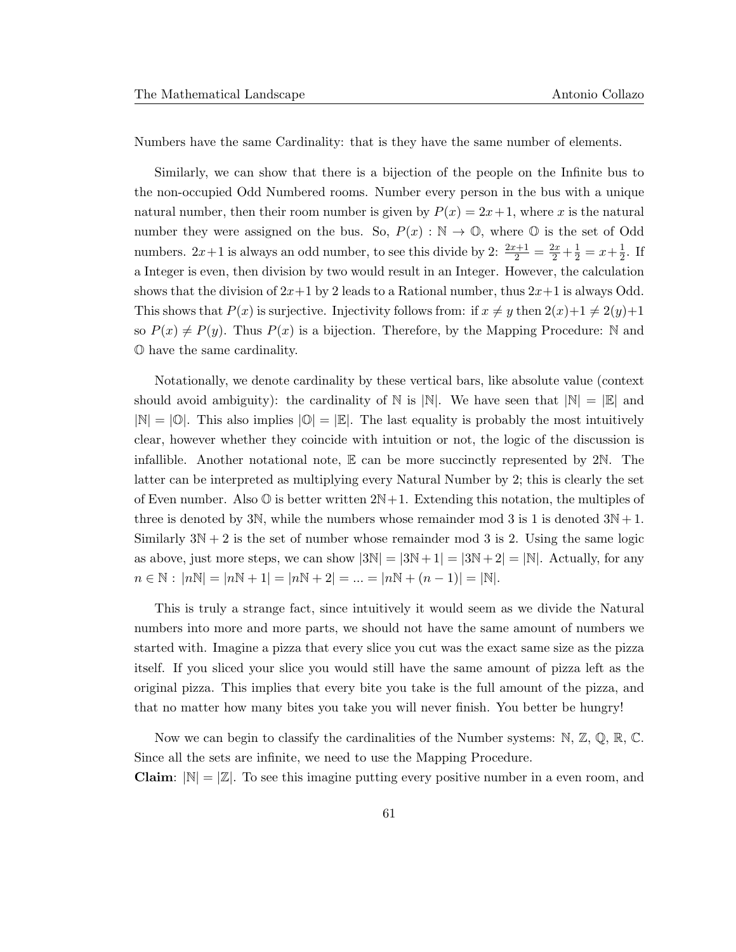Numbers have the same Cardinality: that is they have the same number of elements.

Similarly, we can show that there is a bijection of the people on the Infinite bus to the non-occupied Odd Numbered rooms. Number every person in the bus with a unique natural number, then their room number is given by  $P(x) = 2x+1$ , where x is the natural number they were assigned on the bus. So,  $P(x): \mathbb{N} \to \mathbb{O}$ , where  $\mathbb{O}$  is the set of Odd numbers.  $2x+1$  is always an odd number, to see this divide by  $2: \frac{2x+1}{2} = \frac{2x}{2} + \frac{1}{2} = x + \frac{1}{2}$  $\frac{1}{2}$ . If a Integer is even, then division by two would result in an Integer. However, the calculation shows that the division of  $2x+1$  by 2 leads to a Rational number, thus  $2x+1$  is always Odd. This shows that  $P(x)$  is surjective. Injectivity follows from: if  $x \neq y$  then  $2(x)+1 \neq 2(y)+1$ so  $P(x) \neq P(y)$ . Thus  $P(x)$  is a bijection. Therefore, by the Mapping Procedure: N and O have the same cardinality.

Notationally, we denote cardinality by these vertical bars, like absolute value (context should avoid ambiguity): the cardinality of N is  $|\mathbb{N}|$ . We have seen that  $|\mathbb{N}| = |\mathbb{E}|$  and  $|\mathbb{N}| = |0|$ . This also implies  $|0| = |E|$ . The last equality is probably the most intuitively clear, however whether they coincide with intuition or not, the logic of the discussion is infallible. Another notational note,  $E$  can be more succinctly represented by  $2N$ . The latter can be interpreted as multiplying every Natural Number by 2; this is clearly the set of Even number. Also  $\mathbb O$  is better written  $2N+1$ . Extending this notation, the multiples of three is denoted by 3N, while the numbers whose remainder mod 3 is 1 is denoted  $3N+1$ . Similarly  $3N + 2$  is the set of number whose remainder mod 3 is 2. Using the same logic as above, just more steps, we can show  $|3N| = |3N+1| = |3N+2| = |N|$ . Actually, for any  $n \in \mathbb{N}: |n\mathbb{N}| = |n\mathbb{N} + 1| = |n\mathbb{N} + 2| = \dots = |n\mathbb{N} + (n-1)| = |\mathbb{N}|.$ 

This is truly a strange fact, since intuitively it would seem as we divide the Natural numbers into more and more parts, we should not have the same amount of numbers we started with. Imagine a pizza that every slice you cut was the exact same size as the pizza itself. If you sliced your slice you would still have the same amount of pizza left as the original pizza. This implies that every bite you take is the full amount of the pizza, and that no matter how many bites you take you will never finish. You better be hungry!

Now we can begin to classify the cardinalities of the Number systems:  $\mathbb{N}, \mathbb{Z}, \mathbb{Q}, \mathbb{R}, \mathbb{C}$ . Since all the sets are infinite, we need to use the Mapping Procedure.

**Claim**:  $|\mathbb{N}| = |\mathbb{Z}|$ . To see this imagine putting every positive number in a even room, and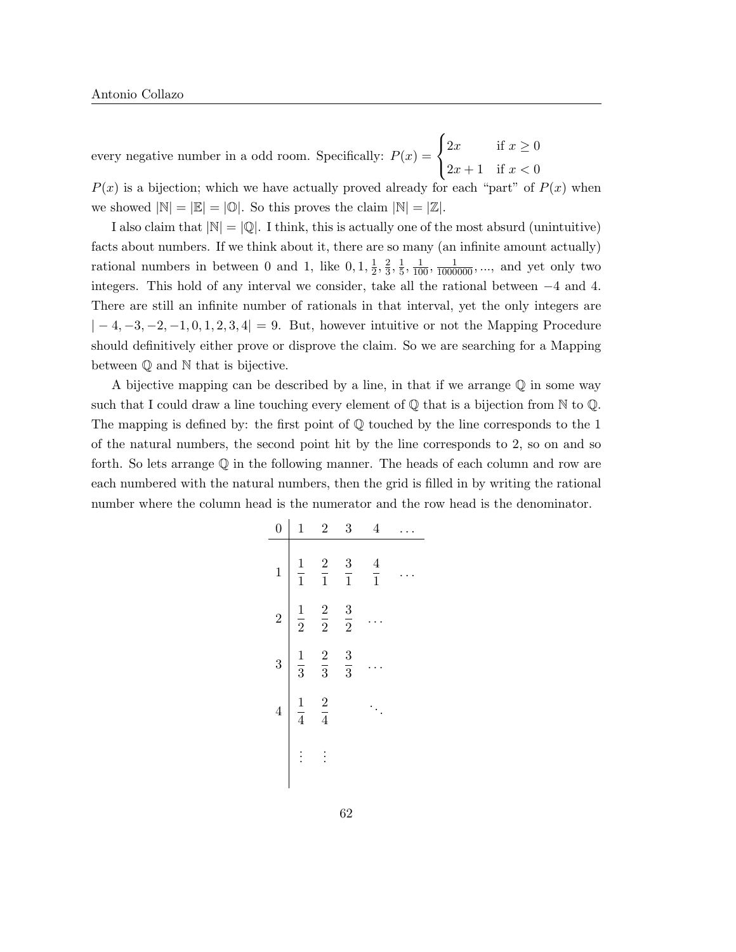every negative number in a odd room. Specifically:  $P(x) =$  $\sqrt{ }$ J  $\mathcal{L}$ 2x if  $x \geq 0$  $2x + 1$  if  $x < 0$ 

 $P(x)$  is a bijection; which we have actually proved already for each "part" of  $P(x)$  when we showed  $|\mathbb{N}| = |\mathbb{E}| = |\mathbb{O}|$ . So this proves the claim  $|\mathbb{N}| = |\mathbb{Z}|$ .

I also claim that  $|\mathbb{N}| = |\mathbb{Q}|$ . I think, this is actually one of the most absurd (unintuitive) facts about numbers. If we think about it, there are so many (an infinite amount actually) rational numbers in between 0 and 1, like  $0, 1, \frac{1}{2}$  $\frac{1}{2}, \frac{2}{3}$  $\frac{2}{3}, \frac{1}{5}$  $\frac{1}{5}$ ,  $\frac{1}{100}$ ,  $\frac{1}{1000000}$ , ..., and yet only two integers. This hold of any interval we consider, take all the rational between −4 and 4. There are still an infinite number of rationals in that interval, yet the only integers are  $|-4,-3,-2,-1,0,1,2,3,4|=9$ . But, however intuitive or not the Mapping Procedure should definitively either prove or disprove the claim. So we are searching for a Mapping between Q and N that is bijective.

A bijective mapping can be described by a line, in that if we arrange  $\mathbb Q$  in some way such that I could draw a line touching every element of  $\mathbb Q$  that is a bijection from  $\mathbb N$  to  $\mathbb Q$ . The mapping is defined by: the first point of  $\mathbb Q$  touched by the line corresponds to the 1 of the natural numbers, the second point hit by the line corresponds to 2, so on and so forth. So lets arrange Q in the following manner. The heads of each column and row are each numbered with the natural numbers, then the grid is filled in by writing the rational number where the column head is the numerator and the row head is the denominator.

| $\overline{0}$ | $\mathbf{1}$  | $\overline{2}$ | 3             | $\overline{4}$ |  |
|----------------|---------------|----------------|---------------|----------------|--|
| $\mathbf{1}$   | $\frac{1}{1}$ | $\frac{2}{1}$  | $\frac{3}{1}$ | $\frac{4}{1}$  |  |
| $\overline{2}$ | $\frac{1}{2}$ | $\frac{2}{2}$  | $\frac{3}{2}$ |                |  |
| 3              | $\frac{1}{3}$ | $\frac{2}{3}$  | $\frac{3}{3}$ |                |  |
| $\overline{4}$ | $\frac{1}{4}$ | $\frac{2}{4}$  |               |                |  |
|                |               |                |               |                |  |
|                |               |                |               |                |  |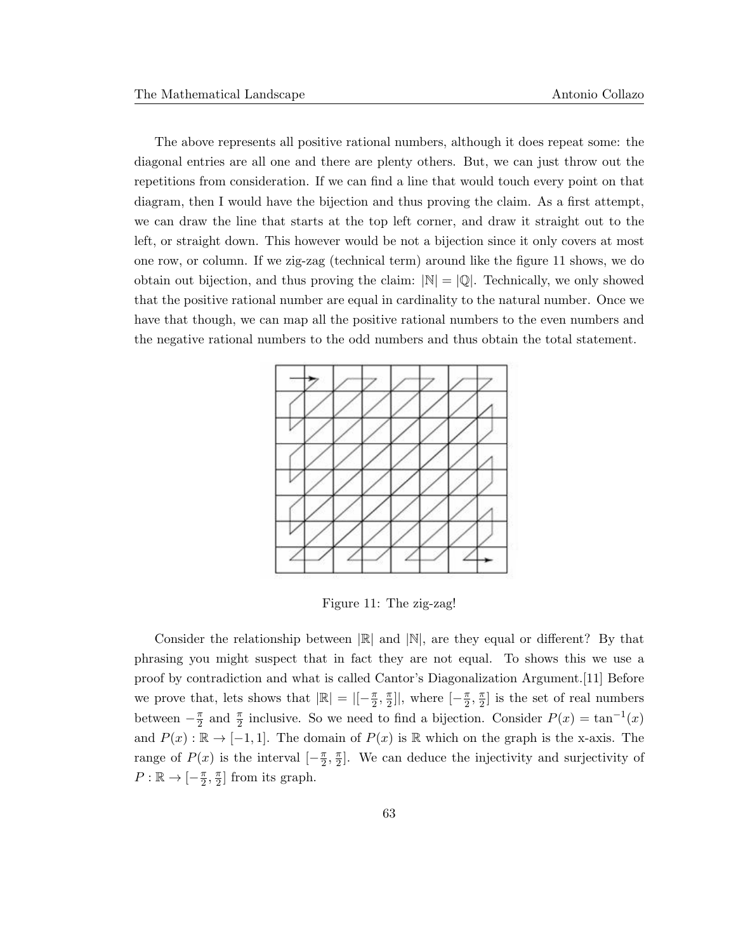The above represents all positive rational numbers, although it does repeat some: the diagonal entries are all one and there are plenty others. But, we can just throw out the repetitions from consideration. If we can find a line that would touch every point on that diagram, then I would have the bijection and thus proving the claim. As a first attempt, we can draw the line that starts at the top left corner, and draw it straight out to the left, or straight down. This however would be not a bijection since it only covers at most one row, or column. If we zig-zag (technical term) around like the figure 11 shows, we do obtain out bijection, and thus proving the claim:  $|\mathbb{N}| = |\mathbb{Q}|$ . Technically, we only showed that the positive rational number are equal in cardinality to the natural number. Once we have that though, we can map all the positive rational numbers to the even numbers and the negative rational numbers to the odd numbers and thus obtain the total statement.



Figure 11: The zig-zag!

Consider the relationship between  $\mathbb{R}$  and  $\mathbb{N}$ , are they equal or different? By that phrasing you might suspect that in fact they are not equal. To shows this we use a proof by contradiction and what is called Cantor's Diagonalization Argument.[11] Before we prove that, lets shows that  $|\mathbb{R}| = |[-\frac{\pi}{2}]|$  $\frac{\pi}{2}$ ,  $\frac{\pi}{2}$  $\frac{\pi}{2}$ ], where  $\left[-\frac{\pi}{2}\right]$  $\frac{\pi}{2}, \frac{\pi}{2}$  $\frac{\pi}{2}$  is the set of real numbers between  $-\frac{\pi}{2}$  $\frac{\pi}{2}$  and  $\frac{\pi}{2}$  inclusive. So we need to find a bijection. Consider  $P(x) = \tan^{-1}(x)$ and  $P(x): \mathbb{R} \to [-1, 1]$ . The domain of  $P(x)$  is  $\mathbb R$  which on the graph is the x-axis. The range of  $P(x)$  is the interval  $\left[-\frac{\pi}{2}\right]$  $\frac{\pi}{2}, \frac{\pi}{2}$  $\frac{\pi}{2}$ . We can deduce the injectivity and surjectivity of  $P:\mathbb{R}\to\lbrack-\frac{\pi}{2}\rbrack$  $\frac{\pi}{2}, \frac{\pi}{2}$  $\frac{\pi}{2}$  from its graph.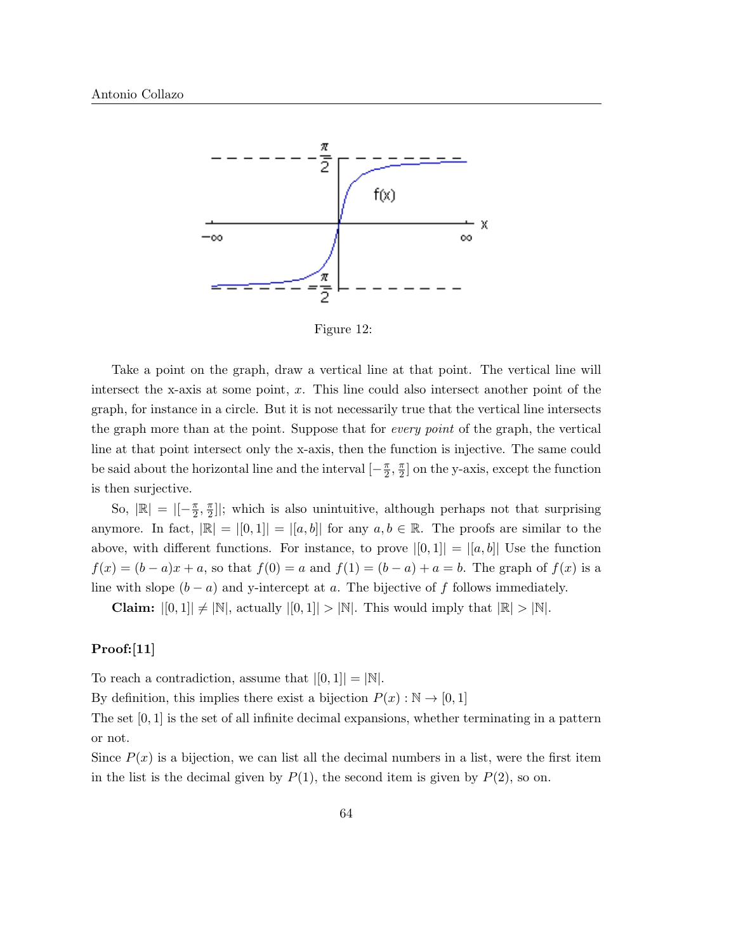

Figure 12:

Take a point on the graph, draw a vertical line at that point. The vertical line will intersect the x-axis at some point, x. This line could also intersect another point of the graph, for instance in a circle. But it is not necessarily true that the vertical line intersects the graph more than at the point. Suppose that for every point of the graph, the vertical line at that point intersect only the x-axis, then the function is injective. The same could be said about the horizontal line and the interval  $\left[-\frac{\pi}{2}\right]$  $\frac{\pi}{2}, \frac{\pi}{2}$  $\frac{\pi}{2}$  on the y-axis, except the function is then surjective.

So,  $|\mathbb{R}| = | \left[-\frac{\pi}{2}\right]$  $\frac{\pi}{2}, \frac{\pi}{2}$  $\frac{\pi}{2}$ ]; which is also unintuitive, although perhaps not that surprising anymore. In fact,  $|\mathbb{R}| = |[0,1]| = |[a,b]|$  for any  $a, b \in \mathbb{R}$ . The proofs are similar to the above, with different functions. For instance, to prove  $|[0,1]| = |[a,b]|$  Use the function  $f(x) = (b - a)x + a$ , so that  $f(0) = a$  and  $f(1) = (b - a) + a = b$ . The graph of  $f(x)$  is a line with slope  $(b - a)$  and y-intercept at a. The bijective of f follows immediately.

**Claim:**  $|[0,1]| \neq |N|$ , actually  $|[0,1]| > |N|$ . This would imply that  $|\mathbb{R}| > |N|$ .

#### Proof:[11]

To reach a contradiction, assume that  $|[0, 1]| = |N|$ .

By definition, this implies there exist a bijection  $P(x): \mathbb{N} \to [0, 1]$ 

The set  $[0, 1]$  is the set of all infinite decimal expansions, whether terminating in a pattern or not.

Since  $P(x)$  is a bijection, we can list all the decimal numbers in a list, were the first item in the list is the decimal given by  $P(1)$ , the second item is given by  $P(2)$ , so on.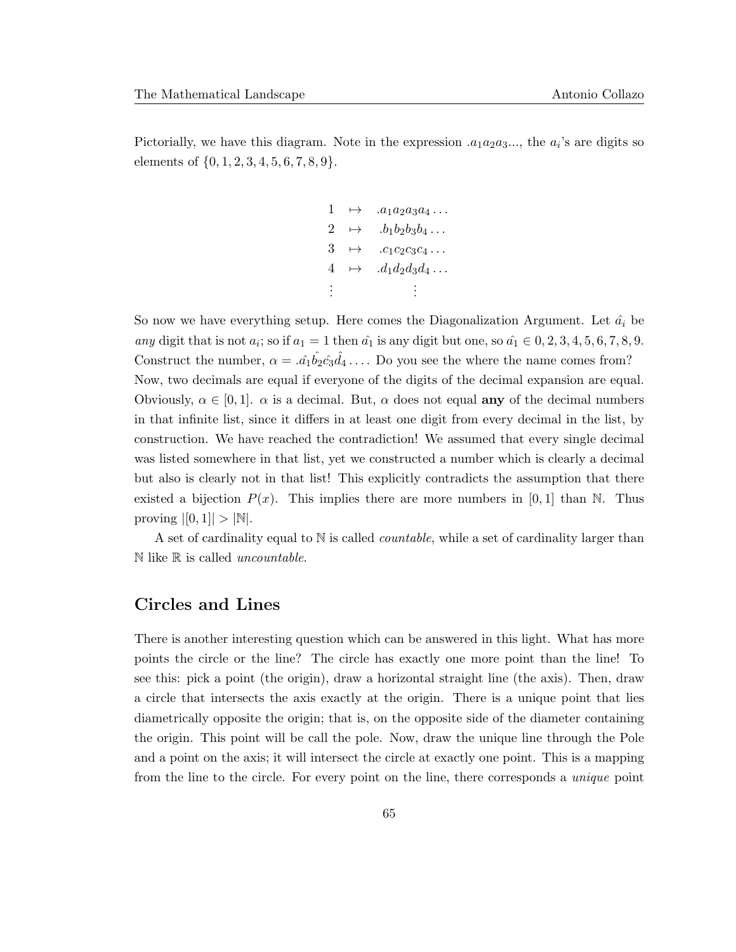Pictorially, we have this diagram. Note in the expression  $.a_1a_2a_3...,$  the  $a_i$ 's are digits so elements of  $\{0, 1, 2, 3, 4, 5, 6, 7, 8, 9\}.$ 

$$
\begin{array}{rcl}\n1 & \mapsto & .a_1a_2a_3a_4 \dots \\
2 & \mapsto & .b_1b_2b_3b_4 \dots \\
3 & \mapsto & .c_1c_2c_3c_4 \dots \\
4 & \mapsto & .d_1d_2d_3d_4 \dots \\
\vdots & & \vdots\n\end{array}
$$

So now we have everything setup. Here comes the Diagonalization Argument. Let  $\hat{a}_i$  be any digit that is not  $a_i$ ; so if  $a_1 = 1$  then  $\hat{a_1}$  is any digit but one, so  $\hat{a_1} \in 0, 2, 3, 4, 5, 6, 7, 8, 9$ . Construct the number,  $\alpha = .\hat{a_1} \hat{b_2} \hat{c_3} \hat{d_4} \dots$  Do you see the where the name comes from? Now, two decimals are equal if everyone of the digits of the decimal expansion are equal. Obviously,  $\alpha \in [0,1]$ .  $\alpha$  is a decimal. But,  $\alpha$  does not equal any of the decimal numbers in that infinite list, since it differs in at least one digit from every decimal in the list, by construction. We have reached the contradiction! We assumed that every single decimal was listed somewhere in that list, yet we constructed a number which is clearly a decimal but also is clearly not in that list! This explicitly contradicts the assumption that there existed a bijection  $P(x)$ . This implies there are more numbers in [0, 1] than N. Thus proving  $|[0, 1]| > |{\mathbb{N}}|.$ 

A set of cardinality equal to  $N$  is called *countable*, while a set of cardinality larger than  $\mathbb N$  like  $\mathbb R$  is called *uncountable*.

## Circles and Lines

There is another interesting question which can be answered in this light. What has more points the circle or the line? The circle has exactly one more point than the line! To see this: pick a point (the origin), draw a horizontal straight line (the axis). Then, draw a circle that intersects the axis exactly at the origin. There is a unique point that lies diametrically opposite the origin; that is, on the opposite side of the diameter containing the origin. This point will be call the pole. Now, draw the unique line through the Pole and a point on the axis; it will intersect the circle at exactly one point. This is a mapping from the line to the circle. For every point on the line, there corresponds a *unique* point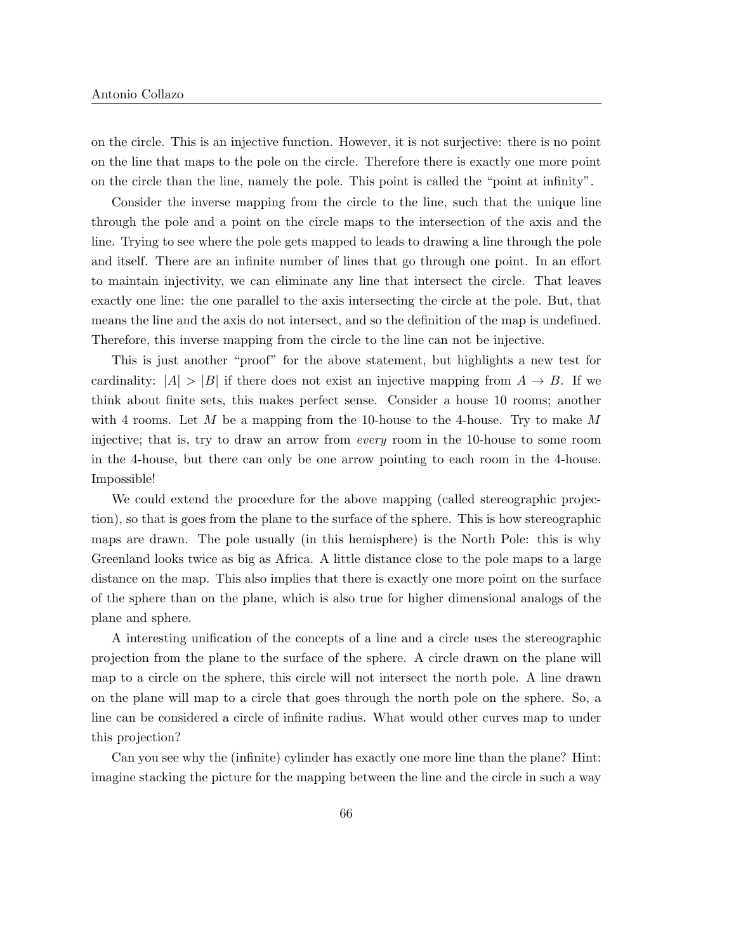on the circle. This is an injective function. However, it is not surjective: there is no point on the line that maps to the pole on the circle. Therefore there is exactly one more point on the circle than the line, namely the pole. This point is called the "point at infinity".

Consider the inverse mapping from the circle to the line, such that the unique line through the pole and a point on the circle maps to the intersection of the axis and the line. Trying to see where the pole gets mapped to leads to drawing a line through the pole and itself. There are an infinite number of lines that go through one point. In an effort to maintain injectivity, we can eliminate any line that intersect the circle. That leaves exactly one line: the one parallel to the axis intersecting the circle at the pole. But, that means the line and the axis do not intersect, and so the definition of the map is undefined. Therefore, this inverse mapping from the circle to the line can not be injective.

This is just another "proof" for the above statement, but highlights a new test for cardinality:  $|A| > |B|$  if there does not exist an injective mapping from  $A \rightarrow B$ . If we think about finite sets, this makes perfect sense. Consider a house 10 rooms; another with 4 rooms. Let M be a mapping from the 10-house to the 4-house. Try to make M injective; that is, try to draw an arrow from every room in the 10-house to some room in the 4-house, but there can only be one arrow pointing to each room in the 4-house. Impossible!

We could extend the procedure for the above mapping (called stereographic projection), so that is goes from the plane to the surface of the sphere. This is how stereographic maps are drawn. The pole usually (in this hemisphere) is the North Pole: this is why Greenland looks twice as big as Africa. A little distance close to the pole maps to a large distance on the map. This also implies that there is exactly one more point on the surface of the sphere than on the plane, which is also true for higher dimensional analogs of the plane and sphere.

A interesting unification of the concepts of a line and a circle uses the stereographic projection from the plane to the surface of the sphere. A circle drawn on the plane will map to a circle on the sphere, this circle will not intersect the north pole. A line drawn on the plane will map to a circle that goes through the north pole on the sphere. So, a line can be considered a circle of infinite radius. What would other curves map to under this projection?

Can you see why the (infinite) cylinder has exactly one more line than the plane? Hint: imagine stacking the picture for the mapping between the line and the circle in such a way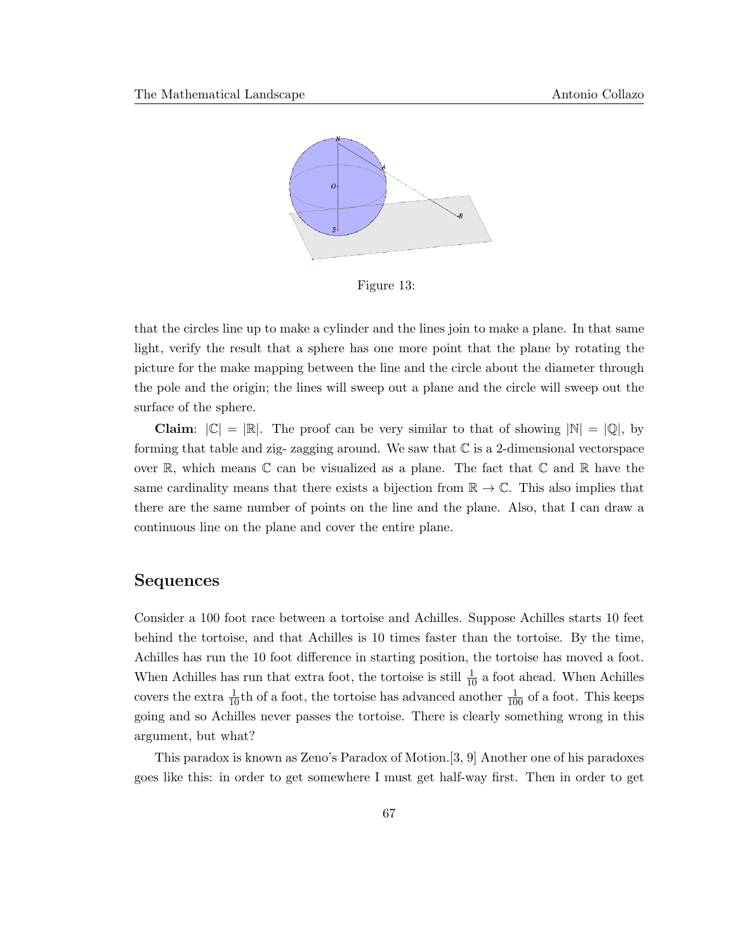

Figure 13:

that the circles line up to make a cylinder and the lines join to make a plane. In that same light, verify the result that a sphere has one more point that the plane by rotating the picture for the make mapping between the line and the circle about the diameter through the pole and the origin; the lines will sweep out a plane and the circle will sweep out the surface of the sphere.

**Claim:**  $|\mathbb{C}| = |\mathbb{R}|$ . The proof can be very similar to that of showing  $|\mathbb{N}| = |\mathbb{Q}|$ , by forming that table and zig- zagging around. We saw that  $\mathbb C$  is a 2-dimensional vectorspace over  $\mathbb{R}$ , which means  $\mathbb{C}$  can be visualized as a plane. The fact that  $\mathbb{C}$  and  $\mathbb{R}$  have the same cardinality means that there exists a bijection from  $\mathbb{R} \to \mathbb{C}$ . This also implies that there are the same number of points on the line and the plane. Also, that I can draw a continuous line on the plane and cover the entire plane.

### Sequences

Consider a 100 foot race between a tortoise and Achilles. Suppose Achilles starts 10 feet behind the tortoise, and that Achilles is 10 times faster than the tortoise. By the time, Achilles has run the 10 foot difference in starting position, the tortoise has moved a foot. When Achilles has run that extra foot, the tortoise is still  $\frac{1}{10}$  a foot ahead. When Achilles covers the extra  $\frac{1}{10}$ th of a foot, the tortoise has advanced another  $\frac{1}{100}$  of a foot. This keeps going and so Achilles never passes the tortoise. There is clearly something wrong in this argument, but what?

This paradox is known as Zeno's Paradox of Motion.[3, 9] Another one of his paradoxes goes like this: in order to get somewhere I must get half-way first. Then in order to get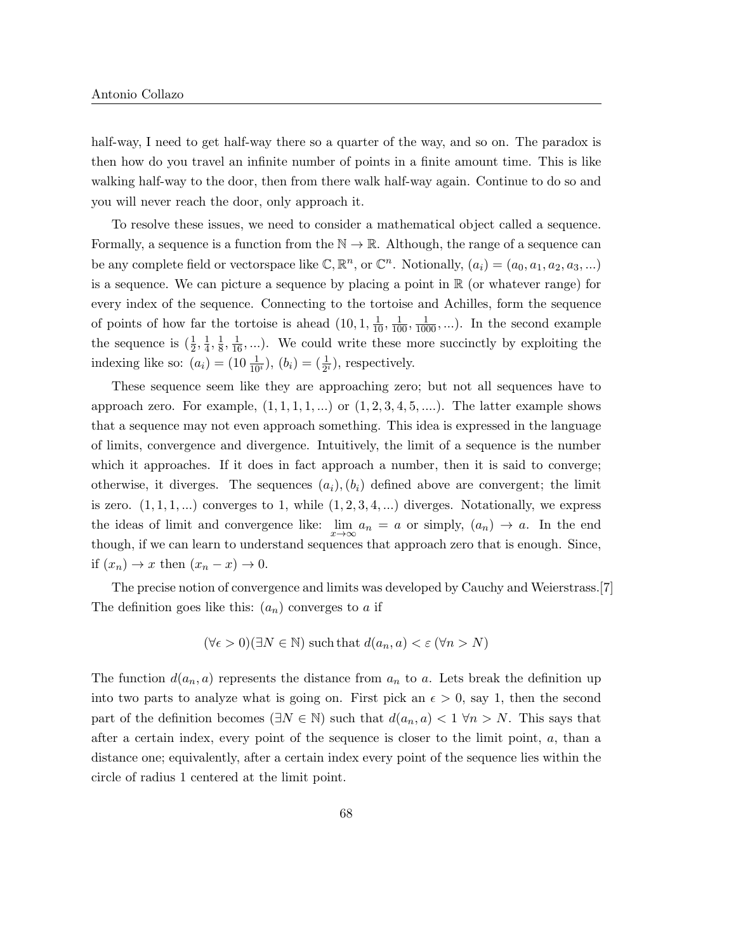half-way. I need to get half-way there so a quarter of the way, and so on. The paradox is then how do you travel an infinite number of points in a finite amount time. This is like walking half-way to the door, then from there walk half-way again. Continue to do so and you will never reach the door, only approach it.

To resolve these issues, we need to consider a mathematical object called a sequence. Formally, a sequence is a function from the  $\mathbb{N} \to \mathbb{R}$ . Although, the range of a sequence can be any complete field or vectorspace like  $\mathbb{C}, \mathbb{R}^n$ , or  $\mathbb{C}^n$ . Notionally,  $(a_i) = (a_0, a_1, a_2, a_3, ...)$ is a sequence. We can picture a sequence by placing a point in  $\mathbb R$  (or whatever range) for every index of the sequence. Connecting to the tortoise and Achilles, form the sequence of points of how far the tortoise is ahead  $(10, 1, \frac{1}{10}, \frac{1}{100}, \frac{1}{1000}, \ldots)$ . In the second example the sequence is  $(\frac{1}{2}, \frac{1}{4})$  $\frac{1}{4}, \frac{1}{8}$  $\frac{1}{8}, \frac{1}{16}, \ldots$ ). We could write these more succinctly by exploiting the indexing like so:  $(a_i) = (10 \frac{1}{10^i}), (b_i) = (\frac{1}{2^i})$ , respectively.

These sequence seem like they are approaching zero; but not all sequences have to approach zero. For example,  $(1, 1, 1, 1, ...)$  or  $(1, 2, 3, 4, 5, ...)$ . The latter example shows that a sequence may not even approach something. This idea is expressed in the language of limits, convergence and divergence. Intuitively, the limit of a sequence is the number which it approaches. If it does in fact approach a number, then it is said to converge; otherwise, it diverges. The sequences  $(a_i), (b_i)$  defined above are convergent; the limit is zero.  $(1, 1, 1, \ldots)$  converges to 1, while  $(1, 2, 3, 4, \ldots)$  diverges. Notationally, we express the ideas of limit and convergence like:  $\lim_{x \to \infty} a_n = a$  or simply,  $(a_n) \to a$ . In the end though, if we can learn to understand sequences that approach zero that is enough. Since, if  $(x_n) \to x$  then  $(x_n - x) \to 0$ .

The precise notion of convergence and limits was developed by Cauchy and Weierstrass.[7] The definition goes like this:  $(a_n)$  converges to a if

$$
(\forall \epsilon > 0)(\exists N \in \mathbb{N})
$$
 such that  $d(a_n, a) < \epsilon (\forall n > N)$ 

The function  $d(a_n, a)$  represents the distance from  $a_n$  to a. Lets break the definition up into two parts to analyze what is going on. First pick an  $\epsilon > 0$ , say 1, then the second part of the definition becomes ( $\exists N \in \mathbb{N}$ ) such that  $d(a_n, a) < 1 \forall n > N$ . This says that after a certain index, every point of the sequence is closer to the limit point, a, than a distance one; equivalently, after a certain index every point of the sequence lies within the circle of radius 1 centered at the limit point.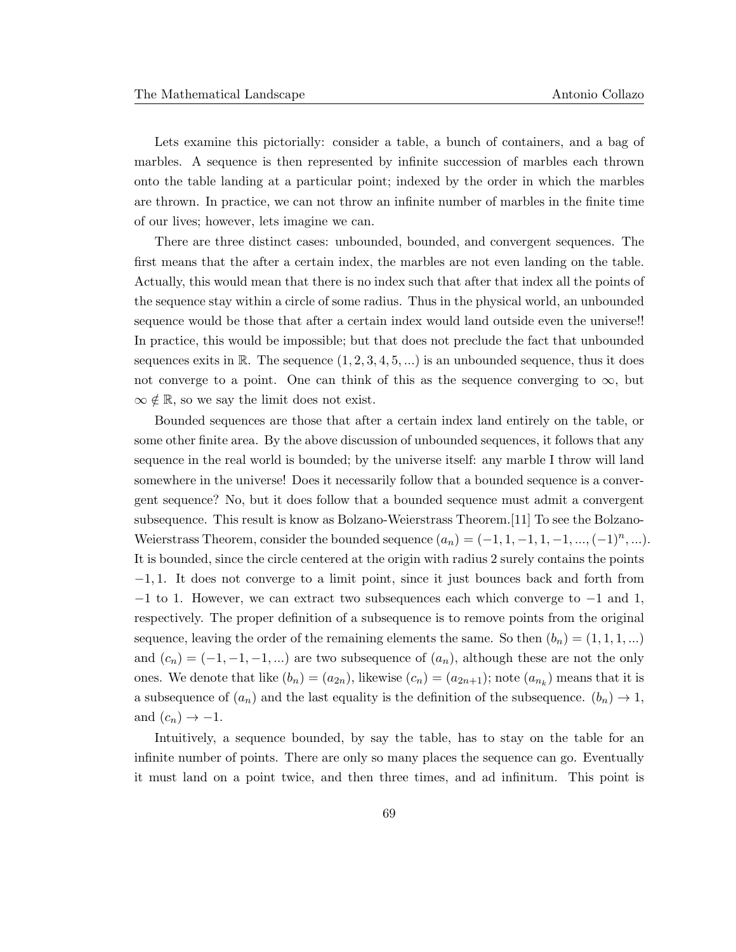Lets examine this pictorially: consider a table, a bunch of containers, and a bag of marbles. A sequence is then represented by infinite succession of marbles each thrown onto the table landing at a particular point; indexed by the order in which the marbles are thrown. In practice, we can not throw an infinite number of marbles in the finite time of our lives; however, lets imagine we can.

There are three distinct cases: unbounded, bounded, and convergent sequences. The first means that the after a certain index, the marbles are not even landing on the table. Actually, this would mean that there is no index such that after that index all the points of the sequence stay within a circle of some radius. Thus in the physical world, an unbounded sequence would be those that after a certain index would land outside even the universe!! In practice, this would be impossible; but that does not preclude the fact that unbounded sequences exits in R. The sequence  $(1, 2, 3, 4, 5, ...)$  is an unbounded sequence, thus it does not converge to a point. One can think of this as the sequence converging to  $\infty$ , but  $\infty \notin \mathbb{R}$ , so we say the limit does not exist.

Bounded sequences are those that after a certain index land entirely on the table, or some other finite area. By the above discussion of unbounded sequences, it follows that any sequence in the real world is bounded; by the universe itself: any marble I throw will land somewhere in the universe! Does it necessarily follow that a bounded sequence is a convergent sequence? No, but it does follow that a bounded sequence must admit a convergent subsequence. This result is know as Bolzano-Weierstrass Theorem.[11] To see the Bolzano-Weierstrass Theorem, consider the bounded sequence  $(a_n) = (-1, 1, -1, 1, -1, ..., (-1)^n, ...)$ . It is bounded, since the circle centered at the origin with radius 2 surely contains the points −1, 1. It does not converge to a limit point, since it just bounces back and forth from  $-1$  to 1. However, we can extract two subsequences each which converge to  $-1$  and 1, respectively. The proper definition of a subsequence is to remove points from the original sequence, leaving the order of the remaining elements the same. So then  $(b_n) = (1, 1, 1, ...)$ and  $(c_n) = (-1, -1, -1, ...)$  are two subsequence of  $(a_n)$ , although these are not the only ones. We denote that like  $(b_n) = (a_{2n})$ , likewise  $(c_n) = (a_{2n+1})$ ; note  $(a_{n_k})$  means that it is a subsequence of  $(a_n)$  and the last equality is the definition of the subsequence.  $(b_n) \rightarrow 1$ , and  $(c_n) \rightarrow -1$ .

Intuitively, a sequence bounded, by say the table, has to stay on the table for an infinite number of points. There are only so many places the sequence can go. Eventually it must land on a point twice, and then three times, and ad infinitum. This point is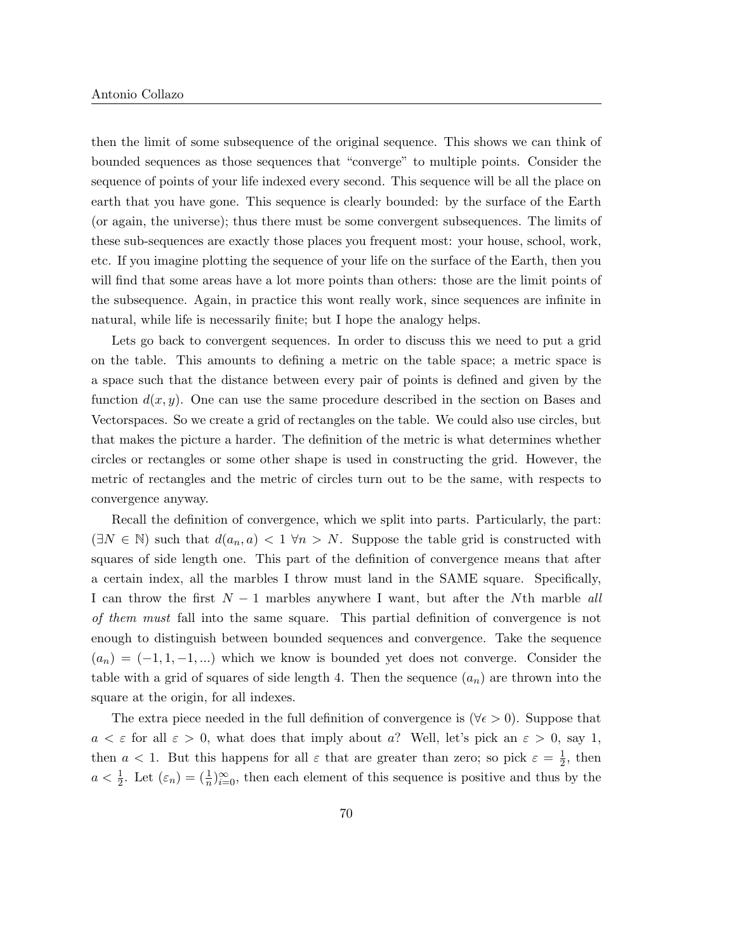then the limit of some subsequence of the original sequence. This shows we can think of bounded sequences as those sequences that "converge" to multiple points. Consider the sequence of points of your life indexed every second. This sequence will be all the place on earth that you have gone. This sequence is clearly bounded: by the surface of the Earth (or again, the universe); thus there must be some convergent subsequences. The limits of these sub-sequences are exactly those places you frequent most: your house, school, work, etc. If you imagine plotting the sequence of your life on the surface of the Earth, then you will find that some areas have a lot more points than others: those are the limit points of the subsequence. Again, in practice this wont really work, since sequences are infinite in natural, while life is necessarily finite; but I hope the analogy helps.

Lets go back to convergent sequences. In order to discuss this we need to put a grid on the table. This amounts to defining a metric on the table space; a metric space is a space such that the distance between every pair of points is defined and given by the function  $d(x, y)$ . One can use the same procedure described in the section on Bases and Vectorspaces. So we create a grid of rectangles on the table. We could also use circles, but that makes the picture a harder. The definition of the metric is what determines whether circles or rectangles or some other shape is used in constructing the grid. However, the metric of rectangles and the metric of circles turn out to be the same, with respects to convergence anyway.

Recall the definition of convergence, which we split into parts. Particularly, the part:  $(\exists N \in \mathbb{N})$  such that  $d(a_n, a) < 1 \forall n > N$ . Suppose the table grid is constructed with squares of side length one. This part of the definition of convergence means that after a certain index, all the marbles I throw must land in the SAME square. Specifically, I can throw the first  $N-1$  marbles anywhere I want, but after the Nth marble all of them must fall into the same square. This partial definition of convergence is not enough to distinguish between bounded sequences and convergence. Take the sequence  $(a_n) = (-1, 1, -1, ...)$  which we know is bounded yet does not converge. Consider the table with a grid of squares of side length 4. Then the sequence  $(a_n)$  are thrown into the square at the origin, for all indexes.

The extra piece needed in the full definition of convergence is ( $\forall \epsilon > 0$ ). Suppose that  $a < \varepsilon$  for all  $\varepsilon > 0$ , what does that imply about a? Well, let's pick an  $\varepsilon > 0$ , say 1, then  $a < 1$ . But this happens for all  $\varepsilon$  that are greater than zero; so pick  $\varepsilon = \frac{1}{2}$  $\frac{1}{2}$ , then  $a < \frac{1}{2}$ . Let  $(\varepsilon_n) = (\frac{1}{n})_{i=0}^{\infty}$ , then each element of this sequence is positive and thus by the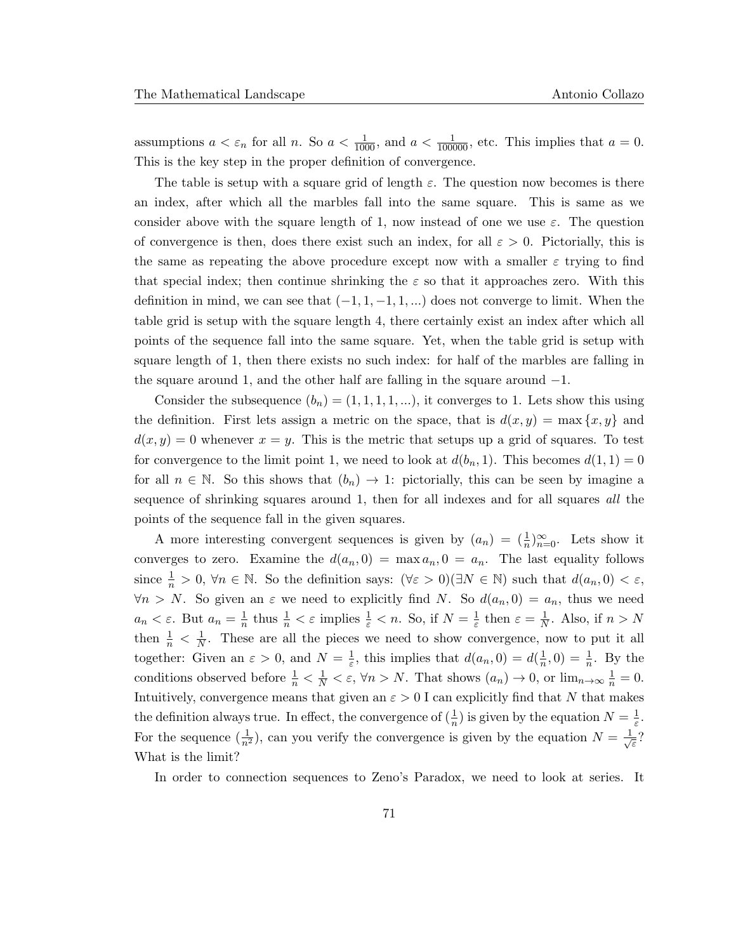assumptions  $a < \varepsilon_n$  for all n. So  $a < \frac{1}{1000}$ , and  $a < \frac{1}{100000}$ , etc. This implies that  $a = 0$ . This is the key step in the proper definition of convergence.

The table is setup with a square grid of length  $\varepsilon$ . The question now becomes is there an index, after which all the marbles fall into the same square. This is same as we consider above with the square length of 1, now instead of one we use  $\varepsilon$ . The question of convergence is then, does there exist such an index, for all  $\varepsilon > 0$ . Pictorially, this is the same as repeating the above procedure except now with a smaller  $\varepsilon$  trying to find that special index; then continue shrinking the  $\varepsilon$  so that it approaches zero. With this definition in mind, we can see that  $(-1, 1, -1, 1, ...)$  does not converge to limit. When the table grid is setup with the square length 4, there certainly exist an index after which all points of the sequence fall into the same square. Yet, when the table grid is setup with square length of 1, then there exists no such index: for half of the marbles are falling in the square around 1, and the other half are falling in the square around  $-1$ .

Consider the subsequence  $(b_n) = (1, 1, 1, 1, ...)$ , it converges to 1. Lets show this using the definition. First lets assign a metric on the space, that is  $d(x, y) = \max\{x, y\}$  and  $d(x, y) = 0$  whenever  $x = y$ . This is the metric that setups up a grid of squares. To test for convergence to the limit point 1, we need to look at  $d(b_n, 1)$ . This becomes  $d(1, 1) = 0$ for all  $n \in \mathbb{N}$ . So this shows that  $(b_n) \to 1$ : pictorially, this can be seen by imagine a sequence of shrinking squares around 1, then for all indexes and for all squares *all* the points of the sequence fall in the given squares.

A more interesting convergent sequences is given by  $(a_n) = (\frac{1}{n})_{n=0}^{\infty}$ . Lets show it converges to zero. Examine the  $d(a_n, 0) = \max a_n, 0 = a_n$ . The last equality follows since  $\frac{1}{n} > 0$ ,  $\forall n \in \mathbb{N}$ . So the definition says:  $(\forall \varepsilon > 0)(\exists N \in \mathbb{N})$  such that  $d(a_n, 0) < \varepsilon$ ,  $\forall n > N$ . So given an  $\varepsilon$  we need to explicitly find N. So  $d(a_n, 0) = a_n$ , thus we need  $a_n < \varepsilon$ . But  $a_n = \frac{1}{n}$  $\frac{1}{n}$  thus  $\frac{1}{n} < \varepsilon$  implies  $\frac{1}{\varepsilon} < n$ . So, if  $N = \frac{1}{\varepsilon}$  $\frac{1}{\varepsilon}$  then  $\varepsilon = \frac{1}{N}$  $\frac{1}{N}$ . Also, if  $n > N$ then  $\frac{1}{n} < \frac{1}{N}$  $\frac{1}{N}$ . These are all the pieces we need to show convergence, now to put it all together: Given an  $\varepsilon > 0$ , and  $N = \frac{1}{\varepsilon}$  $\frac{1}{\varepsilon}$ , this implies that  $d(a_n, 0) = d(\frac{1}{n})$  $(\frac{1}{n},0) = \frac{1}{n}$ . By the conditions observed before  $\frac{1}{n} < \frac{1}{N} < \varepsilon$ ,  $\forall n > N$ . That shows  $(a_n) \to 0$ , or  $\lim_{n \to \infty} \frac{1}{n} = 0$ . Intuitively, convergence means that given an  $\varepsilon > 0$  I can explicitly find that N that makes the definition always true. In effect, the convergence of  $(\frac{1}{n})$  is given by the equation  $N = \frac{1}{\varepsilon}$  $\frac{1}{\varepsilon}$ . For the sequence  $(\frac{1}{n^2})$ , can you verify the convergence is given by the equation  $N = \frac{1}{\sqrt{2}}$ ε ? What is the limit?

In order to connection sequences to Zeno's Paradox, we need to look at series. It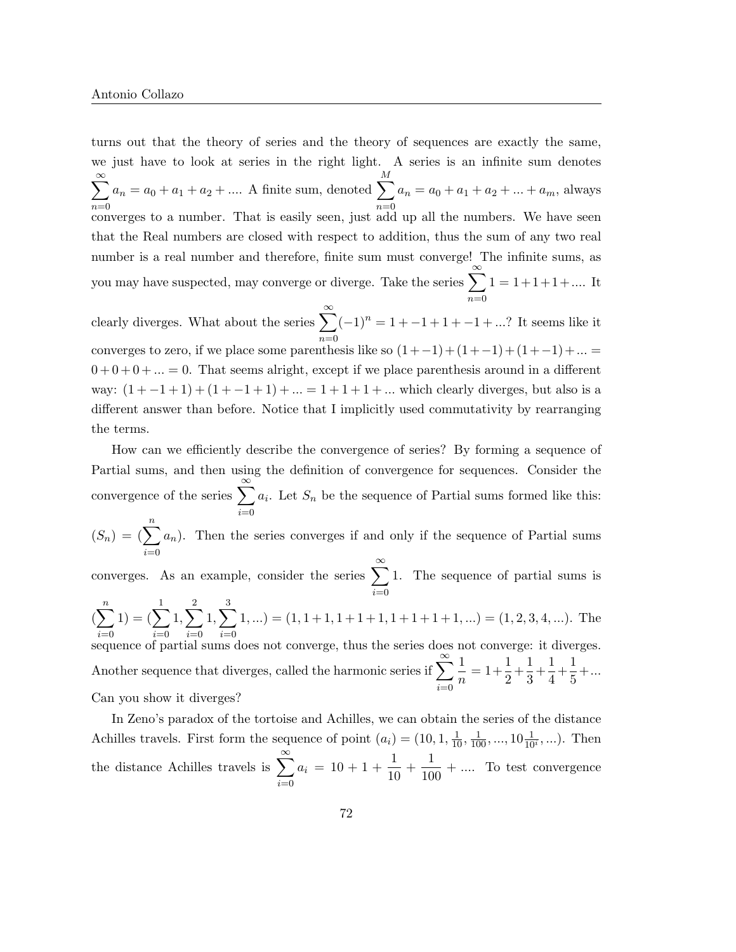turns out that the theory of series and the theory of sequences are exactly the same, we just have to look at series in the right light. A series is an infinite sum denotes  $\sum^{\infty}$  $n=0$  $a_n = a_0 + a_1 + a_2 + \dots$  A finite sum, denoted  $\sum$ M  $n=0$  $a_n = a_0 + a_1 + a_2 + \dots + a_m$ , always converges to a number. That is easily seen, just add up all the numbers. We have seen that the Real numbers are closed with respect to addition, thus the sum of any two real number is a real number and therefore, finite sum must converge! The infinite sums, as you may have suspected, may converge or diverge. Take the series  $\sum_{n=1}^{\infty}$  $n=0$  $1 = 1 + 1 + 1 + \dots$  It clearly diverges. What about the series  $\sum_{n=1}^{\infty}$  $n=0$  $(-1)^n = 1 - 1 + 1 - 1 + \dots$ ? It seems like it converges to zero, if we place some parenthesis like so  $(1+(-1)+(1+(-1)+(1+(-1)+... =$  $0 + 0 + 0 + ... = 0$ . That seems alright, except if we place parenthesis around in a different way:  $(1 + -1 + 1) + (1 - 1 + 1) + ... = 1 + 1 + 1 + ...$  which clearly diverges, but also is a different answer than before. Notice that I implicitly used commutativity by rearranging the terms.

How can we efficiently describe the convergence of series? By forming a sequence of Partial sums, and then using the definition of convergence for sequences. Consider the convergence of the series  $\sum_{n=1}^{\infty}$  $i=0$  $a_i$ . Let  $S_n$  be the sequence of Partial sums formed like this:

 $(S_n) = (\sum^n)$  $i=0$  $a_n$ ). Then the series converges if and only if the sequence of Partial sums

converges. As an example, consider the series  $\sum_{n=1}^{\infty}$  $i=0$ 1. The sequence of partial sums is  $\left(\sum_{n=1}^{n}\right)$  $\dot{i}=0$  $1) = (\sum$ 1  $i=0$  $1, \sum$ 2  $i=0$  $1, \sum$ 3  $i=0$  $(1, ...)= (1, 1+1, 1+1+1, 1+1+1+1, ...) = (1, 2, 3, 4, ...)$ . The sequence of partial sums does not converge, thus the series does not converge: it diverges. Another sequence that diverges, called the harmonic series if  $\sum_{n=1}^{\infty}$  $i=0$ 1  $\frac{1}{n} = 1 + \frac{1}{2}$  $\frac{1}{2} + \frac{1}{3}$  $\frac{1}{3} + \frac{1}{4}$  $\frac{1}{4} + \frac{1}{5}$  $\frac{1}{5} + ...$ Can you show it diverges?

In Zeno's paradox of the tortoise and Achilles, we can obtain the series of the distance Achilles travels. First form the sequence of point  $(a_i) = (10, 1, \frac{1}{10}, \frac{1}{100}, ..., 10\frac{1}{10i}, ...)$ . Then the distance Achilles travels is  $\sum_{n=1}^{\infty}$  $i=0$  $a_i = 10 + 1 + \frac{1}{10}$  $\frac{1}{10} + \frac{1}{10}$  $\frac{1}{100} + \dots$  To test convergence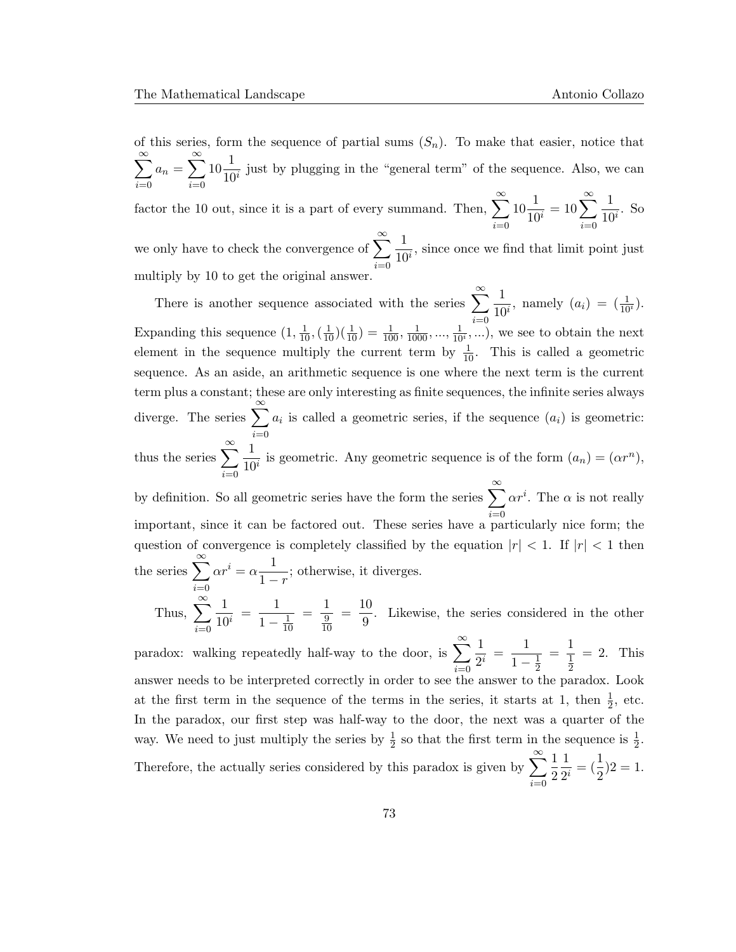of this series, form the sequence of partial sums  $(S_n)$ . To make that easier, notice that  $\sum^{\infty}$  $i=0$  $a_n = \sum_{n=1}^{\infty}$  $i=0$  $10\frac{1}{10}$  $\frac{1}{10^i}$  just by plugging in the "general term" of the sequence. Also, we can factor the 10 out, since it is a part of every summand. Then,  $\sum_{n=1}^{\infty} 10 \frac{1}{10}$ we only have to check the convergence of  $\sum_{n=0}^{\infty} \frac{1}{10^n}$ , since once we find that limit p  $\frac{1}{10^i} = 10 \sum_{i=0}^{\infty} \frac{1}{10^i}$  $\frac{1}{10^i}$ . So  $i=0$ 1  $\frac{1}{10^i}$ , since once we find that limit point just multiply by 10 to get the original answer.

There is another sequence associated with the series  $\sum_{n=1}^{\infty}$  $i=0$ 1  $\frac{1}{10^i}$ , namely  $(a_i) = (\frac{1}{10^i})$ . Expanding this sequence  $(1, \frac{1}{10}, (\frac{1}{10})(\frac{1}{10}) = \frac{1}{100}, \frac{1}{1000}, ..., \frac{1}{10i}, ...),$  we see to obtain the next element in the sequence multiply the current term by  $\frac{1}{10}$ . This is called a geometric sequence. As an aside, an arithmetic sequence is one where the next term is the current term plus a constant; these are only interesting as finite sequences, the infinite series always diverge. The series  $\sum_{i=1}^{\infty} a_i$  is called a geometric series, if the sequence  $(a_i)$  is geometric: thus the series  $\sum_{n=0}^{\infty} \frac{1}{10^n}$  $i=0$ 1  $\frac{1}{10^i}$  is geometric. Any geometric sequence is of the form  $(a_n) = (\alpha r^n)$ , by definition. So all geometric series have the form the series  $\sum_{n=1}^{\infty}$  $i=0$  $\alpha r^i$ . The  $\alpha$  is not really important, since it can be factored out. These series have a particularly nice form; the question of convergence is completely classified by the equation  $|r| < 1$ . If  $|r| < 1$  then the series  $\sum_{i=1}^{\infty} \alpha r^i = \alpha \frac{1}{1-\alpha}$ 

 $i=0$ Thus,  $\sum_{n=1}^{\infty}$  $i=0$ 1  $\frac{1}{10^i} = \frac{1}{1}$  $1 - \frac{1}{10}$ 10  $=\frac{1}{2}$ 9 10  $=\frac{10}{2}$  $\frac{1}{9}$ . Likewise, the series considered in the other

 $\frac{1}{1-r}$ ; otherwise, it diverges.

paradox: walking repeatedly half-way to the door, is  $\sum_{n=1}^{\infty}$  $i=0$ 1  $\frac{1}{2^i} = \frac{1}{1-}$  $1-\frac{1}{2}$  $\overline{2}$  $=\frac{1}{1}$ 1  $\overline{2}$  $= 2$ . This answer needs to be interpreted correctly in order to see the answer to the paradox. Look at the first term in the sequence of the terms in the series, it starts at 1, then  $\frac{1}{2}$ , etc. In the paradox, our first step was half-way to the door, the next was a quarter of the way. We need to just multiply the series by  $\frac{1}{2}$  so that the first term in the sequence is  $\frac{1}{2}$ . Therefore, the actually series considered by this paradox is given by  $\sum_{n=1}^{\infty}$  $i=0$ 1 2 1  $\frac{1}{2^i} = (\frac{1}{2})2 = 1.$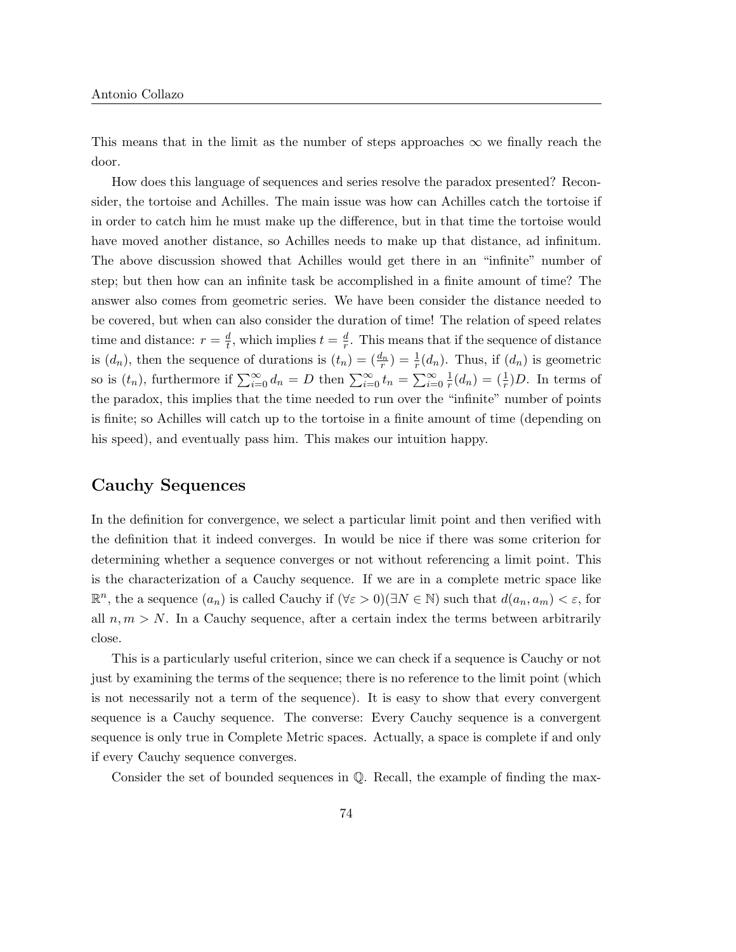This means that in the limit as the number of steps approaches  $\infty$  we finally reach the door.

How does this language of sequences and series resolve the paradox presented? Reconsider, the tortoise and Achilles. The main issue was how can Achilles catch the tortoise if in order to catch him he must make up the difference, but in that time the tortoise would have moved another distance, so Achilles needs to make up that distance, ad infinitum. The above discussion showed that Achilles would get there in an "infinite" number of step; but then how can an infinite task be accomplished in a finite amount of time? The answer also comes from geometric series. We have been consider the distance needed to be covered, but when can also consider the duration of time! The relation of speed relates time and distance:  $r = \frac{d}{t}$  $\frac{d}{t}$ , which implies  $t = \frac{d}{r}$  $\frac{a}{r}$ . This means that if the sequence of distance is  $(d_n)$ , then the sequence of durations is  $(t_n) = \left(\frac{d_n}{r}\right) = \frac{1}{r}(d_n)$ . Thus, if  $(d_n)$  is geometric so is  $(t_n)$ , furthermore if  $\sum_{i=0}^{\infty} d_n = D$  then  $\sum_{i=0}^{\infty} t_n = \sum_{i=0}^{\infty} \frac{1}{r}$  $\frac{1}{r}(d_n) = \left(\frac{1}{r}\right)D$ . In terms of the paradox, this implies that the time needed to run over the "infinite" number of points is finite; so Achilles will catch up to the tortoise in a finite amount of time (depending on his speed), and eventually pass him. This makes our intuition happy.

### Cauchy Sequences

In the definition for convergence, we select a particular limit point and then verified with the definition that it indeed converges. In would be nice if there was some criterion for determining whether a sequence converges or not without referencing a limit point. This is the characterization of a Cauchy sequence. If we are in a complete metric space like  $\mathbb{R}^n$ , the a sequence  $(a_n)$  is called Cauchy if  $(\forall \varepsilon > 0)(\exists N \in \mathbb{N})$  such that  $d(a_n, a_m) < \varepsilon$ , for all  $n, m > N$ . In a Cauchy sequence, after a certain index the terms between arbitrarily close.

This is a particularly useful criterion, since we can check if a sequence is Cauchy or not just by examining the terms of the sequence; there is no reference to the limit point (which is not necessarily not a term of the sequence). It is easy to show that every convergent sequence is a Cauchy sequence. The converse: Every Cauchy sequence is a convergent sequence is only true in Complete Metric spaces. Actually, a space is complete if and only if every Cauchy sequence converges.

Consider the set of bounded sequences in Q. Recall, the example of finding the max-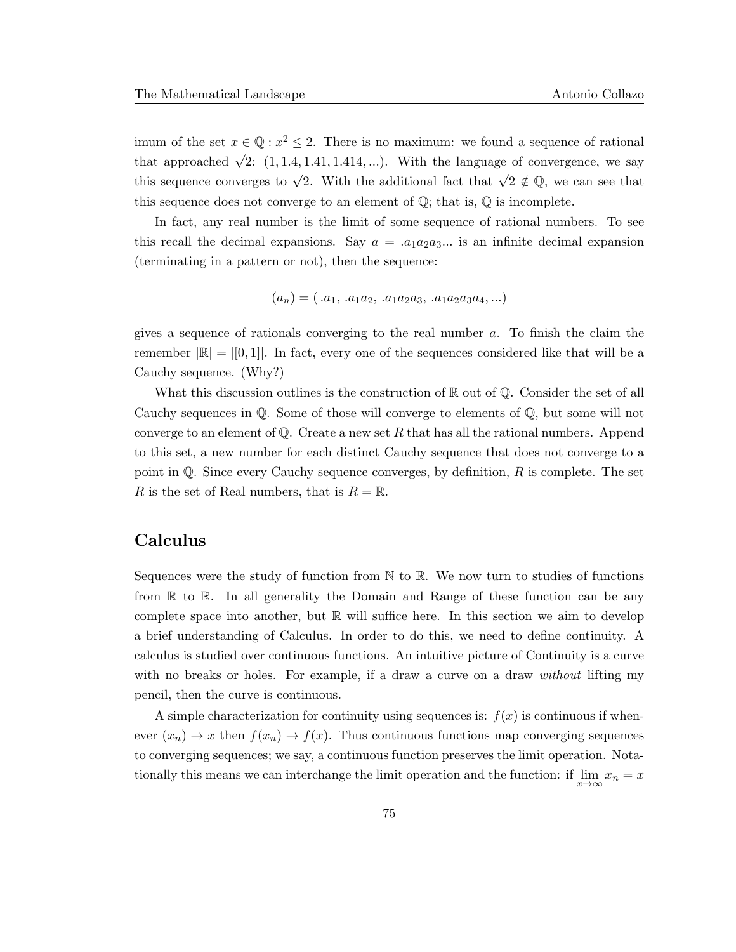imum of the set  $x \in \mathbb{Q} : x^2 \leq 2$ . There is no maximum: we found a sequence of rational that approached  $\sqrt{2}$ : (1, 1.4, 1.41, 1.414, ...). With the language of convergence, we say this sequence converges to  $\sqrt{2}$ . With the additional fact that  $\sqrt{2} \notin \mathbb{Q}$ , we can see that this sequence does not converge to an element of  $\mathbb{Q}$ ; that is,  $\mathbb Q$  is incomplete.

In fact, any real number is the limit of some sequence of rational numbers. To see this recall the decimal expansions. Say  $a = .a_1a_2a_3...$  is an infinite decimal expansion (terminating in a pattern or not), then the sequence:

$$
(a_n) = ( .a_1, .a_1a_2, .a_1a_2a_3, .a_1a_2a_3a_4, ...)
$$

gives a sequence of rationals converging to the real number a. To finish the claim the remember  $|\mathbb{R}| = |[0,1]|$ . In fact, every one of the sequences considered like that will be a Cauchy sequence. (Why?)

What this discussion outlines is the construction of  $\mathbb R$  out of  $\mathbb Q$ . Consider the set of all Cauchy sequences in Q. Some of those will converge to elements of Q, but some will not converge to an element of  $\mathbb Q$ . Create a new set R that has all the rational numbers. Append to this set, a new number for each distinct Cauchy sequence that does not converge to a point in  $\mathbb{Q}$ . Since every Cauchy sequence converges, by definition, R is complete. The set R is the set of Real numbers, that is  $R = \mathbb{R}$ .

## Calculus

Sequences were the study of function from  $\mathbb N$  to  $\mathbb R$ . We now turn to studies of functions from R to R. In all generality the Domain and Range of these function can be any complete space into another, but  $\mathbb R$  will suffice here. In this section we aim to develop a brief understanding of Calculus. In order to do this, we need to define continuity. A calculus is studied over continuous functions. An intuitive picture of Continuity is a curve with no breaks or holes. For example, if a draw a curve on a draw *without* lifting my pencil, then the curve is continuous.

A simple characterization for continuity using sequences is:  $f(x)$  is continuous if whenever  $(x_n) \to x$  then  $f(x_n) \to f(x)$ . Thus continuous functions map converging sequences to converging sequences; we say, a continuous function preserves the limit operation. Notationally this means we can interchange the limit operation and the function: if  $\lim_{x\to\infty} x_n = x$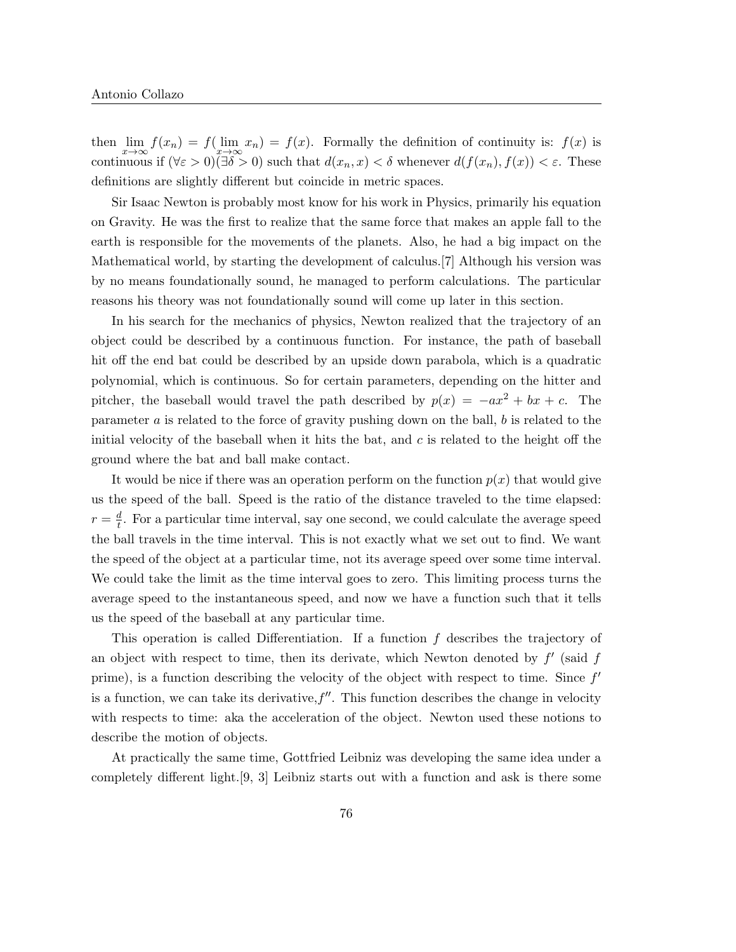then  $\lim_{x\to\infty} f(x_n) = f(\lim_{x\to\infty} x_n) = f(x)$ . Formally the definition of continuity is:  $f(x)$  is continuous if  $(\forall \varepsilon > 0)(\exists \delta > 0)$  such that  $d(x_n, x) < \delta$  whenever  $d(f(x_n), f(x)) < \varepsilon$ . These definitions are slightly different but coincide in metric spaces.

Sir Isaac Newton is probably most know for his work in Physics, primarily his equation on Gravity. He was the first to realize that the same force that makes an apple fall to the earth is responsible for the movements of the planets. Also, he had a big impact on the Mathematical world, by starting the development of calculus.[7] Although his version was by no means foundationally sound, he managed to perform calculations. The particular reasons his theory was not foundationally sound will come up later in this section.

In his search for the mechanics of physics, Newton realized that the trajectory of an object could be described by a continuous function. For instance, the path of baseball hit off the end bat could be described by an upside down parabola, which is a quadratic polynomial, which is continuous. So for certain parameters, depending on the hitter and pitcher, the baseball would travel the path described by  $p(x) = -ax^2 + bx + c$ . The parameter  $a$  is related to the force of gravity pushing down on the ball,  $b$  is related to the initial velocity of the baseball when it hits the bat, and  $c$  is related to the height off the ground where the bat and ball make contact.

It would be nice if there was an operation perform on the function  $p(x)$  that would give us the speed of the ball. Speed is the ratio of the distance traveled to the time elapsed:  $r=\frac{d}{t}$  $\frac{d}{t}$ . For a particular time interval, say one second, we could calculate the average speed the ball travels in the time interval. This is not exactly what we set out to find. We want the speed of the object at a particular time, not its average speed over some time interval. We could take the limit as the time interval goes to zero. This limiting process turns the average speed to the instantaneous speed, and now we have a function such that it tells us the speed of the baseball at any particular time.

This operation is called Differentiation. If a function  $f$  describes the trajectory of an object with respect to time, then its derivate, which Newton denoted by  $f'$  (said  $f$ prime), is a function describing the velocity of the object with respect to time. Since  $f'$ is a function, we can take its derivative,  $f''$ . This function describes the change in velocity with respects to time: aka the acceleration of the object. Newton used these notions to describe the motion of objects.

At practically the same time, Gottfried Leibniz was developing the same idea under a completely different light.[9, 3] Leibniz starts out with a function and ask is there some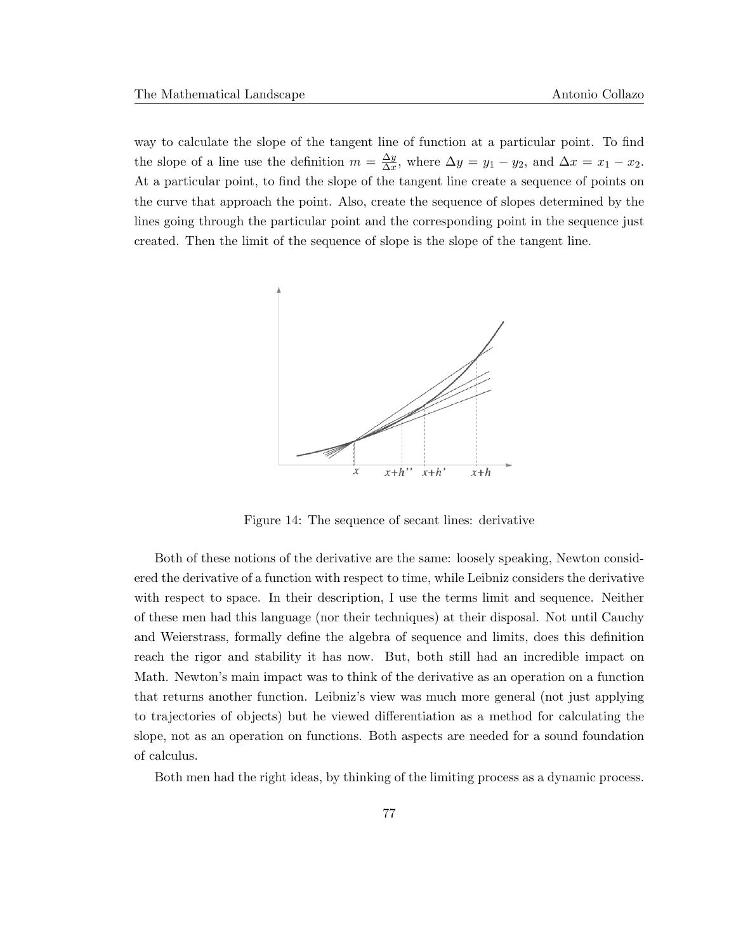way to calculate the slope of the tangent line of function at a particular point. To find the slope of a line use the definition  $m = \frac{\Delta y}{\Delta x}$  $\frac{\Delta y}{\Delta x}$ , where  $\Delta y = y_1 - y_2$ , and  $\Delta x = x_1 - x_2$ . At a particular point, to find the slope of the tangent line create a sequence of points on the curve that approach the point. Also, create the sequence of slopes determined by the lines going through the particular point and the corresponding point in the sequence just created. Then the limit of the sequence of slope is the slope of the tangent line.



Figure 14: The sequence of secant lines: derivative

Both of these notions of the derivative are the same: loosely speaking, Newton considered the derivative of a function with respect to time, while Leibniz considers the derivative with respect to space. In their description, I use the terms limit and sequence. Neither of these men had this language (nor their techniques) at their disposal. Not until Cauchy and Weierstrass, formally define the algebra of sequence and limits, does this definition reach the rigor and stability it has now. But, both still had an incredible impact on Math. Newton's main impact was to think of the derivative as an operation on a function that returns another function. Leibniz's view was much more general (not just applying to trajectories of objects) but he viewed differentiation as a method for calculating the slope, not as an operation on functions. Both aspects are needed for a sound foundation of calculus.

Both men had the right ideas, by thinking of the limiting process as a dynamic process.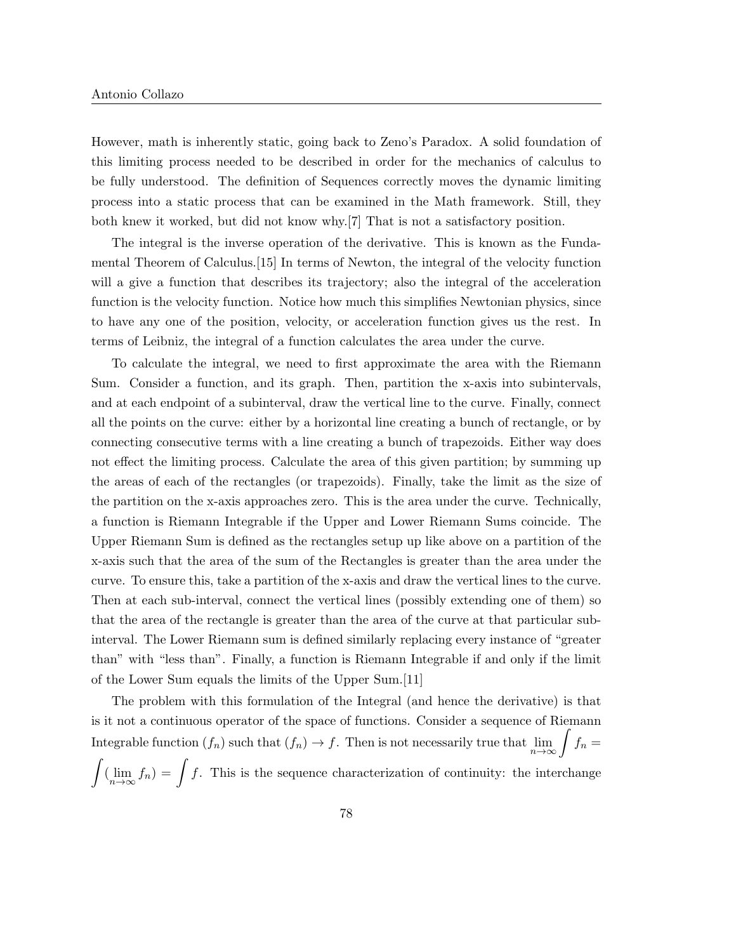However, math is inherently static, going back to Zeno's Paradox. A solid foundation of this limiting process needed to be described in order for the mechanics of calculus to be fully understood. The definition of Sequences correctly moves the dynamic limiting process into a static process that can be examined in the Math framework. Still, they both knew it worked, but did not know why.[7] That is not a satisfactory position.

The integral is the inverse operation of the derivative. This is known as the Fundamental Theorem of Calculus.[15] In terms of Newton, the integral of the velocity function will a give a function that describes its trajectory; also the integral of the acceleration function is the velocity function. Notice how much this simplifies Newtonian physics, since to have any one of the position, velocity, or acceleration function gives us the rest. In terms of Leibniz, the integral of a function calculates the area under the curve.

To calculate the integral, we need to first approximate the area with the Riemann Sum. Consider a function, and its graph. Then, partition the x-axis into subintervals, and at each endpoint of a subinterval, draw the vertical line to the curve. Finally, connect all the points on the curve: either by a horizontal line creating a bunch of rectangle, or by connecting consecutive terms with a line creating a bunch of trapezoids. Either way does not effect the limiting process. Calculate the area of this given partition; by summing up the areas of each of the rectangles (or trapezoids). Finally, take the limit as the size of the partition on the x-axis approaches zero. This is the area under the curve. Technically, a function is Riemann Integrable if the Upper and Lower Riemann Sums coincide. The Upper Riemann Sum is defined as the rectangles setup up like above on a partition of the x-axis such that the area of the sum of the Rectangles is greater than the area under the curve. To ensure this, take a partition of the x-axis and draw the vertical lines to the curve. Then at each sub-interval, connect the vertical lines (possibly extending one of them) so that the area of the rectangle is greater than the area of the curve at that particular subinterval. The Lower Riemann sum is defined similarly replacing every instance of "greater than" with "less than". Finally, a function is Riemann Integrable if and only if the limit of the Lower Sum equals the limits of the Upper Sum.[11]

The problem with this formulation of the Integral (and hence the derivative) is that is it not a continuous operator of the space of functions. Consider a sequence of Riemann Integrable function  $(f_n)$  such that  $(f_n) \to f$ . Then is not necessarily true that  $\lim_{n \to \infty} \int f_n =$  $\int (\lim_{n\to\infty} f_n) = \int f$ . This is the sequence characterization of continuity: the interchange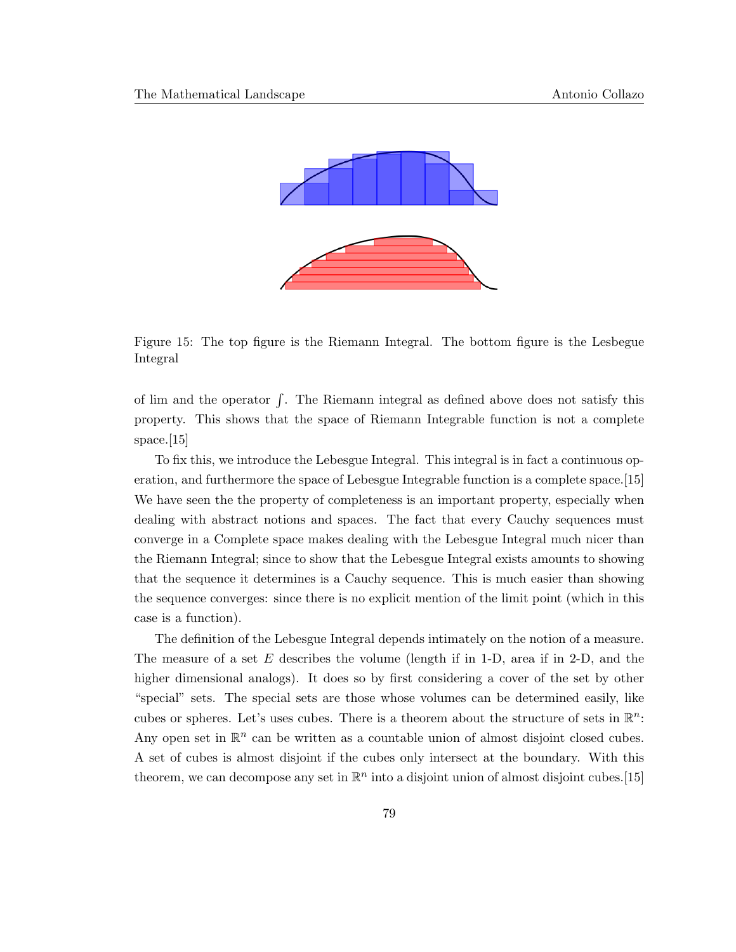

Figure 15: The top figure is the Riemann Integral. The bottom figure is the Lesbegue Integral

of lim and the operator  $\int$ . The Riemann integral as defined above does not satisfy this property. This shows that the space of Riemann Integrable function is not a complete space.[15]

To fix this, we introduce the Lebesgue Integral. This integral is in fact a continuous operation, and furthermore the space of Lebesgue Integrable function is a complete space.[15] We have seen the the property of completeness is an important property, especially when dealing with abstract notions and spaces. The fact that every Cauchy sequences must converge in a Complete space makes dealing with the Lebesgue Integral much nicer than the Riemann Integral; since to show that the Lebesgue Integral exists amounts to showing that the sequence it determines is a Cauchy sequence. This is much easier than showing the sequence converges: since there is no explicit mention of the limit point (which in this case is a function).

The definition of the Lebesgue Integral depends intimately on the notion of a measure. The measure of a set E describes the volume (length if in 1-D, area if in 2-D, and the higher dimensional analogs). It does so by first considering a cover of the set by other "special" sets. The special sets are those whose volumes can be determined easily, like cubes or spheres. Let's uses cubes. There is a theorem about the structure of sets in  $\mathbb{R}^n$ . Any open set in  $\mathbb{R}^n$  can be written as a countable union of almost disjoint closed cubes. A set of cubes is almost disjoint if the cubes only intersect at the boundary. With this theorem, we can decompose any set in  $\mathbb{R}^n$  into a disjoint union of almost disjoint cubes. [15]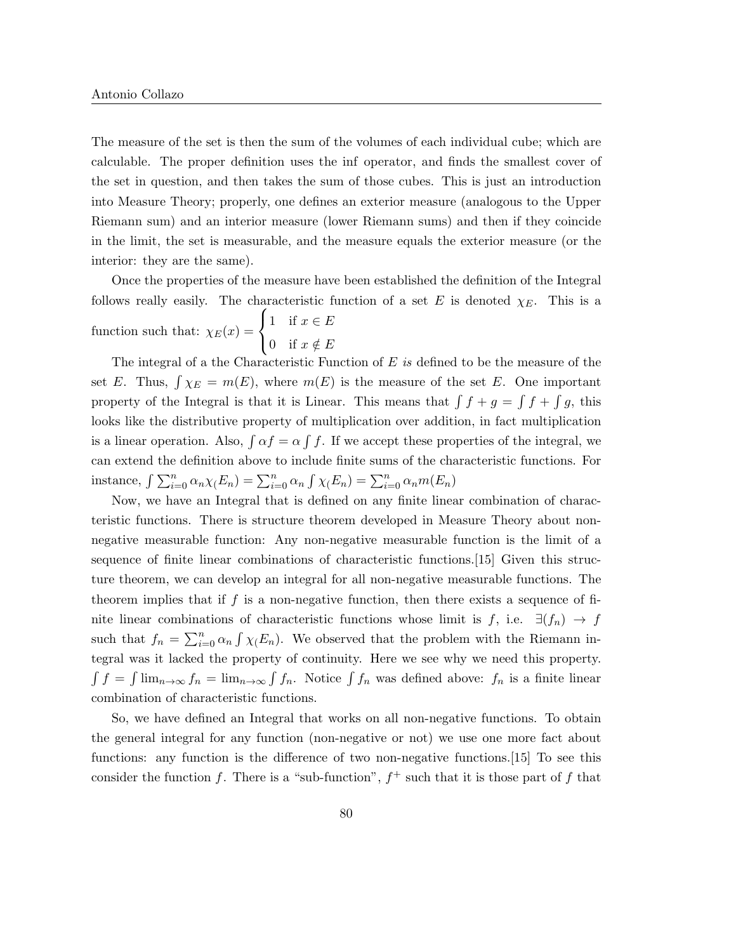The measure of the set is then the sum of the volumes of each individual cube; which are calculable. The proper definition uses the inf operator, and finds the smallest cover of the set in question, and then takes the sum of those cubes. This is just an introduction into Measure Theory; properly, one defines an exterior measure (analogous to the Upper Riemann sum) and an interior measure (lower Riemann sums) and then if they coincide in the limit, the set is measurable, and the measure equals the exterior measure (or the interior: they are the same).

Once the properties of the measure have been established the definition of the Integral follows really easily. The characteristic function of a set E is denoted  $\chi_E$ . This is a function such that:  $\chi_E(x) =$  $\sqrt{ }$ J  $\mathcal{L}$ 1 if  $x \in E$ 0 if  $x \notin E$ 

The integral of a the Characteristic Function of  $E$  is defined to be the measure of the set E. Thus,  $\int \chi_E = m(E)$ , where  $m(E)$  is the measure of the set E. One important property of the Integral is that it is Linear. This means that  $\int f + g = \int f + \int g$ , this looks like the distributive property of multiplication over addition, in fact multiplication is a linear operation. Also,  $\int \alpha f = \alpha \int f$ . If we accept these properties of the integral, we can extend the definition above to include finite sums of the characteristic functions. For instance,  $\int \sum_{i=0}^{n} \alpha_n \chi(E_n) = \sum_{i=0}^{n} \alpha_n \int \chi(E_n) = \sum_{i=0}^{n} \alpha_n m(E_n)$ 

Now, we have an Integral that is defined on any finite linear combination of characteristic functions. There is structure theorem developed in Measure Theory about nonnegative measurable function: Any non-negative measurable function is the limit of a sequence of finite linear combinations of characteristic functions.[15] Given this structure theorem, we can develop an integral for all non-negative measurable functions. The theorem implies that if f is a non-negative function, then there exists a sequence of finite linear combinations of characteristic functions whose limit is f, i.e.  $\exists (f_n) \rightarrow f$ such that  $f_n = \sum_{i=0}^n \alpha_i \int \chi(E_n)$ . We observed that the problem with the Riemann integral was it lacked the property of continuity. Here we see why we need this property.  $\int f = \int \lim_{n \to \infty} f_n = \lim_{n \to \infty} \int f_n$ . Notice  $\int f_n$  was defined above:  $f_n$  is a finite linear combination of characteristic functions.

So, we have defined an Integral that works on all non-negative functions. To obtain the general integral for any function (non-negative or not) we use one more fact about functions: any function is the difference of two non-negative functions.[15] To see this consider the function f. There is a "sub-function",  $f^+$  such that it is those part of f that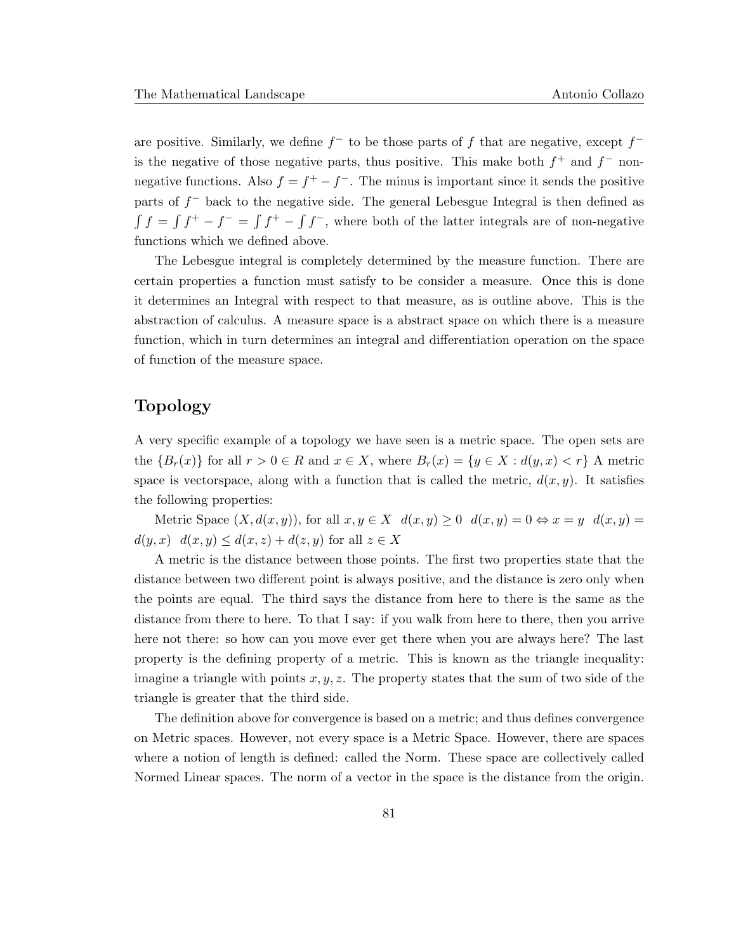are positive. Similarly, we define  $f^-$  to be those parts of f that are negative, except  $f^$ is the negative of those negative parts, thus positive. This make both  $f^+$  and  $f^-$  nonnegative functions. Also  $f = f^+ - f^-$ . The minus is important since it sends the positive parts of  $f^-$  back to the negative side. The general Lebesgue Integral is then defined as  $\int f = \int f^+ - f^- = \int f^-$ , where both of the latter integrals are of non-negative functions which we defined above.

The Lebesgue integral is completely determined by the measure function. There are certain properties a function must satisfy to be consider a measure. Once this is done it determines an Integral with respect to that measure, as is outline above. This is the abstraction of calculus. A measure space is a abstract space on which there is a measure function, which in turn determines an integral and differentiation operation on the space of function of the measure space.

### Topology

A very specific example of a topology we have seen is a metric space. The open sets are the  ${B_r(x)}$  for all  $r > 0 \in R$  and  $x \in X$ , where  $B_r(x) = {y \in X : d(y,x) < r}$  A metric space is vectorspace, along with a function that is called the metric,  $d(x, y)$ . It satisfies the following properties:

Metric Space  $(X, d(x, y))$ , for all  $x, y \in X$   $d(x, y) \ge 0$   $d(x, y) = 0 \Leftrightarrow x = y$   $d(x, y) = 0$  $d(y, x)$   $d(x, y) \leq d(x, z) + d(z, y)$  for all  $z \in X$ 

A metric is the distance between those points. The first two properties state that the distance between two different point is always positive, and the distance is zero only when the points are equal. The third says the distance from here to there is the same as the distance from there to here. To that I say: if you walk from here to there, then you arrive here not there: so how can you move ever get there when you are always here? The last property is the defining property of a metric. This is known as the triangle inequality: imagine a triangle with points  $x, y, z$ . The property states that the sum of two side of the triangle is greater that the third side.

The definition above for convergence is based on a metric; and thus defines convergence on Metric spaces. However, not every space is a Metric Space. However, there are spaces where a notion of length is defined: called the Norm. These space are collectively called Normed Linear spaces. The norm of a vector in the space is the distance from the origin.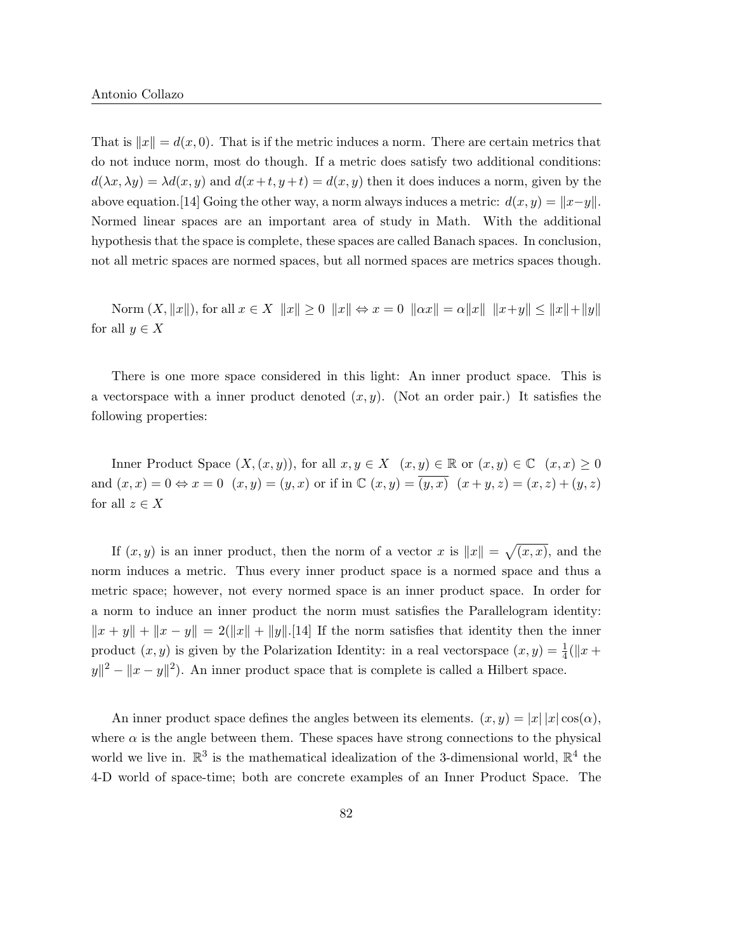That is  $||x|| = d(x, 0)$ . That is if the metric induces a norm. There are certain metrics that do not induce norm, most do though. If a metric does satisfy two additional conditions:  $d(\lambda x, \lambda y) = \lambda d(x, y)$  and  $d(x+t, y+t) = d(x, y)$  then it does induces a norm, given by the above equation.[14] Going the other way, a norm always induces a metric:  $d(x, y) = ||x - y||$ . Normed linear spaces are an important area of study in Math. With the additional hypothesis that the space is complete, these spaces are called Banach spaces. In conclusion, not all metric spaces are normed spaces, but all normed spaces are metrics spaces though.

Norm  $(X, \|x\|)$ , for all  $x \in X \|x\| \ge 0 \|x\| \Leftrightarrow x = 0 \|ax\| = \alpha \|x\| \|x+y\| \le \|x\| + \|y\|$ for all  $y \in X$ 

There is one more space considered in this light: An inner product space. This is a vectorspace with a inner product denoted  $(x, y)$ . (Not an order pair.) It satisfies the following properties:

Inner Product Space  $(X,(x,y))$ , for all  $x,y \in X$   $(x,y) \in \mathbb{R}$  or  $(x,y) \in \mathbb{C}$   $(x,x) \geq 0$ and  $(x, x) = 0 \Leftrightarrow x = 0$   $(x, y) = (y, x)$  or if in  $\mathbb{C} (x, y) = (y, x)$   $(x + y, z) = (x, z) + (y, z)$ for all  $z \in X$ 

If  $(x, y)$  is an inner product, then the norm of a vector x is  $||x|| = \sqrt{(x, x)}$ , and the norm induces a metric. Thus every inner product space is a normed space and thus a metric space; however, not every normed space is an inner product space. In order for a norm to induce an inner product the norm must satisfies the Parallelogram identity:  $||x + y|| + ||x - y|| = 2(||x|| + ||y||.$ [14] If the norm satisfies that identity then the inner product  $(x, y)$  is given by the Polarization Identity: in a real vectorspace  $(x, y) = \frac{1}{4}(\Vert x + y \Vert)$  $||y||^2 - ||x - y||^2$ . An inner product space that is complete is called a Hilbert space.

An inner product space defines the angles between its elements.  $(x, y) = |x| |x| \cos(\alpha)$ , where  $\alpha$  is the angle between them. These spaces have strong connections to the physical world we live in.  $\mathbb{R}^3$  is the mathematical idealization of the 3-dimensional world,  $\mathbb{R}^4$  the 4-D world of space-time; both are concrete examples of an Inner Product Space. The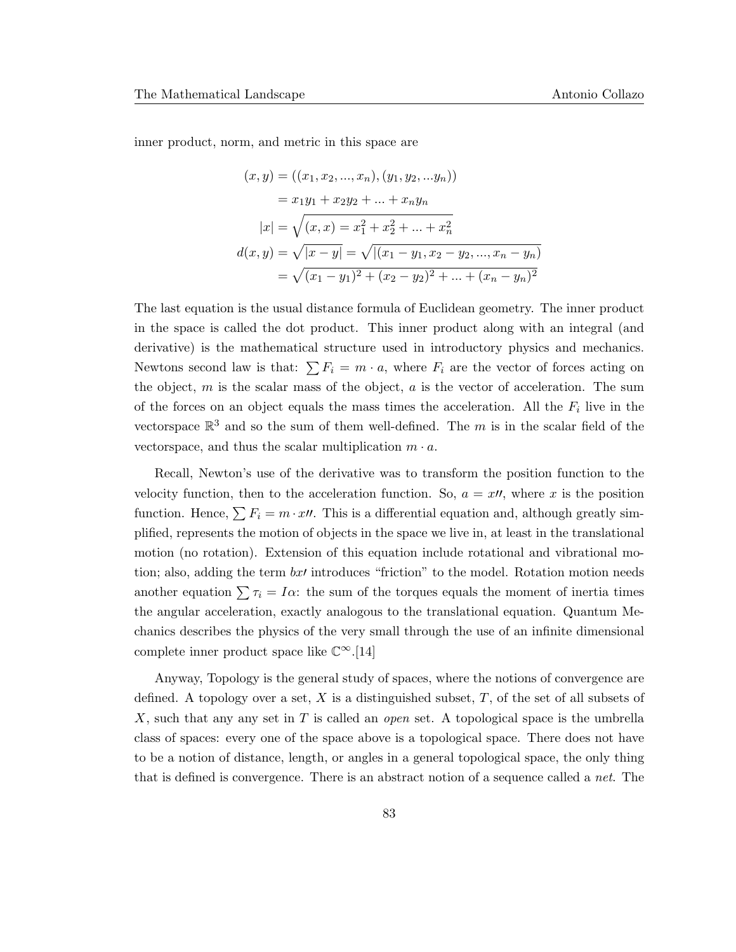inner product, norm, and metric in this space are

$$
(x, y) = ((x_1, x_2, ..., x_n), (y_1, y_2, ..., y_n))
$$
  
=  $x_1y_1 + x_2y_2 + ... + x_ny_n$   

$$
|x| = \sqrt{(x, x) = x_1^2 + x_2^2 + ... + x_n^2}
$$
  

$$
d(x, y) = \sqrt{|x - y|} = \sqrt{|(x_1 - y_1, x_2 - y_2, ..., x_n - y_n)}
$$
  
=  $\sqrt{(x_1 - y_1)^2 + (x_2 - y_2)^2 + ... + (x_n - y_n)^2}$ 

The last equation is the usual distance formula of Euclidean geometry. The inner product in the space is called the dot product. This inner product along with an integral (and derivative) is the mathematical structure used in introductory physics and mechanics. Newtons second law is that:  $\sum F_i = m \cdot a$ , where  $F_i$  are the vector of forces acting on the object,  $m$  is the scalar mass of the object,  $a$  is the vector of acceleration. The sum of the forces on an object equals the mass times the acceleration. All the  $F_i$  live in the vectorspace  $\mathbb{R}^3$  and so the sum of them well-defined. The m is in the scalar field of the vectorspace, and thus the scalar multiplication  $m \cdot a$ .

Recall, Newton's use of the derivative was to transform the position function to the velocity function, then to the acceleration function. So,  $a = x \prime$ , where x is the position function. Hence,  $\sum F_i = m \cdot x \prime \prime$ . This is a differential equation and, although greatly simplified, represents the motion of objects in the space we live in, at least in the translational motion (no rotation). Extension of this equation include rotational and vibrational motion; also, adding the term  $bx$  introduces "friction" to the model. Rotation motion needs another equation  $\sum \tau_i = I\alpha$ : the sum of the torques equals the moment of inertia times the angular acceleration, exactly analogous to the translational equation. Quantum Mechanics describes the physics of the very small through the use of an infinite dimensional complete inner product space like  $\mathbb{C}^{\infty}$ .[14]

Anyway, Topology is the general study of spaces, where the notions of convergence are defined. A topology over a set, X is a distinguished subset,  $T$ , of the set of all subsets of X, such that any any set in T is called an *open* set. A topological space is the umbrella class of spaces: every one of the space above is a topological space. There does not have to be a notion of distance, length, or angles in a general topological space, the only thing that is defined is convergence. There is an abstract notion of a sequence called a *net*. The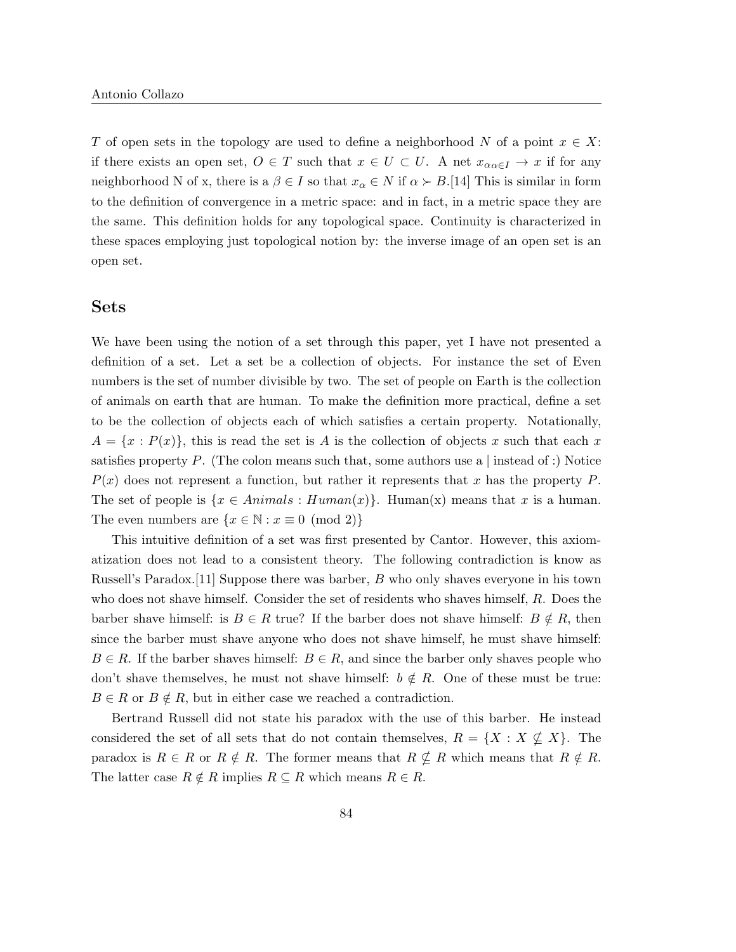T of open sets in the topology are used to define a neighborhood N of a point  $x \in X$ : if there exists an open set,  $O \in T$  such that  $x \in U \subset U$ . A net  $x_{\alpha \in I} \to x$  if for any neighborhood N of x, there is a  $\beta \in I$  so that  $x_{\alpha} \in N$  if  $\alpha \succ B$ .[14] This is similar in form to the definition of convergence in a metric space: and in fact, in a metric space they are the same. This definition holds for any topological space. Continuity is characterized in these spaces employing just topological notion by: the inverse image of an open set is an open set.

#### Sets

We have been using the notion of a set through this paper, yet I have not presented a definition of a set. Let a set be a collection of objects. For instance the set of Even numbers is the set of number divisible by two. The set of people on Earth is the collection of animals on earth that are human. To make the definition more practical, define a set to be the collection of objects each of which satisfies a certain property. Notationally,  $A = \{x : P(x)\}\$ , this is read the set is A is the collection of objects x such that each x satisfies property P. (The colon means such that, some authors use a | instead of :) Notice  $P(x)$  does not represent a function, but rather it represents that x has the property P. The set of people is  $\{x \in Animals : Human(x)\}\$ . Human(x) means that x is a human. The even numbers are  $\{x \in \mathbb{N} : x \equiv 0 \pmod{2}\}\$ 

This intuitive definition of a set was first presented by Cantor. However, this axiomatization does not lead to a consistent theory. The following contradiction is know as Russell's Paradox.[11] Suppose there was barber, B who only shaves everyone in his town who does not shave himself. Consider the set of residents who shaves himself, R. Does the barber shave himself: is  $B \in R$  true? If the barber does not shave himself:  $B \notin R$ , then since the barber must shave anyone who does not shave himself, he must shave himself:  $B \in R$ . If the barber shaves himself:  $B \in R$ , and since the barber only shaves people who don't shave themselves, he must not shave himself:  $b \notin R$ . One of these must be true:  $B \in R$  or  $B \notin R$ , but in either case we reached a contradiction.

Bertrand Russell did not state his paradox with the use of this barber. He instead considered the set of all sets that do not contain themselves,  $R = \{X : X \nsubseteq X\}$ . The paradox is  $R \in R$  or  $R \notin R$ . The former means that  $R \nsubseteq R$  which means that  $R \notin R$ . The latter case  $R \notin R$  implies  $R \subseteq R$  which means  $R \in R$ .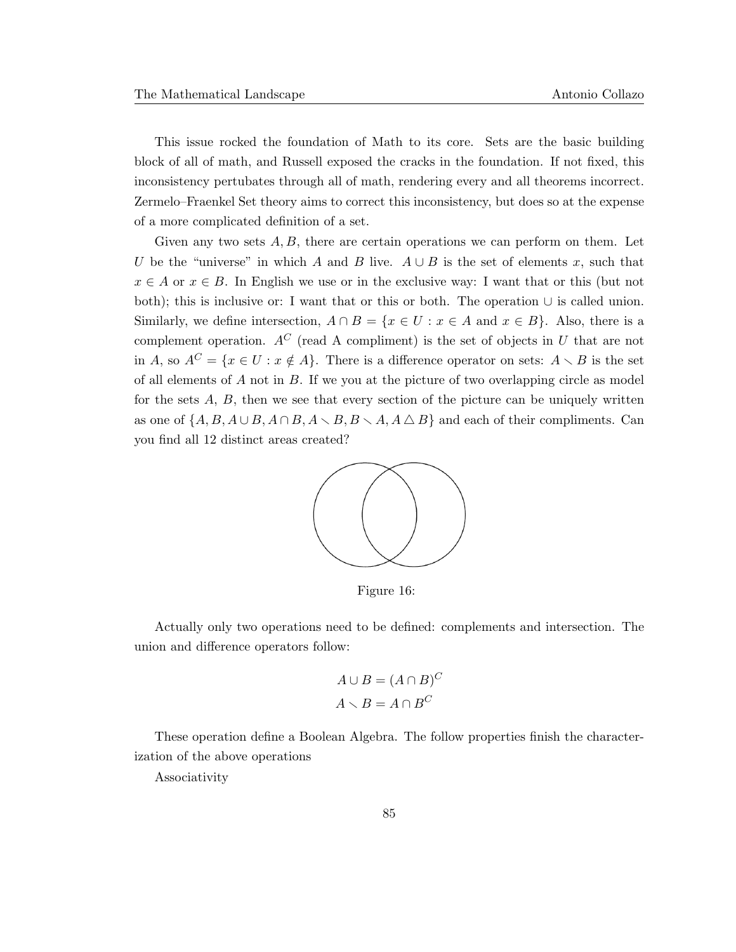This issue rocked the foundation of Math to its core. Sets are the basic building block of all of math, and Russell exposed the cracks in the foundation. If not fixed, this inconsistency pertubates through all of math, rendering every and all theorems incorrect. Zermelo–Fraenkel Set theory aims to correct this inconsistency, but does so at the expense of a more complicated definition of a set.

Given any two sets  $A, B$ , there are certain operations we can perform on them. Let U be the "universe" in which A and B live.  $A \cup B$  is the set of elements x, such that  $x \in A$  or  $x \in B$ . In English we use or in the exclusive way: I want that or this (but not both); this is inclusive or: I want that or this or both. The operation ∪ is called union. Similarly, we define intersection,  $A \cap B = \{x \in U : x \in A \text{ and } x \in B\}$ . Also, there is a complement operation.  $A^C$  (read A compliment) is the set of objects in U that are not in A, so  $A^C = \{x \in U : x \notin A\}$ . There is a difference operator on sets:  $A \setminus B$  is the set of all elements of  $A$  not in  $B$ . If we you at the picture of two overlapping circle as model for the sets  $A, B$ , then we see that every section of the picture can be uniquely written as one of  $\{A, B, A \cup B, A \cap B, A \setminus B, B \setminus A, A \triangle B\}$  and each of their compliments. Can you find all 12 distinct areas created?



Figure 16:

Actually only two operations need to be defined: complements and intersection. The union and difference operators follow:

$$
A \cup B = (A \cap B)^C
$$

$$
A \setminus B = A \cap B^C
$$

These operation define a Boolean Algebra. The follow properties finish the characterization of the above operations

Associativity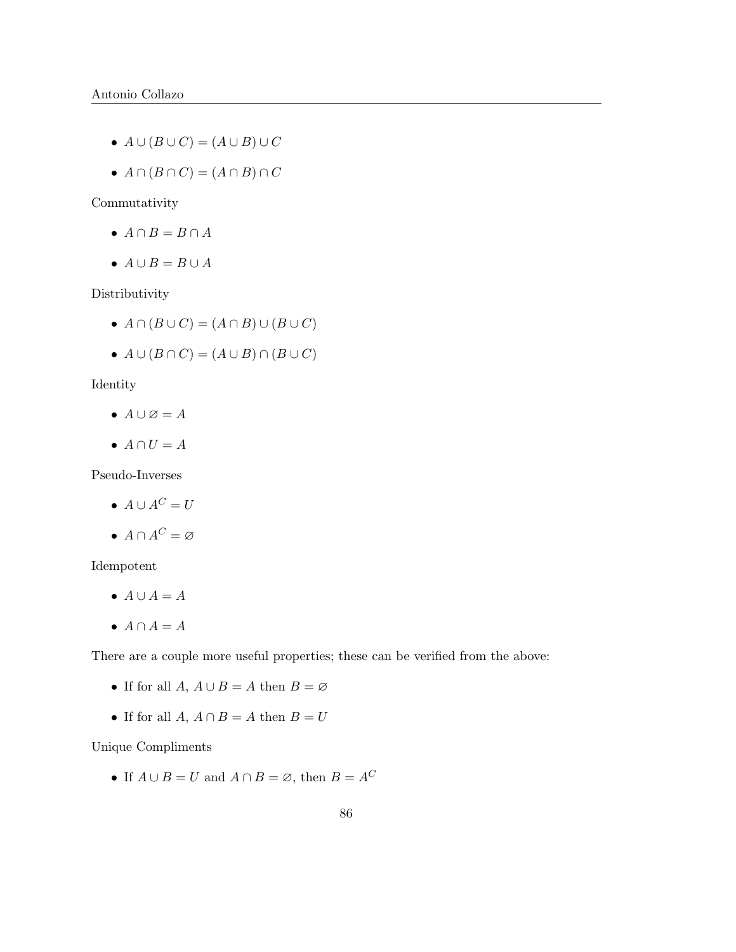- $A \cup (B \cup C) = (A \cup B) \cup C$
- $A \cap (B \cap C) = (A \cap B) \cap C$

Commutativity

- $A \cap B = B \cap A$
- $A \cup B = B \cup A$

Distributivity

- $A \cap (B \cup C) = (A \cap B) \cup (B \cup C)$
- $A \cup (B \cap C) = (A \cup B) \cap (B \cup C)$

Identity

- $A \cup \emptyset = A$
- $A \cap U = A$

Pseudo-Inverses

- $A \cup A^C = U$
- $A \cap A^C = \varnothing$

Idempotent

- $A \cup A = A$
- $A \cap A = A$

There are a couple more useful properties; these can be verified from the above:

- If for all  $A, A \cup B = A$  then  $B = \emptyset$
- If for all  $A, A \cap B = A$  then  $B = U$

Unique Compliments

• If  $A \cup B = U$  and  $A \cap B = \emptyset$ , then  $B = A^C$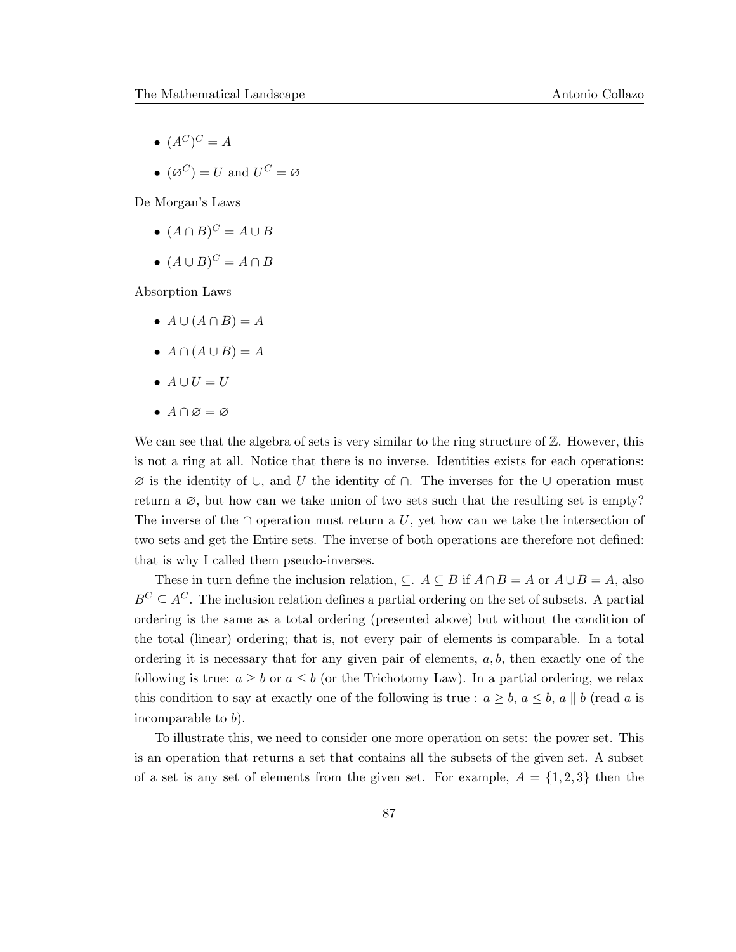- $(A^C)^C = A$
- $(\varnothing^C) = U$  and  $U^C = \varnothing$

De Morgan's Laws

- $(A \cap B)^C = A \cup B$
- $(A \cup B)^C = A \cap B$

Absorption Laws

- $A \cup (A \cap B) = A$
- $A \cap (A \cup B) = A$
- $A \cup U = U$
- $A \cap \varnothing = \varnothing$

We can see that the algebra of sets is very similar to the ring structure of  $\mathbb{Z}$ . However, this is not a ring at all. Notice that there is no inverse. Identities exists for each operations:  $\varnothing$  is the identity of ∪, and U the identity of ∩. The inverses for the ∪ operation must return a  $\varnothing$ , but how can we take union of two sets such that the resulting set is empty? The inverse of the ∩ operation must return a U, yet how can we take the intersection of two sets and get the Entire sets. The inverse of both operations are therefore not defined: that is why I called them pseudo-inverses.

These in turn define the inclusion relation,  $\subseteq$ .  $A \subseteq B$  if  $A \cap B = A$  or  $A \cup B = A$ , also  $B^C \subseteq A^C$ . The inclusion relation defines a partial ordering on the set of subsets. A partial ordering is the same as a total ordering (presented above) but without the condition of the total (linear) ordering; that is, not every pair of elements is comparable. In a total ordering it is necessary that for any given pair of elements,  $a, b$ , then exactly one of the following is true:  $a \geq b$  or  $a \leq b$  (or the Trichotomy Law). In a partial ordering, we relax this condition to say at exactly one of the following is true :  $a \geq b$ ,  $a \leq b$ ,  $a \parallel b$  (read a is incomparable to b).

To illustrate this, we need to consider one more operation on sets: the power set. This is an operation that returns a set that contains all the subsets of the given set. A subset of a set is any set of elements from the given set. For example,  $A = \{1,2,3\}$  then the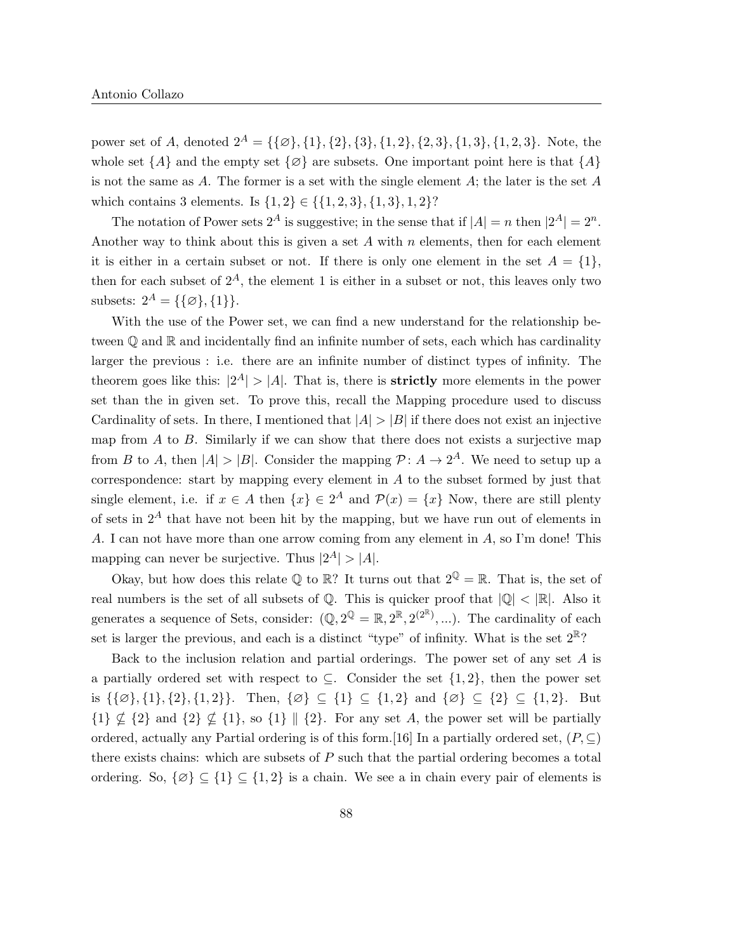power set of A, denoted  $2^A = {\{\emptyset\}, \{1\}, \{2\}, \{3\}, \{1, 2\}, \{2, 3\}, \{1, 3\}, \{1, 2, 3\}.$  Note, the whole set  $\{A\}$  and the empty set  $\{\emptyset\}$  are subsets. One important point here is that  $\{A\}$ is not the same as A. The former is a set with the single element  $A$ ; the later is the set  $A$ which contains 3 elements. Is  $\{1,2\} \in \{\{1,2,3\},\{1,3\},1,2\}$ ?

The notation of Power sets  $2^A$  is suggestive; in the sense that if  $|A| = n$  then  $|2^A| = 2^n$ . Another way to think about this is given a set  $A$  with  $n$  elements, then for each element it is either in a certain subset or not. If there is only one element in the set  $A = \{1\}$ , then for each subset of  $2^A$ , the element 1 is either in a subset or not, this leaves only two subsets:  $2^A = \{\{\emptyset\}, \{1\}\}.$ 

With the use of the Power set, we can find a new understand for the relationship between  $\mathbb Q$  and  $\mathbb R$  and incidentally find an infinite number of sets, each which has cardinality larger the previous : i.e. there are an infinite number of distinct types of infinity. The theorem goes like this:  $|2^A| > |A|$ . That is, there is **strictly** more elements in the power set than the in given set. To prove this, recall the Mapping procedure used to discuss Cardinality of sets. In there, I mentioned that  $|A| > |B|$  if there does not exist an injective map from  $A$  to  $B$ . Similarly if we can show that there does not exists a surjective map from B to A, then  $|A| > |B|$ . Consider the mapping  $\mathcal{P}: A \to 2^A$ . We need to setup up a correspondence: start by mapping every element in A to the subset formed by just that single element, i.e. if  $x \in A$  then  $\{x\} \in 2^A$  and  $\mathcal{P}(x) = \{x\}$  Now, there are still plenty of sets in  $2^A$  that have not been hit by the mapping, but we have run out of elements in A. I can not have more than one arrow coming from any element in A, so I'm done! This mapping can never be surjective. Thus  $|2^A| > |A|$ .

Okay, but how does this relate  $\mathbb Q$  to  $\mathbb R$ ? It turns out that  $2^{\mathbb Q} = \mathbb R$ . That is, the set of real numbers is the set of all subsets of  $\mathbb{Q}$ . This is quicker proof that  $|\mathbb{Q}| < |\mathbb{R}|$ . Also it generates a sequence of Sets, consider:  $(\mathbb{Q}, 2^{\mathbb{Q}} = \mathbb{R}, 2^{\mathbb{R}}, 2^{(2^{\mathbb{R}})}, \dots)$ . The cardinality of each set is larger the previous, and each is a distinct "type" of infinity. What is the set  $2^{\mathbb{R}}$ ?

Back to the inclusion relation and partial orderings. The power set of any set A is a partially ordered set with respect to  $\subseteq$ . Consider the set  $\{1,2\}$ , then the power set is  $\{\{\emptyset\}, \{1\}, \{2\}, \{1, 2\}\}\$ . Then,  $\{\emptyset\} \subseteq \{1\} \subseteq \{1, 2\}$  and  $\{\emptyset\} \subseteq \{2\} \subseteq \{1, 2\}$ . But  ${1} \nsubseteq {2}$  and  ${2} \nsubseteq {1}$ , so  ${1} \nsubseteq {2}$ . For any set A, the power set will be partially ordered, actually any Partial ordering is of this form.[16] In a partially ordered set,  $(P, \subseteq)$ there exists chains: which are subsets of  $P$  such that the partial ordering becomes a total ordering. So,  $\{\emptyset\} \subseteq \{1\} \subseteq \{1,2\}$  is a chain. We see a in chain every pair of elements is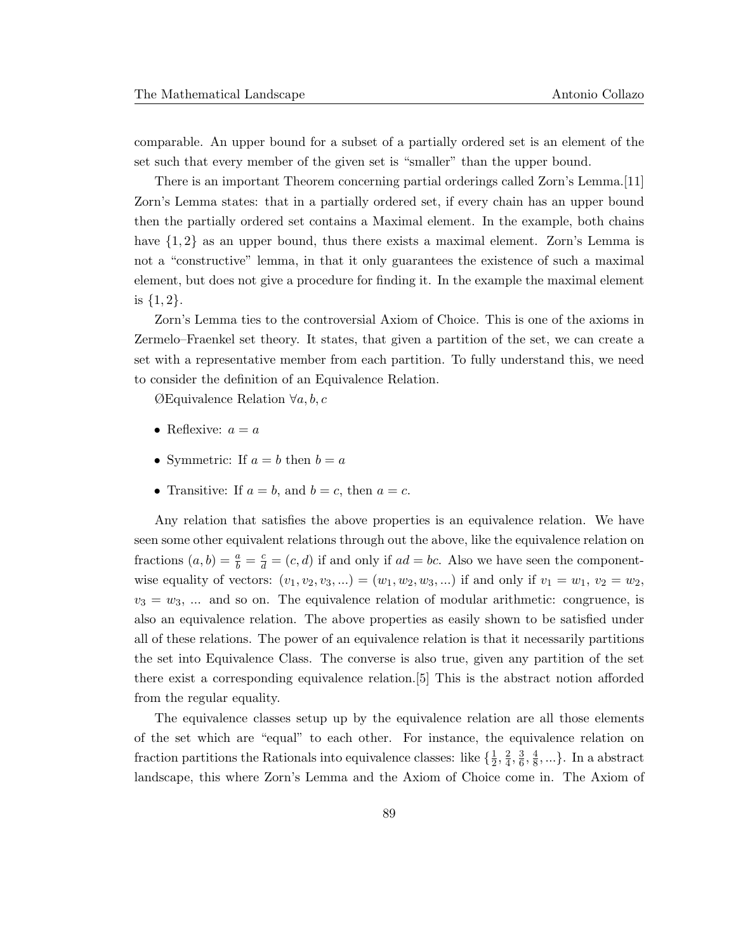comparable. An upper bound for a subset of a partially ordered set is an element of the set such that every member of the given set is "smaller" than the upper bound.

There is an important Theorem concerning partial orderings called Zorn's Lemma.[11] Zorn's Lemma states: that in a partially ordered set, if every chain has an upper bound then the partially ordered set contains a Maximal element. In the example, both chains have  ${1, 2}$  as an upper bound, thus there exists a maximal element. Zorn's Lemma is not a "constructive" lemma, in that it only guarantees the existence of such a maximal element, but does not give a procedure for finding it. In the example the maximal element is  $\{1,2\}.$ 

Zorn's Lemma ties to the controversial Axiom of Choice. This is one of the axioms in Zermelo–Fraenkel set theory. It states, that given a partition of the set, we can create a set with a representative member from each partition. To fully understand this, we need to consider the definition of an Equivalence Relation.

ØEquivalence Relation ∀a, b, c

- Reflexive:  $a = a$
- Symmetric: If  $a = b$  then  $b = a$
- Transitive: If  $a = b$ , and  $b = c$ , then  $a = c$ .

Any relation that satisfies the above properties is an equivalence relation. We have seen some other equivalent relations through out the above, like the equivalence relation on fractions  $(a, b) = \frac{a}{b} = \frac{c}{d} = (c, d)$  if and only if  $ad = bc$ . Also we have seen the componentwise equality of vectors:  $(v_1, v_2, v_3, ...)$  =  $(w_1, w_2, w_3, ...)$  if and only if  $v_1 = w_1, v_2 = w_2$ ,  $v_3 = w_3$ , ... and so on. The equivalence relation of modular arithmetic: congruence, is also an equivalence relation. The above properties as easily shown to be satisfied under all of these relations. The power of an equivalence relation is that it necessarily partitions the set into Equivalence Class. The converse is also true, given any partition of the set there exist a corresponding equivalence relation.[5] This is the abstract notion afforded from the regular equality.

The equivalence classes setup up by the equivalence relation are all those elements of the set which are "equal" to each other. For instance, the equivalence relation on fraction partitions the Rationals into equivalence classes: like  $\{\frac{1}{2}\}$  $\frac{1}{2}, \frac{2}{4}$  $\frac{2}{4}, \frac{3}{6}$  $\frac{3}{6}, \frac{4}{8}$  $\frac{4}{8}, \ldots$ . In a abstract landscape, this where Zorn's Lemma and the Axiom of Choice come in. The Axiom of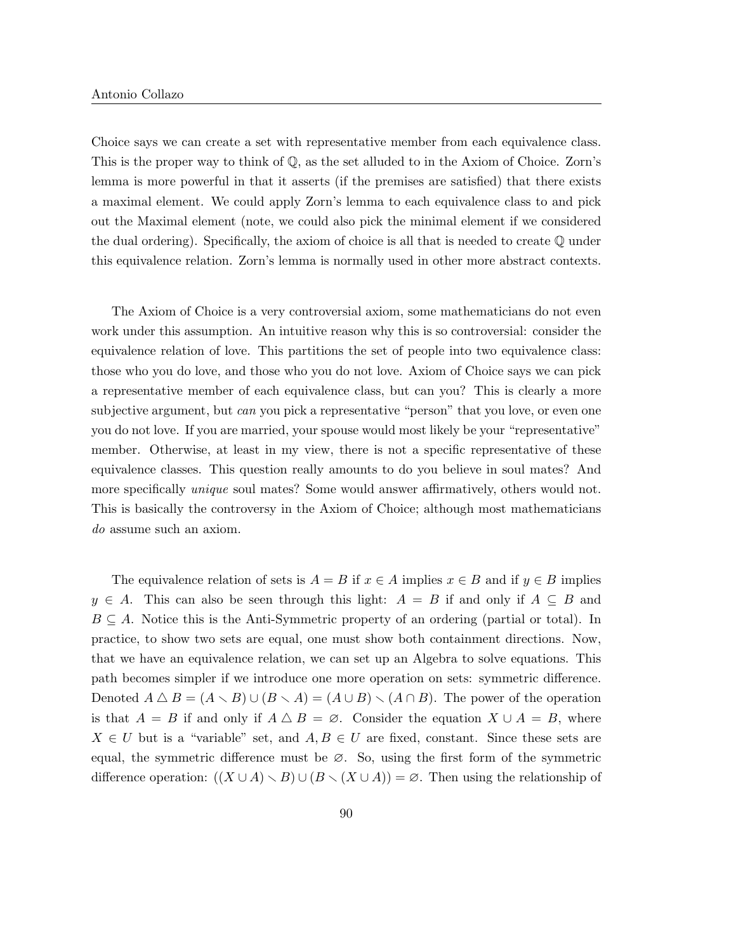Choice says we can create a set with representative member from each equivalence class. This is the proper way to think of Q, as the set alluded to in the Axiom of Choice. Zorn's lemma is more powerful in that it asserts (if the premises are satisfied) that there exists a maximal element. We could apply Zorn's lemma to each equivalence class to and pick out the Maximal element (note, we could also pick the minimal element if we considered the dual ordering). Specifically, the axiom of choice is all that is needed to create Q under this equivalence relation. Zorn's lemma is normally used in other more abstract contexts.

The Axiom of Choice is a very controversial axiom, some mathematicians do not even work under this assumption. An intuitive reason why this is so controversial: consider the equivalence relation of love. This partitions the set of people into two equivalence class: those who you do love, and those who you do not love. Axiom of Choice says we can pick a representative member of each equivalence class, but can you? This is clearly a more subjective argument, but *can* you pick a representative "person" that you love, or even one you do not love. If you are married, your spouse would most likely be your "representative" member. Otherwise, at least in my view, there is not a specific representative of these equivalence classes. This question really amounts to do you believe in soul mates? And more specifically *unique* soul mates? Some would answer affirmatively, others would not. This is basically the controversy in the Axiom of Choice; although most mathematicians do assume such an axiom.

The equivalence relation of sets is  $A = B$  if  $x \in A$  implies  $x \in B$  and if  $y \in B$  implies  $y \in A$ . This can also be seen through this light:  $A = B$  if and only if  $A \subseteq B$  and  $B \subseteq A$ . Notice this is the Anti-Symmetric property of an ordering (partial or total). In practice, to show two sets are equal, one must show both containment directions. Now, that we have an equivalence relation, we can set up an Algebra to solve equations. This path becomes simpler if we introduce one more operation on sets: symmetric difference. Denoted  $A \bigtriangleup B = (A \setminus B) \cup (B \setminus A) = (A \cup B) \setminus (A \cap B)$ . The power of the operation is that  $A = B$  if and only if  $A \triangle B = \emptyset$ . Consider the equation  $X \cup A = B$ , where  $X \in U$  but is a "variable" set, and  $A, B \in U$  are fixed, constant. Since these sets are equal, the symmetric difference must be ∅. So, using the first form of the symmetric difference operation:  $((X \cup A) \setminus B) \cup (B \setminus (X \cup A)) = \emptyset$ . Then using the relationship of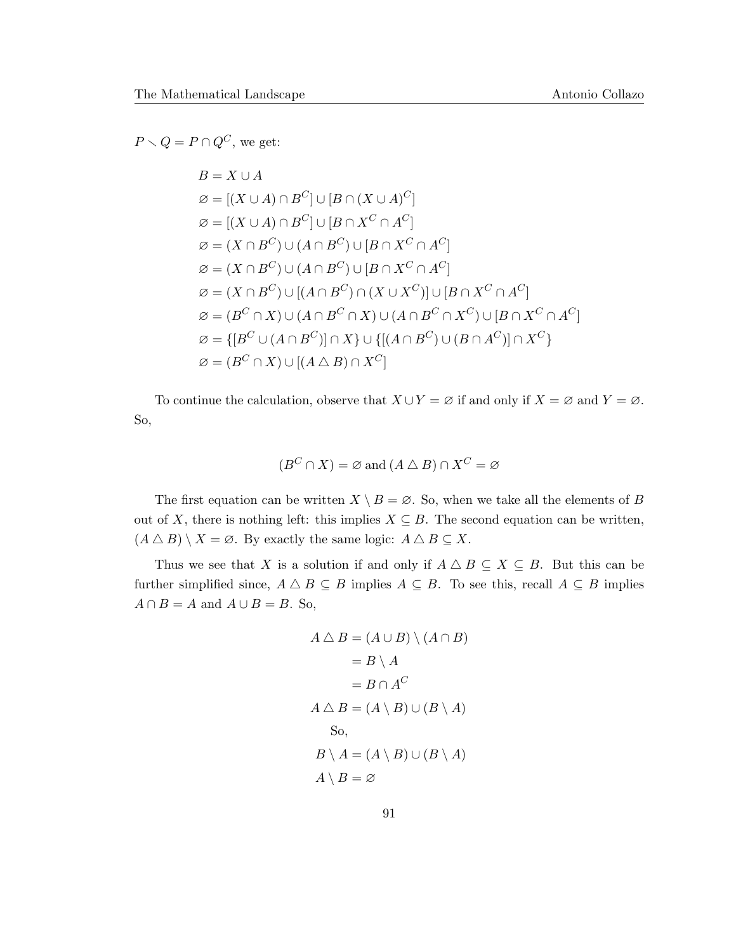$P \setminus Q = P \cap Q^C$ , we get:

$$
B = X \cup A
$$
  
\n
$$
\varnothing = [(X \cup A) \cap B^{C}] \cup [B \cap (X \cup A)^{C}]
$$
  
\n
$$
\varnothing = [(X \cup A) \cap B^{C}] \cup [B \cap X^{C} \cap A^{C}]
$$
  
\n
$$
\varnothing = (X \cap B^{C}) \cup (A \cap B^{C}) \cup [B \cap X^{C} \cap A^{C}]
$$
  
\n
$$
\varnothing = (X \cap B^{C}) \cup (A \cap B^{C}) \cup [B \cap X^{C} \cap A^{C}]
$$
  
\n
$$
\varnothing = (X \cap B^{C}) \cup [(A \cap B^{C}) \cap (X \cup X^{C})] \cup [B \cap X^{C} \cap A^{C}]
$$
  
\n
$$
\varnothing = (B^{C} \cap X) \cup (A \cap B^{C} \cap X) \cup (A \cap B^{C} \cap X^{C}) \cup [B \cap X^{C} \cap A^{C}]
$$
  
\n
$$
\varnothing = \{[B^{C} \cup (A \cap B^{C})] \cap X\} \cup \{[(A \cap B^{C}) \cup (B \cap A^{C})] \cap X^{C}\}
$$
  
\n
$$
\varnothing = (B^{C} \cap X) \cup [(A \triangle B) \cap X^{C}]
$$

To continue the calculation, observe that  $X \cup Y = \emptyset$  if and only if  $X = \emptyset$  and  $Y = \emptyset$ . So,

$$
(B^C \cap X) = \varnothing \text{ and } (A \bigtriangleup B) \cap X^C = \varnothing
$$

The first equation can be written  $X \setminus B = \emptyset$ . So, when we take all the elements of B out of X, there is nothing left: this implies  $X \subseteq B$ . The second equation can be written,  $(A \bigtriangleup B) \setminus X = \emptyset$ . By exactly the same logic:  $A \bigtriangleup B \subseteq X$ .

Thus we see that X is a solution if and only if  $A \triangle B \subseteq X \subseteq B$ . But this can be further simplified since,  $A \triangle B \subseteq B$  implies  $A \subseteq B$ . To see this, recall  $A \subseteq B$  implies  $A \cap B = A$  and  $A \cup B = B$ . So,

$$
A \triangle B = (A \cup B) \setminus (A \cap B)
$$
  
= B \setminus A  
= B \cap A<sup>C</sup>  

$$
A \triangle B = (A \setminus B) \cup (B \setminus A)
$$
  
So,  

$$
B \setminus A = (A \setminus B) \cup (B \setminus A)
$$
  

$$
A \setminus B = \varnothing
$$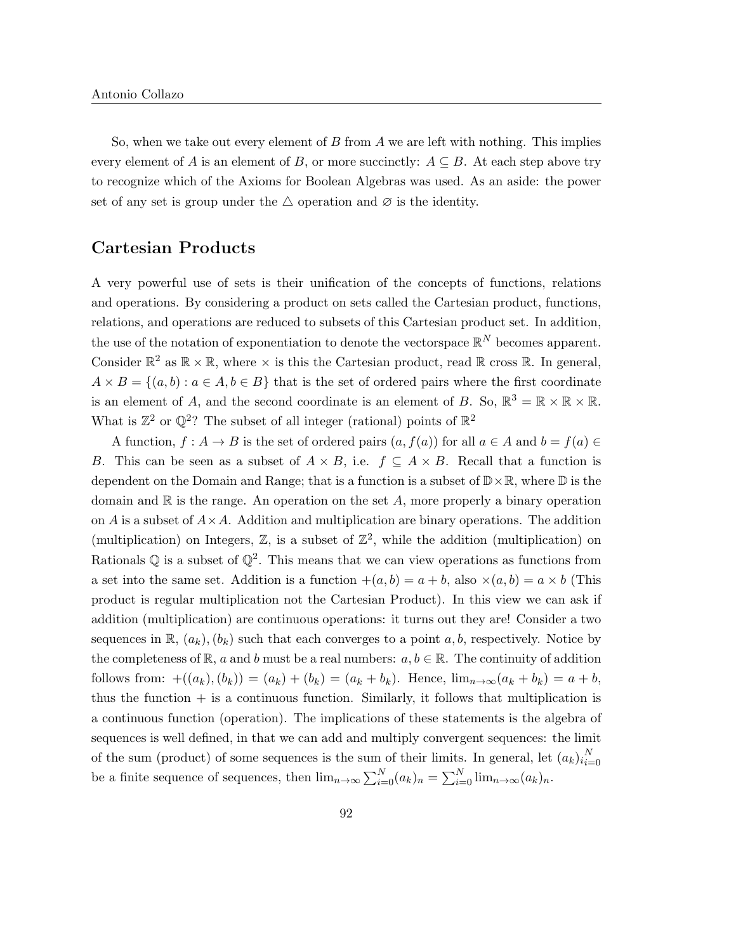So, when we take out every element of  $B$  from  $A$  we are left with nothing. This implies every element of A is an element of B, or more succinctly:  $A \subseteq B$ . At each step above try to recognize which of the Axioms for Boolean Algebras was used. As an aside: the power set of any set is group under the  $\triangle$  operation and  $\varnothing$  is the identity.

### Cartesian Products

A very powerful use of sets is their unification of the concepts of functions, relations and operations. By considering a product on sets called the Cartesian product, functions, relations, and operations are reduced to subsets of this Cartesian product set. In addition, the use of the notation of exponentiation to denote the vectorspace  $\mathbb{R}^N$  becomes apparent. Consider  $\mathbb{R}^2$  as  $\mathbb{R} \times \mathbb{R}$ , where  $\times$  is this the Cartesian product, read  $\mathbb{R}$  cross  $\mathbb{R}$ . In general,  $A \times B = \{(a, b) : a \in A, b \in B\}$  that is the set of ordered pairs where the first coordinate is an element of A, and the second coordinate is an element of B. So,  $\mathbb{R}^3 = \mathbb{R} \times \mathbb{R} \times \mathbb{R}$ . What is  $\mathbb{Z}^2$  or  $\mathbb{Q}^2$ ? The subset of all integer (rational) points of  $\mathbb{R}^2$ 

A function,  $f : A \to B$  is the set of ordered pairs  $(a, f(a))$  for all  $a \in A$  and  $b = f(a) \in$ B. This can be seen as a subset of  $A \times B$ , i.e.  $f \subseteq A \times B$ . Recall that a function is dependent on the Domain and Range; that is a function is a subset of  $\mathbb{D} \times \mathbb{R}$ , where  $\mathbb{D}$  is the domain and  $\mathbb R$  is the range. An operation on the set A, more properly a binary operation on A is a subset of  $A \times A$ . Addition and multiplication are binary operations. The addition (multiplication) on Integers,  $\mathbb{Z}$ , is a subset of  $\mathbb{Z}^2$ , while the addition (multiplication) on Rationals  $\mathbb Q$  is a subset of  $\mathbb Q^2$ . This means that we can view operations as functions from a set into the same set. Addition is a function  $+(a, b) = a + b$ , also  $\times(a, b) = a \times b$  (This product is regular multiplication not the Cartesian Product). In this view we can ask if addition (multiplication) are continuous operations: it turns out they are! Consider a two sequences in  $\mathbb{R}$ ,  $(a_k)$ ,  $(b_k)$  such that each converges to a point a, b, respectively. Notice by the completeness of  $\mathbb{R}$ , a and b must be a real numbers:  $a, b \in \mathbb{R}$ . The continuity of addition follows from:  $+((a_k),(b_k)) = (a_k) + (b_k) = (a_k + b_k)$ . Hence,  $\lim_{n \to \infty} (a_k + b_k) = a + b$ , thus the function  $+$  is a continuous function. Similarly, it follows that multiplication is a continuous function (operation). The implications of these statements is the algebra of sequences is well defined, in that we can add and multiply convergent sequences: the limit of the sum (product) of some sequences is the sum of their limits. In general, let  $(a_k)_{i=1}^N$  $i=0$ be a finite sequence of sequences, then  $\lim_{n\to\infty}\sum_{i=0}^{N}(a_k)_n = \sum_{i=0}^{N}\lim_{n\to\infty}(a_k)_n$ .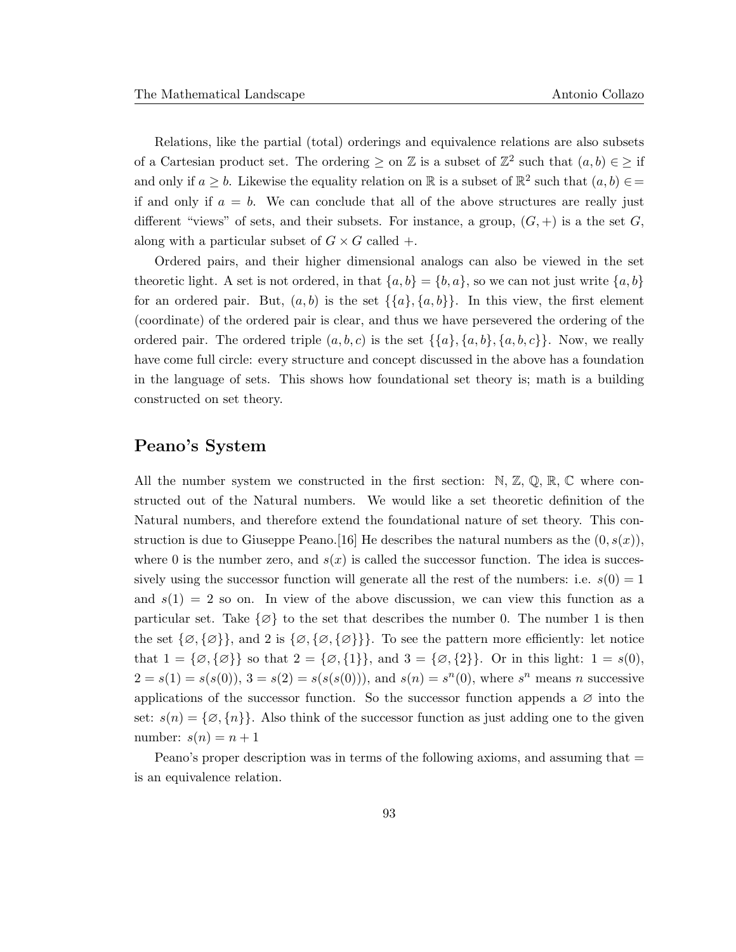Relations, like the partial (total) orderings and equivalence relations are also subsets of a Cartesian product set. The ordering  $\geq$  on  $\mathbb Z$  is a subset of  $\mathbb Z^2$  such that  $(a, b) \in \geq \mathbb Z^2$ and only if  $a \geq b$ . Likewise the equality relation on  $\mathbb R$  is a subset of  $\mathbb R^2$  such that  $(a, b) \in \mathbb R$ if and only if  $a = b$ . We can conclude that all of the above structures are really just different "views" of sets, and their subsets. For instance, a group,  $(G, +)$  is a the set G, along with a particular subset of  $G \times G$  called  $+$ .

Ordered pairs, and their higher dimensional analogs can also be viewed in the set theoretic light. A set is not ordered, in that  $\{a, b\} = \{b, a\}$ , so we can not just write  $\{a, b\}$ for an ordered pair. But,  $(a, b)$  is the set  $\{\{a\}, \{a, b\}\}\$ . In this view, the first element (coordinate) of the ordered pair is clear, and thus we have persevered the ordering of the ordered pair. The ordered triple  $(a, b, c)$  is the set  $\{\{a\}, \{a, b\}, \{a, b, c\}\}\$ . Now, we really have come full circle: every structure and concept discussed in the above has a foundation in the language of sets. This shows how foundational set theory is; math is a building constructed on set theory.

#### Peano's System

All the number system we constructed in the first section:  $\mathbb{N}, \mathbb{Z}, \mathbb{Q}, \mathbb{R}, \mathbb{C}$  where constructed out of the Natural numbers. We would like a set theoretic definition of the Natural numbers, and therefore extend the foundational nature of set theory. This construction is due to Giuseppe Peano. [16] He describes the natural numbers as the  $(0, s(x))$ , where 0 is the number zero, and  $s(x)$  is called the successor function. The idea is successively using the successor function will generate all the rest of the numbers: i.e.  $s(0) = 1$ and  $s(1) = 2$  so on. In view of the above discussion, we can view this function as a particular set. Take  $\{\emptyset\}$  to the set that describes the number 0. The number 1 is then the set  $\{\emptyset, \{\emptyset\}\}\$ , and 2 is  $\{\emptyset, \{\emptyset\}\}\$ . To see the pattern more efficiently: let notice that  $1 = \{ \emptyset, \{ \emptyset \} \}$  so that  $2 = \{ \emptyset, \{ 1 \} \}$ , and  $3 = \{ \emptyset, \{ 2 \} \}$ . Or in this light:  $1 = s(0)$ ,  $2 = s(1) = s(s(0)), 3 = s(2) = s(s(s(0))),$  and  $s(n) = s<sup>n</sup>(0)$ , where  $s<sup>n</sup>$  means n successive applications of the successor function. So the successor function appends a  $\varnothing$  into the set:  $s(n) = {\emptyset, \{n\}}$ . Also think of the successor function as just adding one to the given number:  $s(n) = n + 1$ 

Peano's proper description was in terms of the following axioms, and assuming that  $=$ is an equivalence relation.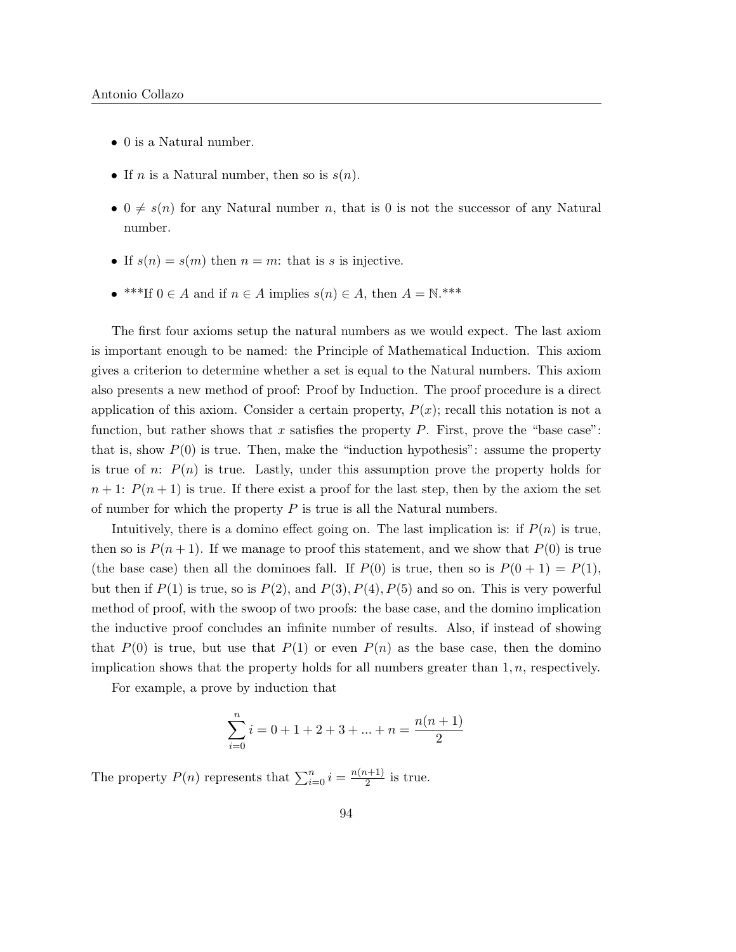- 0 is a Natural number.
- If *n* is a Natural number, then so is  $s(n)$ .
- $0 \neq s(n)$  for any Natural number n, that is 0 is not the successor of any Natural number.
- If  $s(n) = s(m)$  then  $n = m$ : that is s is injective.
- \*\*\*If  $0 \in A$  and if  $n \in A$  implies  $s(n) \in A$ , then  $A = \mathbb{N}$ .\*\*\*

The first four axioms setup the natural numbers as we would expect. The last axiom is important enough to be named: the Principle of Mathematical Induction. This axiom gives a criterion to determine whether a set is equal to the Natural numbers. This axiom also presents a new method of proof: Proof by Induction. The proof procedure is a direct application of this axiom. Consider a certain property,  $P(x)$ ; recall this notation is not a function, but rather shows that x satisfies the property  $P$ . First, prove the "base case": that is, show  $P(0)$  is true. Then, make the "induction hypothesis": assume the property is true of n:  $P(n)$  is true. Lastly, under this assumption prove the property holds for  $n+1$ :  $P(n+1)$  is true. If there exist a proof for the last step, then by the axiom the set of number for which the property  $P$  is true is all the Natural numbers.

Intuitively, there is a domino effect going on. The last implication is: if  $P(n)$  is true, then so is  $P(n+1)$ . If we manage to proof this statement, and we show that  $P(0)$  is true (the base case) then all the dominoes fall. If  $P(0)$  is true, then so is  $P(0 + 1) = P(1)$ , but then if  $P(1)$  is true, so is  $P(2)$ , and  $P(3)$ ,  $P(4)$ ,  $P(5)$  and so on. This is very powerful method of proof, with the swoop of two proofs: the base case, and the domino implication the inductive proof concludes an infinite number of results. Also, if instead of showing that  $P(0)$  is true, but use that  $P(1)$  or even  $P(n)$  as the base case, then the domino implication shows that the property holds for all numbers greater than  $1, n$ , respectively.

For example, a prove by induction that

$$
\sum_{i=0}^n i = 0+1+2+3+\ldots+n = \frac{n(n+1)}{2}
$$

The property  $P(n)$  represents that  $\sum_{i=0}^{n} i = \frac{n(n+1)}{2}$  $\frac{l+1}{2}$  is true.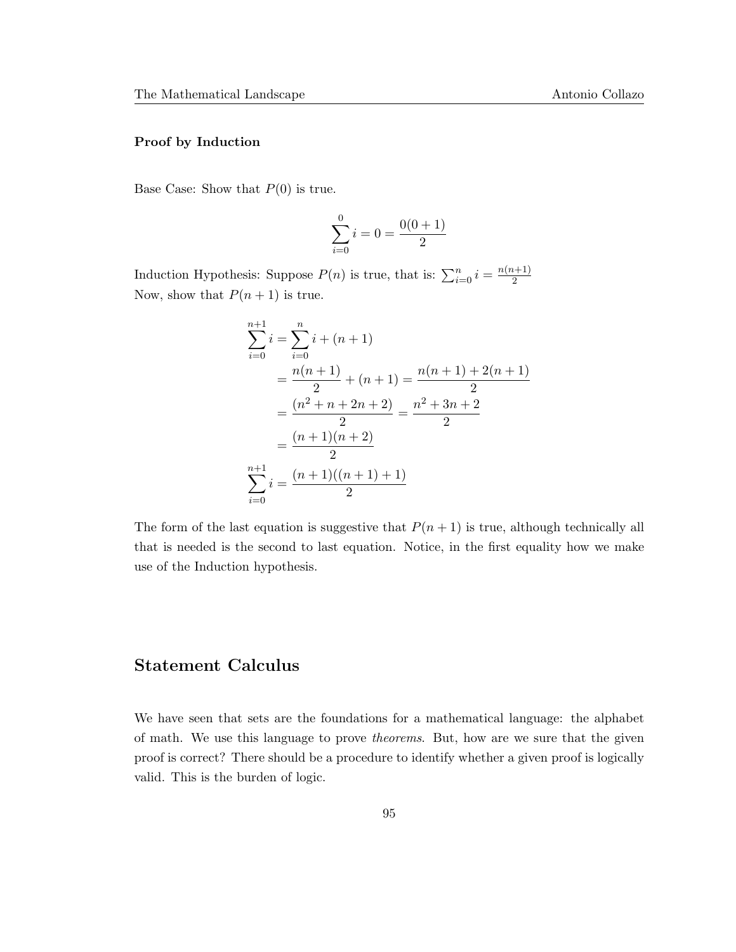#### Proof by Induction

Base Case: Show that  $P(0)$  is true.

$$
\sum_{i=0}^{0} i = 0 = \frac{0(0+1)}{2}
$$

Induction Hypothesis: Suppose  $P(n)$  is true, that is:  $\sum_{i=0}^{n} i = \frac{n(n+1)}{2}$ 2 Now, show that  $P(n+1)$  is true.

$$
\sum_{i=0}^{n+1} i = \sum_{i=0}^{n} i + (n+1)
$$
  
= 
$$
\frac{n(n+1)}{2} + (n+1) = \frac{n(n+1) + 2(n+1)}{2}
$$
  
= 
$$
\frac{(n^2 + n + 2n + 2)}{2} = \frac{n^2 + 3n + 2}{2}
$$
  
= 
$$
\frac{(n+1)(n+2)}{2}
$$
  

$$
\sum_{i=0}^{n+1} i = \frac{(n+1)((n+1) + 1)}{2}
$$

The form of the last equation is suggestive that  $P(n + 1)$  is true, although technically all that is needed is the second to last equation. Notice, in the first equality how we make use of the Induction hypothesis.

# Statement Calculus

We have seen that sets are the foundations for a mathematical language: the alphabet of math. We use this language to prove theorems. But, how are we sure that the given proof is correct? There should be a procedure to identify whether a given proof is logically valid. This is the burden of logic.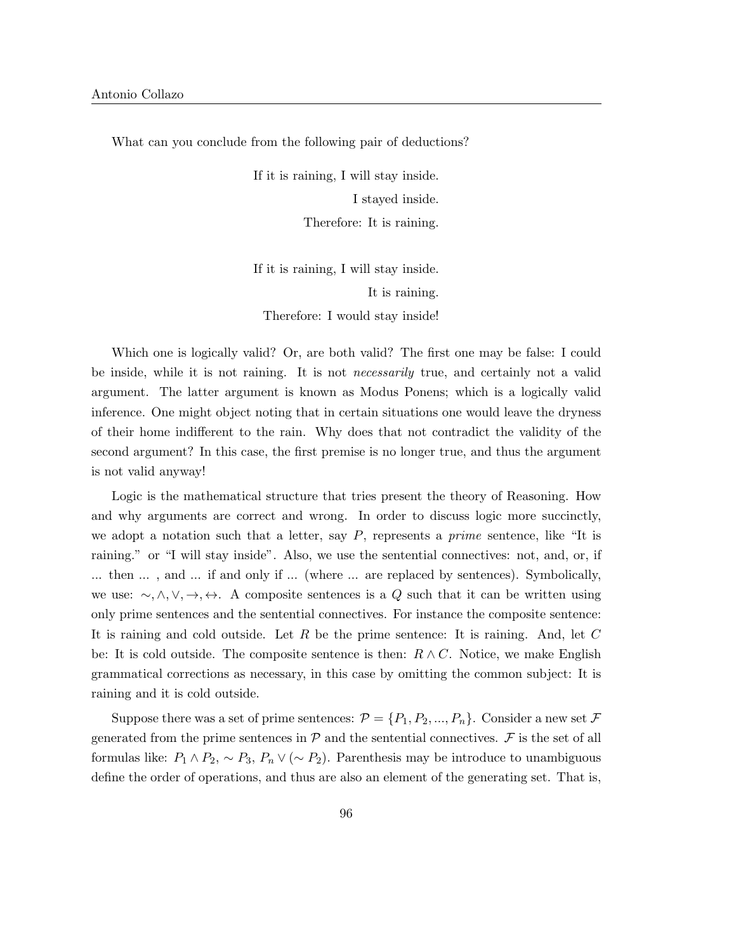What can you conclude from the following pair of deductions?

If it is raining, I will stay inside. I stayed inside. Therefore: It is raining.

If it is raining, I will stay inside. It is raining. Therefore: I would stay inside!

Which one is logically valid? Or, are both valid? The first one may be false: I could be inside, while it is not raining. It is not *necessarily* true, and certainly not a valid argument. The latter argument is known as Modus Ponens; which is a logically valid inference. One might object noting that in certain situations one would leave the dryness of their home indifferent to the rain. Why does that not contradict the validity of the second argument? In this case, the first premise is no longer true, and thus the argument is not valid anyway!

Logic is the mathematical structure that tries present the theory of Reasoning. How and why arguments are correct and wrong. In order to discuss logic more succinctly, we adopt a notation such that a letter, say  $P$ , represents a *prime* sentence, like "It is raining." or "I will stay inside". Also, we use the sentential connectives: not, and, or, if ... then ... , and ... if and only if ... (where ... are replaced by sentences). Symbolically, we use:  $\sim, \wedge, \vee, \rightarrow, \leftrightarrow$ . A composite sentences is a Q such that it can be written using only prime sentences and the sentential connectives. For instance the composite sentence: It is raining and cold outside. Let R be the prime sentence: It is raining. And, let C be: It is cold outside. The composite sentence is then:  $R \wedge C$ . Notice, we make English grammatical corrections as necessary, in this case by omitting the common subject: It is raining and it is cold outside.

Suppose there was a set of prime sentences:  $\mathcal{P} = \{P_1, P_2, ..., P_n\}$ . Consider a new set  $\mathcal{F}$ generated from the prime sentences in  $P$  and the sentential connectives.  $\mathcal F$  is the set of all formulas like:  $P_1 \wedge P_2$ ,  $\sim P_3$ ,  $P_n \vee (\sim P_2)$ . Parenthesis may be introduce to unambiguous define the order of operations, and thus are also an element of the generating set. That is,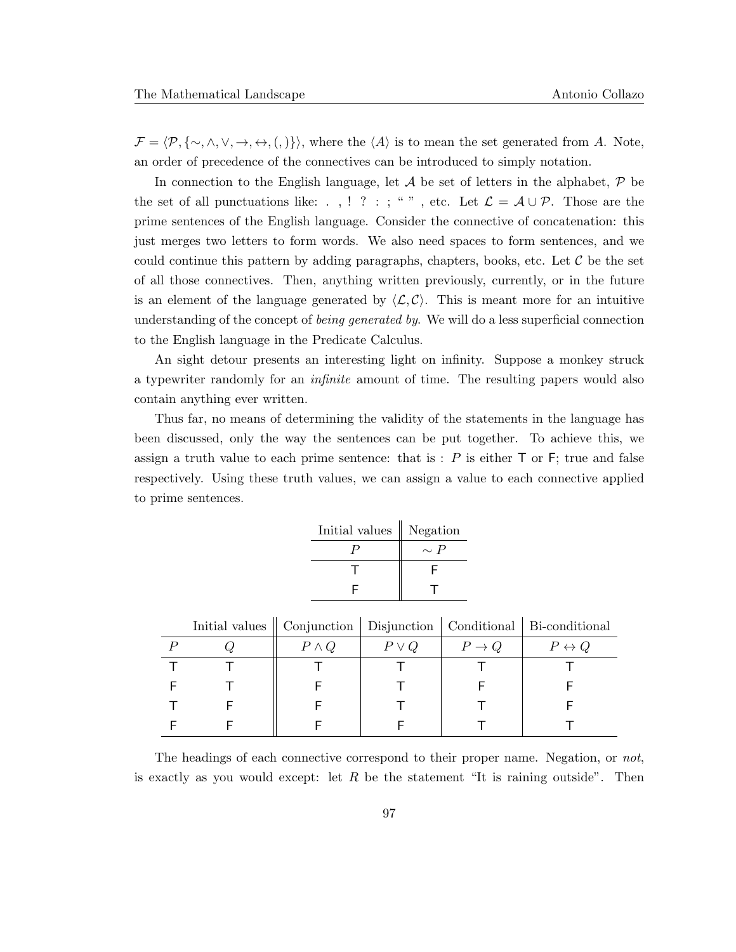$\mathcal{F} = \langle \mathcal{P}, \{\sim, \land, \lor, \rightarrow, \leftrightarrow, (,) \} \rangle$ , where the  $\langle A \rangle$  is to mean the set generated from A. Note, an order of precedence of the connectives can be introduced to simply notation.

In connection to the English language, let  $A$  be set of letters in the alphabet,  $P$  be the set of all punctuations like: . , ! ? : ; " ", etc. Let  $\mathcal{L} = \mathcal{A} \cup \mathcal{P}$ . Those are the prime sentences of the English language. Consider the connective of concatenation: this just merges two letters to form words. We also need spaces to form sentences, and we could continue this pattern by adding paragraphs, chapters, books, etc. Let  $\mathcal C$  be the set of all those connectives. Then, anything written previously, currently, or in the future is an element of the language generated by  $\langle \mathcal{L}, \mathcal{C} \rangle$ . This is meant more for an intuitive understanding of the concept of *being generated by*. We will do a less superficial connection to the English language in the Predicate Calculus.

An sight detour presents an interesting light on infinity. Suppose a monkey struck a typewriter randomly for an infinite amount of time. The resulting papers would also contain anything ever written.

Thus far, no means of determining the validity of the statements in the language has been discussed, only the way the sentences can be put together. To achieve this, we assign a truth value to each prime sentence: that is  $: P$  is either  $\top$  or  $\vdash$ ; true and false respectively. Using these truth values, we can assign a value to each connective applied to prime sentences.

| Initial values | Negation |
|----------------|----------|
|                | $\sim P$ |
|                | F        |
| E              |          |

|  |              |            |           | Initial values    Conjunction   Disjunction   Conditional   Bi-conditional |
|--|--------------|------------|-----------|----------------------------------------------------------------------------|
|  | $P \wedge Q$ | $P \vee Q$ | $P \to Q$ | $P \leftrightarrow Q$                                                      |
|  |              |            |           |                                                                            |
|  |              |            |           |                                                                            |
|  |              |            |           |                                                                            |
|  |              |            |           |                                                                            |

The headings of each connective correspond to their proper name. Negation, or not, is exactly as you would except: let R be the statement "It is raining outside". Then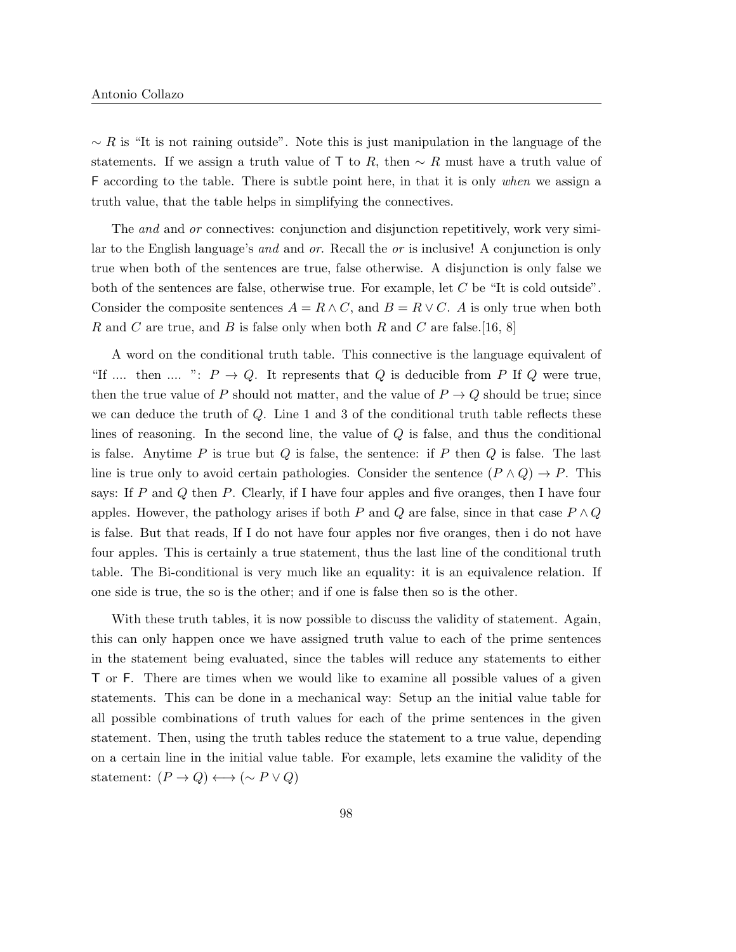$\sim R$  is "It is not raining outside". Note this is just manipulation in the language of the statements. If we assign a truth value of T to R, then  $\sim R$  must have a truth value of F according to the table. There is subtle point here, in that it is only when we assign a truth value, that the table helps in simplifying the connectives.

The *and* and *or* connectives: conjunction and disjunction repetitively, work very similar to the English language's and and or. Recall the or is inclusive! A conjunction is only true when both of the sentences are true, false otherwise. A disjunction is only false we both of the sentences are false, otherwise true. For example, let C be "It is cold outside". Consider the composite sentences  $A = R \wedge C$ , and  $B = R \vee C$ . A is only true when both R and C are true, and B is false only when both R and C are false.[16, 8]

A word on the conditional truth table. This connective is the language equivalent of "If .... then .... ":  $P \to Q$ . It represents that Q is deducible from P If Q were true, then the true value of P should not matter, and the value of  $P \to Q$  should be true; since we can deduce the truth of Q. Line 1 and 3 of the conditional truth table reflects these lines of reasoning. In the second line, the value of Q is false, and thus the conditional is false. Anytime  $P$  is true but  $Q$  is false, the sentence: if  $P$  then  $Q$  is false. The last line is true only to avoid certain pathologies. Consider the sentence  $(P \wedge Q) \rightarrow P$ . This says: If  $P$  and  $Q$  then  $P$ . Clearly, if I have four apples and five oranges, then I have four apples. However, the pathology arises if both P and Q are false, since in that case  $P \wedge Q$ is false. But that reads, If I do not have four apples nor five oranges, then i do not have four apples. This is certainly a true statement, thus the last line of the conditional truth table. The Bi-conditional is very much like an equality: it is an equivalence relation. If one side is true, the so is the other; and if one is false then so is the other.

With these truth tables, it is now possible to discuss the validity of statement. Again, this can only happen once we have assigned truth value to each of the prime sentences in the statement being evaluated, since the tables will reduce any statements to either T or F. There are times when we would like to examine all possible values of a given statements. This can be done in a mechanical way: Setup an the initial value table for all possible combinations of truth values for each of the prime sentences in the given statement. Then, using the truth tables reduce the statement to a true value, depending on a certain line in the initial value table. For example, lets examine the validity of the statement:  $(P \to Q) \longleftrightarrow (\sim P \lor Q)$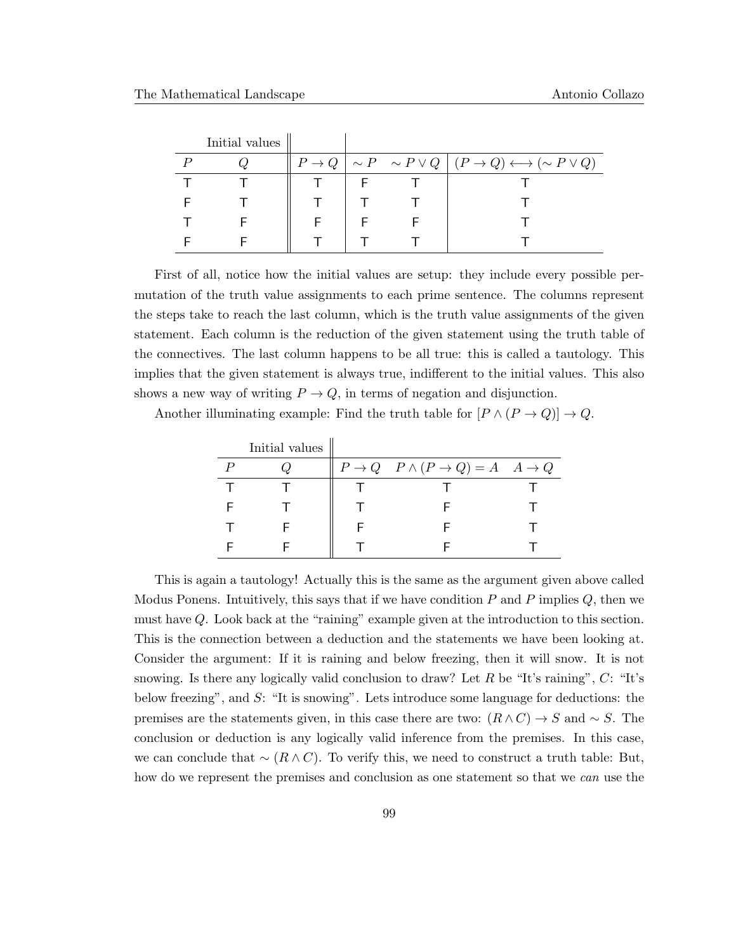| Initial values |  |                                                                                                |
|----------------|--|------------------------------------------------------------------------------------------------|
|                |  | $ P\rightarrow Q  \sim P \sim P \vee Q   (P\rightarrow Q) \longleftrightarrow (\sim P \vee Q)$ |
|                |  |                                                                                                |
|                |  |                                                                                                |
|                |  |                                                                                                |
|                |  |                                                                                                |

First of all, notice how the initial values are setup: they include every possible permutation of the truth value assignments to each prime sentence. The columns represent the steps take to reach the last column, which is the truth value assignments of the given statement. Each column is the reduction of the given statement using the truth table of the connectives. The last column happens to be all true: this is called a tautology. This implies that the given statement is always true, indifferent to the initial values. This also shows a new way of writing  $P \to Q$ , in terms of negation and disjunction.

Another illuminating example: Find the truth table for  $[P \wedge (P \rightarrow Q)] \rightarrow Q$ .

| Initial values |                                                                      |  |
|----------------|----------------------------------------------------------------------|--|
|                | $P \rightarrow Q$ $P \wedge (P \rightarrow Q) = A$ $A \rightarrow Q$ |  |
|                |                                                                      |  |
|                |                                                                      |  |
|                |                                                                      |  |
|                |                                                                      |  |

This is again a tautology! Actually this is the same as the argument given above called Modus Ponens. Intuitively, this says that if we have condition  $P$  and  $P$  implies  $Q$ , then we must have Q. Look back at the "raining" example given at the introduction to this section. This is the connection between a deduction and the statements we have been looking at. Consider the argument: If it is raining and below freezing, then it will snow. It is not snowing. Is there any logically valid conclusion to draw? Let R be "It's raining",  $C:$  "It's below freezing", and S: "It is snowing". Lets introduce some language for deductions: the premises are the statements given, in this case there are two:  $(R \wedge C) \rightarrow S$  and  $\sim S$ . The conclusion or deduction is any logically valid inference from the premises. In this case, we can conclude that  $\sim (R \wedge C)$ . To verify this, we need to construct a truth table: But, how do we represent the premises and conclusion as one statement so that we can use the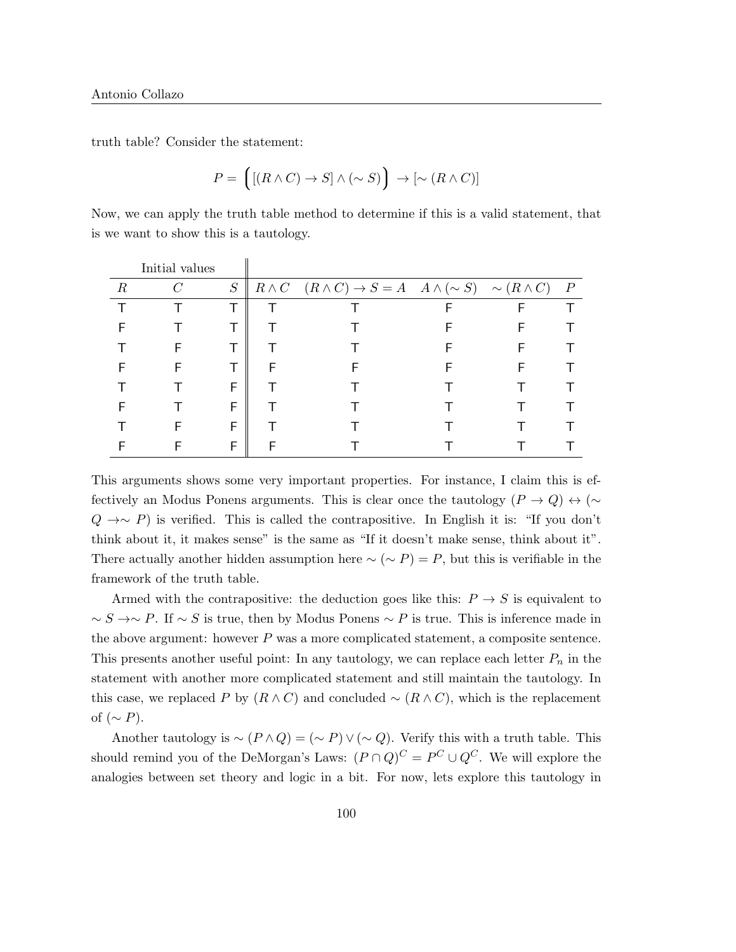truth table? Consider the statement:

$$
P = \left( \left[ (R \wedge C) \to S \right] \wedge (\sim S) \right) \to [\sim (R \wedge C)]
$$

Now, we can apply the truth table method to determine if this is a valid statement, that is we want to show this is a tautology.

|                  | Initial values |          |   |                                                                                                   |  |                  |
|------------------|----------------|----------|---|---------------------------------------------------------------------------------------------------|--|------------------|
| $\boldsymbol{R}$ | $\mathcal{C}$  | $\cal S$ |   | $R \wedge C \quad (R \wedge C) \rightarrow S = A \quad A \wedge (\sim S) \quad \sim (R \wedge C)$ |  | $\boldsymbol{P}$ |
|                  |                |          |   |                                                                                                   |  |                  |
|                  |                |          |   |                                                                                                   |  |                  |
|                  |                |          |   |                                                                                                   |  |                  |
|                  |                | т        | F |                                                                                                   |  |                  |
|                  |                | F        |   |                                                                                                   |  |                  |
|                  |                | F        |   |                                                                                                   |  |                  |
|                  |                | F        |   |                                                                                                   |  |                  |
|                  |                | F        |   |                                                                                                   |  |                  |

This arguments shows some very important properties. For instance, I claim this is effectively an Modus Ponens arguments. This is clear once the tautology  $(P \to Q) \leftrightarrow (\sim$  $Q \rightarrow \sim P$ ) is verified. This is called the contrapositive. In English it is: "If you don't think about it, it makes sense" is the same as "If it doesn't make sense, think about it". There actually another hidden assumption here  $\sim (\sim P) = P$ , but this is verifiable in the framework of the truth table.

Armed with the contrapositive: the deduction goes like this:  $P \rightarrow S$  is equivalent to  $\sim$  S →∼ P. If ∼ S is true, then by Modus Ponens ∼ P is true. This is inference made in the above argument: however  $P$  was a more complicated statement, a composite sentence. This presents another useful point: In any tautology, we can replace each letter  $P_n$  in the statement with another more complicated statement and still maintain the tautology. In this case, we replaced P by  $(R \wedge C)$  and concluded ~  $(R \wedge C)$ , which is the replacement of  $({\sim P}).$ 

Another tautology is  $\sim (P \wedge Q) = (\sim P) \vee (\sim Q)$ . Verify this with a truth table. This should remind you of the DeMorgan's Laws:  $(P \cap Q)^C = P^C \cup Q^C$ . We will explore the analogies between set theory and logic in a bit. For now, lets explore this tautology in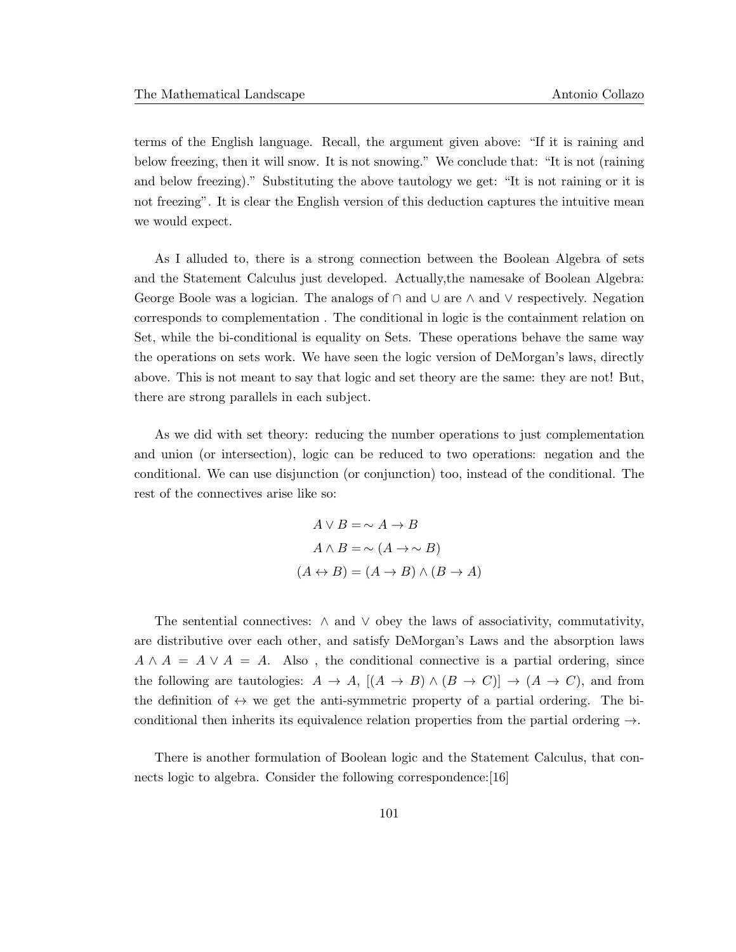terms of the English language. Recall, the argument given above: "If it is raining and below freezing, then it will snow. It is not snowing." We conclude that: "It is not (raining and below freezing)." Substituting the above tautology we get: "It is not raining or it is not freezing". It is clear the English version of this deduction captures the intuitive mean we would expect.

As I alluded to, there is a strong connection between the Boolean Algebra of sets and the Statement Calculus just developed. Actually,the namesake of Boolean Algebra: George Boole was a logician. The analogs of  $\cap$  and  $\cup$  are  $\wedge$  and  $\vee$  respectively. Negation corresponds to complementation . The conditional in logic is the containment relation on Set, while the bi-conditional is equality on Sets. These operations behave the same way the operations on sets work. We have seen the logic version of DeMorgan's laws, directly above. This is not meant to say that logic and set theory are the same: they are not! But, there are strong parallels in each subject.

As we did with set theory: reducing the number operations to just complementation and union (or intersection), logic can be reduced to two operations: negation and the conditional. We can use disjunction (or conjunction) too, instead of the conditional. The rest of the connectives arise like so:

$$
A \lor B = \sim A \to B
$$
  

$$
A \land B = \sim (A \to \sim B)
$$
  

$$
(A \leftrightarrow B) = (A \to B) \land (B \to A)
$$

The sentential connectives:  $\wedge$  and  $\vee$  obey the laws of associativity, commutativity, are distributive over each other, and satisfy DeMorgan's Laws and the absorption laws  $A \wedge A = A \vee A = A$ . Also, the conditional connective is a partial ordering, since the following are tautologies:  $A \to A$ ,  $[(A \to B) \land (B \to C)] \to (A \to C)$ , and from the definition of  $\leftrightarrow$  we get the anti-symmetric property of a partial ordering. The biconditional then inherits its equivalence relation properties from the partial ordering  $\rightarrow$ .

There is another formulation of Boolean logic and the Statement Calculus, that connects logic to algebra. Consider the following correspondence: [16]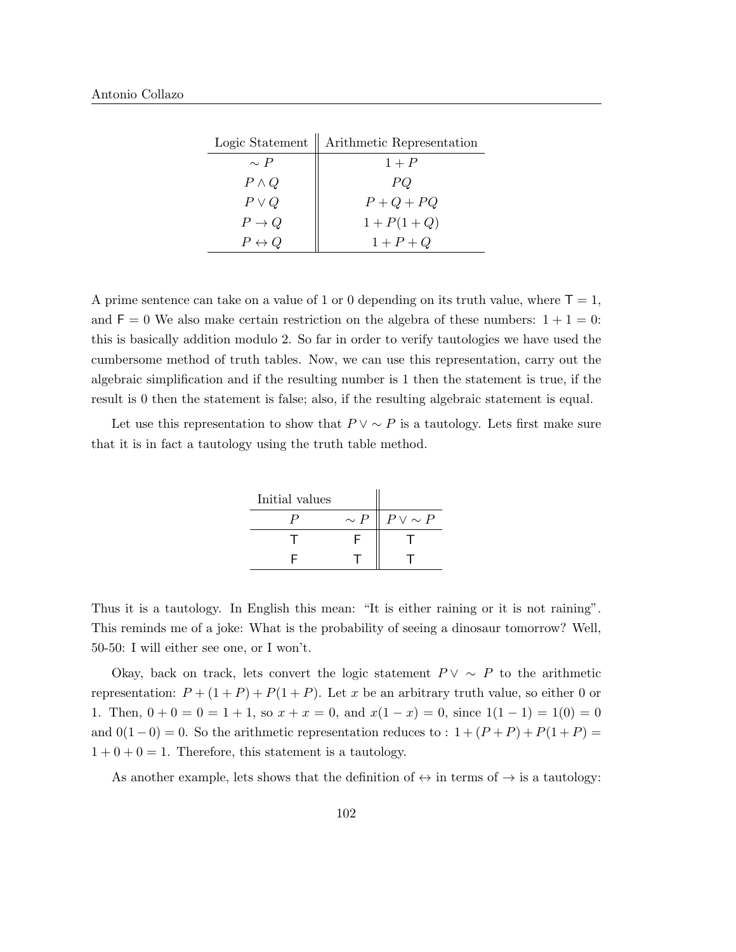|                       | Logic Statement   Arithmetic Representation |
|-----------------------|---------------------------------------------|
| $\sim P$              | $1+P$                                       |
| $P \wedge Q$          | PQ                                          |
| $P \vee Q$            | $P+Q+PQ$                                    |
| $P \to Q$             | $1 + P(1 + Q)$                              |
| $P \leftrightarrow Q$ | $1+P+Q$                                     |

A prime sentence can take on a value of 1 or 0 depending on its truth value, where  $T = 1$ , and  $F = 0$  We also make certain restriction on the algebra of these numbers:  $1 + 1 = 0$ : this is basically addition modulo 2. So far in order to verify tautologies we have used the cumbersome method of truth tables. Now, we can use this representation, carry out the algebraic simplification and if the resulting number is 1 then the statement is true, if the result is 0 then the statement is false; also, if the resulting algebraic statement is equal.

Let use this representation to show that  $P \vee \sim P$  is a tautology. Lets first make sure that it is in fact a tautology using the truth table method.

| Initial values |          |                 |
|----------------|----------|-----------------|
|                | $\sim P$ | $P \vee \sim P$ |
|                |          |                 |
|                |          |                 |

Thus it is a tautology. In English this mean: "It is either raining or it is not raining". This reminds me of a joke: What is the probability of seeing a dinosaur tomorrow? Well, 50-50: I will either see one, or I won't.

Okay, back on track, lets convert the logic statement  $P \vee \sim P$  to the arithmetic representation:  $P + (1 + P) + P(1 + P)$ . Let x be an arbitrary truth value, so either 0 or 1. Then,  $0 + 0 = 0 = 1 + 1$ , so  $x + x = 0$ , and  $x(1 - x) = 0$ , since  $1(1 - 1) = 1(0) = 0$ and  $0(1-0) = 0$ . So the arithmetic representation reduces to :  $1 + (P + P) + P(1 + P) =$  $1 + 0 + 0 = 1$ . Therefore, this statement is a tautology.

As another example, lets shows that the definition of  $\leftrightarrow$  in terms of  $\rightarrow$  is a tautology: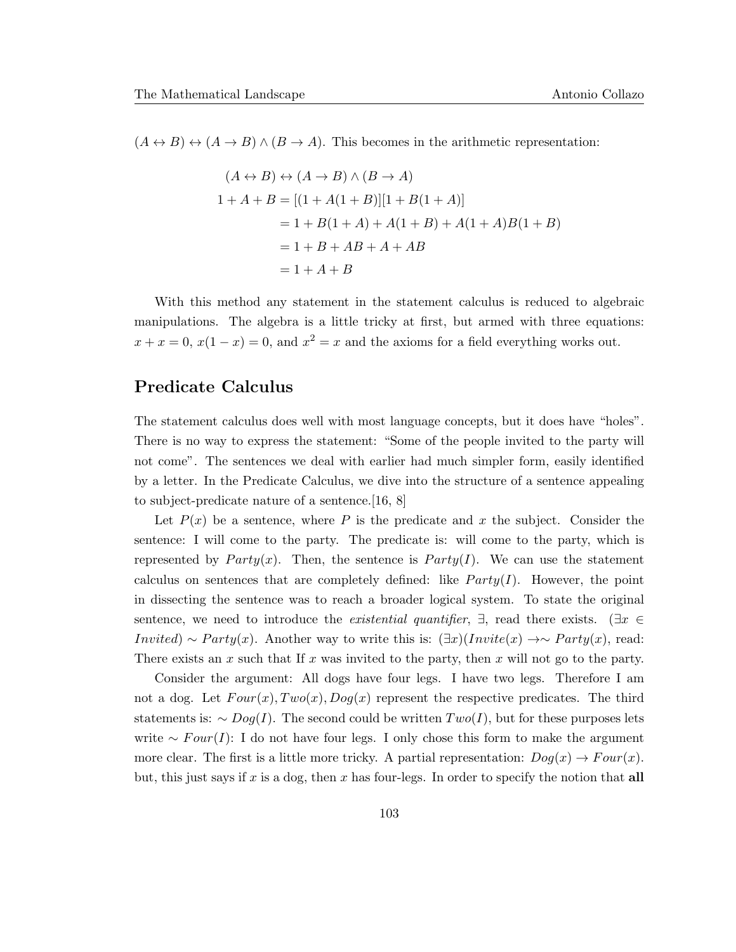$(A \leftrightarrow B) \leftrightarrow (A \to B) \land (B \to A)$ . This becomes in the arithmetic representation:

$$
(A \leftrightarrow B) \leftrightarrow (A \to B) \land (B \to A)
$$
  
\n
$$
1 + A + B = [(1 + A(1 + B)][1 + B(1 + A)]
$$
  
\n
$$
= 1 + B(1 + A) + A(1 + B) + A(1 + A)B(1 + B)
$$
  
\n
$$
= 1 + B + AB + A + AB
$$
  
\n
$$
= 1 + A + B
$$

With this method any statement in the statement calculus is reduced to algebraic manipulations. The algebra is a little tricky at first, but armed with three equations:  $x + x = 0$ ,  $x(1-x) = 0$ , and  $x^2 = x$  and the axioms for a field everything works out.

#### Predicate Calculus

The statement calculus does well with most language concepts, but it does have "holes". There is no way to express the statement: "Some of the people invited to the party will not come". The sentences we deal with earlier had much simpler form, easily identified by a letter. In the Predicate Calculus, we dive into the structure of a sentence appealing to subject-predicate nature of a sentence.[16, 8]

Let  $P(x)$  be a sentence, where P is the predicate and x the subject. Consider the sentence: I will come to the party. The predicate is: will come to the party, which is represented by  $Party(x)$ . Then, the sentence is  $Party(I)$ . We can use the statement calculus on sentences that are completely defined: like  $Party(I)$ . However, the point in dissecting the sentence was to reach a broader logical system. To state the original sentence, we need to introduce the *existential quantifier*,  $\exists$ , read there exists. ( $\exists x \in$ Invited) ∼ Party(x). Another way to write this is:  $(\exists x)(Invite(x) \rightarrow \sim Party(x))$ , read: There exists an x such that If x was invited to the party, then x will not go to the party.

Consider the argument: All dogs have four legs. I have two legs. Therefore I am not a dog. Let  $Four(x), Two(x), Dog(x)$  represent the respective predicates. The third statements is:  $\sim$  Dog(I). The second could be written  $Two(I)$ , but for these purposes lets write ∼  $Four(I): I$  do not have four legs. I only chose this form to make the argument more clear. The first is a little more tricky. A partial representation:  $Dog(x) \rightarrow Four(x)$ . but, this just says if x is a dog, then x has four-legs. In order to specify the notion that all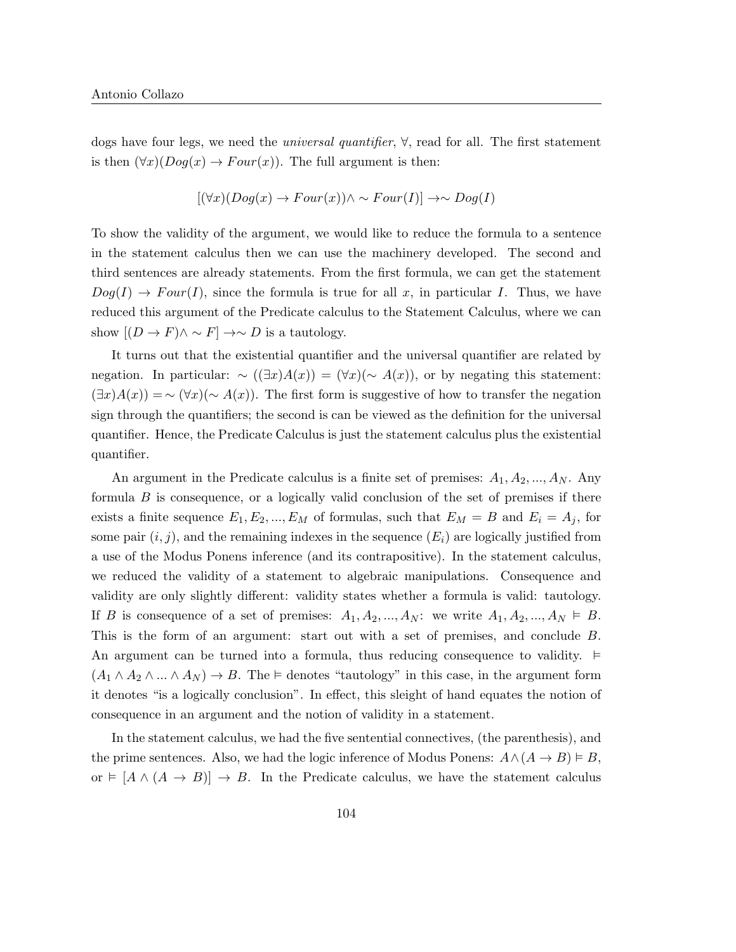dogs have four legs, we need the universal quantifier, ∀, read for all. The first statement is then  $(\forall x)(Dog(x) \rightarrow Four(x))$ . The full argument is then:

$$
[(\forall x)(Dog(x) \to Four(x)) \land \sim Four(I)] \to \sim Dog(I)
$$

To show the validity of the argument, we would like to reduce the formula to a sentence in the statement calculus then we can use the machinery developed. The second and third sentences are already statements. From the first formula, we can get the statement  $Dog(I) \to Four(I)$ , since the formula is true for all x, in particular I. Thus, we have reduced this argument of the Predicate calculus to the Statement Calculus, where we can show  $[(D \to F) \land \sim F] \to \sim D$  is a tautology.

It turns out that the existential quantifier and the universal quantifier are related by negation. In particular:  $\sim ((\exists x)A(x)) = (\forall x)(\sim A(x))$ , or by negating this statement:  $(\exists x)A(x)) = \sim (\forall x)(\sim A(x)).$  The first form is suggestive of how to transfer the negation sign through the quantifiers; the second is can be viewed as the definition for the universal quantifier. Hence, the Predicate Calculus is just the statement calculus plus the existential quantifier.

An argument in the Predicate calculus is a finite set of premises:  $A_1, A_2, ..., A_N$ . Any formula  $B$  is consequence, or a logically valid conclusion of the set of premises if there exists a finite sequence  $E_1, E_2, ..., E_M$  of formulas, such that  $E_M = B$  and  $E_i = A_j$ , for some pair  $(i, j)$ , and the remaining indexes in the sequence  $(E_i)$  are logically justified from a use of the Modus Ponens inference (and its contrapositive). In the statement calculus, we reduced the validity of a statement to algebraic manipulations. Consequence and validity are only slightly different: validity states whether a formula is valid: tautology. If B is consequence of a set of premises:  $A_1, A_2, ..., A_N$ : we write  $A_1, A_2, ..., A_N \models B$ . This is the form of an argument: start out with a set of premises, and conclude B. An argument can be turned into a formula, thus reducing consequence to validity.  $\models$  $(A_1 \wedge A_2 \wedge ... \wedge A_N) \rightarrow B$ . The  $\models$  denotes "tautology" in this case, in the argument form it denotes "is a logically conclusion". In effect, this sleight of hand equates the notion of consequence in an argument and the notion of validity in a statement.

In the statement calculus, we had the five sentential connectives, (the parenthesis), and the prime sentences. Also, we had the logic inference of Modus Ponens:  $A \land (A \rightarrow B) \models B$ , or  $\models [A \wedge (A \rightarrow B)] \rightarrow B$ . In the Predicate calculus, we have the statement calculus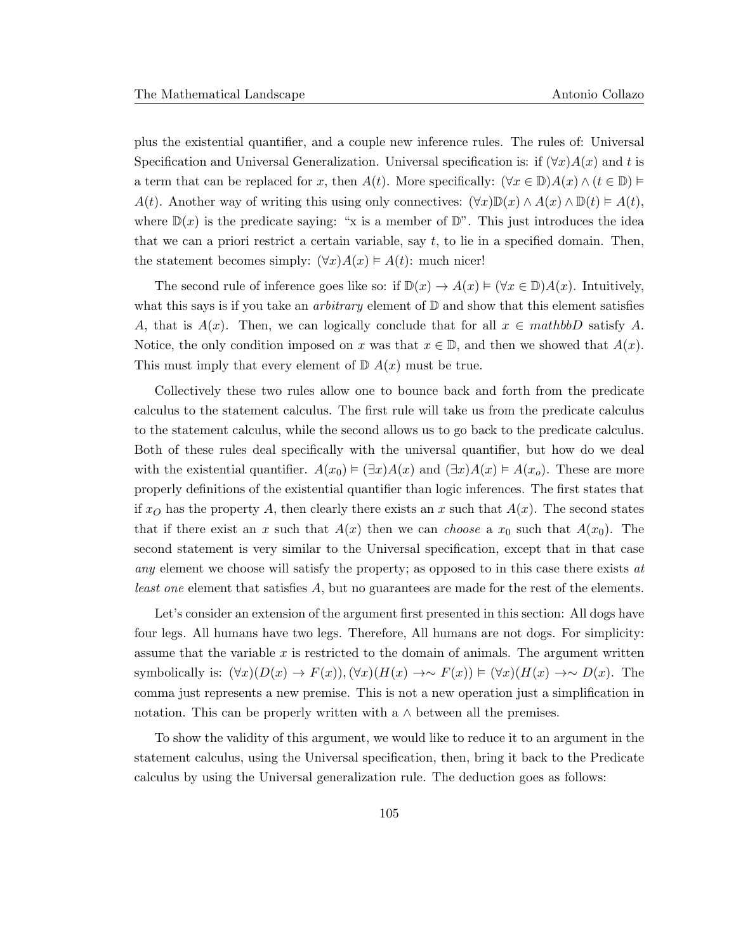plus the existential quantifier, and a couple new inference rules. The rules of: Universal Specification and Universal Generalization. Universal specification is: if  $(\forall x)A(x)$  and t is a term that can be replaced for x, then  $A(t)$ . More specifically:  $(\forall x \in \mathbb{D})A(x) \wedge (t \in \mathbb{D}) \vDash$  $A(t)$ . Another way of writing this using only connectives:  $(\forall x)\mathbb{D}(x) \wedge A(x) \wedge \mathbb{D}(t) \models A(t)$ , where  $\mathbb{D}(x)$  is the predicate saying: "x is a member of  $\mathbb{D}$ ". This just introduces the idea that we can a priori restrict a certain variable, say t, to lie in a specified domain. Then, the statement becomes simply:  $(\forall x)A(x) \models A(t)$ : much nicer!

The second rule of inference goes like so: if  $\mathbb{D}(x) \to A(x) \vDash (\forall x \in \mathbb{D})A(x)$ . Intuitively, what this says is if you take an *arbitrary* element of  $D$  and show that this element satisfies A, that is  $A(x)$ . Then, we can logically conclude that for all  $x \in mathbbD$  satisfy A. Notice, the only condition imposed on x was that  $x \in \mathbb{D}$ , and then we showed that  $A(x)$ . This must imply that every element of  $\mathbb{D} A(x)$  must be true.

Collectively these two rules allow one to bounce back and forth from the predicate calculus to the statement calculus. The first rule will take us from the predicate calculus to the statement calculus, while the second allows us to go back to the predicate calculus. Both of these rules deal specifically with the universal quantifier, but how do we deal with the existential quantifier.  $A(x_0) \models (\exists x)A(x)$  and  $(\exists x)A(x) \models A(x_0)$ . These are more properly definitions of the existential quantifier than logic inferences. The first states that if  $x_O$  has the property A, then clearly there exists an x such that  $A(x)$ . The second states that if there exist an x such that  $A(x)$  then we can *choose* a  $x_0$  such that  $A(x_0)$ . The second statement is very similar to the Universal specification, except that in that case any element we choose will satisfy the property; as opposed to in this case there exists at least one element that satisfies A, but no guarantees are made for the rest of the elements.

Let's consider an extension of the argument first presented in this section: All dogs have four legs. All humans have two legs. Therefore, All humans are not dogs. For simplicity: assume that the variable  $x$  is restricted to the domain of animals. The argument written symbolically is:  $(\forall x)(D(x) \to F(x)), (\forall x)(H(x) \to F(x)) \vDash (\forall x)(H(x) \to \sim D(x))$ . The comma just represents a new premise. This is not a new operation just a simplification in notation. This can be properly written with a  $\land$  between all the premises.

To show the validity of this argument, we would like to reduce it to an argument in the statement calculus, using the Universal specification, then, bring it back to the Predicate calculus by using the Universal generalization rule. The deduction goes as follows: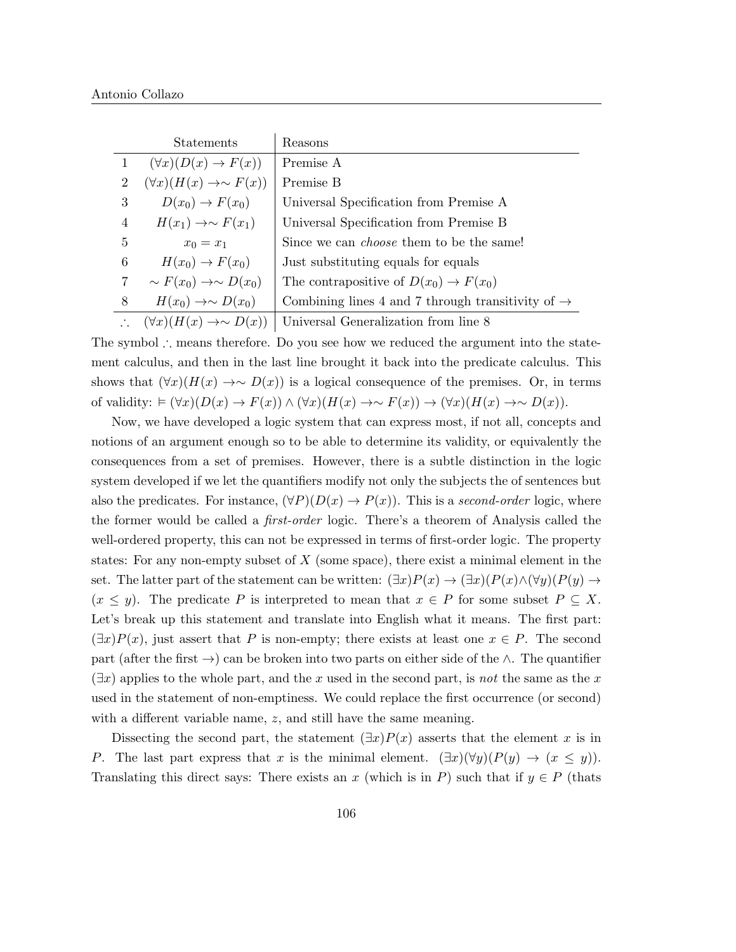|                | <b>Statements</b>                         | Reasons                                                       |
|----------------|-------------------------------------------|---------------------------------------------------------------|
|                | $(\forall x)(D(x) \rightarrow F(x))$      | Premise A                                                     |
| $\overline{2}$ | $(\forall x)(H(x) \rightarrow \sim F(x))$ | Premise B                                                     |
| 3              | $D(x_0) \rightarrow F(x_0)$               | Universal Specification from Premise A                        |
| 4              | $H(x_1) \rightarrow \sim F(x_1)$          | Universal Specification from Premise B                        |
| 5              | $x_0 = x_1$                               | Since we can <i>choose</i> them to be the same!               |
| 6              | $H(x_0) \rightarrow F(x_0)$               | Just substituting equals for equals                           |
| 7              | $\sim F(x_0) \rightarrow \sim D(x_0)$     | The contrapositive of $D(x_0) \to F(x_0)$                     |
| 8              | $H(x_0) \rightarrow \sim D(x_0)$          | Combining lines 4 and 7 through transitivity of $\rightarrow$ |
|                | $(\forall x)(H(x) \rightarrow \sim D(x))$ | Universal Generalization from line 8                          |

The symbol ∴ means therefore. Do you see how we reduced the argument into the statement calculus, and then in the last line brought it back into the predicate calculus. This shows that  $(\forall x)(H(x) \rightarrow \sim D(x))$  is a logical consequence of the premises. Or, in terms of validity:  $\models (\forall x)(D(x) \rightarrow F(x)) \land (\forall x)(H(x) \rightarrow \sim F(x)) \rightarrow (\forall x)(H(x) \rightarrow \sim D(x)).$ 

Now, we have developed a logic system that can express most, if not all, concepts and notions of an argument enough so to be able to determine its validity, or equivalently the consequences from a set of premises. However, there is a subtle distinction in the logic system developed if we let the quantifiers modify not only the subjects the of sentences but also the predicates. For instance,  $(\forall P)(D(x) \rightarrow P(x))$ . This is a second-order logic, where the former would be called a first-order logic. There's a theorem of Analysis called the well-ordered property, this can not be expressed in terms of first-order logic. The property states: For any non-empty subset of  $X$  (some space), there exist a minimal element in the set. The latter part of the statement can be written:  $(\exists x)P(x) \rightarrow (\exists x)(P(x) \land (\forall y)(P(y) \rightarrow$  $(x \leq y)$ . The predicate P is interpreted to mean that  $x \in P$  for some subset  $P \subseteq X$ . Let's break up this statement and translate into English what it means. The first part:  $(\exists x)P(x)$ , just assert that P is non-empty; there exists at least one  $x \in P$ . The second part (after the first  $\rightarrow$ ) can be broken into two parts on either side of the ∧. The quantifier  $(\exists x)$  applies to the whole part, and the x used in the second part, is not the same as the x used in the statement of non-emptiness. We could replace the first occurrence (or second) with a different variable name, z, and still have the same meaning.

Dissecting the second part, the statement  $(\exists x)P(x)$  asserts that the element x is in P. The last part express that x is the minimal element.  $(\exists x)(\forall y)(P(y) \rightarrow (x \leq y)).$ Translating this direct says: There exists an x (which is in P) such that if  $y \in P$  (thats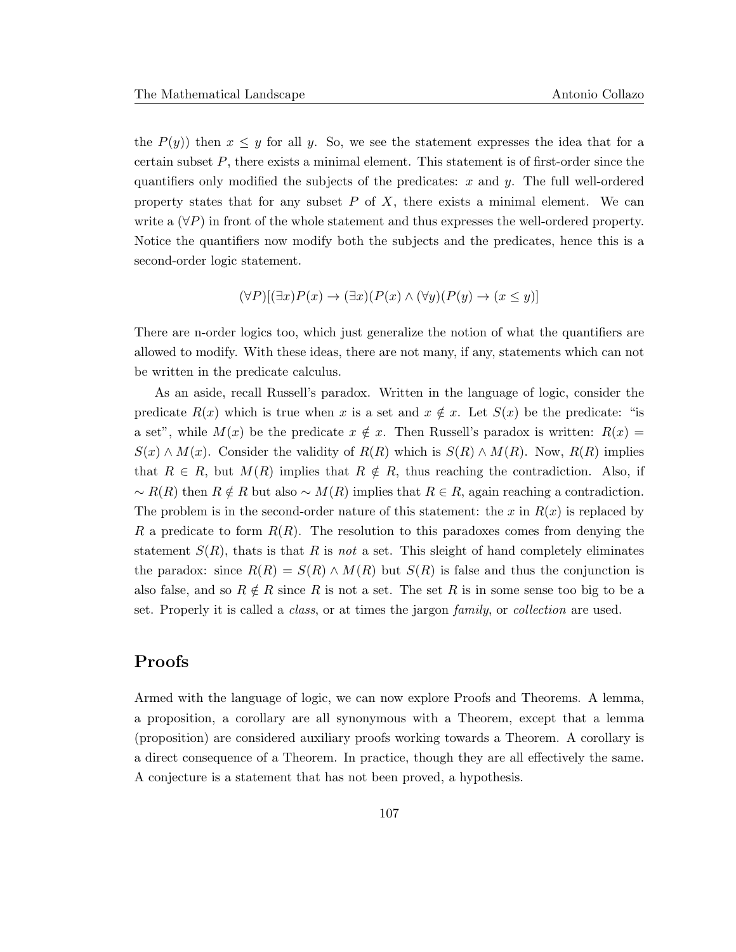the  $P(y)$ ) then  $x \leq y$  for all y. So, we see the statement expresses the idea that for a certain subset P, there exists a minimal element. This statement is of first-order since the quantifiers only modified the subjects of the predicates:  $x$  and  $y$ . The full well-ordered property states that for any subset  $P$  of  $X$ , there exists a minimal element. We can write a  $(\forall P)$  in front of the whole statement and thus expresses the well-ordered property. Notice the quantifiers now modify both the subjects and the predicates, hence this is a second-order logic statement.

$$
(\forall P)[(\exists x)P(x) \to (\exists x)(P(x) \land (\forall y)(P(y) \to (x \le y))]
$$

There are n-order logics too, which just generalize the notion of what the quantifiers are allowed to modify. With these ideas, there are not many, if any, statements which can not be written in the predicate calculus.

As an aside, recall Russell's paradox. Written in the language of logic, consider the predicate  $R(x)$  which is true when x is a set and  $x \notin x$ . Let  $S(x)$  be the predicate: "is a set", while  $M(x)$  be the predicate  $x \notin x$ . Then Russell's paradox is written:  $R(x) =$  $S(x) \wedge M(x)$ . Consider the validity of  $R(R)$  which is  $S(R) \wedge M(R)$ . Now,  $R(R)$  implies that  $R \in R$ , but  $M(R)$  implies that  $R \notin R$ , thus reaching the contradiction. Also, if  $~∼ R(R)$  then  $R \notin R$  but also  $~∼ M(R)$  implies that  $R \in R$ , again reaching a contradiction. The problem is in the second-order nature of this statement: the x in  $R(x)$  is replaced by R a predicate to form  $R(R)$ . The resolution to this paradoxes comes from denying the statement  $S(R)$ , thats is that R is not a set. This sleight of hand completely eliminates the paradox: since  $R(R) = S(R) \wedge M(R)$  but  $S(R)$  is false and thus the conjunction is also false, and so  $R \notin R$  since R is not a set. The set R is in some sense too big to be a set. Properly it is called a class, or at times the jargon family, or collection are used.

# Proofs

Armed with the language of logic, we can now explore Proofs and Theorems. A lemma, a proposition, a corollary are all synonymous with a Theorem, except that a lemma (proposition) are considered auxiliary proofs working towards a Theorem. A corollary is a direct consequence of a Theorem. In practice, though they are all effectively the same. A conjecture is a statement that has not been proved, a hypothesis.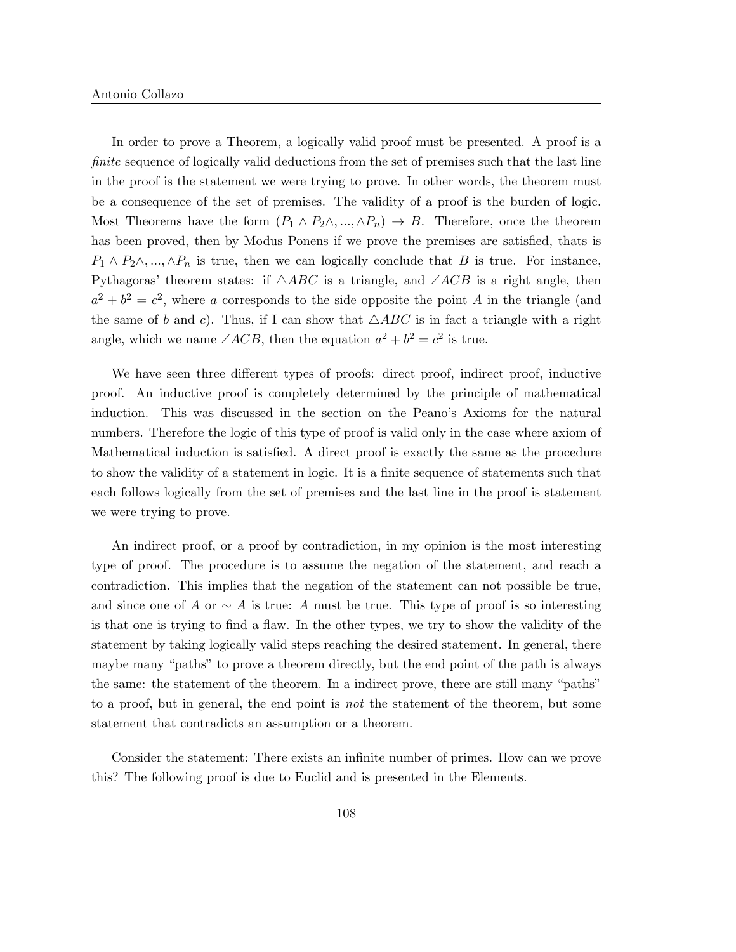In order to prove a Theorem, a logically valid proof must be presented. A proof is a finite sequence of logically valid deductions from the set of premises such that the last line in the proof is the statement we were trying to prove. In other words, the theorem must be a consequence of the set of premises. The validity of a proof is the burden of logic. Most Theorems have the form  $(P_1 \wedge P_2 \wedge \ldots \wedge P_n) \rightarrow B$ . Therefore, once the theorem has been proved, then by Modus Ponens if we prove the premises are satisfied, thats is  $P_1 \wedge P_2 \wedge \ldots \wedge P_n$  is true, then we can logically conclude that B is true. For instance, Pythagoras' theorem states: if  $\triangle ABC$  is a triangle, and  $\angle ACB$  is a right angle, then  $a^2 + b^2 = c^2$ , where a corresponds to the side opposite the point A in the triangle (and the same of b and c). Thus, if I can show that  $\triangle ABC$  is in fact a triangle with a right angle, which we name  $\angle ACB$ , then the equation  $a^2 + b^2 = c^2$  is true.

We have seen three different types of proofs: direct proof, indirect proof, inductive proof. An inductive proof is completely determined by the principle of mathematical induction. This was discussed in the section on the Peano's Axioms for the natural numbers. Therefore the logic of this type of proof is valid only in the case where axiom of Mathematical induction is satisfied. A direct proof is exactly the same as the procedure to show the validity of a statement in logic. It is a finite sequence of statements such that each follows logically from the set of premises and the last line in the proof is statement we were trying to prove.

An indirect proof, or a proof by contradiction, in my opinion is the most interesting type of proof. The procedure is to assume the negation of the statement, and reach a contradiction. This implies that the negation of the statement can not possible be true, and since one of A or  $\sim A$  is true: A must be true. This type of proof is so interesting is that one is trying to find a flaw. In the other types, we try to show the validity of the statement by taking logically valid steps reaching the desired statement. In general, there maybe many "paths" to prove a theorem directly, but the end point of the path is always the same: the statement of the theorem. In a indirect prove, there are still many "paths" to a proof, but in general, the end point is not the statement of the theorem, but some statement that contradicts an assumption or a theorem.

Consider the statement: There exists an infinite number of primes. How can we prove this? The following proof is due to Euclid and is presented in the Elements.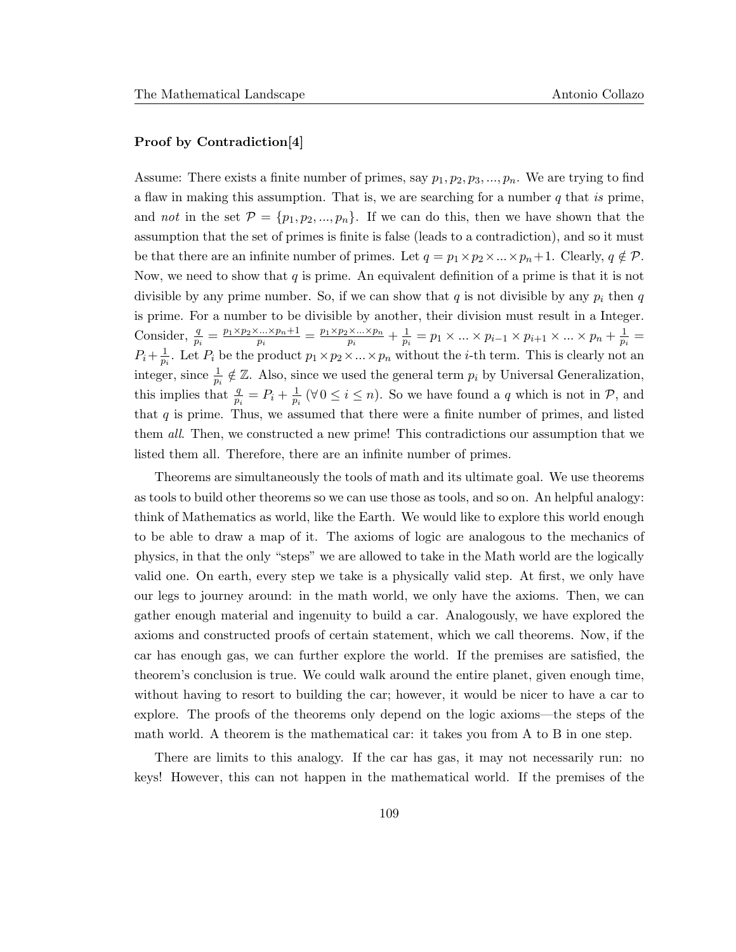#### Proof by Contradiction[4]

Assume: There exists a finite number of primes, say  $p_1, p_2, p_3, ..., p_n$ . We are trying to find a flaw in making this assumption. That is, we are searching for a number  $q$  that is prime, and not in the set  $\mathcal{P} = \{p_1, p_2, ..., p_n\}$ . If we can do this, then we have shown that the assumption that the set of primes is finite is false (leads to a contradiction), and so it must be that there are an infinite number of primes. Let  $q = p_1 \times p_2 \times ... \times p_n + 1$ . Clearly,  $q \notin \mathcal{P}$ . Now, we need to show that  $q$  is prime. An equivalent definition of a prime is that it is not divisible by any prime number. So, if we can show that  $q$  is not divisible by any  $p_i$  then  $q$ is prime. For a number to be divisible by another, their division must result in a Integer. Consider,  $\frac{q}{p_i} = \frac{p_1 \times p_2 \times \dots \times p_n + 1}{p_i}$  $\frac{p_{i} \dots \times p_{n+1}}{p_i} = \frac{p_1 \times p_2 \times \dots \times p_n}{p_i}$  $\frac{\times ... \times p_n}{p_i} + \frac{1}{p_i}$  $\frac{1}{p_i} = p_1 \times \ldots \times p_{i-1} \times p_{i+1} \times \ldots \times p_n + \frac{1}{p_i}$  $\frac{1}{p_i} =$  $P_i+\frac{1}{n}$  $\frac{1}{p_i}$ . Let  $P_i$  be the product  $p_1 \times p_2 \times \ldots \times p_n$  without the *i*-th term. This is clearly not an integer, since  $\frac{1}{p_i} \notin \mathbb{Z}$ . Also, since we used the general term  $p_i$  by Universal Generalization, this implies that  $\frac{q}{p_i} = P_i + \frac{1}{p_i}$  $\frac{1}{p_i}$  ( $\forall 0 \leq i \leq n$ ). So we have found a q which is not in  $P$ , and that  $q$  is prime. Thus, we assumed that there were a finite number of primes, and listed them all. Then, we constructed a new prime! This contradictions our assumption that we listed them all. Therefore, there are an infinite number of primes.

Theorems are simultaneously the tools of math and its ultimate goal. We use theorems as tools to build other theorems so we can use those as tools, and so on. An helpful analogy: think of Mathematics as world, like the Earth. We would like to explore this world enough to be able to draw a map of it. The axioms of logic are analogous to the mechanics of physics, in that the only "steps" we are allowed to take in the Math world are the logically valid one. On earth, every step we take is a physically valid step. At first, we only have our legs to journey around: in the math world, we only have the axioms. Then, we can gather enough material and ingenuity to build a car. Analogously, we have explored the axioms and constructed proofs of certain statement, which we call theorems. Now, if the car has enough gas, we can further explore the world. If the premises are satisfied, the theorem's conclusion is true. We could walk around the entire planet, given enough time, without having to resort to building the car; however, it would be nicer to have a car to explore. The proofs of the theorems only depend on the logic axioms—the steps of the math world. A theorem is the mathematical car: it takes you from A to B in one step.

There are limits to this analogy. If the car has gas, it may not necessarily run: no keys! However, this can not happen in the mathematical world. If the premises of the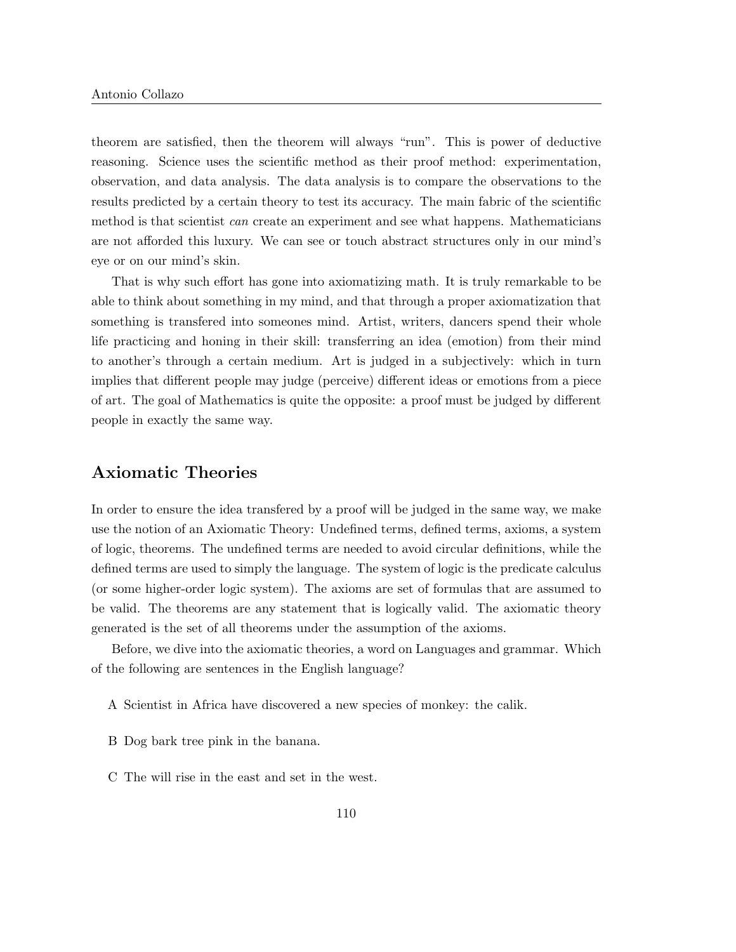theorem are satisfied, then the theorem will always "run". This is power of deductive reasoning. Science uses the scientific method as their proof method: experimentation, observation, and data analysis. The data analysis is to compare the observations to the results predicted by a certain theory to test its accuracy. The main fabric of the scientific method is that scientist can create an experiment and see what happens. Mathematicians are not afforded this luxury. We can see or touch abstract structures only in our mind's eye or on our mind's skin.

That is why such effort has gone into axiomatizing math. It is truly remarkable to be able to think about something in my mind, and that through a proper axiomatization that something is transfered into someones mind. Artist, writers, dancers spend their whole life practicing and honing in their skill: transferring an idea (emotion) from their mind to another's through a certain medium. Art is judged in a subjectively: which in turn implies that different people may judge (perceive) different ideas or emotions from a piece of art. The goal of Mathematics is quite the opposite: a proof must be judged by different people in exactly the same way.

### Axiomatic Theories

In order to ensure the idea transfered by a proof will be judged in the same way, we make use the notion of an Axiomatic Theory: Undefined terms, defined terms, axioms, a system of logic, theorems. The undefined terms are needed to avoid circular definitions, while the defined terms are used to simply the language. The system of logic is the predicate calculus (or some higher-order logic system). The axioms are set of formulas that are assumed to be valid. The theorems are any statement that is logically valid. The axiomatic theory generated is the set of all theorems under the assumption of the axioms.

Before, we dive into the axiomatic theories, a word on Languages and grammar. Which of the following are sentences in the English language?

- A Scientist in Africa have discovered a new species of monkey: the calik.
- B Dog bark tree pink in the banana.
- C The will rise in the east and set in the west.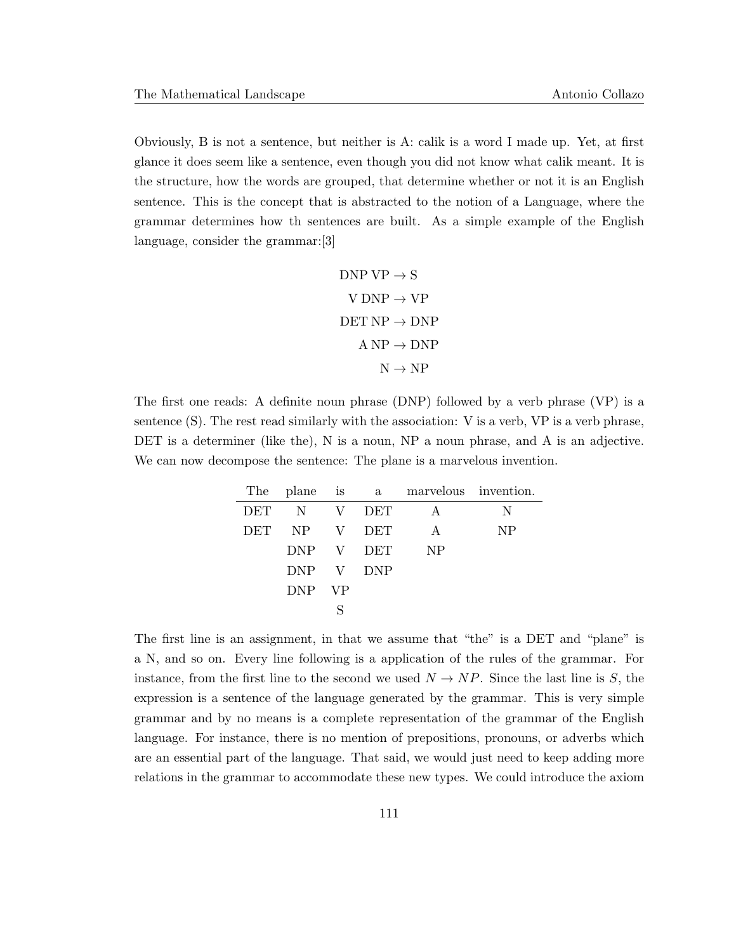Obviously, B is not a sentence, but neither is A: calik is a word I made up. Yet, at first glance it does seem like a sentence, even though you did not know what calik meant. It is the structure, how the words are grouped, that determine whether or not it is an English sentence. This is the concept that is abstracted to the notion of a Language, where the grammar determines how th sentences are built. As a simple example of the English language, consider the grammar:[3]

$$
DNP VP \rightarrow S
$$
  
\n
$$
V DNP \rightarrow VP
$$
  
\n
$$
DET NP \rightarrow DNP
$$
  
\n
$$
A NP \rightarrow DNP
$$
  
\n
$$
N \rightarrow NP
$$

The first one reads: A definite noun phrase (DNP) followed by a verb phrase (VP) is a sentence (S). The rest read similarly with the association: V is a verb, VP is a verb phrase, DET is a determiner (like the), N is a noun, NP a noun phrase, and A is an adjective. We can now decompose the sentence: The plane is a marvelous invention.

|            | The plane is |           |            | a marvelous invention. |           |
|------------|--------------|-----------|------------|------------------------|-----------|
| DET        | N V DET      |           |            | A                      | N         |
| <b>DET</b> | NP V         |           | <b>DET</b> | $\mathbf{A}$           | <b>NP</b> |
|            | DNP V DET    |           |            | <b>NP</b>              |           |
|            | DNP V DNP    |           |            |                        |           |
|            | <b>DNP</b>   | <b>VP</b> |            |                        |           |
|            |              |           |            |                        |           |

The first line is an assignment, in that we assume that "the" is a DET and "plane" is a N, and so on. Every line following is a application of the rules of the grammar. For instance, from the first line to the second we used  $N \to NP$ . Since the last line is S, the expression is a sentence of the language generated by the grammar. This is very simple grammar and by no means is a complete representation of the grammar of the English language. For instance, there is no mention of prepositions, pronouns, or adverbs which are an essential part of the language. That said, we would just need to keep adding more relations in the grammar to accommodate these new types. We could introduce the axiom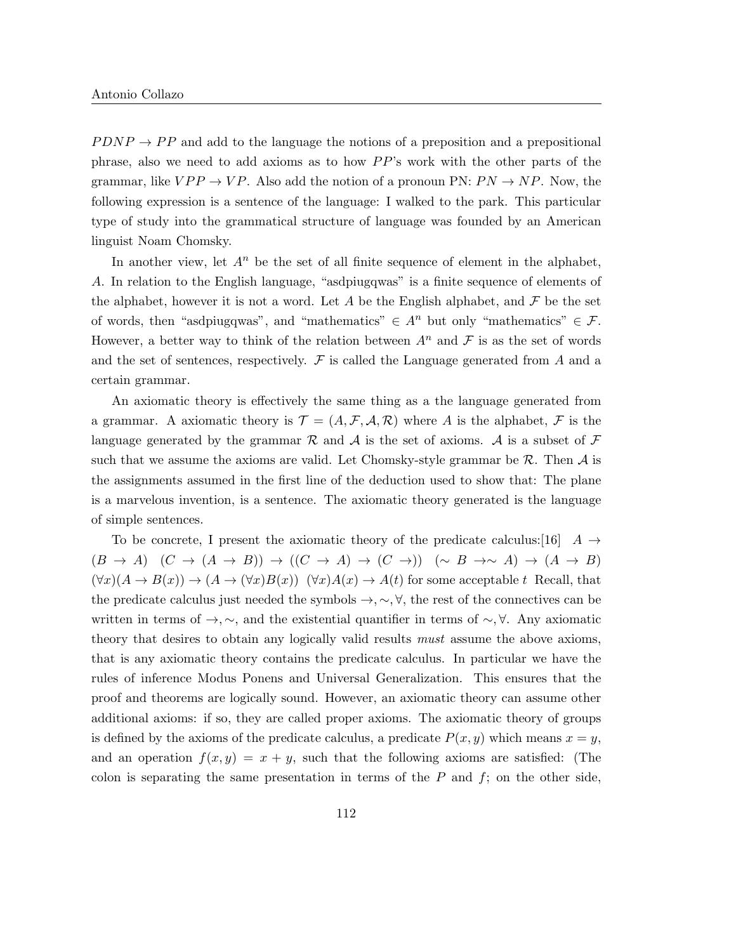$P DNP \rightarrow PP$  and add to the language the notions of a preposition and a prepositional phrase, also we need to add axioms as to how  $PP$ 's work with the other parts of the grammar, like  $VPP \rightarrow VP$ . Also add the notion of a pronoun PN:  $PN \rightarrow NP$ . Now, the following expression is a sentence of the language: I walked to the park. This particular type of study into the grammatical structure of language was founded by an American linguist Noam Chomsky.

In another view, let  $A^n$  be the set of all finite sequence of element in the alphabet, A. In relation to the English language, "asdpiugqwas" is a finite sequence of elements of the alphabet, however it is not a word. Let A be the English alphabet, and  $\mathcal F$  be the set of words, then "asdpiugqwas", and "mathematics"  $\in A^n$  but only "mathematics"  $\in \mathcal{F}$ . However, a better way to think of the relation between  $A^n$  and  $\mathcal F$  is as the set of words and the set of sentences, respectively.  $\mathcal F$  is called the Language generated from A and a certain grammar.

An axiomatic theory is effectively the same thing as a the language generated from a grammar. A axiomatic theory is  $\mathcal{T} = (A, \mathcal{F}, A, \mathcal{R})$  where A is the alphabet, F is the language generated by the grammar  $\mathcal R$  and  $\mathcal A$  is the set of axioms.  $\mathcal A$  is a subset of  $\mathcal F$ such that we assume the axioms are valid. Let Chomsky-style grammar be  $\mathcal{R}$ . Then  $\mathcal{A}$  is the assignments assumed in the first line of the deduction used to show that: The plane is a marvelous invention, is a sentence. The axiomatic theory generated is the language of simple sentences.

To be concrete, I present the axiomatic theory of the predicate calculus: [16]  $A \rightarrow$  $(B \to A)$   $(C \to (A \to B)) \to ((C \to A) \to (C \to))$   $(\sim B \to \sim A) \to (A \to B)$  $(\forall x)(A \to B(x)) \to (A \to (\forall x)B(x))$   $(\forall x)A(x) \to A(t)$  for some acceptable t Recall, that the predicate calculus just needed the symbols  $\rightarrow, \sim, \forall$ , the rest of the connectives can be written in terms of  $\rightarrow, \sim$ , and the existential quantifier in terms of  $\sim, \forall$ . Any axiomatic theory that desires to obtain any logically valid results *must* assume the above axioms, that is any axiomatic theory contains the predicate calculus. In particular we have the rules of inference Modus Ponens and Universal Generalization. This ensures that the proof and theorems are logically sound. However, an axiomatic theory can assume other additional axioms: if so, they are called proper axioms. The axiomatic theory of groups is defined by the axioms of the predicate calculus, a predicate  $P(x, y)$  which means  $x = y$ , and an operation  $f(x, y) = x + y$ , such that the following axioms are satisfied: (The colon is separating the same presentation in terms of the  $P$  and  $f$ ; on the other side,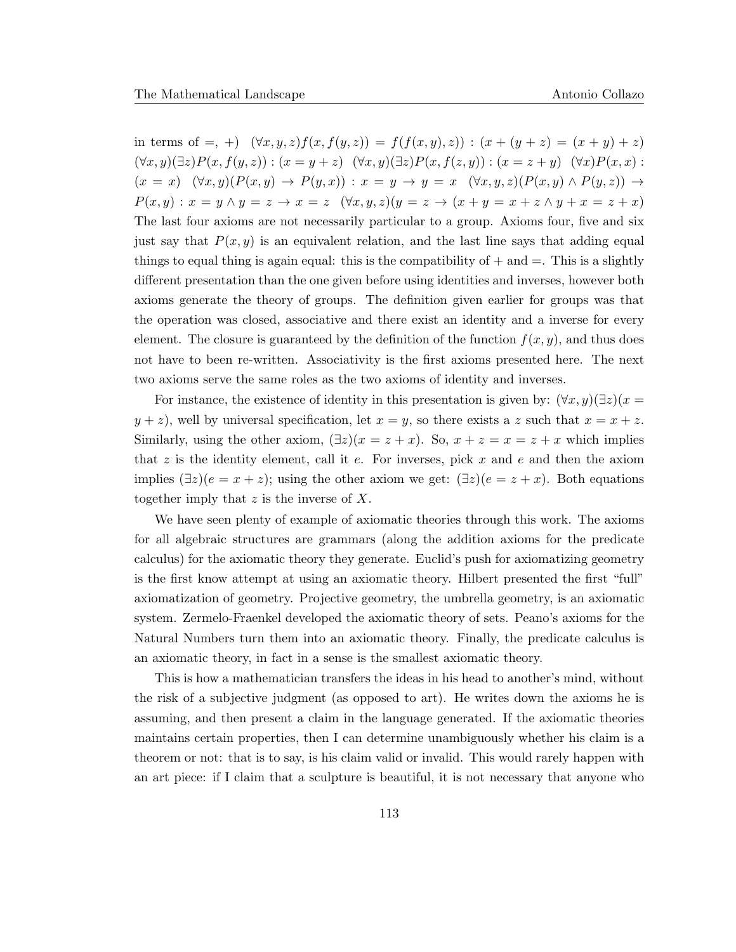in terms of  $=$ ,  $+$ )  $(\forall x, y, z) f(x, f(y, z)) = f(f(x, y), z) : (x + (y + z)) = (x + y) + z$  $(\forall x, y)(\exists z) P(x, f(y, z)) : (x = y + z) \ (\forall x, y)(\exists z) P(x, f(z, y)) : (x = z + y) \ (\forall x) P(x, x) : (x = z + y) P(x, x)$  $(x = x) \quad (\forall x, y)(P(x, y) \rightarrow P(y, x)) : x = y \rightarrow y = x \quad (\forall x, y, z)(P(x, y) \land P(y, z)) \rightarrow$  $P(x, y) : x = y \land y = z \to x = z \ (\forall x, y, z)(y = z \to (x + y = x + z \land y + x = z + x))$ The last four axioms are not necessarily particular to a group. Axioms four, five and six just say that  $P(x, y)$  is an equivalent relation, and the last line says that adding equal things to equal thing is again equal: this is the compatibility of  $+$  and  $=$ . This is a slightly different presentation than the one given before using identities and inverses, however both axioms generate the theory of groups. The definition given earlier for groups was that the operation was closed, associative and there exist an identity and a inverse for every element. The closure is guaranteed by the definition of the function  $f(x, y)$ , and thus does not have to been re-written. Associativity is the first axioms presented here. The next two axioms serve the same roles as the two axioms of identity and inverses.

For instance, the existence of identity in this presentation is given by:  $(\forall x, y)(\exists z)(x =$  $y + z$ , well by universal specification, let  $x = y$ , so there exists a z such that  $x = x + z$ . Similarly, using the other axiom,  $(\exists z)(x = z + x)$ . So,  $x + z = x = z + x$  which implies that z is the identity element, call it  $e$ . For inverses, pick x and  $e$  and then the axiom implies  $(\exists z)(e = x + z)$ ; using the other axiom we get:  $(\exists z)(e = z + x)$ . Both equations together imply that  $z$  is the inverse of  $X$ .

We have seen plenty of example of axiomatic theories through this work. The axioms for all algebraic structures are grammars (along the addition axioms for the predicate calculus) for the axiomatic theory they generate. Euclid's push for axiomatizing geometry is the first know attempt at using an axiomatic theory. Hilbert presented the first "full" axiomatization of geometry. Projective geometry, the umbrella geometry, is an axiomatic system. Zermelo-Fraenkel developed the axiomatic theory of sets. Peano's axioms for the Natural Numbers turn them into an axiomatic theory. Finally, the predicate calculus is an axiomatic theory, in fact in a sense is the smallest axiomatic theory.

This is how a mathematician transfers the ideas in his head to another's mind, without the risk of a subjective judgment (as opposed to art). He writes down the axioms he is assuming, and then present a claim in the language generated. If the axiomatic theories maintains certain properties, then I can determine unambiguously whether his claim is a theorem or not: that is to say, is his claim valid or invalid. This would rarely happen with an art piece: if I claim that a sculpture is beautiful, it is not necessary that anyone who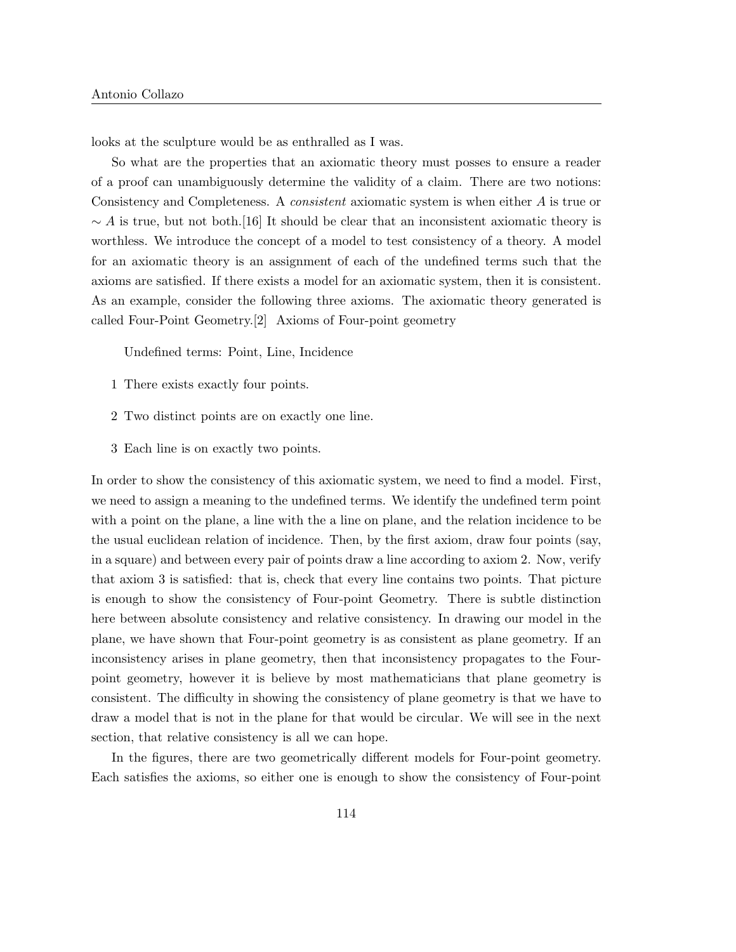looks at the sculpture would be as enthralled as I was.

So what are the properties that an axiomatic theory must posses to ensure a reader of a proof can unambiguously determine the validity of a claim. There are two notions: Consistency and Completeness. A *consistent* axiomatic system is when either A is true or  $\sim A$  is true, but not both.[16] It should be clear that an inconsistent axiomatic theory is worthless. We introduce the concept of a model to test consistency of a theory. A model for an axiomatic theory is an assignment of each of the undefined terms such that the axioms are satisfied. If there exists a model for an axiomatic system, then it is consistent. As an example, consider the following three axioms. The axiomatic theory generated is called Four-Point Geometry.[2] Axioms of Four-point geometry

Undefined terms: Point, Line, Incidence

- 1 There exists exactly four points.
- 2 Two distinct points are on exactly one line.
- 3 Each line is on exactly two points.

In order to show the consistency of this axiomatic system, we need to find a model. First, we need to assign a meaning to the undefined terms. We identify the undefined term point with a point on the plane, a line with the a line on plane, and the relation incidence to be the usual euclidean relation of incidence. Then, by the first axiom, draw four points (say, in a square) and between every pair of points draw a line according to axiom 2. Now, verify that axiom 3 is satisfied: that is, check that every line contains two points. That picture is enough to show the consistency of Four-point Geometry. There is subtle distinction here between absolute consistency and relative consistency. In drawing our model in the plane, we have shown that Four-point geometry is as consistent as plane geometry. If an inconsistency arises in plane geometry, then that inconsistency propagates to the Fourpoint geometry, however it is believe by most mathematicians that plane geometry is consistent. The difficulty in showing the consistency of plane geometry is that we have to draw a model that is not in the plane for that would be circular. We will see in the next section, that relative consistency is all we can hope.

In the figures, there are two geometrically different models for Four-point geometry. Each satisfies the axioms, so either one is enough to show the consistency of Four-point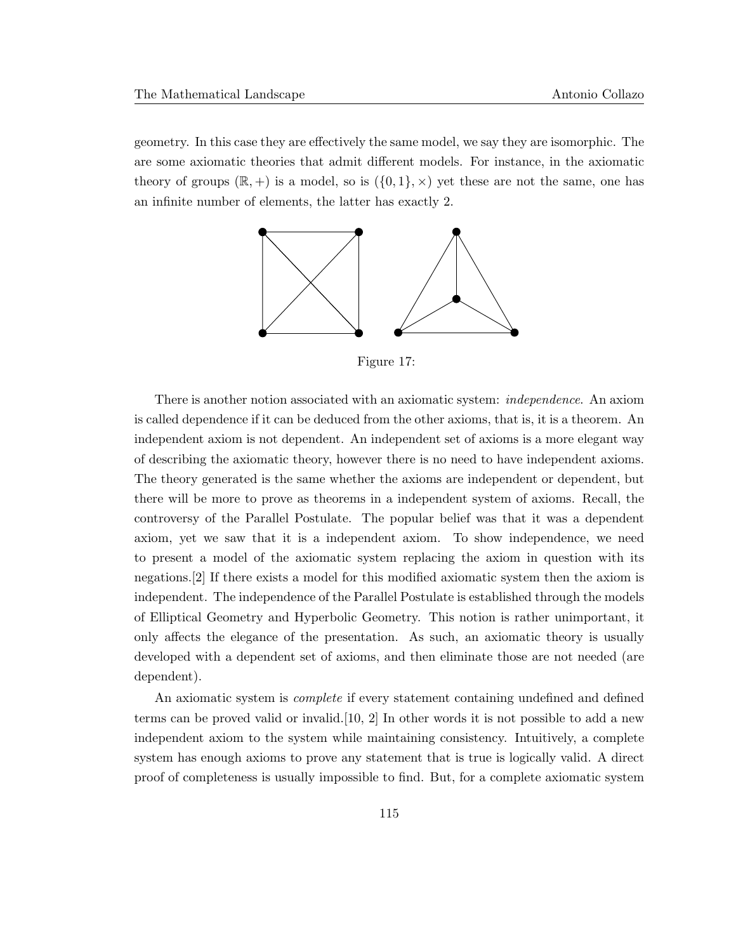geometry. In this case they are effectively the same model, we say they are isomorphic. The are some axiomatic theories that admit different models. For instance, in the axiomatic theory of groups  $(\mathbb{R}, +)$  is a model, so is  $(\{0, 1\}, \times)$  yet these are not the same, one has an infinite number of elements, the latter has exactly 2.



Figure 17:

There is another notion associated with an axiomatic system: independence. An axiom is called dependence if it can be deduced from the other axioms, that is, it is a theorem. An independent axiom is not dependent. An independent set of axioms is a more elegant way of describing the axiomatic theory, however there is no need to have independent axioms. The theory generated is the same whether the axioms are independent or dependent, but there will be more to prove as theorems in a independent system of axioms. Recall, the controversy of the Parallel Postulate. The popular belief was that it was a dependent axiom, yet we saw that it is a independent axiom. To show independence, we need to present a model of the axiomatic system replacing the axiom in question with its negations.[2] If there exists a model for this modified axiomatic system then the axiom is independent. The independence of the Parallel Postulate is established through the models of Elliptical Geometry and Hyperbolic Geometry. This notion is rather unimportant, it only affects the elegance of the presentation. As such, an axiomatic theory is usually developed with a dependent set of axioms, and then eliminate those are not needed (are dependent).

An axiomatic system is complete if every statement containing undefined and defined terms can be proved valid or invalid.[10, 2] In other words it is not possible to add a new independent axiom to the system while maintaining consistency. Intuitively, a complete system has enough axioms to prove any statement that is true is logically valid. A direct proof of completeness is usually impossible to find. But, for a complete axiomatic system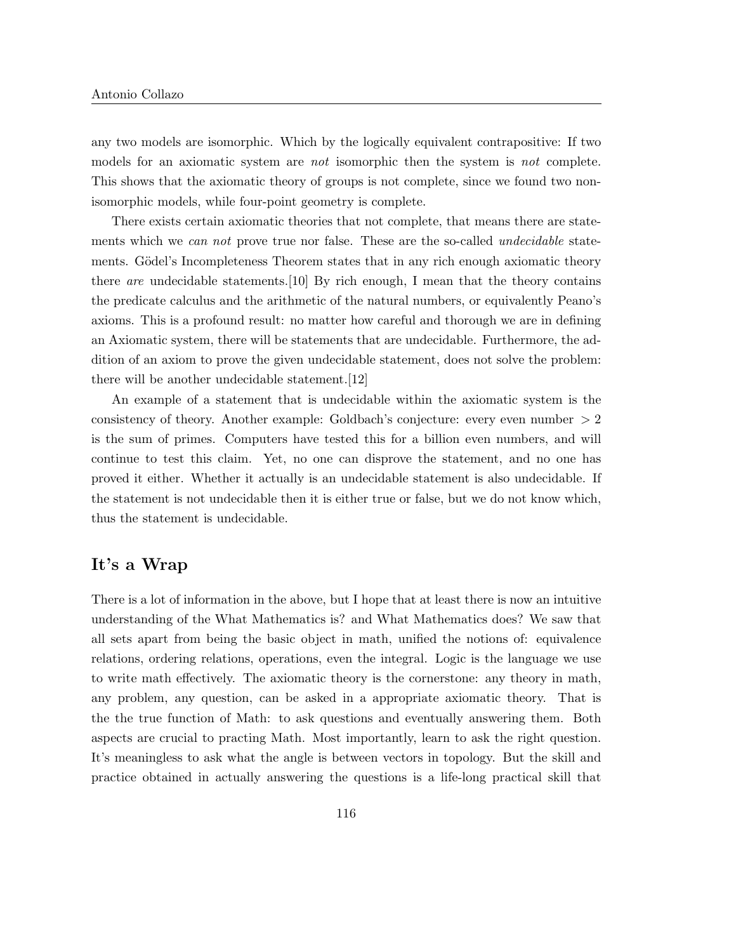any two models are isomorphic. Which by the logically equivalent contrapositive: If two models for an axiomatic system are not isomorphic then the system is not complete. This shows that the axiomatic theory of groups is not complete, since we found two nonisomorphic models, while four-point geometry is complete.

There exists certain axiomatic theories that not complete, that means there are statements which we can not prove true nor false. These are the so-called *undecidable* statements. Gödel's Incompleteness Theorem states that in any rich enough axiomatic theory there are undecidable statements. [10] By rich enough, I mean that the theory contains the predicate calculus and the arithmetic of the natural numbers, or equivalently Peano's axioms. This is a profound result: no matter how careful and thorough we are in defining an Axiomatic system, there will be statements that are undecidable. Furthermore, the addition of an axiom to prove the given undecidable statement, does not solve the problem: there will be another undecidable statement.[12]

An example of a statement that is undecidable within the axiomatic system is the consistency of theory. Another example: Goldbach's conjecture: every even number > 2 is the sum of primes. Computers have tested this for a billion even numbers, and will continue to test this claim. Yet, no one can disprove the statement, and no one has proved it either. Whether it actually is an undecidable statement is also undecidable. If the statement is not undecidable then it is either true or false, but we do not know which, thus the statement is undecidable.

## It's a Wrap

There is a lot of information in the above, but I hope that at least there is now an intuitive understanding of the What Mathematics is? and What Mathematics does? We saw that all sets apart from being the basic object in math, unified the notions of: equivalence relations, ordering relations, operations, even the integral. Logic is the language we use to write math effectively. The axiomatic theory is the cornerstone: any theory in math, any problem, any question, can be asked in a appropriate axiomatic theory. That is the the true function of Math: to ask questions and eventually answering them. Both aspects are crucial to practing Math. Most importantly, learn to ask the right question. It's meaningless to ask what the angle is between vectors in topology. But the skill and practice obtained in actually answering the questions is a life-long practical skill that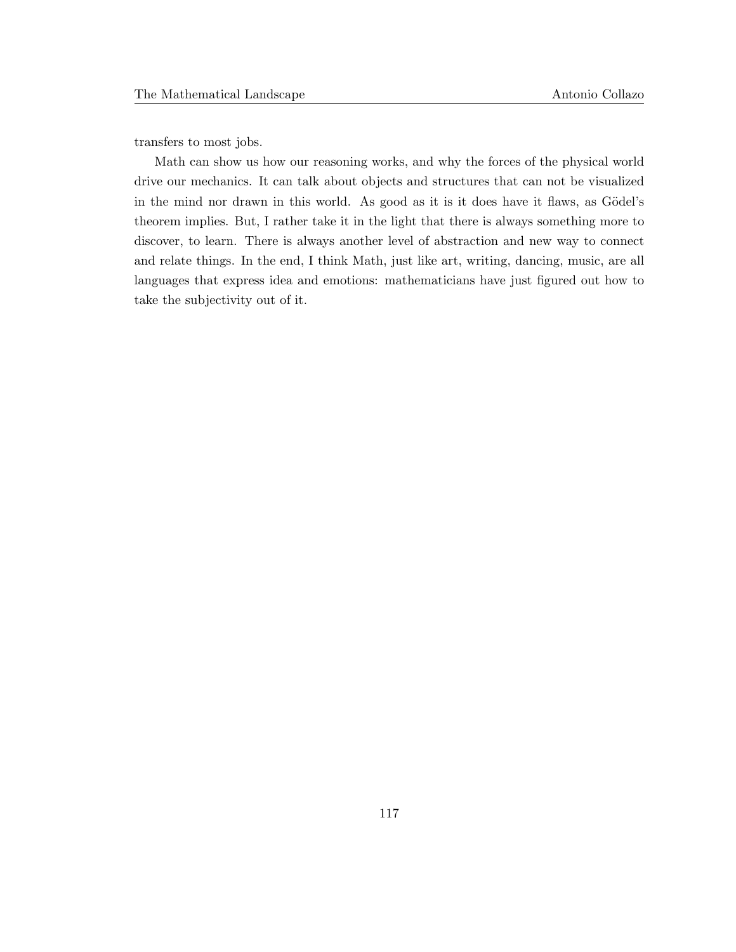transfers to most jobs.

Math can show us how our reasoning works, and why the forces of the physical world drive our mechanics. It can talk about objects and structures that can not be visualized in the mind nor drawn in this world. As good as it is it does have it flaws, as Gödel's theorem implies. But, I rather take it in the light that there is always something more to discover, to learn. There is always another level of abstraction and new way to connect and relate things. In the end, I think Math, just like art, writing, dancing, music, are all languages that express idea and emotions: mathematicians have just figured out how to take the subjectivity out of it.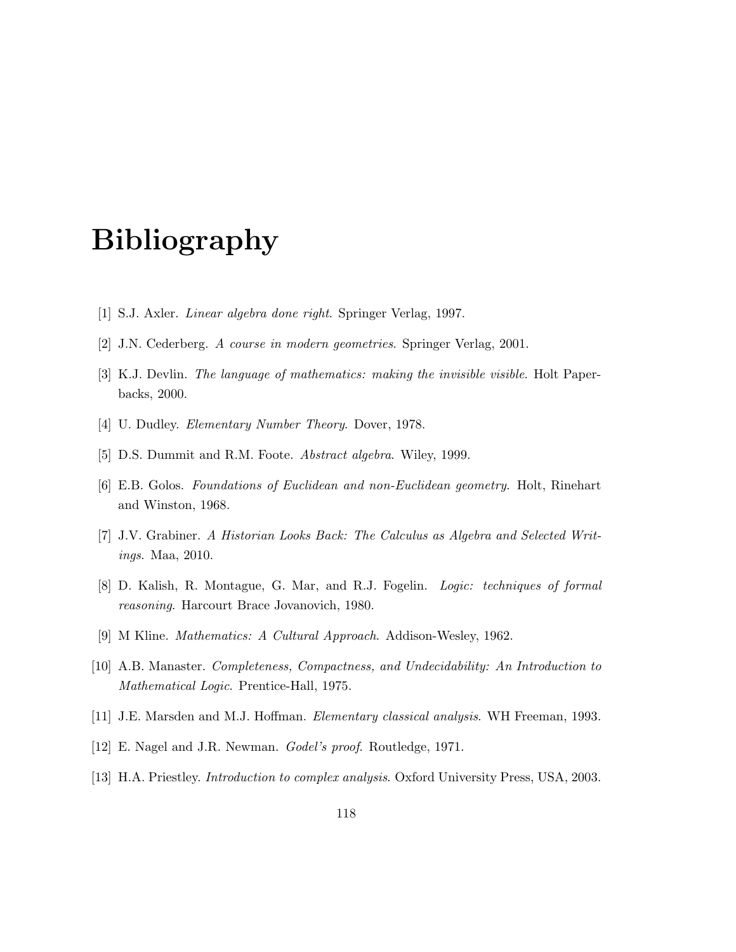# Bibliography

- [1] S.J. Axler. Linear algebra done right. Springer Verlag, 1997.
- [2] J.N. Cederberg. A course in modern geometries. Springer Verlag, 2001.
- [3] K.J. Devlin. The language of mathematics: making the invisible visible. Holt Paperbacks, 2000.
- [4] U. Dudley. *Elementary Number Theory*. Dover, 1978.
- [5] D.S. Dummit and R.M. Foote. Abstract algebra. Wiley, 1999.
- [6] E.B. Golos. Foundations of Euclidean and non-Euclidean geometry. Holt, Rinehart and Winston, 1968.
- [7] J.V. Grabiner. A Historian Looks Back: The Calculus as Algebra and Selected Writings. Maa, 2010.
- [8] D. Kalish, R. Montague, G. Mar, and R.J. Fogelin. Logic: techniques of formal reasoning. Harcourt Brace Jovanovich, 1980.
- [9] M Kline. Mathematics: A Cultural Approach. Addison-Wesley, 1962.
- [10] A.B. Manaster. Completeness, Compactness, and Undecidability: An Introduction to Mathematical Logic. Prentice-Hall, 1975.
- [11] J.E. Marsden and M.J. Hoffman. Elementary classical analysis. WH Freeman, 1993.
- [12] E. Nagel and J.R. Newman. Godel's proof. Routledge, 1971.
- [13] H.A. Priestley. Introduction to complex analysis. Oxford University Press, USA, 2003.